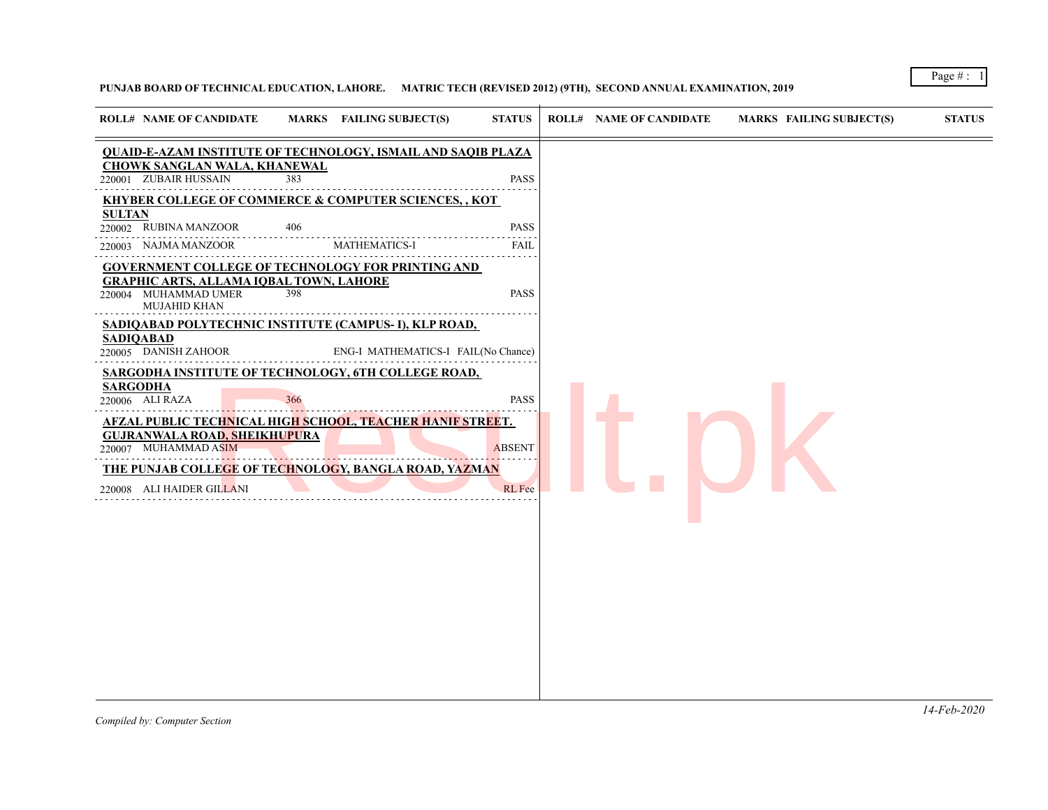# **PUNJAB BOARD OF TECHNICAL EDUCATION, LAHORE. MATRIC TECH (REVISED 2012) (9TH), SECOND ANNUAL EXAMINATION, 2019**

| <b>ROLL# NAME OF CANDIDATE</b>                                                                                                                                                                                                                                                                                                                                                                                                                                                                                                                                                |            | MARKS FAILING SUBJECT(S)            | <b>STATUS</b>                                         | <b>ROLL# NAME OF CANDIDATE</b> | <b>MARKS FAILING SUBJECT(S)</b> | <b>STATUS</b> |
|-------------------------------------------------------------------------------------------------------------------------------------------------------------------------------------------------------------------------------------------------------------------------------------------------------------------------------------------------------------------------------------------------------------------------------------------------------------------------------------------------------------------------------------------------------------------------------|------------|-------------------------------------|-------------------------------------------------------|--------------------------------|---------------------------------|---------------|
| <b>QUAID-E-AZAM INSTITUTE OF TECHNOLOGY, ISMAIL AND SAQIB PLAZA</b>                                                                                                                                                                                                                                                                                                                                                                                                                                                                                                           |            |                                     |                                                       |                                |                                 |               |
| <b>CHOWK SANGLAN WALA, KHANEWAL</b><br>220001 ZUBAIR HUSSAIN                                                                                                                                                                                                                                                                                                                                                                                                                                                                                                                  | 383        |                                     | <b>PASS</b>                                           |                                |                                 |               |
| KHYBER COLLEGE OF COMMERCE & COMPUTER SCIENCES, , KOT                                                                                                                                                                                                                                                                                                                                                                                                                                                                                                                         |            |                                     |                                                       |                                |                                 |               |
| <b>SULTAN</b><br>220002 RUBINA MANZOOR                                                                                                                                                                                                                                                                                                                                                                                                                                                                                                                                        | 406        |                                     | <b>PASS</b>                                           |                                |                                 |               |
| 220003 NAJMA MANZOOR                                                                                                                                                                                                                                                                                                                                                                                                                                                                                                                                                          |            | <b>MATHEMATICS-I</b>                | <b>FAIL</b>                                           |                                |                                 |               |
| <b>GOVERNMENT COLLEGE OF TECHNOLOGY FOR PRINTING AND</b><br><b>GRAPHIC ARTS, ALLAMA IQBAL TOWN, LAHORE</b><br>220004 MUHAMMAD UMER<br>MUJAHID KHAN<br>SADIQABAD POLYTECHNIC INSTITUTE (CAMPUS-I), KLP ROAD,<br><b>SADIQABAD</b><br>220005 DANISH ZAHOOR<br>SARGODHA INSTITUTE OF TECHNOLOGY, 6TH COLLEGE ROAD,<br><b>SARGODHA</b><br>220006 ALI RAZA<br><b>AFZAL PUBLIC TECHNICAL HIGH SCHOOL, TEACHER HANIF STREET.</b><br><b>GUJRANWALA ROAD, SHEIKHUPURA</b><br>220007 MUHAMMAD ASIM<br>THE PUNJAB COLLEGE OF TECHNOLOGY, BANGLA ROAD, YAZMAN<br>220008 ALI HAIDER GILLANI | 398<br>366 | ENG-I MATHEMATICS-I FAIL(No Chance) | <b>PASS</b><br><b>PASS</b><br><b>ABSENT</b><br>RL Fee |                                |                                 |               |
|                                                                                                                                                                                                                                                                                                                                                                                                                                                                                                                                                                               |            |                                     |                                                       |                                |                                 |               |
|                                                                                                                                                                                                                                                                                                                                                                                                                                                                                                                                                                               |            |                                     |                                                       |                                |                                 |               |
|                                                                                                                                                                                                                                                                                                                                                                                                                                                                                                                                                                               |            |                                     |                                                       |                                |                                 |               |

Page # : 1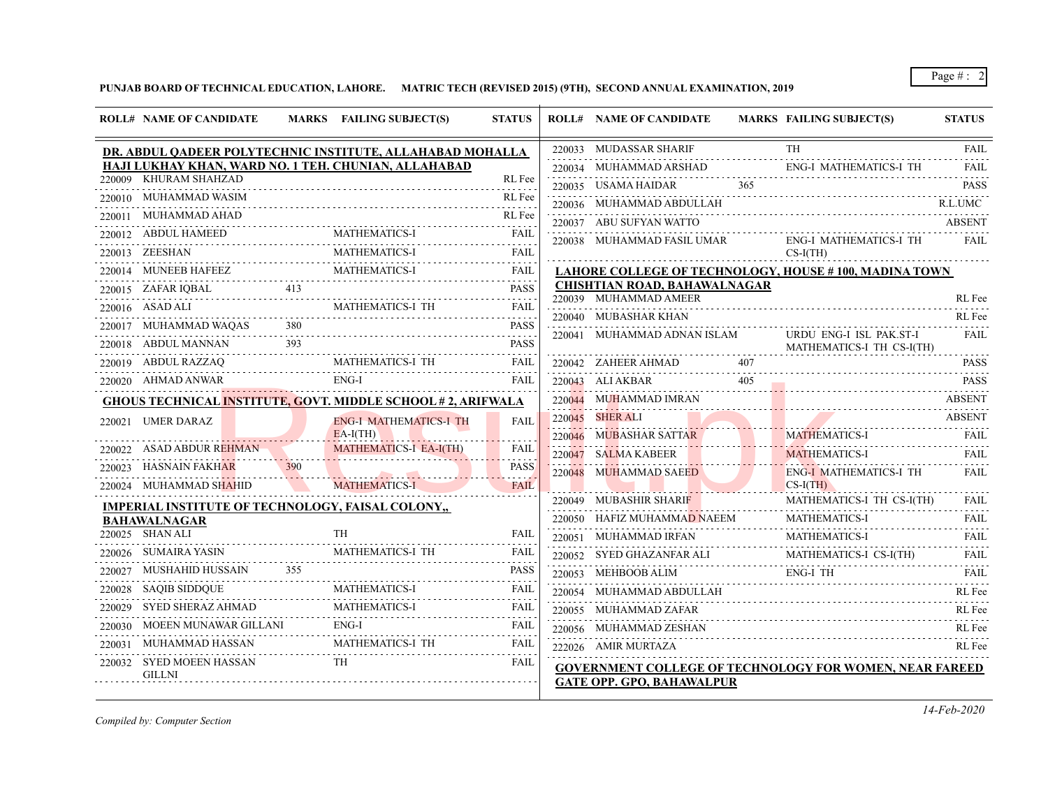# **PUNJAB BOARD OF TECHNICAL EDUCATION, LAHORE. MATRIC TECH (REVISED 2015) (9TH), SECOND ANNUAL EXAMINATION, 2019**

|        | <b>ROLL# NAME OF CANDIDATE</b>                           |     | MARKS FAILING SUBJECT(S)                                           | <b>STATUS</b> | <b>ROLL# NAME OF CANDIDATE</b>                        |     | MARKS FAILING SUBJECT(S)                                       | <b>STATUS</b>              |
|--------|----------------------------------------------------------|-----|--------------------------------------------------------------------|---------------|-------------------------------------------------------|-----|----------------------------------------------------------------|----------------------------|
|        |                                                          |     | DR. ABDUL QADEER POLYTECHNIC INSTITUTE, ALLAHABAD MOHALLA          |               | 220033 MUDASSAR SHARIF                                |     | <b>TH</b>                                                      | FAIL                       |
|        |                                                          |     | HAJI LUKHAY KHAN, WARD NO. 1 TEH. CHUNIAN, ALLAHABAD               |               | 220034 MUHAMMAD ARSHAD                                |     | <b>ENG-I MATHEMATICS-I TH</b>                                  | FAIL                       |
|        | 220009 KHURAM SHAHZAD                                    |     |                                                                    | RL Fee<br>.   | 220035 USAMA HAIDAR                                   | 365 |                                                                | <b>PASS</b>                |
|        | 220010 MUHAMMAD WASIM                                    |     |                                                                    | RL Fee        | 220036 MUHAMMAD ABDULLAH                              |     |                                                                | R.L.UMC                    |
| 220011 | MUHAMMAD AHAD                                            |     |                                                                    | RL Fee        | 220037 ABU SUFYAN WATTO                               |     |                                                                | <b>ABSENT</b>              |
|        | 220012 ABDUL HAMEED                                      |     | <b>MATHEMATICS-I</b>                                               | FAIL          | 220038 MUHAMMAD FASIL UMAR                            |     | <b>ENG-I MATHEMATICS-I TH</b>                                  | FAIL                       |
|        | 220013 ZEESHAN                                           |     | <b>MATHEMATICS-I</b>                                               | <b>FAIL</b>   |                                                       |     | $CS-I(TH)$                                                     |                            |
|        | 220014 MUNEEB HAFEEZ                                     |     | <b>MATHEMATICS-I</b>                                               | <b>FAIL</b>   |                                                       |     | LAHORE COLLEGE OF TECHNOLOGY, HOUSE #100, MADINA TOWN          |                            |
|        |                                                          |     |                                                                    | <b>PASS</b>   | CHISHTIAN ROAD, BAHAWALNAGAR<br>220039 MUHAMMAD AMEER |     |                                                                | RL Fee                     |
|        | 220016 ASAD ALI                                          |     | MATHEMATICS-I TH                                                   | FAIL          | 220040 MUBASHAR KHAN                                  |     |                                                                | RL Fee                     |
|        | 220017 MUHAMMAD WAQAS                                    | 380 |                                                                    | <b>PASS</b>   |                                                       |     |                                                                |                            |
|        | 220018 ABDUL MANNAN                                      | 393 |                                                                    | <b>PASS</b>   | 220041 MUHAMMAD ADNAN ISLAM                           |     | URDU ENG-I ISL PAK.ST-I<br>MATHEMATICS-I TH CS-I(TH)           | FAIL                       |
|        | 220019 ABDUL RAZZAQ                                      |     | MATHEMATICS-I TH                                                   | FAIL          | 220042 ZAHEER AHMAD                                   |     |                                                                | 2.2.2.2.2.1<br><b>PASS</b> |
|        | 220020 AHMAD ANWAR                                       |     | ENG-I                                                              | <b>FAIL</b>   | 220043 ALI AKBAR                                      | 405 |                                                                | <b>PASS</b>                |
|        |                                                          |     | <b>GHOUS TECHNICAL INSTITUTE, GOVT. MIDDLE SCHOOL #2, ARIFWALA</b> |               | 220044 MUHAMMAD IMRAN                                 |     |                                                                | <b>ABSENT</b>              |
|        | 220021 UMER DARAZ                                        |     | <b>ENG-I MATHEMATICS-I TH</b>                                      | <b>FAIL</b>   | 220045 SHER ALI                                       |     |                                                                | <b>ABSENT</b>              |
|        |                                                          |     | $EA-I(TH)$                                                         |               | 220046 MUBASHAR SATTAR                                |     | <b>MATHEMATICS-I</b>                                           | FAIL                       |
|        | 220022 ASAD ABDUR REHMAN                                 |     | <b>MATHEMATICS-I EA-I(TH)</b>                                      | <b>FAIL</b>   | 220047 SALMA KABEER                                   |     | <b>MATHEMATICS-I</b>                                           | FAIL                       |
| 220023 | HASNAIN FAKHAR                                           | 390 |                                                                    | <b>PASS</b>   | 220048 MUHAMMAD SAEED                                 |     | <b>ENG-I MATHEMATICS-I TH</b>                                  | FAIL                       |
|        | 220024 MUHAMMAD SHAHID                                   |     | <b>MATHEMATICS-I</b>                                               | <b>FAIL</b>   |                                                       |     | $CS-I(TH)$                                                     |                            |
|        | <b>IMPERIAL INSTITUTE OF TECHNOLOGY, FAISAL COLONY,,</b> |     |                                                                    |               | 220049 MUBASHIR SHARIF                                |     | MATHEMATICS-I TH CS-I(TH)                                      | FAIL                       |
|        | <b>BAHAWALNAGAR</b>                                      |     |                                                                    |               | 220050 HAFIZ MUHAMMAD NAEEM                           |     | MATHEMATICS-I                                                  | <b>FAIL</b>                |
|        | 220025 SHAN ALI                                          |     | TH                                                                 | FAIL          | 220051 MUHAMMAD IRFAN                                 |     | <b>MATHEMATICS-I</b>                                           | <b>FAIL</b><br>2.2.2.2.2.1 |
|        | 220026 SUMAIRA YASIN                                     |     | MATHEMATICS-I TH                                                   | FAIL          | 220052 SYED GHAZANFAR ALI                             |     | MATHEMATICS-I CS-I(TH)                                         | <b>FAIL</b>                |
| 220027 | MUSHAHID HUSSAIN                                         | 355 |                                                                    | <b>PASS</b>   | 220053 MEHBOOB ALIM                                   |     | ENG-I TH                                                       | FAII.                      |
| 220028 | SAQIB SIDDQUE                                            |     | MATHEMATICS-I                                                      | FAIL          | 220054 MUHAMMAD ABDULLAH                              |     |                                                                | RL Fee                     |
| 220029 | SYED SHERAZ AHMAD                                        |     | <b>MATHEMATICS-I</b>                                               | FAIL          | 220055 MUHAMMAD ZAFAR                                 |     |                                                                | RL Fee                     |
|        | 220030 MOEEN MUNAWAR GILLANI                             |     | $ENG-I$                                                            | <b>FAIL</b>   | 220056 MUHAMMAD ZESHAN                                |     |                                                                | RL Fee                     |
| 220031 | MUHAMMAD HASSAN                                          |     | MATHEMATICS-I TH                                                   | FAIL          | 222026 AMIR MURTAZA                                   |     |                                                                | RL Fee                     |
|        | 220032 SYED MOEEN HASSAN<br><b>GILLNI</b>                |     | <b>TH</b>                                                          | FAIL          | <b>GATE OPP. GPO, BAHAWALPUR</b>                      |     | <b>GOVERNMENT COLLEGE OF TECHNOLOGY FOR WOMEN, NEAR FAREED</b> |                            |

*Compiled by: Computer Section*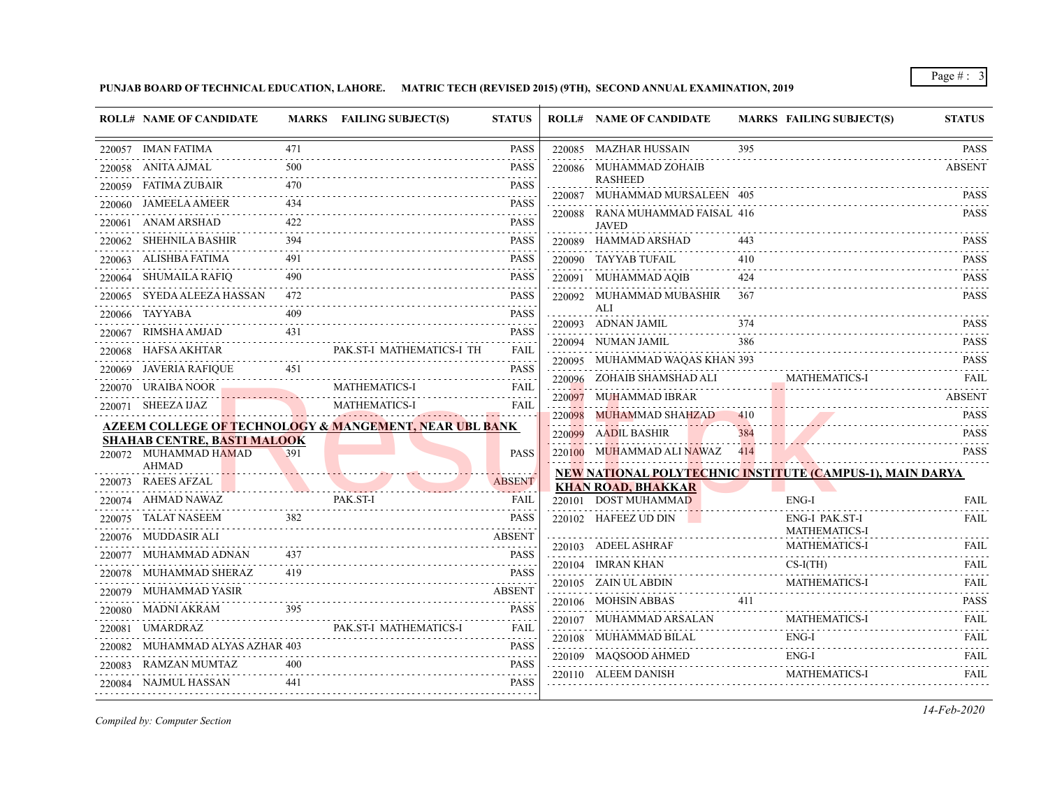**PUNJAB BOARD OF TECHNICAL EDUCATION, LAHORE. MATRIC TECH (REVISED 2015) (9TH), SECOND ANNUAL EXAMINATION, 2019**

|        | <b>ROLL# NAME OF CANDIDATE</b>                              |     | MARKS FAILING SUBJECT(S)                                          | <b>STATUS</b>                                                                                                                                       | <b>ROLL# NAME OF CANDIDATE</b>                            |            | <b>MARKS FAILING SUBJECT(S)</b> | <b>STATUS</b>    |
|--------|-------------------------------------------------------------|-----|-------------------------------------------------------------------|-----------------------------------------------------------------------------------------------------------------------------------------------------|-----------------------------------------------------------|------------|---------------------------------|------------------|
|        | 220057 IMAN FATIMA                                          | 471 |                                                                   | <b>PASS</b>                                                                                                                                         | 220085 MAZHAR HUSSAIN                                     | 395        |                                 | <b>PASS</b>      |
|        | 220058 ANITA AJMAL                                          | 500 |                                                                   | <b>PASS</b>                                                                                                                                         | 220086 MUHAMMAD ZOHAIB                                    |            |                                 | <b>ABSENT</b>    |
| 220059 | FATIMA ZUBAIR                                               | 470 |                                                                   | <b>PASS</b><br>.                                                                                                                                    | <b>RASHEED</b><br>220087 MUHAMMAD MURSALEEN 405           |            |                                 | <b>PASS</b>      |
| 220060 | <b>JAMEELA AMEER</b>                                        | 434 |                                                                   | <b>PASS</b>                                                                                                                                         | 220088 RANA MUHAMMAD FAISAL 416                           |            |                                 | <b>PASS</b>      |
|        | 220061 ANAM ARSHAD                                          | 422 |                                                                   | <b>PASS</b>                                                                                                                                         | <b>JAVED</b>                                              |            |                                 |                  |
|        | 220062 SHEHNILA BASHIR                                      | 394 |                                                                   | <b>PASS</b>                                                                                                                                         | 220089 HAMMAD ARSHAD                                      |            |                                 | <b>PASS</b><br>. |
|        | 220063 ALISHBA FATIMA                                       |     |                                                                   | <b>PASS</b><br>.                                                                                                                                    | 220090 TAYYAB TUFAIL                                      | 410        |                                 | <b>PASS</b>      |
|        | 220064 SHUMAILA RAFIQ                                       | 490 |                                                                   | <b>PASS</b>                                                                                                                                         | 220091 MUHAMMAD AQIB                                      | 424        |                                 | <b>PASS</b>      |
|        | 220065 SYEDA ALEEZA HASSAN                                  | 472 |                                                                   | <b>PASS</b>                                                                                                                                         | 220092 MUHAMMAD MUBASHIR                                  | 367        |                                 | <b>PASS</b>      |
|        | 220066 TAYYABA                                              | 409 |                                                                   | <b>PASS</b>                                                                                                                                         | ALI<br>220093 ADNAN JAMIL                                 |            |                                 | <b>PASS</b>      |
| 220067 | RIMSHA AMJAD                                                | 431 |                                                                   | <b>PASS</b><br>.                                                                                                                                    | 220094 NUMAN JAMIL                                        | 386        |                                 | <b>PASS</b>      |
|        | 220068 HAFSA AKHTAR                                         |     | PAK.ST-I MATHEMATICS-I TH                                         | <b>FAIL</b><br>$\mathcal{L}^{\mathcal{A}}\left( \mathcal{A}^{\mathcal{A}}\right) =\mathcal{L}^{\mathcal{A}}\left( \mathcal{A}^{\mathcal{A}}\right)$ | 220095 MUHAMMAD WAQAS KHAN 393                            |            |                                 | <b>PASS</b>      |
|        | 220069 JAVERIA RAFIQUE                                      | 451 |                                                                   | PASS                                                                                                                                                | 220096 ZOHAIB SHAMSHAD ALI                                |            | <b>MATHEMATICS-I</b>            | FAIL             |
|        | 220070 URAIBA NOOR                                          |     | <b>MATHEMATICS-I</b>                                              | FAIL                                                                                                                                                | 220097 MUHAMMAD IBRAR                                     |            |                                 | <b>ABSENT</b>    |
|        | 220071 SHEEZA IJAZ                                          |     | <b>MATHEMATICS-I</b>                                              | <b>FAIL</b>                                                                                                                                         | 220098 MUHAMMAD SHAHZAD                                   | 410        |                                 | <b>PASS</b>      |
|        |                                                             |     | <b>AZEEM COLLEGE OF TECHNOLOGY &amp; MANGEMENT, NEAR UBL BANK</b> |                                                                                                                                                     | 220099 AADIL BASHIR                                       | 384        |                                 | <b>PASS</b>      |
|        | <b>SHAHAB CENTRE, BASTI MALOOK</b><br>220072 MUHAMMAD HAMAD | 391 |                                                                   | <b>PASS</b>                                                                                                                                         | 220100 MUHAMMAD ALI NAWAZ                                 | . <b>.</b> |                                 | .<br><b>PASS</b> |
|        | <b>AHMAD</b><br>220073 RAEES AFZAL                          |     |                                                                   | <b>ABSENT</b>                                                                                                                                       | NEW NATIONAL POLYTECHNIC INSTITUTE (CAMPUS-1), MAIN DARYA |            |                                 |                  |
|        | 220074 AHMAD NAWAZ                                          |     | PAK.ST-I                                                          | <b>FAIL</b>                                                                                                                                         | <b>KHAN ROAD, BHAKKAR</b><br>220101 DOST MUHAMMAD         |            | ENG-I                           | <b>FAIL</b>      |
| 220075 | TALAT NASEEM                                                | 382 |                                                                   | <b>PASS</b>                                                                                                                                         | 220102 HAFEEZ UD DIN                                      |            | ENG-I PAK.ST-I                  | FAIL             |
| 220076 | MUDDASIR ALI                                                |     |                                                                   | <b>ABSENT</b>                                                                                                                                       |                                                           |            | <b>MATHEMATICS-I</b>            |                  |
| 220077 | MUHAMMAD ADNAN                                              |     |                                                                   | <b>PASS</b>                                                                                                                                         | 220103 ADEEL ASHRAF                                       |            | <b>MATHEMATICS-I</b>            | FAIL<br>.        |
|        | 220078 MUHAMMAD SHERAZ                                      | 419 |                                                                   | <b>PASS</b>                                                                                                                                         | 220104 IMRAN KHAN                                         |            | $CS-I(TH)$                      | FAIL<br>.        |
|        | 220079 MUHAMMAD YASIR                                       |     |                                                                   | <b>ABSENT</b>                                                                                                                                       | 220105 ZAIN UL ABDIN                                      |            | MATHEMATICS-I                   | <b>FAIL</b>      |
|        | 220080 MADNI AKRAM                                          | 395 |                                                                   | <b>PASS</b>                                                                                                                                         | 220106 MOHSIN ABBAS                                       | 411        |                                 | <b>PASS</b><br>. |
|        | 220081 UMARDRAZ                                             |     | PAK.ST-I MATHEMATICS-I                                            | 2.2.2.2.2<br>FAIL                                                                                                                                   | 220107 MUHAMMAD ARSALAN                                   |            | <b>MATHEMATICS-I</b>            | <b>FAIL</b>      |
| 220082 | MUHAMMAD ALYAS AZHAR 403                                    |     |                                                                   | .<br><b>PASS</b>                                                                                                                                    | 220108 MUHAMMAD BILAL                                     |            | $ENG-I$                         | <b>FAIL</b>      |
| 220083 | RAMZAN MUMTAZ                                               | 400 |                                                                   | <b>PASS</b>                                                                                                                                         | 220109 MAQSOOD AHMED                                      |            | ENG-I                           | FAIL             |
|        | 220084 NAJMUL HASSAN                                        | 441 |                                                                   | $\mathcal{L}^{\mathcal{A}}\left( \mathcal{A}^{\mathcal{A}}\right) =\mathcal{L}^{\mathcal{A}}\left( \mathcal{A}^{\mathcal{A}}\right)$<br>PASS        | 220110 ALEEM DANISH                                       |            | <b>MATHEMATICS-I</b>            | FAIL             |
|        |                                                             |     |                                                                   |                                                                                                                                                     |                                                           |            |                                 |                  |

*Compiled by: Computer Section*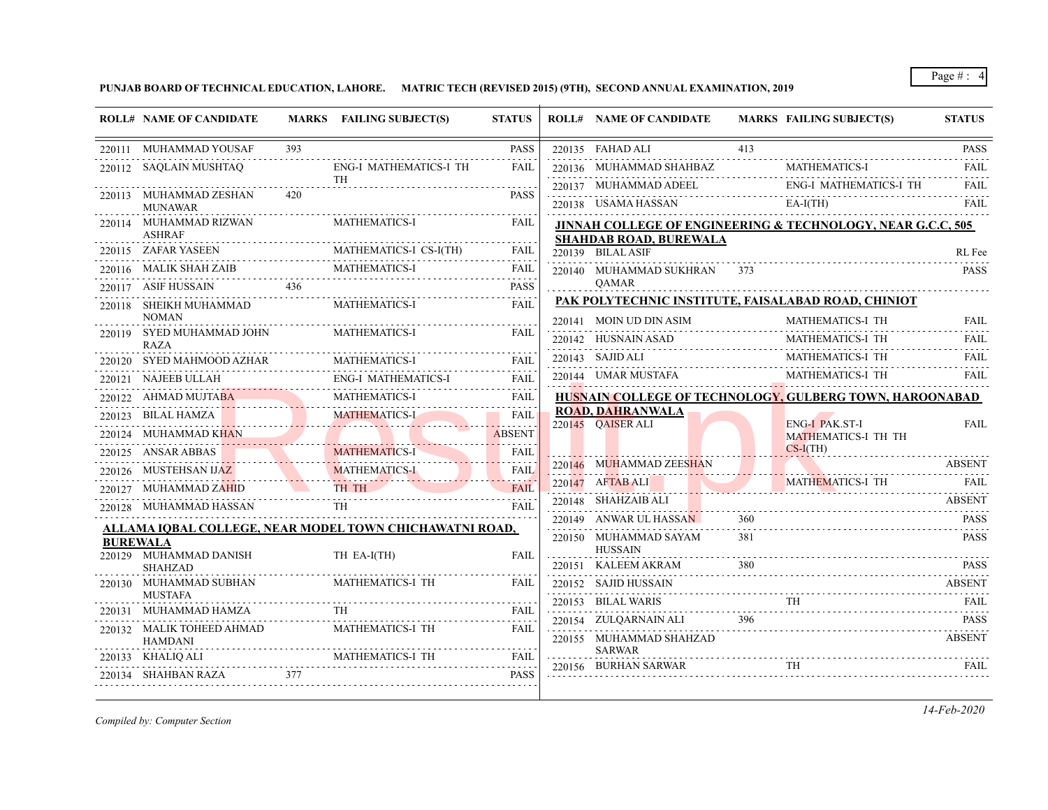**PUNJAB BOARD OF TECHNICAL EDUCATION, LAHORE. MATRIC TECH (REVISED 2015) (9TH), SECOND ANNUAL EXAMINATION, 2019**

| <b>ROLL# NAME OF CANDIDATE</b>            |     | MARKS FAILING SUBJECT(S)                                | <b>STATUS</b> | <b>ROLL# NAME OF CANDIDATE</b>                     |            | <b>MARKS FAILING SUBJECT(S)</b>                                        | <b>STATUS</b>              |
|-------------------------------------------|-----|---------------------------------------------------------|---------------|----------------------------------------------------|------------|------------------------------------------------------------------------|----------------------------|
| 220111 MUHAMMAD YOUSAF                    | 393 |                                                         | <b>PASS</b>   | 220135 FAHAD ALI                                   | 413        |                                                                        | <b>PASS</b>                |
| 220112 SAQLAIN MUSHTAQ                    |     | ENG-I MATHEMATICS-I TH                                  | FAIL          | 220136 MUHAMMAD SHAHBAZ                            |            | <b>MATHEMATICS-I</b>                                                   | and a state<br><b>FAIL</b> |
|                                           | 420 | <b>TH</b>                                               | <b>PASS</b>   | 220137 MUHAMMAD ADEEL                              |            | <b>ENG-I MATHEMATICS-I TH</b>                                          | FAIL                       |
| 220113 MUHAMMAD ZESHAN<br><b>MUNAWAR</b>  |     |                                                         |               | 220138 USAMA HASSAN                                |            | $EA-I(TH)$                                                             | <b>FAIL</b>                |
| 220114 MUHAMMAD RIZWAN                    |     | MATHEMATICS-I                                           | FAIL          |                                                    |            | <b>JINNAH COLLEGE OF ENGINEERING &amp; TECHNOLOGY, NEAR G.C.C, 505</b> |                            |
| <b>ASHRAF</b><br>220115 ZAFAR YASEEN      |     | MATHEMATICS-I CS-I(TH)                                  | FAIL          | <b>SHAHDAB ROAD, BUREWALA</b><br>220139 BILAL ASIF |            |                                                                        |                            |
| 220116 MALIK SHAH ZAIB                    |     | MATHEMATICS-I                                           | FAIL          |                                                    | 373        |                                                                        | RL Fee<br><b>PASS</b>      |
| 220117 ASIF HUSSAIN                       | 436 |                                                         | <b>PASS</b>   | 220140 MUHAMMAD SUKHRAN<br><b>OAMAR</b>            |            |                                                                        |                            |
| 220118 SHEIKH MUHAMMAD                    |     | MATHEMATICS-I                                           | <b>FAIL</b>   |                                                    |            | PAK POLYTECHNIC INSTITUTE, FAISALABAD ROAD, CHINIOT                    |                            |
| <b>NOMAN</b>                              |     |                                                         |               | 220141 MOIN UD DIN ASIM                            |            | MATHEMATICS-I TH                                                       | <b>FAIL</b>                |
| 220119 SYED MUHAMMAD JOHN<br><b>RAZA</b>  |     | <b>MATHEMATICS-I</b>                                    | <b>FAIL</b>   | 220142 HUSNAIN ASAD                                |            | MATHEMATICS-I TH                                                       | <b>FAIL</b>                |
| 220120 SYED MAHMOOD AZHAR                 |     | <b>MATHEMATICS-I</b>                                    | <b>FAIL</b>   | 220143 SAJID ALI                                   |            | MATHEMATICS-I TH                                                       | <b>FAIL</b>                |
| 220121 NAJEEB ULLAH                       |     | ENG-I MATHEMATICS-I                                     | <b>FAIL</b>   | 220144 UMAR MUSTAFA                                |            | MATHEMATICS-I TH                                                       | <b>FAIL</b>                |
| 220122 AHMAD MUJTA <b>B</b> A             |     | <b>MATHEMATICS-I</b>                                    | FAIL          |                                                    |            | <b>HUSNAIN COLLEGE OF TECHNOLOGY, GULBERG TOWN, HAROONABAD</b>         |                            |
| 220123 BILAL HAMZA                        |     | <b>MATHEMATICS-L</b>                                    | <b>FAIL</b>   | <b>ROAD, DAHRANWALA</b>                            |            |                                                                        |                            |
| 220124 MUHAMMAD KHAN                      |     |                                                         | <b>ABSENT</b> | 220145 OAISER ALI                                  |            | <b>ENG-I PAK.ST-I</b><br><b>MATHEMATICS-I TH TH</b>                    | <b>FAIL</b>                |
| 220125 ANSAR ABBAS                        |     | <b>MATHEMATICS-I</b>                                    | FAIL          |                                                    |            | $CS-I(TH)$                                                             |                            |
| 220126 MUSTEHSAN IJAZ                     |     | <b>MATHEMATICS-I</b>                                    | FAIL          | 220146 MUHAMMAD ZEESHAN                            |            |                                                                        | <b>ABSENT</b>              |
| 220127 MUHAMMAD ZAHID                     |     | TH TH                                                   | FAIL          | 220147 AFTAB ALI                                   |            | <b>MATHEMATICS-I TH</b>                                                | -FAIL                      |
| 220128 MUHAMMAD HASSAN                    |     | TH                                                      | <b>FAIL</b>   | 220148 SHAHZAIB ALI                                |            |                                                                        | <b>ABSENT</b>              |
|                                           |     | ALLAMA IQBAL COLLEGE, NEAR MODEL TOWN CHICHAWATNI ROAD, |               | 220149 ANWAR UL HASSAN                             | 360<br>381 |                                                                        | <b>PASS</b>                |
| <b>BUREWALA</b><br>220129 MUHAMMAD DANISH |     | TH EA-I(TH)                                             | FAII.         | 220150 MUHAMMAD SAYAM<br><b>HUSSAIN</b>            |            |                                                                        | <b>PASS</b>                |
| <b>SHAHZAD</b>                            |     |                                                         |               | 220151 KALEEM AKRAM                                | 380        |                                                                        | <b>PASS</b>                |
| 220130 MUHAMMAD SUBHAN                    |     | MATHEMATICS-I TH                                        | FAIL          | 220152 SAJID HUSSAIN                               |            |                                                                        | <b>ABSENT</b>              |
| <b>MUSTAFA</b><br>220131 MUHAMMAD HAMZA   |     |                                                         | FAIL          | 220153 BILAL WARIS                                 |            |                                                                        | FAIL                       |
| 220132 MALIK TOHEED AHMAD                 |     | MATHEMATICS-I TH                                        | FAIL          | 220154 ZULQARNAIN ALI                              | 396        |                                                                        | <b>PASS</b>                |
| <b>HAMDANI</b>                            |     |                                                         |               | 220155 MUHAMMAD SHAHZAD                            |            |                                                                        | <b>ABSENT</b>              |
| 220133 KHALIQ ALI                         |     | MATHEMATICS-I TH                                        | FAIL          | <b>SARWAR</b><br>220156 BURHAN SARWAR              |            |                                                                        | FAIL                       |
| 220134 SHAHBAN RAZA                       | 377 |                                                         | <b>PASS</b>   |                                                    |            |                                                                        |                            |

*Compiled by: Computer Section*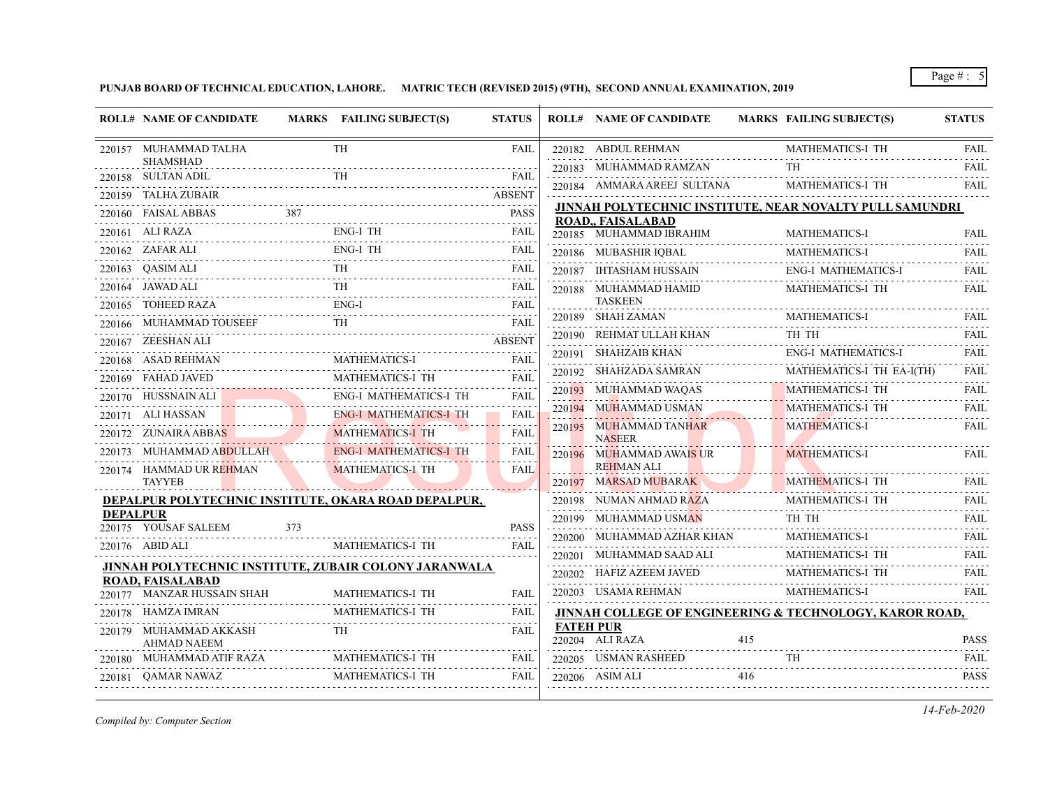# **PUNJAB BOARD OF TECHNICAL EDUCATION, LAHORE. MATRIC TECH (REVISED 2015) (9TH), SECOND ANNUAL EXAMINATION, 2019**

|                 | <b>ROLL# NAME OF CANDIDATE</b>                        |     | MARKS FAILING SUBJECT(S)                                | <b>STATUS</b>         | <b>ROLL# NAME OF CANDIDATE</b>             |     | MARKS FAILING SUBJECT(S)                                           | <b>STATUS</b> |
|-----------------|-------------------------------------------------------|-----|---------------------------------------------------------|-----------------------|--------------------------------------------|-----|--------------------------------------------------------------------|---------------|
|                 | 220157 MUHAMMAD TALHA                                 |     | TH                                                      | <b>FAIL</b>           | 220182 ABDUL REHMAN                        |     | MATHEMATICS-I TH                                                   | <b>FAIL</b>   |
|                 | <b>SHAMSHAD</b>                                       |     |                                                         |                       | 220183 MUHAMMAD RAMZAN                     |     |                                                                    | FAIL          |
|                 | 220158 SULTAN ADIL<br>220159 TALHA ZUBAIR             |     | TH                                                      | FAIL<br>ABSENT        | 220184 AMMARA AREEJ SULTANA                |     | MATHEMATICS-I TH                                                   | FAIL          |
|                 | FAISAL ABBAS                                          | 387 |                                                         | <b>PASS</b>           |                                            |     | JINNAH POLYTECHNIC INSTITUTE, NEAR NOVALTY PULL SAMUNDRI           |               |
| 220160          | 220161 ALI RAZA                                       |     | <b>ENG-I TH</b>                                         | FAIL                  | <b>ROAD,, FAISALABAD</b>                   |     |                                                                    |               |
|                 | 220162 ZAFAR ALI                                      |     | <b>ENG-I TH</b>                                         |                       | 220185 MUHAMMAD IBRAHIM                    |     | <b>MATHEMATICS-I</b>                                               | FAIL          |
|                 |                                                       |     | TH                                                      | FAIL                  | 220186 MUBASHIR IQBAL                      |     | <b>MATHEMATICS-I</b>                                               | <b>FAIL</b>   |
|                 | 220163 QASIM ALI                                      |     |                                                         | <b>FAIL</b>           | 220187 IHTASHAM HUSSAIN                    |     | ENG-I MATHEMATICS-I                                                | FAIL          |
|                 | 220164 JAWAD ALI<br>220165 TOHEED RAZA                |     | TH<br>$ENG-I$                                           | FAIL                  | 220188 MUHAMMAD HAMID<br><b>TASKEEN</b>    |     | MATHEMATICS-I TH                                                   | FAIL          |
|                 |                                                       |     | TH                                                      | FAIL                  | 220189 SHAH ZAMAN                          |     | <b>MATHEMATICS-I</b>                                               | FAIL          |
|                 | 220166 MUHAMMAD TOUSEEF                               |     |                                                         | FAIL<br><b>ABSENT</b> | 220190 REHMAT ULLAH KHAN                   |     | TH TH                                                              | <b>FAIL</b>   |
|                 | 220167 ZEESHAN ALI<br>220168 ASAD REHMAN              |     | <b>MATHEMATICS-I</b>                                    | <b>FAIL</b>           | 220191 SHAHZAIB KHAN                       |     | <b>ENG-I MATHEMATICS-I</b>                                         | <b>FAIL</b>   |
|                 | <b>FAHAD JAVED</b>                                    |     | MATHEMATICS-I TH                                        | FAIL                  | 220192 SHAHZADA SAMRAN                     |     | MATHEMATICS-I TH EA-I(TH)                                          | <b>FAIL</b>   |
| 220169          |                                                       |     |                                                         | <b>FAIL</b>           | 220193 MUHAMMAD WAQAS                      |     | MATHEMATICS-I TH                                                   | <b>FAIL</b>   |
|                 | 220170 HUSSNAIN ALI<br>220171 ALI HASSAN              |     | ENG-I MATHEMATICS-I TH<br><b>ENG-I MATHEMATICS-I TH</b> | <b>FAIL</b>           | 220194 MUHAMMAD USMAN                      |     | MATHEMATICS-I TH                                                   | FAIL          |
|                 | 220172 ZUNAIRA ABBAS                                  |     | <b>MATHEMATICS-I TH</b>                                 | <b>FAIL</b>           | 220195 MUHAMMAD TANHAR<br><b>NASEER</b>    |     | <b>MATHEMATICS-I</b>                                               | <b>FAIL</b>   |
|                 | 220173 MUHAMMAD ABDULLAH                              |     | <b>ENG-I MATHEMATICS-I TH</b>                           | FAIL                  | 220196 MUHAMMAD AWAIS UR                   |     | <b>MATHEMATICS-I</b>                                               | FAIL          |
|                 | 220174 HAMMAD UR REHMAN<br><b>TAYYEB</b>              |     | <b>MATHEMATICS-I TH</b>                                 | <b>FAIL</b>           | <b>REHMAN ALI</b><br>220197 MARSAD MUBARAK |     | <b>MATHEMATICS-I TH</b>                                            | FAIL          |
|                 | DEPALPUR POLYTECHNIC INSTITUTE, OKARA ROAD DEPALPUR,  |     |                                                         |                       | 220198 NUMAN AHMAD RAZA                    |     | MATHEMATICS-I TH                                                   | FAIL          |
| <b>DEPALPUR</b> |                                                       |     |                                                         |                       | 220199 MUHAMMAD USMAN                      |     | TH TH                                                              | <b>FAIL</b>   |
|                 | 220175 YOUSAF SALEEM                                  | 373 |                                                         | <b>PASS</b>           | 220200 MUHAMMAD AZHAR KHAN                 |     | MATHEMATICS-I                                                      | <b>FAIL</b>   |
|                 | 220176 ABID ALI                                       |     | MATHEMATICS-I TH                                        | <b>FAIL</b>           | 220201 MUHAMMAD SAAD ALI                   |     | MATHEMATICS-I TH                                                   | FAIL          |
|                 | JINNAH POLYTECHNIC INSTITUTE, ZUBAIR COLONY JARANWALA |     |                                                         |                       | 220202 HAFIZ AZEEM JAVED                   |     | MATHEMATICS-I TH                                                   | <b>FAIL</b>   |
|                 | ROAD, FAISALABAD<br>220177 MANZAR HUSSAIN SHAH        |     | MATHEMATICS-I TH                                        | <b>FAIL</b>           | 220203 USAMA REHMAN                        |     | MATHEMATICS-I                                                      | <b>FAIL</b>   |
|                 | 220178 HAMZA IMRAN                                    |     | MATHEMATICS-I TH                                        | FAIL                  |                                            |     | <b>JINNAH COLLEGE OF ENGINEERING &amp; TECHNOLOGY, KAROR ROAD,</b> |               |
|                 | 220179 MUHAMMAD AKKASH<br><b>AHMAD NAEEM</b>          |     | TH.                                                     | <b>FAIL</b>           | <b>FATEH PUR</b><br>220204 ALI RAZA        | 415 |                                                                    | <b>PASS</b>   |
|                 | 220180 MUHAMMAD ATIF RAZA                             |     | MATHEMATICS-I TH                                        | FAIL                  | 220205 USMAN RASHEED                       |     | <b>TH</b>                                                          | FAIL          |
|                 | 220181 OAMAR NAWAZ                                    |     | MATHEMATICS-I TH                                        | <b>FAIL</b>           | 220206 ASIM ALI                            | 416 |                                                                    | <b>PASS</b>   |
|                 |                                                       |     |                                                         |                       |                                            |     |                                                                    |               |

*Compiled by: Computer Section*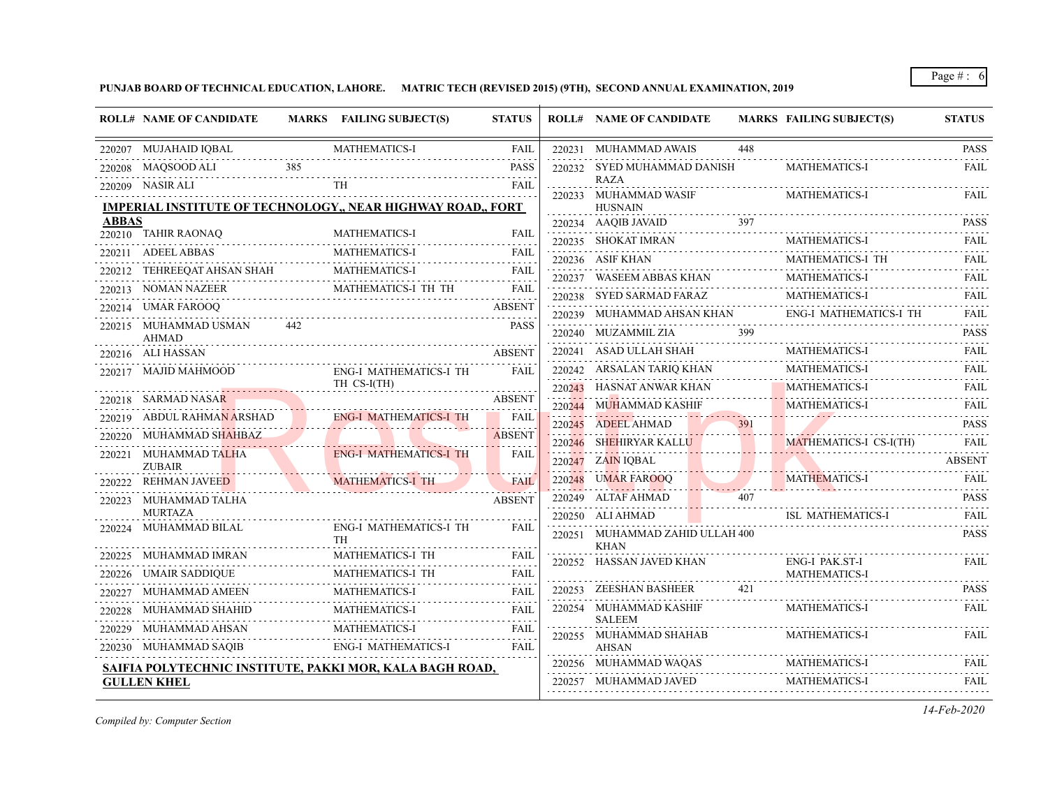**PUNJAB BOARD OF TECHNICAL EDUCATION, LAHORE. MATRIC TECH (REVISED 2015) (9TH), SECOND ANNUAL EXAMINATION, 2019**

|              | <b>ROLL# NAME OF CANDIDATE</b>         |     | MARKS FAILING SUBJECT(S)                                           | <b>STATUS</b>           | <b>ROLL# NAME OF CANDIDATE</b>                 |      | <b>MARKS FAILING SUBJECT(S)</b>                                                    | <b>STATUS</b>           |
|--------------|----------------------------------------|-----|--------------------------------------------------------------------|-------------------------|------------------------------------------------|------|------------------------------------------------------------------------------------|-------------------------|
|              | 220207 MUJAHAID IQBAL                  |     | <b>MATHEMATICS-I</b>                                               | <b>FAIL</b>             | 220231 MUHAMMAD AWAIS                          | 448  |                                                                                    | <b>PASS</b>             |
|              | 220208 MAQSOOD ALI                     | 385 |                                                                    | <b>PASS</b>             | 220232 SYED MUHAMMAD DANISH                    |      | <b>MATHEMATICS-I</b>                                                               | FAIL                    |
|              | 220209 NASIR ALI                       |     | TH                                                                 | <b>FAIL</b>             | <b>RAZA</b><br>220233 MUHAMMAD WASIF           |      | <b>MATHEMATICS-I</b>                                                               | <b>FAIL</b>             |
|              |                                        |     | <b>IMPERIAL INSTITUTE OF TECHNOLOGY,, NEAR HIGHWAY ROAD,, FORT</b> |                         | <b>HUSNAIN</b>                                 |      |                                                                                    |                         |
| <b>ABBAS</b> |                                        |     |                                                                    |                         | 220234 AAQIB JAVAID                            | 397  |                                                                                    | <b>PASS</b><br><u>.</u> |
|              | 220210 TAHIR RAONAQ                    |     | <b>MATHEMATICS-I</b><br>MATHEMATICS-I                              | <b>FAIL</b>             | 220235 SHOKAT IMRAN                            |      | <b>MATHEMATICS-I</b>                                                               | <b>FAIL</b>             |
|              | 220211 ADEEL ABBAS<br>M/               |     |                                                                    | <b>FAIL</b>             | 220236 ASIF KHAN                               |      | MATHEMATICS-I TH                                                                   | <b>FAIL</b>             |
|              | 220212 TEHREEQAT AHSAN SHAH            |     | <b>MATHEMATICS-I</b>                                               | <b>FAIL</b>             | 220237 WASEEM ABBAS KHAN                       |      | MATHEMATICS-I                                                                      | <b>FAIL</b>             |
|              | 220213 NOMAN NAZEER                    |     | ER MATHEMATICS-I TH TH FAIL                                        |                         | 220238 SYED SARMAD FARAZ                       |      | <b>MATHEMATICS-I</b>                                                               | <b>FAIL</b>             |
|              | 220214 UMAR FAROOQ                     |     |                                                                    | <b>ABSENT</b>           |                                                |      | ${\bf 220239} \quad {\bf MUHAMMAD AHSAN KHAN} \qquad {\bf ENG-I MATHEMATICS-I TH}$ | <b>FAIL</b>             |
|              | 220215 MUHAMMAD USMAN<br><b>AHMAD</b>  | 442 |                                                                    | <b>PASS</b>             | 220240 MUZAMMIL ZIA                            | 399  |                                                                                    | <b>PASS</b><br>.        |
|              | 220216 ALI HASSAN                      |     |                                                                    | <b>ABSENT</b>           | 220241     ASAD ULLAH SHAH                     |      | <b>MATHEMATICS-I</b>                                                               | FAII.                   |
|              | .<br>220217 MAJID MAHMOOD              |     | ENG-I MATHEMATICS-I TH                                             | <b>FAIL</b>             | 220242 ARSALAN TARIQ KHAN                      |      | <b>MATHEMATICS-I</b>                                                               | <b>FAIL</b>             |
|              |                                        |     | TH CS-I(TH)                                                        |                         | 220243 HASNAT ANWAR KHAN                       |      | MATHEMATICS-I                                                                      | <b>FAIL</b>             |
|              | 220218 SARMAD NASAR                    |     |                                                                    | <b>ABSENT</b>           | 220244 MUHAMMAD KASHIF                         |      | MATHEMATICS-I                                                                      | <b>FAIL</b>             |
|              | 220219 ABDUL RAHMAN ARSHAD             |     | <b>ENG-I MATHEMATICS-I TH</b>                                      | <b>FAIL</b><br><u>.</u> | 220245 ADEEL AHMAD                             | .    |                                                                                    | <b>PASS</b>             |
|              | 220220 MUHAMMAD SHAHBAZ                |     |                                                                    | <b>ABSENT</b>           | 220246 SHEHIRYAR KALLU                         |      | MATHEMATICS-I CS-I(TH)                                                             | <b>FAIL</b>             |
|              | 220221 MUHAMMAD TALHA<br><b>ZUBAIR</b> |     | <b>ENG-I MATHEMATICS-I TH</b>                                      | FAIL                    | 220247 ZAIN IQBAL                              |      |                                                                                    | <b>ABSENT</b>           |
|              | 220222 REHMAN JAVEED                   |     | <b>MATHEMATICS-I TH</b>                                            | <b>FAIL</b>             | 220248 UMAR FAROOQ                             |      | <b>MATHEMATICS-I</b>                                                               | <b>FAIL</b>             |
|              | 220223 MUHAMMAD TALHA                  |     |                                                                    | <b>ABSENT</b>           | 220249 ALTAF AHMAD                             | 407  |                                                                                    | <b>PASS</b>             |
|              | <b>MURTAZA</b>                         |     |                                                                    |                         | 220250 ALI AHMAD                               |      | ISL MATHEMATICS-I                                                                  | <b>FAIL</b>             |
| 220224       | MUHAMMAD BILAL                         |     | ENG-I MATHEMATICS-I TH<br><b>TH</b>                                | <b>FAIL</b>             | 220251 MUHAMMAD ZAHID ULLAH 400<br><b>KHAN</b> |      |                                                                                    | <b>PASS</b>             |
|              | 220225 MUHAMMAD IMRAN                  |     | MATHEMATICS-I TH                                                   | <b>FAIL</b>             | 220252 HASSAN JAVED KHAN                       |      | ENG-I PAK.ST-I                                                                     | <b>FAIL</b>             |
|              | 220226 UMAIR SADDIQUE                  |     | MATHEMATICS-I TH                                                   | <b>FAIL</b>             |                                                |      | <b>MATHEMATICS-I</b>                                                               |                         |
|              | 220227 MUHAMMAD AMEEN<br>AMEEN<br>     |     | <b>MATHEMATICS-I</b>                                               | <b>FAIL</b>             | 220253 ZEESHAN BASHEER                         | 42.1 |                                                                                    | <b>PASS</b>             |
| 220228       | MUHAMMAD SHAHID                        |     | MATHEMATICS-I                                                      | FAIL                    | 220254 MUHAMMAD KASHIF<br><b>SALEEM</b>        |      | <b>MATHEMATICS-I</b>                                                               | <b>FAIL</b>             |
| 220229       | MUHAMMAD AHSAN                         |     | <b>MATHEMATICS-I</b>                                               | <b>FAIL</b>             | 220255 MUHAMMAD SHAHAB                         |      | <b>MATHEMATICS-I</b>                                                               | <b>FAIL</b>             |
|              | 220230 MUHAMMAD SAQIB                  |     | <b>ENG-I MATHEMATICS-I</b>                                         | <b>FAIL</b>             | AHSAN                                          |      |                                                                                    |                         |
|              |                                        |     | SAIFIA POLYTECHNIC INSTITUTE, PAKKI MOR, KALA BAGH ROAD,           |                         | $220256 \quad \text{MUHAMMAD WAQAS}$           |      | MATHEMATICS-I                                                                      | FAIL                    |
|              | <b>GULLEN KHEL</b>                     |     |                                                                    |                         | 220257 MUHAMMAD JAVED                          |      | MATHEMATICS-I                                                                      | <b>FAIL</b>             |
|              |                                        |     |                                                                    |                         |                                                |      |                                                                                    |                         |

*Compiled by: Computer Section*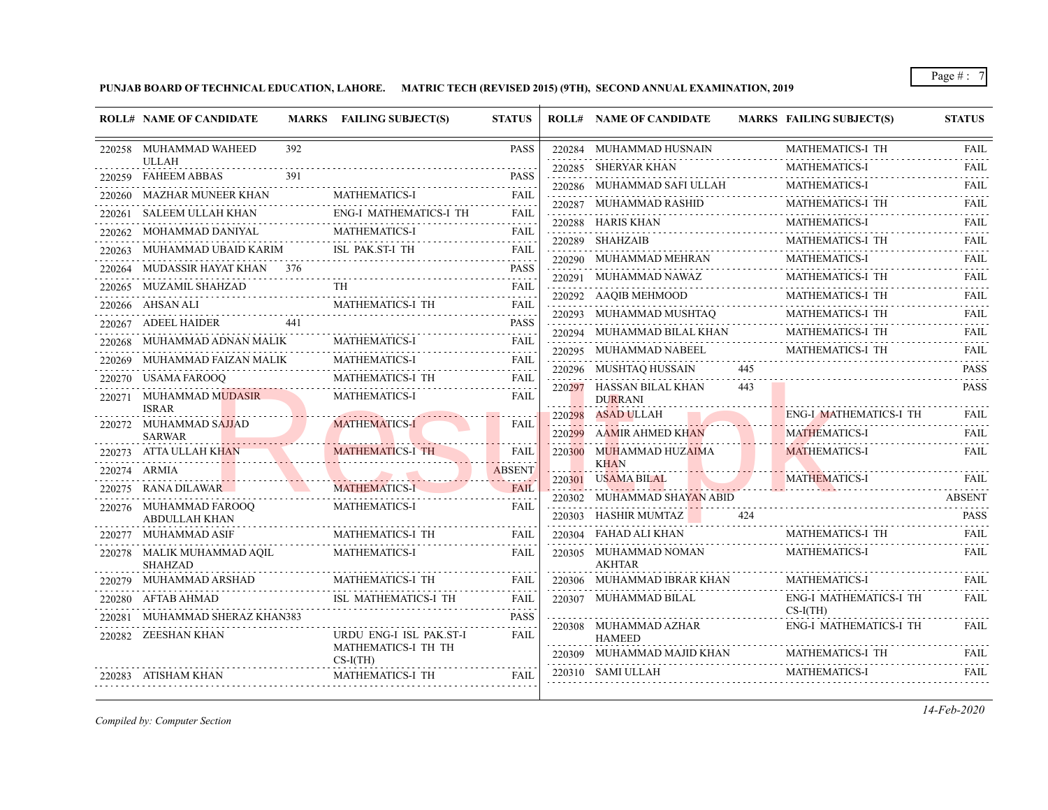# **PUNJAB BOARD OF TECHNICAL EDUCATION, LAHORE. MATRIC TECH (REVISED 2015) (9TH), SECOND ANNUAL EXAMINATION, 2019**

|        | <b>ROLL# NAME OF CANDIDATE</b>               |     | MARKS FAILING SUBJECT(S)                                                                                   | <b>STATUS</b>               |        | <b>ROLL# NAME OF CANDIDATE</b>                                        |     | <b>MARKS FAILING SUBJECT(S)</b> | <b>STATUS</b> |
|--------|----------------------------------------------|-----|------------------------------------------------------------------------------------------------------------|-----------------------------|--------|-----------------------------------------------------------------------|-----|---------------------------------|---------------|
|        | 220258 MUHAMMAD WAHEED                       | 392 |                                                                                                            | <b>PASS</b>                 |        | 220284 MUHAMMAD HUSNAIN                                               |     | MATHEMATICS-I TH                | FAIL          |
|        | <b>ULLAH</b><br>220259 FAHEEM ABBAS          | 391 |                                                                                                            | <b>PASS</b>                 |        | 220285 SHERYAR KHAN                                                   |     | <b>MATHEMATICS-I</b>            | FAIL          |
|        | 220260 MAZHAR MUNEER KHAN                    |     | <b>MATHEMATICS-I</b>                                                                                       |                             |        | 220286 MUHAMMAD SAFI ULLAH                                            |     | <b>MATHEMATICS-I</b>            | <b>FAIL</b>   |
|        |                                              |     |                                                                                                            | <b>FAIL</b>                 |        | 220287 MUHAMMAD RASHID                                                |     | MATHEMATICS-I TH                | <b>FAIL</b>   |
| 220261 | SALEEM ULLAH KHAN                            |     | <b>ENG-I MATHEMATICS-I TH</b>                                                                              | FAIL                        |        | 220288 HARIS KHAN                                                     |     | <b>MATHEMATICS-I</b>            | <b>FAIL</b>   |
| 220262 | MOHAMMAD DANIYAL                             |     | <b>MATHEMATICS-I</b>                                                                                       | <b>FAIL</b><br>.            |        | 220289 SHAHZAIB                                                       | .   | MATHEMATICS-I TH                | FAIL          |
|        | 220263     MUHAMMAD UBAID KARIM              |     | ISL PAK.ST-I TH                                                                                            | <b>FAIL</b><br>.            |        | $220290 \quad \text{MUHAMMAD MEHRAM} \qquad \qquad \text{MATHEMATIC}$ |     | MATHEMATICS-I                   | <b>FAIL</b>   |
| 220264 | MUDASSIR HAYAT KHAN 376                      | .   |                                                                                                            | <b>PASS</b>                 |        | 220291 MUHAMMAD NAWAZ                                                 |     | MATHEMATICS-I TH                | FAIL          |
|        | 220265 MUZAMIL SHAHZAD                       |     | TH                                                                                                         | <b>FAIL</b>                 |        | 220292 AAQIB MEHMOOD                                                  |     | MATHEMATICS-I TH                | <b>FAIL</b>   |
|        | 220266 AHSAN ALI                             |     | <b>MATHEMATICS-I TH</b>                                                                                    | <b>FAIL</b><br>$-1 - 1 - 1$ |        | 220293 MUHAMMAD MUSHTAQ                                               |     | MATHEMATICS-I TH                | <b>FAIL</b>   |
|        | 220267 ADEEL HAIDER                          | 441 |                                                                                                            | <b>PASS</b>                 |        | 220294 MUHAMMAD BILAL KHAN                                            |     | MATHEMATICS-I TH                | <b>FAIL</b>   |
| 220268 | MUHAMMAD ADNAN MALIK                         |     | <b>MATHEMATICS-I</b>                                                                                       | FAIL                        |        | 220295 MUHAMMAD NABEEL                                                |     | MATHEMATICS-I TH                | <b>FAIL</b>   |
| 220269 | MUHAMMAD FAIZAN MALIK                        |     | <b>MATHEMATICS-I</b>                                                                                       | FAIL                        |        | 220296 MUSHTAQ HUSSAIN                                                | 445 |                                 | <b>PASS</b>   |
| 220270 | USAMA FAROOO                                 |     | MATHEMATICS-I TH                                                                                           | FAIL                        |        | 220297 HASSAN BILAL KHAN                                              | 443 |                                 | <b>PASS</b>   |
| 220271 | MUHAMMAD MUDASIR<br><b>ISRAR</b>             |     | <b>MATHEMATICS-I</b>                                                                                       | FAIL                        |        | <b>DURRANI</b>                                                        |     |                                 |               |
|        | 220272 MUHAMMAD SAJJAD                       |     | <b>MATHEMATICS-I</b>                                                                                       | <b>FAIL</b>                 |        | 220298 ASAD ULLAH                                                     |     | <b>ENG-I MATHEMATICS-I TH</b>   | <b>FAIL</b>   |
|        | <b>SARWAR</b>                                |     |                                                                                                            |                             |        | 220299 AAMIR AHMED KHAN                                               |     | <b>MATHEMATICS-I</b>            | <b>FAIL</b>   |
|        | 220273 ATTA ULLAH KHAN<br>LLAH KHAN          |     | <b>MATHEMATICS-I TH</b><br>the contract of the contract of the contract of the contract of the contract of | <b>FAIL</b>                 |        | 220300 MUHAMMAD HUZAIMA<br><b>KHAN</b>                                |     | <b>MATHEMATICS-I</b>            | <b>FAIL</b>   |
|        | 220274 ARMIA                                 |     |                                                                                                            | <b>ABSENT</b>               |        | 220301 USAMA BILAL                                                    |     | MATHEMATICS-I                   |               |
| 220275 | RANA DILAWAR                                 |     | <b>MATHEMATICS-I</b>                                                                                       | <b>FAIL</b>                 |        | 220302 MUHAMMAD SHAYAN ABID                                           |     | USAMA BILAL MATHEMATICS-I FAIL  | ABSENT        |
|        | 220276 MUHAMMAD FAROOQ<br>ABDULLAH KHAN      |     | <b>MATHEMATICS-I</b>                                                                                       | FAIL                        | 220303 | HASHIR MUMTAZ                                                         | 424 |                                 | <b>PASS</b>   |
|        | 220277 MUHAMMAD ASIF                         |     | MATHEMATICS-I TH                                                                                           | <b>FAIL</b>                 |        | 220304 FAHAD ALI KHAN                                                 |     | MATHEMATICS-I TH                | <b>FAIL</b>   |
|        | 220278 MALIK MUHAMMAD AOIL<br><b>SHAHZAD</b> |     | <b>MATHEMATICS-I</b>                                                                                       | <b>FAIL</b>                 |        | 220305 MUHAMMAD NOMAN<br><b>AKHTAR</b>                                |     | <b>MATHEMATICS-I</b>            | <b>FAIL</b>   |
|        | 220279 MUHAMMAD ARSHAD                       |     | MATHEMATICS-I TH                                                                                           | <b>FAIL</b>                 |        | 220306 MUHAMMAD IBRAR KHAN                                            |     | <b>MATHEMATICS-I</b>            | <b>FAIL</b>   |
|        | 220280 AFTAB AHMAD                           |     | ISL MATHEMATICS-I TH                                                                                       | <b>FAIL</b>                 |        | 220307 MUHAMMAD BILAL                                                 | .   | ENG-I MATHEMATICS-I TH          | FAIL          |
| 220281 | MUHAMMAD SHERAZ KHAN383                      |     |                                                                                                            | <b>PASS</b>                 |        |                                                                       |     | $CS-I(TH)$                      |               |
|        | 220282 ZEESHAN KHAN                          |     | URDU ENG-I ISL PAK.ST-I                                                                                    | FAIL                        |        | 220308 MUHAMMAD AZHAR<br><b>HAMEED</b>                                |     | <b>ENG-I MATHEMATICS-I TH</b>   | FAIL          |
|        |                                              |     | MATHEMATICS-I TH TH<br>$CS-I(TH)$                                                                          |                             |        | $220309$ MUHAMMAD MAJID KHAN                                          | .   | MATHEMATICS-I TH                | FAIL          |
|        | 220283 ATISHAM KHAN                          |     | MATHEMATICS-I TH                                                                                           | FAIL                        |        | 220310 SAMI ULLAH                                                     |     | <b>MATHEMATICS-I</b>            | FAIL          |

*Compiled by: Computer Section*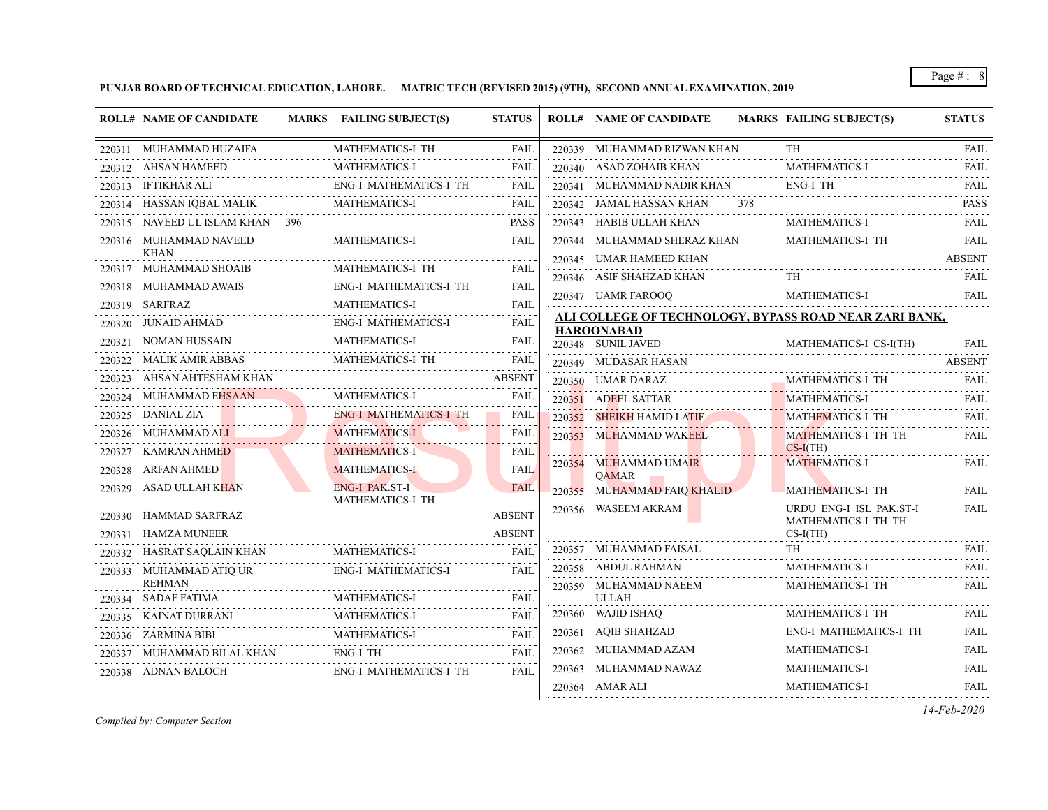**PUNJAB BOARD OF TECHNICAL EDUCATION, LAHORE. MATRIC TECH (REVISED 2015) (9TH), SECOND ANNUAL EXAMINATION, 2019**

|        | <b>ROLL# NAME OF CANDIDATE</b>          | MARKS FAILING SUBJECT(S)                           | <b>STATUS</b>       |        | <b>ROLL# NAME OF CANDIDATE</b>                          |     | MARKS FAILING SUBJECT(S)                               | <b>STATUS</b>    |
|--------|-----------------------------------------|----------------------------------------------------|---------------------|--------|---------------------------------------------------------|-----|--------------------------------------------------------|------------------|
|        | 220311 MUHAMMAD HUZAIFA                 | MATHEMATICS-I TH                                   | FAIL                |        | 220339 MUHAMMAD RIZWAN KHAN                             |     | <b>TH</b>                                              | <b>FAIL</b>      |
|        | 220312 AHSAN HAMEED                     | <b>MATHEMATICS-I</b>                               | <b>FAIL</b>         |        | 220340 ASAD ZOHAIB KHAN                                 |     | <b>MATHEMATICS-I</b>                                   | <b>FAIL</b>      |
|        | 220313 IFTIKHAR ALI                     | <b>ENG-I MATHEMATICS-I TH</b>                      | <b>FAIL</b>         |        | 220341 MUHAMMAD NADIR KHAN                              |     | ENG-I TH                                               | FAIL             |
|        | 220314 HASSAN IQBAL MALIK               | <b>MATHEMATICS-I</b>                               | <b>FAIL</b>         |        | 220342 JAMAL HASSAN KHAN                                | 378 |                                                        | .<br><b>PASS</b> |
|        | 220315 NAVEED UL ISLAM KHAN 396         |                                                    | <b>PASS</b>         |        | 220343 HABIB ULLAH KHAN                                 |     | MATHEMATICS-I                                          | <b>FAIL</b>      |
|        | 220316 MUHAMMAD NAVEED                  | <b>MATHEMATICS-I</b>                               | FAIL                |        | 220344 MUHAMMAD SHERAZ KHAN                             |     | MATHEMATICS-I TH                                       | FAIL             |
|        | <b>KHAN</b>                             | MATHEMATICS-I TH                                   |                     |        | 220345 UMAR HAMEED KHAN                                 |     |                                                        | <b>ABSENT</b>    |
|        | 220317 MUHAMMAD SHOAIB                  |                                                    | <b>FAIL</b>         |        | 220346 ASIF SHAHZAD KHAN                                |     | TH                                                     | FAIL             |
|        | 220318    MUHAMMAD AWAIS                | ENG-I MATHEMATICS-I TH                             | FAIL                |        | 220347 UAMR FAROOQ                                      |     | <b>MATHEMATICS-I</b>                                   | <b>FAIL</b>      |
|        | 220319 SARFRAZ                          | <b>MATHEMATICS-I</b><br><b>ENG-I MATHEMATICS-I</b> | FAIL                |        |                                                         |     | ALI COLLEGE OF TECHNOLOGY, BYPASS ROAD NEAR ZARI BANK, |                  |
|        | 220320 JUNAID AHMAD<br>NOMAN HUSSAIN    | <b>MATHEMATICS-I</b>                               | <b>FAIL</b>         |        | <b>HAROONABAD</b>                                       |     |                                                        |                  |
| 220321 |                                         | MATHEMATICS-I TH                                   | FAIL<br><b>FAIL</b> |        | 220348 SUNIL JAVED                                      |     | MATHEMATICS-I CS-I(TH)                                 | <b>FAIL</b>      |
| 220322 | MALIK AMIR ABBAS<br>AHSAN AHTESHAM KHAN |                                                    |                     |        | 220349 MUDASAR HASAN                                    |     |                                                        | <b>ABSENT</b>    |
| 220323 |                                         |                                                    | <b>ABSENT</b>       |        | 220350 UMAR DARAZ                                       |     | MATHEMATICS-I TH                                       | FAIL             |
| 220324 | MUHAMMAD EHSAAN                         | <b>MATHEMATICS-I</b>                               | FAIL                |        | 220351 ADEEL SATTAR                                     |     | <b>MATHEMATICS-I</b>                                   | FAIL             |
|        | 220325 DANIAL ZIA                       | <b>ENG-I MATHEMATICS-I TH</b>                      | FAIL                |        | 220352 SHEIKH HAMID LATIF                               |     | <b>MATHEMATICS-I TH</b>                                | <b>FAIL</b>      |
|        | 220326 MUHAMMAD ALI                     | <b>MATHEMATICS-I</b><br>.                          | <b>FAIL</b>         | 220353 | MUHAMMAD WAKEEL                                         |     | MATHEMATICS-I TH TH<br>$CS-I(TH)$                      | FAIL             |
|        | 220327 KAMRAN AHMED                     | <b>MATHEMATICS-I</b>                               | <b>FAIL</b>         |        | 220354 MUHAMMAD UMAIR                                   |     | <b>MATHEMATICS-I</b>                                   | FAIL             |
|        | 220328 ARFAN AHMED                      | <b>MATHEMATICS-I</b>                               | FAIL                |        | QAMAR                                                   |     |                                                        |                  |
|        | 220329 ASAD ULLAH KHAN                  | ENG-I PAK.ST-I<br>MATHEMATICS-I TH                 | FAIL                |        | 220355 MUHAMMAD FAIQ KHALID                             |     | <b>MATHEMATICS-I TH</b>                                | FAIL             |
|        | 220330 HAMMAD SARFRAZ                   |                                                    | <b>ABSENT</b>       |        | 220356 WASEEM AKRAM                                     |     | URDU ENG-I ISL PAK.ST-I<br>MATHEMATICS-I TH TH         | <b>FAIL</b>      |
| 220331 | HAMZA MUNEER                            |                                                    | <b>ABSENT</b>       |        |                                                         |     | $CS-I(TH)$                                             |                  |
| 220332 | HASRAT SAQLAIN KHAN                     | <b>MATHEMATICS-I</b>                               | FAIL                |        | 220357 MUHAMMAD FAISAL                                  |     | TH.                                                    | <b>FAIL</b>      |
|        | 220333 MUHAMMAD ATIQ UR                 | <b>ENG-I MATHEMATICS-I</b>                         | FAIL                |        | 220358 ABDUL RAHMAN                                     |     | <b>MATHEMATICS-I</b>                                   | FAIL             |
|        | <b>REHMAN</b>                           |                                                    |                     |        | 220359 MUHAMMAD NAEEM                                   |     | MATHEMATICS-I TH                                       | FAIL             |
|        | 220334 SADAF FATIMA                     | <b>MATHEMATICS-I</b>                               | <b>FAIL</b>         |        | <b>ULLAH</b>                                            |     |                                                        |                  |
|        | 220335 KAINAT DURRANI                   | <b>MATHEMATICS-I</b>                               | <b>FAIL</b>         |        | 220360 WAJID ISHAQ                                      |     | MATHEMATICS-I TH                                       | FAIL             |
| 220336 | ZARMINA BIBI                            | <b>MATHEMATICS-I</b>                               | <b>FAIL</b>         |        | 220361 AQIB SHAHZAD                                     |     | ENG-I MATHEMATICS-I TH<br>MATHEMATICS-I                | FAIL             |
|        | 220337 MUHAMMAD BILAL KHAN              | ENG-I TH                                           | <b>FAIL</b>         |        | 220362 MUHAMMAD AZAM                                    |     |                                                        | <b>FAIL</b>      |
|        | 220338 ADNAN BALOCH                     | ENG-I MATHEMATICS-I TH                             | FAIL                |        | 220363 MUHAMMAD NAWAZ<br>NAWAZ<br>--------------------- |     | <b>MATHEMATICS-I</b>                                   | <b>FAIL</b>      |
|        |                                         |                                                    |                     |        | 220364 AMAR ALI                                         |     | <b>MATHEMATICS-I</b>                                   | <b>FAIL</b>      |

*Compiled by: Computer Section*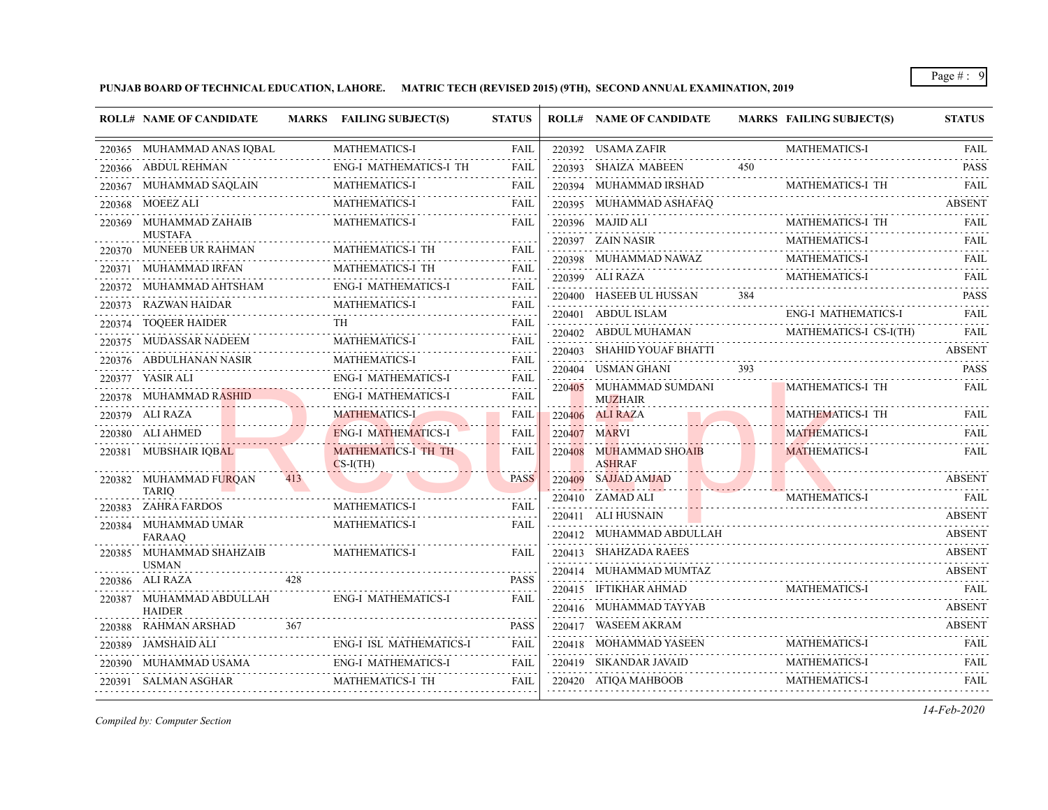**PUNJAB BOARD OF TECHNICAL EDUCATION, LAHORE. MATRIC TECH (REVISED 2015) (9TH), SECOND ANNUAL EXAMINATION, 2019**

|        | <b>ROLL# NAME OF CANDIDATE</b>                   |                            | MARKS FAILING SUBJECT(S)          | <b>STATUS</b> | <b>ROLL# NAME OF CANDIDATE</b>                 |     | <b>MARKS FAILING SUBJECT(S)</b>     | <b>STATUS</b>            |
|--------|--------------------------------------------------|----------------------------|-----------------------------------|---------------|------------------------------------------------|-----|-------------------------------------|--------------------------|
|        | 220365 MUHAMMAD ANAS IQBAL                       | }BAL<br>------------------ | MATHEMATICS-I                     | <b>FAIL</b>   | 220392 USAMA ZAFIR                             |     | MATHEMATICS-I                       | <b>FAIL</b>              |
|        | 220366 ABDUL REHMAN                              |                            | <b>ENG-I MATHEMATICS-I TH</b>     | FAIL          | 220393 SHAIZA MABEEN                           | 450 |                                     | <b>PASS</b>              |
|        | 220367 MUHAMMAD SAQLAIN                          |                            | <b>MATHEMATICS-I</b>              | FAIL          | 220394 MUHAMMAD IRSHAD                         |     | MATHEMATICS-I TH                    | <b>FAIL</b>              |
|        | 220368 MOEEZ ALI                                 |                            | <b>MATHEMATICS-I</b>              | FAIL          | 220395 MUHAMMAD ASHAFAQ                        |     |                                     | <b>ABSENT</b>            |
|        | 220369 MUHAMMAD ZAHAIB                           |                            | <b>MATHEMATICS-I</b>              | <b>FAIL</b>   | 220396 MAJID ALI                               |     | MATHEMATICS-I TH                    | <b>FAIL</b>              |
|        | <b>MUSTAFA</b><br>220370 MUNEEB UR RAHMAN        |                            | MATHEMATICS-I TH                  | FAIL          | 220397 ZAIN NASIR                              |     | MATHEMATICS-I                       | <b>FAIL</b>              |
| 220371 | MUHAMMAD IRFAN                                   |                            | MATHEMATICS-I TH                  | FAIL          | 220398 MUHAMMAD NAWAZ<br>ZZU398 MUHAMMAD NAWAZ |     | MATHEMATICS-I                       | <b>FAIL</b>              |
|        |                                                  |                            | ENG-I MATHEMATICS-I               | FAIL          | 220399 ALI RAZA                                |     | MATHEMATICS-I                       | FAIL                     |
|        | 220372 MUHAMMAD AHTSHAM                          |                            | <b>MATHEMATICS-I</b>              | FAIL          | 220400 HASEEB UL HUSSAN                        | 384 |                                     | <b>PASS</b>              |
|        | 220373     RAZWAN HAIDAR<br>220374 TOOEER HAIDER |                            | <b>TH</b>                         | FAIL          | 220401 ABDUL ISLAM                             |     | <b>ENG-I MATHEMATICS-I</b>          | FAIL                     |
|        | 220375 MUDASSAR NADEEM                           |                            | MATHEMATICS-I                     | <b>FAIL</b>   | 220402 ABDUL MUHAMAN                           |     | MATHEMATICS-I CS-I(TH)              | FAII.                    |
|        | 220376 ABDULHANAN NASIR                          |                            | <b>MATHEMATICS-I</b>              | FAIL          | 220403 SHAHID YOUAF BHATTI                     |     |                                     | <b>ABSENT</b>            |
|        | 220377 YASIR ALI                                 |                            | <b>ENG-I MATHEMATICS-I</b>        | .<br>FAIL     | 220404 USMAN GHANI                             | 393 |                                     | <b>PASS</b>              |
|        | 220378 MUHAMMAD RASHID<br>MAD RASHID             |                            | <b>ENG-I MATHEMATICS-I</b>        | FAIL          | 220405 MUHAMMAD SUMDANI<br><b>MUZHAIR</b>      |     | MATHEMATICS-I TH                    | <b>FAIL</b>              |
|        | 220379 ALI RAZA                                  |                            | <b>MATHEMATICS-I</b>              | FAIL          | 220406 ALI RAZA                                |     | <b>MATHEMATICS-I TH</b>             | <b>FAIL</b>              |
|        | 220380 ALI AHMED                                 |                            | <b>ENG-I MATHEMATICS-I</b>        | FAIL          | 220407 MARVI                                   |     | <b>MATHEMATICS-I</b>                | <b>FAIL</b>              |
|        | 220381 MUBSHAIR IQBAL                            |                            | MATHEMATICS-I TH TH<br>$CS-I(TH)$ | FAIL          | 220408 MUHAMMAD SHOAIB<br><b>ASHRAF</b>        |     | <b>MATHEMATICS-I</b>                | والماليات الماري<br>FAIL |
|        | 220382 MUHAMMAD FURQAN                           | 413                        |                                   | <b>PASS</b>   | 220409 SAJJAD AMJAD                            |     |                                     | <b>ABSENT</b>            |
|        | <b>TARIO</b><br>220383 ZAHRA FARDOS              |                            | MATHEMATICS-I                     | <b>FAIL</b>   | $220410$ ZAMAD ALI                             |     | MATHEMATICS-I                       | FAIL                     |
|        | 220384 MUHAMMAD UMAR                             |                            | <b>MATHEMATICS-I</b>              | <b>FAIL</b>   | 220411 ALI HUSNAIN                             |     |                                     | <b>ABSENT</b>            |
|        | <b>FARAAO</b>                                    | .                          |                                   |               | 220412 MUHAMMAD ABDULLAH                       |     |                                     | <b>ABSENT</b>            |
|        | 220385 MUHAMMAD SHAHZAIB                         |                            | <b>MATHEMATICS-I</b>              | FAIL          | 220413 SHAHZADA RAEES                          |     |                                     | <b>ABSENT</b>            |
|        | <b>USMAN</b><br>220386 ALI RAZA                  | 428                        |                                   | <b>PASS</b>   | 220414 MUHAMMAD MUMTAZ                         |     |                                     | <b>ABSENT</b>            |
|        |                                                  |                            | ENG-I MATHEMATICS-I               |               | 220415 IFTIKHAR AHMAD                          |     | MATHEMATICS-I<br>MATHEMATICS-I FAIL |                          |
|        | 220387 MUHAMMAD ABDULLAH<br><b>HAIDER</b>        |                            |                                   | <b>FAIL</b>   | 220416 MUHAMMAD TAYYAB                         |     |                                     | <b>ABSENT</b>            |
|        | 220388 RAHMAN ARSHAD                             | 367                        |                                   | <b>PASS</b>   | 220417 WASEEM AKRAM<br>.                       |     |                                     | <b>ABSENT</b>            |
|        | 220389 JAMSHAID ALI                              |                            | <b>ENG-I ISL MATHEMATICS-I</b>    | FAIL          | $220418 \quad \text{MOHAMMAD YASEEN}$          |     | <b>MATHEMATICS-I</b>                | FAIL                     |
|        | 220390 MUHAMMAD USAMA EN                         |                            | ENG-I MATHEMATICS-I               | FAIL          | 220419 SIKANDAR JAVAID                         |     | MATHEMATICS-I                       | <b>FAIL</b>              |
|        | 220391 SALMAN ASGHAR                             |                            | MATHEMATICS-I TH                  | FAIL          | 220420 ATIQA MAHBOOB<br>220420 ATIQA MAHBOOB   |     | MATHEMATICS-I                       | .<br>FAIL                |

*Compiled by: Computer Section*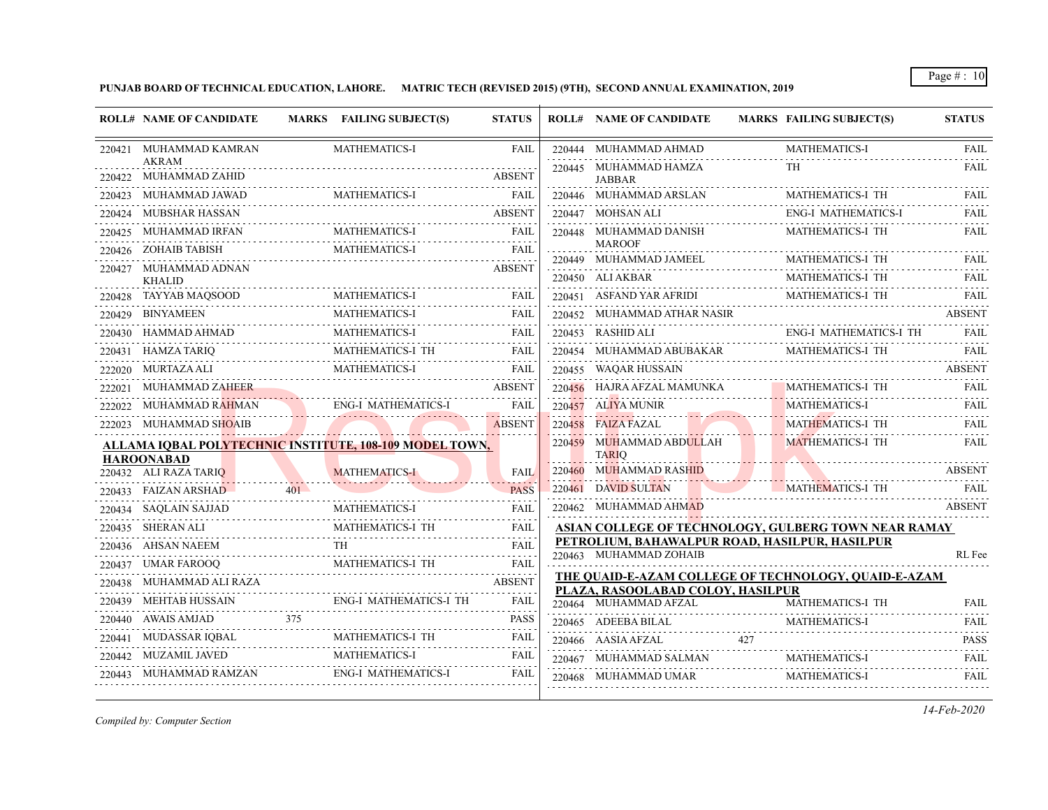**PUNJAB BOARD OF TECHNICAL EDUCATION, LAHORE. MATRIC TECH (REVISED 2015) (9TH), SECOND ANNUAL EXAMINATION, 2019**

|        | <b>ROLL# NAME OF CANDIDATE</b>                                |                                                                                          | MARKS FAILING SUBJECT(S)                                   | <b>STATUS</b>      | <b>ROLL# NAME OF CANDIDATE</b>                                                            | <b>MARKS FAILING SUBJECT(S)</b> | <b>STATUS</b> |
|--------|---------------------------------------------------------------|------------------------------------------------------------------------------------------|------------------------------------------------------------|--------------------|-------------------------------------------------------------------------------------------|---------------------------------|---------------|
|        | 220421 MUHAMMAD KAMRAN                                        |                                                                                          | <b>MATHEMATICS-I</b>                                       | <b>FAIL</b>        | 220444 MUHAMMAD AHMAD                                                                     | <b>MATHEMATICS-I</b>            | <b>FAIL</b>   |
|        | <b>AKRAM</b><br>220422 MUHAMMAD ZAHID                         |                                                                                          |                                                            | <b>ABSENT</b>      | 220445 MUHAMMAD HAMZA<br><b>JABBAR</b>                                                    | TH                              | FAIL          |
|        | 220423 MUHAMMAD JAWAD                                         |                                                                                          | MATHEMATICS-I                                              | <b>FAIL</b>        | 220446 MUHAMMAD ARSLAN                                                                    | MATHEMATICS-I TH                |               |
|        | 220424 MUBSHAR HASSAN                                         |                                                                                          |                                                            | <b>ABSENT</b>      | 220447 MOHSAN ALI                                                                         | <b>ENG-I MATHEMATICS-I</b>      | FAIL          |
| 220425 | MUHAMMAD IRFAN                                                |                                                                                          | <b>MATHEMATICS-I</b>                                       | <b>FAIL</b>        | 220448 MUHAMMAD DANISH                                                                    | MATHEMATICS-I TH                | <b>FAIL</b>   |
|        | 220426 ZOHAIB TABISH                                          |                                                                                          | MATHEMATICS-I                                              | <b>FAIL</b>        | <b>MAROOF</b><br>220449 MUHAMMAD JAMEEL                                                   | MATHEMATICS-I TH                | FAIL          |
|        | 220427 MUHAMMAD ADNAN<br><b>KHALID</b>                        |                                                                                          |                                                            | <b>ABSENT</b>      | 220450 ALI AKBAR                                                                          | MATHEMATICS-I TH                | <b>FAIL</b>   |
| 220428 | TAYYAB MAQSOOD                                                |                                                                                          | <b>MATHEMATICS-I</b>                                       | FAIL               | 220451 ASFAND YAR AFRIDI                                                                  | MATHEMATICS-I TH                | FAIL          |
| 220429 | <b>BINYAMEEN</b>                                              |                                                                                          | MATHEMATICS-I                                              | <b>FAIL</b>        | 220452 MUHAMMAD ATHAR NASIR                                                               | MATHEMATICS-1 TH                | <b>ABSENT</b> |
|        | 220430 HAMMAD AHMAD<br>D AHMAD<br>--------------------------- |                                                                                          | <b>MATHEMATICS-I</b>                                       | FAIL               | 220453 RASHID ALI                                                                         | ENG-I MATHEMATICS-I TH          | FAIL          |
|        | 220431 HAMZA TARIQ                                            |                                                                                          | MATHEMATICS-I TH                                           | FAIL               | 220454 MUHAMMAD ABUBAKAR MATHEMATICS-I TH                                                 |                                 | <b>FAIL</b>   |
|        | 222020 MURTAZA ALI                                            | $\mathcal{L}(\mathcal{L})$ and $\mathcal{L}(\mathcal{L})$ and $\mathcal{L}(\mathcal{L})$ | MATHEMATICS-I                                              | <b>FAIL</b>        | 220455 WAQAR HUSSAIN                                                                      |                                 | <b>ABSENT</b> |
| 222021 | MUHAMMAD ZAHEER                                               |                                                                                          |                                                            | <b>ABSENT</b>      | 220456 HAJRA AFZAL MAMUNKA                                                                | <b>MATHEMATICS-I TH</b>         | FAIL          |
| 222022 | MUHAMMAD R <del>AH</del> MAN                                  |                                                                                          | <b>ENG-I MATHEMATICS-I</b>                                 | <b>FAIL</b>        | 220457 ALIYA MUNIR                                                                        | <b>MATHEMATICS-I</b>            | <b>FAIL</b>   |
|        | 222023 MUHAMMAD SHOAIB                                        |                                                                                          |                                                            | <b>ABSENT</b>      | 220458 FAIZA FAZAL                                                                        | <b>MATHEMATICS-I TH</b>         | <b>FAIL</b>   |
|        |                                                               |                                                                                          | ALLAMA IQBAL POLYTECHNIC INSTITUTE, 108-109 MODEL TOWN,    |                    | 220459 MUHAMMAD ABDULLAH                                                                  | <b>MATHEMATICS-I TH</b>         | <b>FAIL</b>   |
|        | <b>HAROONABAD</b><br>220432 ALI RAZA TARIQ                    |                                                                                          | MATHEMATICS-I                                              | <b>FAIL</b>        | <b>TARIO</b><br>220460 MUHAMMAD RASHID                                                    |                                 | <b>ABSENT</b> |
|        | 220433 FAIZAN ARSHAD                                          | $401 -$                                                                                  |                                                            | <b>PASS</b>        | 220461 DAVID SULTAN                                                                       | MATHEMATICS-I TH                | <b>FAIL</b>   |
|        | 220434 SAQLAIN SAJJAD                                         |                                                                                          | <b>MATHEMATICS-I</b>                                       | <b>FAIL</b>        | 220462 MUHAMMAD AHMAD                                                                     |                                 | <b>ABSENT</b> |
|        | 220435 SHERAN ALI                                             |                                                                                          | MATHEMATICS-I TH                                           | <b>FAIL</b>        | ASIAN COLLEGE OF TECHNOLOGY, GULBERG TOWN NEAR RAMAY                                      |                                 |               |
|        | 220436 AHSAN NAEEM                                            |                                                                                          | TH.                                                        | <b>FAIL</b>        | PETROLIUM, BAHAWALPUR ROAD, HASILPUR, HASILPUR                                            |                                 |               |
|        | 220437 UMAR FAROOQ                                            |                                                                                          | MATHEMATICS-1 TH                                           | FAIL               | 220463 MUHAMMAD ZOHAIB                                                                    |                                 | RL Fee        |
| 220438 | MUHAMMAD ALI RAZA                                             |                                                                                          |                                                            | .<br><b>ABSENT</b> | THE QUAID-E-AZAM COLLEGE OF TECHNOLOGY, QUAID-E-AZAM<br>PLAZA, RASOOLABAD COLOY, HASILPUR |                                 |               |
|        | 220439 MEHTAB HUSSAIN                                         |                                                                                          | ENG-I MATHEMATICS-I TH                                     | FAIL               | 220464 MUHAMMAD AFZAL                                                                     | MATHEMATICS-I TH                | <b>FAIL</b>   |
|        | 220440 AWAIS AMJAD                                            | 375                                                                                      |                                                            | <b>PASS</b>        | 220465 ADEEBA BILAL                                                                       | MATHEMATICS-I                   | <b>FAIL</b>   |
|        | 220441 MUDASSAR IQBAL                                         |                                                                                          | MATHEMATICS-I TH<br>220441 MUDASSAR IQBAL MATHEMATICS-I TH | FAIL               | 427<br>220466 AASIA AFZAL                                                                 |                                 | <b>PASS</b>   |
|        | 220442 MUZAMIL JAVED                                          |                                                                                          | <b>MATHEMATICS-I</b>                                       | FAIL               | 220467 MUHAMMAD SALMAN                                                                    | <b>MATHEMATICS-I</b>            | .<br>FAIL     |
|        | 220443 MUHAMMAD RAMZAN                                        |                                                                                          | <b>ENG-I MATHEMATICS-I</b>                                 | FAIL               | 220468 MUHAMMAD UMAR                                                                      | MATHEMATICS-I                   | <b>FAIL</b>   |

*Compiled by: Computer Section*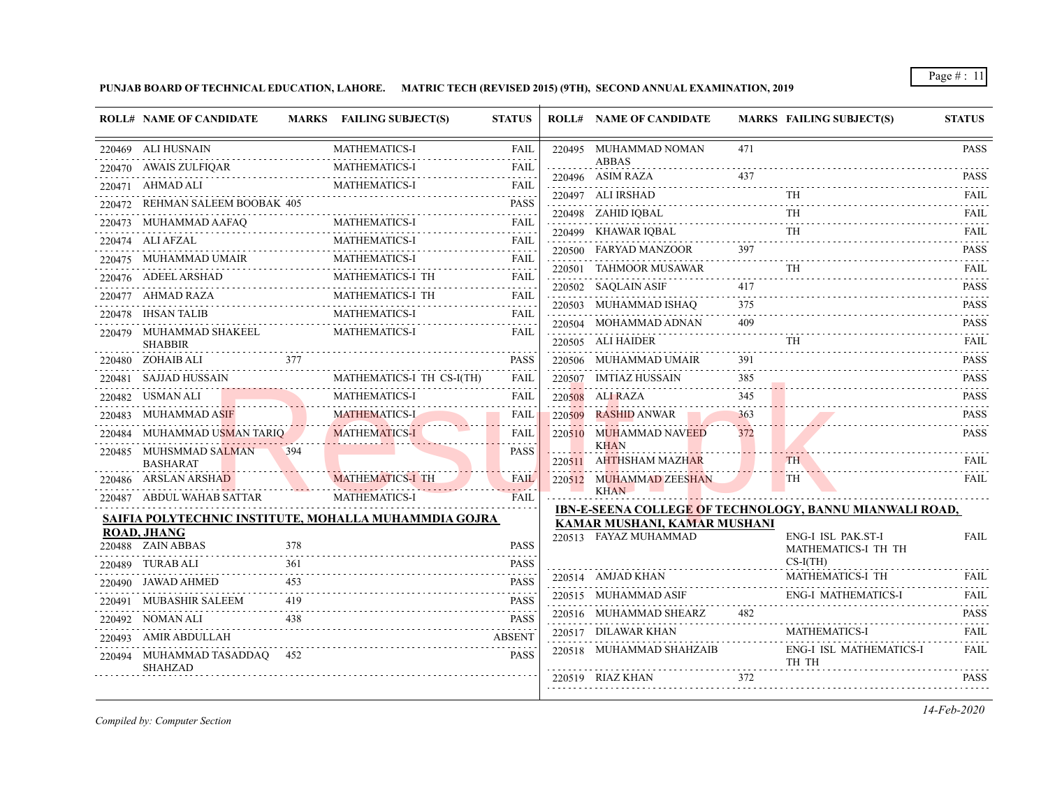**PUNJAB BOARD OF TECHNICAL EDUCATION, LAHORE. MATRIC TECH (REVISED 2015) (9TH), SECOND ANNUAL EXAMINATION, 2019**

| <b>ROLL# NAME OF CANDIDATE</b>                             |                           | MARKS FAILING SUBJECT(S)                              | <b>STATUS</b>    |        | <b>ROLL# NAME OF CANDIDATE</b>               |          | <b>MARKS FAILING SUBJECT(S)</b>                                | <b>STATUS</b>            |
|------------------------------------------------------------|---------------------------|-------------------------------------------------------|------------------|--------|----------------------------------------------|----------|----------------------------------------------------------------|--------------------------|
| 220469 ALI HUSNAIN                                         |                           | <b>MATHEMATICS-I</b>                                  | <b>FAIL</b>      |        | 220495 MUHAMMAD NOMAN                        | 471      |                                                                | <b>PASS</b>              |
| 220470 AWAIS ZULFIQAR<br>IQAR<br>------------------------- |                           | <b>MATHEMATICS-I</b>                                  | FAIL<br>.        |        | <b>ABBAS</b><br>220496 ASIM RAZA             | 437      |                                                                | <b>PASS</b>              |
| 220471 AHMAD ALI                                           |                           | <b>MATHEMATICS-I</b>                                  | <b>FAIL</b><br>. |        | 220497 ALI IRSHAD                            |          | TH.                                                            | FAIL                     |
| 220472 REHMAN SALEEM BOOBAK 405                            |                           |                                                       | <b>PASS</b>      |        | 220498 ZAHID IOBAL                           |          | <b>TH</b>                                                      | FAII.                    |
| 220473 MUHAMMAD AAFAQ                                      |                           |                                                       | <b>FAIL</b>      |        |                                              |          | TH.                                                            | .<br>FAIL                |
| 220474 ALI AFZAL                                           |                           | <b>MATHEMATICS-I</b>                                  | <b>FAIL</b>      |        | 220499 KHAWAR IQBAL<br>220500 FARYAD MANZOOR | 397      |                                                                |                          |
| 220475 MUHAMMAD UMAIR MATHEMATICS-I                        |                           |                                                       | <b>FAIL</b>      |        |                                              |          |                                                                | <b>PASS</b>              |
| 220476 ADEEL ARSHAD                                        |                           | MATHEMATICS-I TH                                      | <b>FAIL</b>      | 220501 | TAHMOOR MUSAWAR                              |          | <b>TH</b>                                                      | FAIL                     |
| 220477 AHMAD RAZA                                          |                           | MATHEMATICS-I TH                                      | <b>FAIL</b>      |        | 220502 SAQLAIN ASIF                          | 417      |                                                                | <b>PASS</b>              |
| 220478 IHSAN TALIB                                         | .                         | <b>MATHEMATICS-I</b>                                  | .<br><b>FAIL</b> |        | 220503 MUHAMMAD ISHAQ                        | 375      |                                                                | <b>PASS</b>              |
| 220479 MUHAMMAD SHAKEEL                                    |                           | <b>MATHEMATICS-I</b>                                  | FAIL             |        | 220504 MOHAMMAD ADNAN                        | 409      | TH                                                             | <b>PASS</b><br>.         |
| <b>SHABBIR</b>                                             |                           |                                                       |                  |        | 220505 ALI HAIDER                            |          |                                                                | <b>FAIL</b>              |
| 220480 ZOHAIB ALI                                          | 377                       |                                                       | <b>PASS</b>      |        | 220506 MUHAMMAD UMAIR                        | 391      |                                                                | <b>PASS</b>              |
| 220481 SAJJAD HUSSAIN                                      |                           | MATHEMATICS-I TH CS-I(TH)                             | <b>FAIL</b>      |        | 220507 IMTIAZ HUSSAIN                        | 385      |                                                                | <b>PASS</b>              |
| 220482 USMAN ALI                                           |                           | MATHEMATICS-I                                         | FAIL             |        | 220508 ALI RAZA                              | 345<br>. |                                                                | <b>PASS</b><br>1.1.1.1.1 |
| 220483 MUHAMMAD ASIF                                       |                           | <b>MATHEMATICS-I</b>                                  | <b>FAIL</b>      | 220509 | RASHID ANWAR                                 | 363      |                                                                | <b>PASS</b>              |
| 220484 MUHAMMAD USMAN TARIQ                                |                           | MATHEMATICS-I                                         | <b>FAIL</b>      |        | 220510 MUHAMMAD NAVEED<br><b>KHAN</b>        | 372      |                                                                | <b>PASS</b>              |
| 220485 MUHSMMAD SALMAN<br><b>BASHARAT</b>                  | 394                       |                                                       | <b>PASS</b>      |        | 220511 AHTHSHAM MAZHAR                       |          | <b>TH</b>                                                      | FAIL                     |
| 220486 ARSLAN ARSHAD                                       | <b>The Second Service</b> | <b>MATHEMATICS-I TH</b>                               | <b>FAIL</b>      |        | 220512 MUHAMMAD ZEESHAN                      |          | <b>TH</b>                                                      | <b>FAIL</b>              |
| 220487 ABDUL WAHAB SATTAR                                  |                           | <b>MATHEMATICS-I</b>                                  | <b>FAIL</b>      |        | <b>KHAN</b><br>st in                         |          |                                                                |                          |
|                                                            |                           | SAIFIA POLYTECHNIC INSTITUTE, MOHALLA MUHAMMDIA GOJRA |                  |        | KAMAR MUSHANI, KAMAR MUSHANI                 |          | <b>IBN-E-SEENA COLLEGE OF TECHNOLOGY, BANNU MIANWALI ROAD,</b> |                          |
| <b>ROAD, JHANG</b>                                         |                           |                                                       |                  |        | 220513 FAYAZ MUHAMMAD                        |          | ENG-I ISL PAK.ST-I                                             | <b>FAIL</b>              |
| 220488 ZAIN ABBAS                                          | 378                       |                                                       | <b>PASS</b>      |        |                                              |          | MATHEMATICS-I TH TH                                            |                          |
| 220489 TURAB ALI                                           | 361                       |                                                       | <b>PASS</b>      |        | 220514 AMJAD KHAN                            |          | $CS-I(TH)$<br>MATHEMATICS-I TH                                 | <b>FAIL</b>              |
| 220490 JAWAD AHMED                                         | 453                       |                                                       | <b>PASS</b>      |        | 220515 MUHAMMAD ASIF                         |          | <b>ENG-I MATHEMATICS-I</b>                                     | <b>FAIL</b>              |
| 220491 MUBASHIR SALEEM                                     | 419                       |                                                       | <b>PASS</b>      |        |                                              | 482      |                                                                |                          |
| 220492 NOMAN ALI                                           | 438                       |                                                       | <b>PASS</b>      |        | 220516 MUHAMMAD SHEARZ                       |          |                                                                | <b>PASS</b>              |
| 220493 AMIR ABDULLAH                                       |                           |                                                       | <b>ABSENT</b>    |        | 220517 DILAWAR KHAN                          |          | <b>MATHEMATICS-I</b>                                           | <b>FAIL</b>              |
| 220494 MUHAMMAD TASADDAQ 452<br><b>SHAHZAD</b>             |                           |                                                       | <b>PASS</b>      |        | 220518 MUHAMMAD SHAHZAIB                     |          | <b>ENG-I ISL MATHEMATICS-I</b><br>TH TH                        | FAIL                     |
|                                                            |                           |                                                       |                  |        | $220519$ RIAZ KHAN                           | 372      |                                                                | <b>PASS</b>              |

*Compiled by: Computer Section*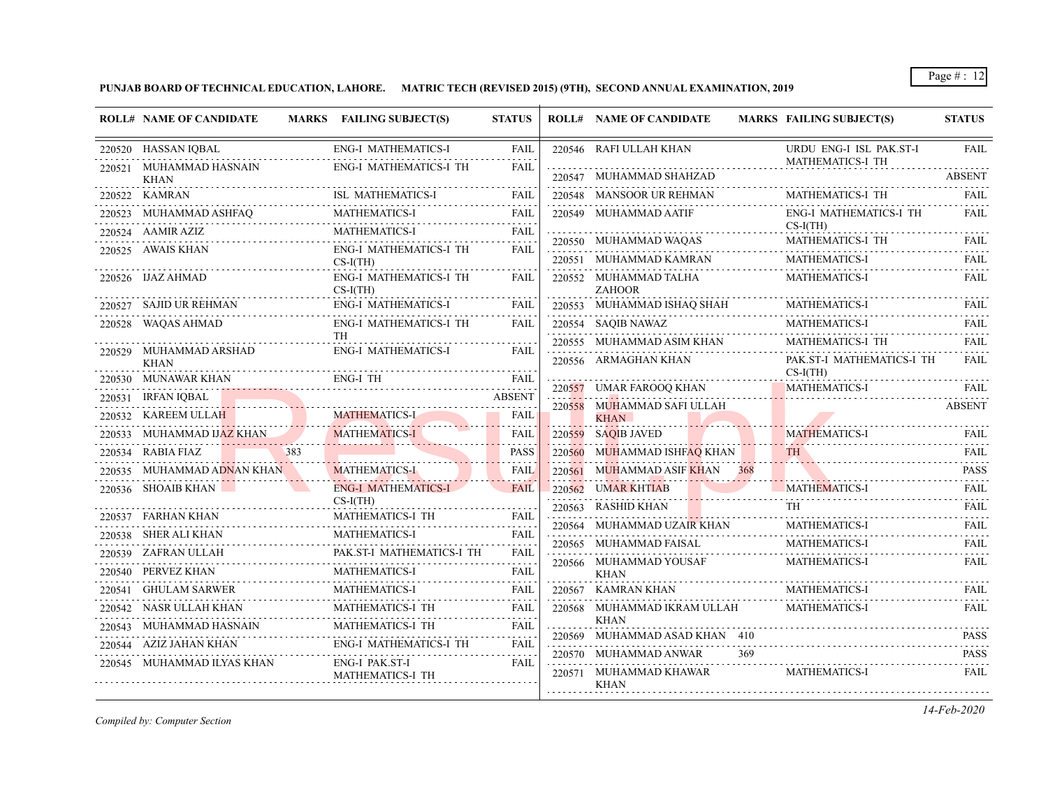**PUNJAB BOARD OF TECHNICAL EDUCATION, LAHORE. MATRIC TECH (REVISED 2015) (9TH), SECOND ANNUAL EXAMINATION, 2019**

| <b>ROLL# NAME OF CANDIDATE</b>          | MARKS FAILING SUBJECT(S)                    | <b>STATUS</b> |        | <b>ROLL# NAME OF CANDIDATE</b>               | <b>MARKS FAILING SUBJECT(S)</b>                    | <b>STATUS</b>    |
|-----------------------------------------|---------------------------------------------|---------------|--------|----------------------------------------------|----------------------------------------------------|------------------|
| 220520 HASSAN IQBAL                     | <b>ENG-I MATHEMATICS-I</b>                  | <b>FAIL</b>   |        | 220546 RAFI ULLAH KHAN                       | URDU ENG-I ISL PAK.ST-I<br><b>MATHEMATICS-I TH</b> | <b>FAIL</b>      |
| 220521 MUHAMMAD HASNAIN<br><b>KHAN</b>  | <b>ENG-I MATHEMATICS-I TH</b>               | <b>FAIL</b>   |        | 220547 MUHAMMAD SHAHZAD                      |                                                    | <b>ABSENT</b>    |
| 220522 KAMRAN                           | <b>ISL MATHEMATICS-I</b>                    | <b>FAIL</b>   |        | 220548 MANSOOR UR REHMAN                     | MATHEMATICS-I TH                                   | <b>FAIL</b>      |
| 220523 MUHAMMAD ASHFAQ                  | MATHEMATICS-I                               | FAIL          |        | 220549 MUHAMMAD AATIF                        | ENG-I MATHEMATICS-I TH<br>$CS-I(TH)$               | <b>FAIL</b>      |
| 220524 AAMIR AZIZ                       | <b>MATHEMATICS-I</b>                        | <b>FAIL</b>   |        | 220550 MUHAMMAD WAQAS                        | MATHEMATICS-I TH                                   | <b>FAIL</b>      |
| 220525 AWAIS KHAN                       | <b>ENG-I MATHEMATICS-I TH</b><br>$CS-I(TH)$ | <b>FAIL</b>   |        | 220551 MUHAMMAD KAMRAN                       | MATHEMATICS-I                                      | <b>FAIL</b>      |
| 220526 IJAZ AHMAD                       | ENG-I MATHEMATICS-I TH<br>$CS-I(TH)$        | FAIL          |        | 220552 MUHAMMAD TALHA<br><b>ZAHOOR</b>       | <b>MATHEMATICS-I</b>                               | <b>FAIL</b>      |
| 220527 SAJID UR REHMAN                  | <b>ENG-I MATHEMATICS-I</b>                  | <b>FAIL</b>   |        | 220553 MUHAMMAD ISHAQ SHAH                   | MATHEMATICS-I                                      | <b>FAIL</b>      |
| 220528 WAQAS AHMAD                      | ENG-I MATHEMATICS-I TH                      | <b>FAIL</b>   |        | 220554 SAQIB NAWAZ                           | <b>MATHEMATICS-I</b>                               | <b>FAIL</b>      |
| 220529 MUHAMMAD ARSHAD                  | TH<br><b>ENG-I MATHEMATICS-I</b>            | <b>FAIL</b>   |        | 220555 MUHAMMAD ASIM KHAN                    | MATHEMATICS-I TH                                   | FAIL             |
| <b>KHAN</b>                             |                                             |               |        | 220556 ARMAGHAN KHAN                         | PAK.ST-I MATHEMATICS-I TH<br>$CS-I(TH)$            | <b>FAIL</b>      |
| 220530 MUNAWAR KHAN                     | ENG-I TH                                    | <b>FAIL</b>   |        | 220557 UMAR FAROOQ KHAN                      | <b>MATHEMATICS-I</b>                               | FAIL             |
| 220531 IRFAN IQBAL                      |                                             | <b>ABSENT</b> |        | 220558 MUHAMMAD SAFI ULLAH                   |                                                    | <b>ABSENT</b>    |
| 220532 KAREEM ULLAH                     | MATHEMATICS-I                               | <b>FAIL</b>   |        | KHAN                                         |                                                    |                  |
| 220533 MUHAMMAD IJAZ KHAN               | MATHEMATICS-I                               | <b>FAIL</b>   |        | 220559 SAQIB JAVED                           | <b>MATHEMATICS-I</b>                               | <b>FAIL</b>      |
| 383<br>220534 RABIA FIAZ                |                                             | PASS          | 220560 | MUHAMMAD ISHF <mark>AQ</mark> KHAN           | TH.                                                | <b>FAIL</b>      |
| 220535 MUHAMMAD ADNAN KHAN              | <b>MATHEMATICS-I</b>                        | <b>FAIL</b>   |        | 220561 MUHAMMAD ASIF KHAN 368                |                                                    | <b>PASS</b>      |
| 220536 SHOAIB KHAN<br><b>CONTRACTOR</b> | <b>ENG-I MATHEMATICS-I</b>                  | <b>FAIL</b>   | 220562 | <b>UMAR KHTIAB</b>                           | <b>MATHEMATICS-I</b>                               | <b>FAIL</b>      |
| 220537 FARHAN KHAN                      | $CS-I(TH)$<br>MATHEMATICS-I TH              | FAIL          |        | 220563 RASHID KHAN                           |                                                    | FAIL             |
| 220538 SHER ALI KHAN                    | MATHEMATICS-I                               | <b>FAIL</b>   |        | 220564 MUHAMMAD UZAIR KHAN                   | MATHEMATICS-I                                      | <b>FAIL</b>      |
| 220539 ZAFRAN ULLAH                     | PAK.ST-I MATHEMATICS-I TH                   | FAIL          |        | 220565 MUHAMMAD FAISAL                       | MATHEMATICS-I                                      | <b>FAIL</b><br>. |
| 220540 PERVEZ KHAN                      | <b>MATHEMATICS-I</b>                        | FAIL          |        | 220566 MUHAMMAD YOUSAF<br><b>KHAN</b>        | <b>MATHEMATICS-I</b>                               | <b>FAIL</b>      |
| 220541 GHULAM SARWER                    | MATHEMATICS-I                               | <b>FAIL</b>   |        | 220567 KAMRAN KHAN                           | MATHEMATICS-I                                      | <b>FAIL</b>      |
| 220542 NASR ULLAH KHAN                  | MATHEMATICS-I TH                            | <b>FAIL</b>   |        | 220568 MUHAMMAD IKRAM ULLAH                  | <b>MATHEMATICS-I</b>                               | <b>FAIL</b>      |
| 220543 MUHAMMAD HASNAIN                 | MATHEMATICS-I TH                            | <b>FAIL</b>   |        | <b>KHAN</b><br>220569 MUHAMMAD ASAD KHAN 410 |                                                    | <b>PASS</b>      |
| 220544 AZIZ JAHAN KHAN                  | <b>ENG-I MATHEMATICS-I TH</b>               | <b>FAIL</b>   |        | 220570 MUHAMMAD ANWAR<br>369                 |                                                    | .<br><b>PASS</b> |
| 220545 MUHAMMAD ILYAS KHAN              | <b>ENG-I PAK.ST-I</b><br>MATHEMATICS-I TH   | FAIL          |        | 220571 MUHAMMAD KHAWAR<br><b>KHAN</b>        | <b>MATHEMATICS-I</b>                               | .<br><b>FAIL</b> |
|                                         |                                             |               |        |                                              |                                                    |                  |

*Compiled by: Computer Section*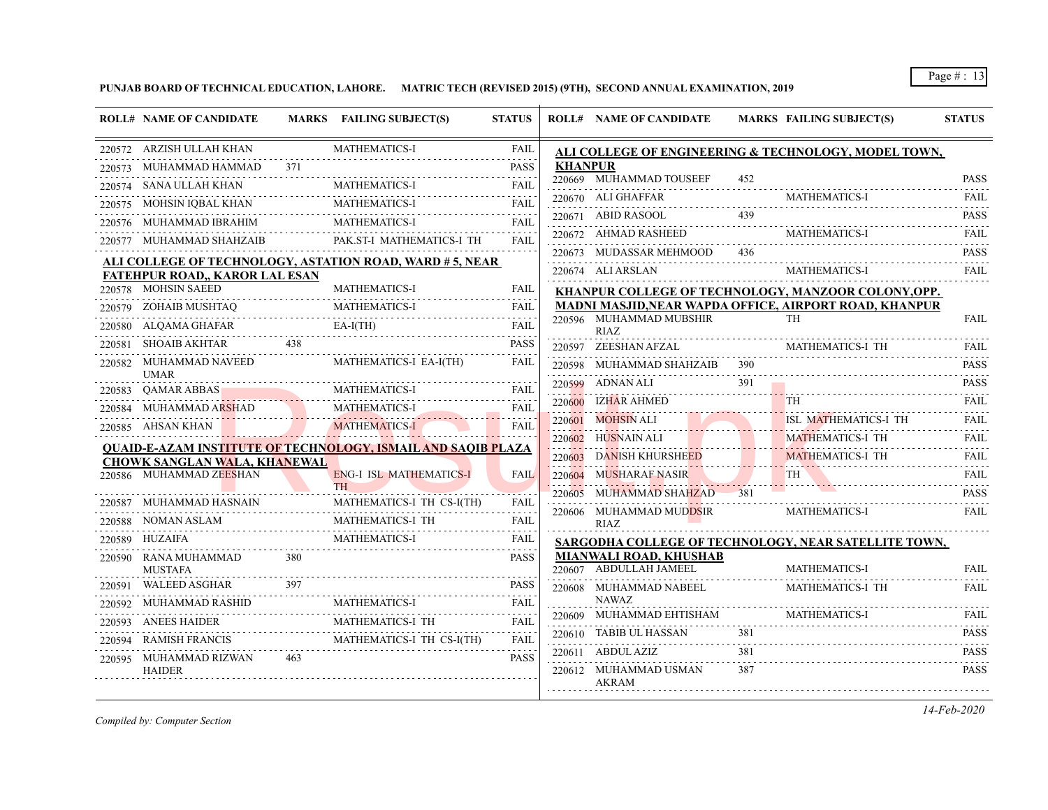**PUNJAB BOARD OF TECHNICAL EDUCATION, LAHORE. MATRIC TECH (REVISED 2015) (9TH), SECOND ANNUAL EXAMINATION, 2019**

|                                        |     |                                                                     | <b>STATUS</b>    |         | <b>ROLL# NAME OF CANDIDATE</b>                   |     | <b>MARKS FAILING SUBJECT(S)</b>                                            | <b>STATUS</b>    |
|----------------------------------------|-----|---------------------------------------------------------------------|------------------|---------|--------------------------------------------------|-----|----------------------------------------------------------------------------|------------------|
| 220572 ARZISH ULLAH KHAN               |     | MATHEMATICS-I                                                       | <b>FAIL</b>      |         |                                                  |     | ALI COLLEGE OF ENGINEERING & TECHNOLOGY, MODEL TOWN,                       |                  |
| MUHAMMAD HAMMAD<br>220573              | 371 |                                                                     | <b>PASS</b>      | KHANPUR |                                                  |     |                                                                            |                  |
| SANA ULLAH KHAN<br>220574              |     | <b>MATHEMATICS-I</b>                                                | <b>FAIL</b>      |         | 220669 MUHAMMAD TOUSEEF                          | 452 |                                                                            | <b>PASS</b>      |
| 220575 MOHSIN IQBAL KHAN               |     | <b>MATHEMATICS-I</b>                                                | <b>FAIL</b>      |         | 220670 ALI GHAFFAR                               |     | <b>MATHEMATICS-I</b>                                                       | <b>FAIL</b>      |
|                                        |     | <b>MATHEMATICS-I</b>                                                | FAIL             |         | 220671 ABID RASOOL                               | 439 |                                                                            | <b>PASS</b>      |
| 220577 MUHAMMAD SHAHZAIB               |     | PAK.ST-I MATHEMATICS-I TH                                           | <b>FAIL</b>      |         | 220672 AHMAD RASHEED                             |     | <b>MATHEMATICS-I</b>                                                       | <b>FAIL</b>      |
|                                        |     | ALI COLLEGE OF TECHNOLOGY, ASTATION ROAD, WARD # 5, NEAR            |                  |         | 220673 MUDASSAR MEHMOOD                          | 436 |                                                                            | <b>PASS</b>      |
| <b>FATEHPUR ROAD,, KAROR LAL ESAN</b>  |     |                                                                     |                  |         | 220674 ALI ARSLAN                                |     | <b>MATHEMATICS-I</b>                                                       | <b>FAIL</b>      |
| 220578 MOHSIN SAEED                    |     | <b>MATHEMATICS-I</b>                                                | FAIL             |         |                                                  |     | KHANPUR COLLEGE OF TECHNOLOGY, MANZOOR COLONY, OPP.                        |                  |
| 220579 ZOHAIB MUSHTAQ                  |     | <b>MATHEMATICS-I</b>                                                | <b>FAIL</b>      |         | 220596 MUHAMMAD MUBSHIR                          |     | <b>MADNI MASJID, NEAR WAPDA OFFICE, AIRPORT ROAD, KHANPUR</b><br><b>TH</b> | <b>FAIL</b>      |
| 220580 ALQAMA GHAFAR                   |     | $EA-I(TH)$                                                          | <b>FAIL</b><br>. |         | <b>RIAZ</b>                                      |     |                                                                            |                  |
| SHOAIB AKHTAR<br>220581                | 438 |                                                                     | <b>PASS</b>      |         | 220597 ZEESHAN AFZAL                             |     | MATHEMATICS-I TH                                                           | FAIL.            |
| 220582 MUHAMMAD NAVEED                 |     | MATHEMATICS-I EA-I(TH)                                              | FAIL             |         | 220598 MUHAMMAD SHAHZAIB                         | 390 |                                                                            | .<br><b>PASS</b> |
| <b>UMAR</b><br>220583 QAMAR ABBAS      |     | <b>MATHEMATICS-I</b>                                                | FAIL             |         | 220599 ADNAN ALI                                 | 391 |                                                                            | <b>PASS</b><br>. |
| 220584 MUHAMMAD ARSHAD                 |     | MATHEMATICS-I                                                       | FAIL             |         | 220600 IZHAR AHMED                               |     | <b>TH</b>                                                                  | <b>FAIL</b>      |
| 220585 AHSAN KHAN                      |     | <b>MATHEMATICS-I</b>                                                | <b>FAIL</b>      | 220601  | MOHSIN ALI                                       |     | ISL MATHEMATICS-I TH                                                       | FAII.            |
|                                        |     |                                                                     |                  |         | 220602 HUSNAIN ALI                               |     | <b>MATHEMATICS-I TH</b>                                                    | <b>FAIL</b>      |
| <b>CHOWK SANGLAN WALA, KHANEWAL</b>    |     | <u>QUAID-E-AZAM INSTITUTE OF TECHNOLOGY, ISMAIL AND SAQIB PLAZA</u> |                  | 220603  | DANISH KHURSHEED                                 |     | <b>MATHEMATICS-I TH</b>                                                    | <b>FAIL</b>      |
| 220586 MUHAMMAD ZEESHAN                |     | <b>ENG-I ISL MATHEMATICS-I</b>                                      | <b>FAIL</b>      |         | 220604 MUSHARAF NASIR                            |     | <b>TH</b>                                                                  | <b>FAIL</b>      |
|                                        |     | TH                                                                  |                  | 220605  | MUHAMMAD SHAHZAD                                 |     |                                                                            | <b>PASS</b>      |
| 220587 MUHAMMAD HASNAIN                |     | MATHEMATICS-I TH CS-I(TH)                                           | <b>FAIL</b>      |         | 220606 MUHAMMAD MUDDSIR                          |     | <b>MATHEMATICS-I</b>                                                       | <b>FAIL</b>      |
| NOMAN ASLAM<br>220588                  |     | MATHEMATICS-I TH                                                    | <b>FAIL</b>      |         | RIAZ                                             |     |                                                                            |                  |
| 220589 HUZAIFA                         |     | MATHEMATICS-I                                                       | FAIL             |         |                                                  |     | SARGODHA COLLEGE OF TECHNOLOGY, NEAR SATELLITE TOWN,                       |                  |
| 220590 RANA MUHAMMAD<br><b>MUSTAFA</b> | 380 |                                                                     | <b>PASS</b>      |         | MIANWALI ROAD, KHUSHAB<br>220607 ABDULLAH JAMEEL |     | <b>MATHEMATICS-I</b>                                                       | <b>FAIL</b>      |
| <b>WALEED ASGHAR</b><br>220591         | 397 |                                                                     | <b>PASS</b>      |         | 220608 MUHAMMAD NABEEL                           |     | MATHEMATICS-I TH                                                           | FAIL             |
| MUHAMMAD RASHID<br>220592              |     | <b>MATHEMATICS-I</b>                                                | <b>FAIL</b>      |         | NAWAZ                                            |     |                                                                            |                  |
| ANEES HAIDER<br>220593                 |     | MATHEMATICS-I TH                                                    | FAIL             |         | 220609 MUHAMMAD EHTISHAM                         |     | <b>MATHEMATICS-I</b>                                                       | <b>FAIL</b>      |
| <b>RAMISH FRANCIS</b><br>220594        |     | MATHEMATICS-I TH CS-I(TH)                                           | FAIL             |         | 220610 TABIB UL HASSAN                           | 381 |                                                                            | <b>PASS</b>      |
| MUHAMMAD RIZWAN<br>220595              | 463 |                                                                     | <b>PASS</b>      |         | 220611 ABDUL AZIZ                                | 381 |                                                                            | <b>PASS</b>      |
| <b>HAIDER</b>                          |     |                                                                     |                  |         | 220612 MUHAMMAD USMAN<br><b>AKRAM</b>            | 387 |                                                                            | <b>PASS</b>      |

*Compiled by: Computer Section*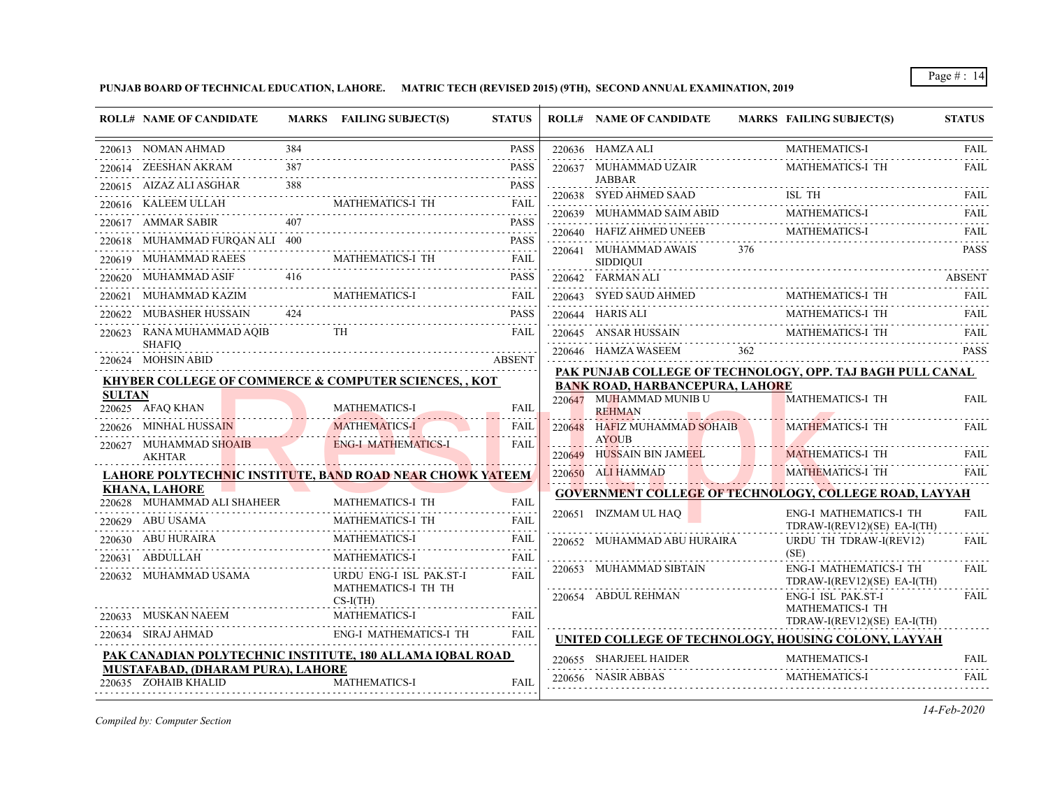**PUNJAB BOARD OF TECHNICAL EDUCATION, LAHORE. MATRIC TECH (REVISED 2015) (9TH), SECOND ANNUAL EXAMINATION, 2019**

|               | <b>ROLL# NAME OF CANDIDATE</b>                                   |     | MARKS FAILING SUBJECT(S)                                                                               | <b>STATUS</b>                             | <b>ROLL# NAME OF CANDIDATE</b>               |     | MARKS FAILING SUBJECT(S)                                                                                             | <b>STATUS</b> |
|---------------|------------------------------------------------------------------|-----|--------------------------------------------------------------------------------------------------------|-------------------------------------------|----------------------------------------------|-----|----------------------------------------------------------------------------------------------------------------------|---------------|
|               | 220613 NOMAN AHMAD                                               |     |                                                                                                        | <b>PASS</b>                               | 220636 HAMZA ALI                             |     | <b>MATHEMATICS-I</b>                                                                                                 | FAIL          |
|               | 220614 ZEESHAN AKRAM                                             | 387 |                                                                                                        | <b>PASS</b>                               | 220637 MUHAMMAD UZAIR                        |     | MATHEMATICS-I TH                                                                                                     | <b>FAIL</b>   |
|               | 220615 AIZAZ ALI ASGHAR                                          | 388 |                                                                                                        | <b>PASS</b>                               | <b>JABBAR</b><br>220638 SYED AHMED SAAD      |     | ISL TH                                                                                                               | FAIL          |
|               | 220616 KALEEM ULLAH                                              |     | TASS 7500<br>MATHEMATICS-I TH FAIL                                                                     |                                           | 220639 MUHAMMAD SAIM ABID                    |     | <b>MATHEMATICS-I</b>                                                                                                 | <b>FAIL</b>   |
|               | 220617 AMMAR SABIR                                               | 407 |                                                                                                        | <b>PASS</b>                               | 220640 HAFIZ AHMED UNEEB                     | .   | <b>MATHEMATICS-I</b>                                                                                                 | <b>FAIL</b>   |
|               | 220618 MUHAMMAD FURQAN ALI 400                                   |     |                                                                                                        | <b>PASS</b>                               |                                              | 376 |                                                                                                                      | <b>PASS</b>   |
|               | 220619 MUHAMMAD RAEES                                            |     | $\begin{array}{cccc}\n\hline\n\text{S} & \text{MATHEMATICS-I TH} & \text{FAIL} \\ \hline\n\end{array}$ |                                           | 220641 MUHAMMAD AWAIS<br><b>SIDDIQUI</b>     |     |                                                                                                                      |               |
|               | 220620 MUHAMMAD ASIF                                             | 416 |                                                                                                        | <b>PASS</b>                               | 220642 FARMAN ALI                            |     |                                                                                                                      | <b>ABSENT</b> |
|               | 220621     MUHAMMAD KAZIM                                        |     | <b>MATHEMATICS-I</b>                                                                                   |                                           | 220643 SYED SAUD AHMED                       |     | MATHEMATICS-I TH                                                                                                     | <b>FAIL</b>   |
|               | 220622 MUBASHER HUSSAIN                                          | 424 |                                                                                                        | <b>PASS</b>                               | 220644 HARIS ALI                             |     | MATHEMATICS-I TH                                                                                                     |               |
|               | 220623 RANA MUHAMMAD AQIB                                        |     | <b>TH</b>                                                                                              | <b>FAIL</b>                               |                                              |     | $\underbrace{220645}\quad \  \  \text{ANSAR HUSSAN} \qquad \qquad \text{MATHEMATICS-I TH} \qquad \qquad \text{FAIL}$ |               |
|               | <b>SHAFIO</b><br>220624 MOHSIN ABID                              |     |                                                                                                        | <b>ABSENT</b>                             | 220646 HAMZA WASEEM                          |     |                                                                                                                      | <b>PASS</b>   |
|               |                                                                  |     |                                                                                                        |                                           |                                              |     | PAK PUNJAB COLLEGE OF TECHNOLOGY, OPP. TAJ BAGH PULL CANAL                                                           |               |
| <b>SULTAN</b> | <b>KHYBER COLLEGE OF COMMERCE &amp; COMPUTER SCIENCES,, KOT</b>  |     |                                                                                                        |                                           | <b>BANK ROAD, HARBANCEPURA, LAHORE</b>       |     |                                                                                                                      |               |
|               | 220625 AFAO KHAN                                                 |     | <b>MATHEMATICS-I</b>                                                                                   | <b>FAIL</b>                               | 220647 MUHAMMAD MUNIB U<br><b>REHMAN</b>     |     | <b>MATHEMATICS-I TH</b>                                                                                              | FAIL          |
|               | 220626 MINHAL HUSSAIN                                            |     | <b>MATHEMATICS-I</b>                                                                                   | <b>FAIL</b>                               | 220648 HAFIZ MUHAMMAD SOHAIB<br><b>AYOUB</b> |     | <b>MATHEMATICS-I TH</b>                                                                                              | FAIL          |
|               | 220627 MUHAMMAD SHOAIB<br><b>AKHTAR</b>                          |     | <b>ENG-I MATHEMATICS-I</b>                                                                             | <b>FAIL</b>                               | 220649 HUSSAIN BIN JAMEEL                    |     | <b>MATHEMATICS-I TH</b>                                                                                              | FAIL          |
|               | <b>LAHORE POLYTECHNIC INSTITUTE, BAND ROAD NEAR CHOWK YATEEM</b> |     |                                                                                                        |                                           | 220650 ALI HAMMAD                            |     | <b>MATHEMATICS-I TH</b>                                                                                              | <b>FAIL</b>   |
|               | <b>KHANA, LAHORE</b>                                             |     |                                                                                                        |                                           |                                              |     | <b>GOVERNMENT COLLEGE OF TECHNOLOGY, COLLEGE ROAD, LAYYAH</b>                                                        |               |
|               | 220628 MUHAMMAD ALI SHAHEER<br>220629 ABU USAMA                  |     | MATHEMATICS-I TH<br>MATHEMATICS-I TH                                                                   | <b>FAIL</b><br>a a a a a l<br><b>FAIL</b> | 220651 INZMAM UL HAQ                         |     | <b>ENG-I MATHEMATICS-I TH</b><br>TDRAW-I(REV12)(SE) EA-I(TH)                                                         | <b>FAIL</b>   |
|               | 220630 ABU HURAIRA                                               |     | <b>MATHEMATICS-I</b>                                                                                   | FAIL                                      | 220652 MUHAMMAD ABU HURAIRA                  |     | URDU TH TDRAW-I(REV12)                                                                                               | <b>FAIL</b>   |
|               | 220631 ABDULLAH                                                  |     | <b>MATHEMATICS-I</b>                                                                                   | <b>FAIL</b>                               |                                              |     | (SE)                                                                                                                 |               |
|               | 220632 MUHAMMAD USAMA                                            |     | URDU ENG-I ISL PAK.ST-I<br>MATHEMATICS-I TH TH                                                         | .<br><b>FAIL</b>                          | 220653 MUHAMMAD SIBTAIN                      |     | <b>ENG-I MATHEMATICS-I TH</b><br>$TDRAW-I(REV12)(SE) EA-I(TH)$                                                       | FAIL          |
|               |                                                                  |     | $CS-I(TH)$                                                                                             |                                           | 220654 ABDUL REHMAN                          |     | ENG-I ISL PAK.ST-I<br>MATHEMATICS-I TH                                                                               | <b>FAIL</b>   |
|               | 220633 MUSKAN NAEEM                                              |     | <b>MATHEMATICS-I</b>                                                                                   | <b>FAIL</b>                               |                                              |     | TDRAW-I(REV12)(SE) EA-I(TH)                                                                                          |               |
|               | 220634 SIRAJ AHMAD                                               |     | ENG-I MATHEMATICS-I TH                                                                                 | FAIL                                      |                                              |     | UNITED COLLEGE OF TECHNOLOGY, HOUSING COLONY, LAYYAH                                                                 |               |
|               | PAK CANADIAN POLYTECHNIC INSTITUTE, 180 ALLAMA IQBAL ROAD        |     |                                                                                                        |                                           | 220655 SHARJEEL HAIDER                       |     | <b>MATHEMATICS-I</b>                                                                                                 |               |
|               | MUSTAFABAD, (DHARAM PURA), LAHORE<br>220635 ZOHAIB KHALID        |     | <b>MATHEMATICS-I</b>                                                                                   | <b>FAIL</b>                               | 220656 NASIR ABBAS                           |     | <b>MATHEMATICS-I</b>                                                                                                 | FAIL          |

*Compiled by: Computer Section*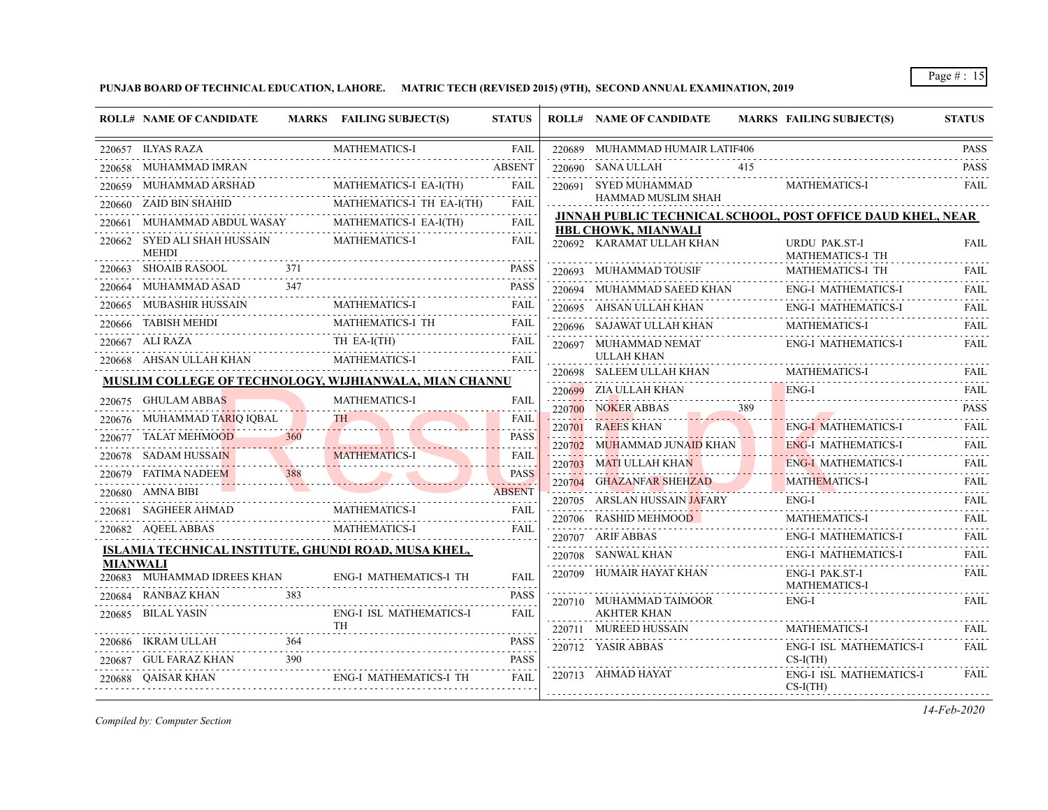# **PUNJAB BOARD OF TECHNICAL EDUCATION, LAHORE. MATRIC TECH (REVISED 2015) (9TH), SECOND ANNUAL EXAMINATION, 2019**

|                 | <b>ROLL# NAME OF CANDIDATE</b>                       |     | MARKS FAILING SUBJECT(S)                               | <b>STATUS</b>           |        | <b>ROLL# NAME OF CANDIDATE</b>                     |     | MARKS FAILING SUBJECT(S)                                    | <b>STATUS</b>       |
|-----------------|------------------------------------------------------|-----|--------------------------------------------------------|-------------------------|--------|----------------------------------------------------|-----|-------------------------------------------------------------|---------------------|
|                 | 220657 ILYAS RAZA                                    |     | <b>MATHEMATICS-I</b>                                   | FAIL                    |        | 220689 MUHAMMAD HUMAIR LATIF406                    |     |                                                             | <b>PASS</b>         |
|                 | 220658 MUHAMMAD IMRAN                                |     |                                                        | <b>ABSENT</b>           |        | 220690 SANA ULLAH                                  | 415 |                                                             | <b>PASS</b>         |
|                 | 220659 MUHAMMAD ARSHAD                               |     | MATHEMATICS-I EA-I(TH)                                 | FAIL                    |        | 220691 SYED MUHAMMAD                               |     | MATHEMATICS-I                                               | <b>FAIL</b>         |
| 220660          | <b>ZAID BIN SHAHID</b>                               |     | MATHEMATICS-I TH EA-I(TH)                              | المتعامل<br><b>FAIL</b> |        | HAMMAD MUSLIM SHAH                                 |     |                                                             |                     |
|                 | 220661 MUHAMMAD ABDUL WASAY                          |     | MATHEMATICS-I EA-I(TH)                                 | FAIL                    |        | HBL CHOWK, MIANWALI                                |     | JINNAH PUBLIC TECHNICAL SCHOOL, POST OFFICE DAUD KHEL, NEAR |                     |
|                 | 220662 SYED ALI SHAH HUSSAIN<br><b>MEHDI</b>         |     | <b>MATHEMATICS-I</b>                                   | FAIL                    |        | 220692 KARAMAT ULLAH KHAN                          |     | <b>URDU PAK.ST-I</b><br>MATHEMATICS-I TH                    | FAIL                |
|                 | 220663 SHOAIB RASOOL                                 | 371 |                                                        | <b>PASS</b>             |        | 220693 MUHAMMAD TOUSIF                             |     | MATHEMATICS-I TH                                            | <b>FAIL</b>         |
|                 | 220664 MUHAMMAD ASAD                                 | 347 |                                                        | <b>PASS</b>             |        | 220694 MUHAMMAD SAEED KHAN                         |     | ENG-I MATHEMATICS-I                                         | <b>FAIL</b>         |
|                 | 220665 MUBASHIR HUSSAIN                              |     | <b>MATHEMATICS-I</b>                                   | <b>FAIL</b>             |        | 220695 AHSAN ULLAH KHAN                            |     | <b>ENG-I MATHEMATICS-I</b>                                  | <b>FAIL</b>         |
| 220666          | <b>TABISH MEHDI</b>                                  |     | MATHEMATICS-I TH                                       | <b>FAIL</b>             |        | 220696     SAJAWAT ULLAH KHAN                      |     | <b>MATHEMATICS-I</b>                                        | FAIL                |
|                 | 220667 ALI RAZA                                      |     | TH EA-I(TH)                                            | <b>FAIL</b>             |        | 220697 MUHAMMAD NEMAT                              |     | ENG-I MATHEMATICS-I                                         | <b>FAIL</b>         |
|                 | 220668 AHSAN ULLAH KHAN                              |     | <b>MATHEMATICS-I</b>                                   | <b>FAIL</b>             |        | ULLAH KHAN                                         |     |                                                             |                     |
|                 |                                                      |     | MUSLIM COLLEGE OF TECHNOLOGY, WIJHIANWALA, MIAN CHANNU |                         |        | 220698 SALEEM ULLAH KHAN                           |     | <b>MATHEMATICS-I</b>                                        | <b>FAIL</b>         |
|                 | 220675 GHULAM ABBAS                                  |     | <b>MATHEMATICS-I</b>                                   | <b>FAIL</b>             |        | 220699 ZIA ULLAH KHAN                              |     | ENG-I                                                       | <b>FAIL</b>         |
|                 | 220676 MUHAMMAD TARIQ IQBAL                          |     | TH                                                     | <b>FAIL</b>             | 220700 | NOKER ABBAS                                        | 389 | <b>ENG-I MATHEMATICS-I</b>                                  | <b>PASS</b>         |
| 220677          | TALAT MEHMOOD                                        | 360 | .                                                      | <b>PASS</b>             | 220701 | <b>RAEES KHAN</b>                                  |     | <b>ENG-I MATHEMATICS-I</b>                                  | <b>FAIL</b><br>FAIL |
|                 | 220678    SADAM HUSSAIN                              |     | <b>MATHEMATICS-I</b>                                   | <b>FAIL</b>             |        | 220702 MUHAMMAD JUNAID KHAN                        |     | <b>ENG-I MATHEMATICS-I</b>                                  | <b>FAIL</b>         |
|                 | 220679 FATIMA NADEEM                                 | 388 |                                                        | <b>PASS</b>             |        | 220703 MATI ULLAH KHAN<br>220704 GHAZANFAR SHEHZAD |     | MATHEMATICS-I                                               | FAIL                |
|                 | 220680 AMNA BIBI                                     |     |                                                        | <b>ABSENT</b>           |        | 220705 ARSLAN HUSSAIN JAFARY                       |     | ENG-I                                                       | <b>FAIL</b>         |
|                 | 220681 SAGHEER AHMAD                                 |     | <b>MATHEMATICS-I</b>                                   | FAIL                    |        | 220706 RASHID MEHMOOD                              |     | <b>MATHEMATICS-I</b>                                        | <b>FAIL</b>         |
|                 | 220682 AQEEL ABBAS                                   |     | <b>MATHEMATICS-I</b>                                   | <b>FAIL</b>             |        | 220707 ARIF ABBAS                                  |     | <b>ENG-I MATHEMATICS-I</b>                                  | <b>FAIL</b>         |
|                 | ISLAMIA TECHNICAL INSTITUTE, GHUNDI ROAD, MUSA KHEL, |     |                                                        |                         |        | 220708 SANWAL KHAN                                 |     | <b>ENG-I MATHEMATICS-I</b>                                  | FAIL                |
| <b>MIANWALI</b> |                                                      |     |                                                        |                         |        | 220709 HUMAIR HAYAT KHAN                           |     | ENG-I PAK.ST-I                                              | <b>FAIL</b>         |
|                 | 220683 MUHAMMAD IDREES KHAN                          |     | ENG-I MATHEMATICS-I TH                                 | <b>FAIL</b>             |        |                                                    |     | <b>MATHEMATICS-I</b>                                        |                     |
|                 | 220684 RANBAZ KHAN                                   | 383 |                                                        | <b>PASS</b>             |        | 220710 MUHAMMAD TAIMOOR                            |     | ENG-I                                                       | FAIL                |
| 220685          | BILAL YASIN                                          |     | <b>ENG-I ISL MATHEMATICS-I</b><br>TH                   | FAIL                    |        | <b>AKHTER KHAN</b>                                 |     |                                                             |                     |
|                 | 220686 IKRAM ULLAH                                   | 364 |                                                        | <b>PASS</b>             |        | 220711 MUREED HUSSAIN                              |     | <b>MATHEMATICS-I</b>                                        | FAIL                |
|                 | 220687 GUL FARAZ KHAN                                | 390 |                                                        | <b>PASS</b>             |        | 220712 YASIR ABBAS                                 |     | ENG-I ISL MATHEMATICS-I<br>$CS-I(TH)$                       | <b>FAIL</b>         |
|                 | 220688 OAISAR KHAN                                   |     | ENG-I MATHEMATICS-I TH                                 | <b>FAIL</b>             |        | 220713 AHMAD HAYAT                                 |     | ENG-I ISL MATHEMATICS-I<br>$CS-I(TH)$                       | <b>FAIL</b>         |

*Compiled by: Computer Section*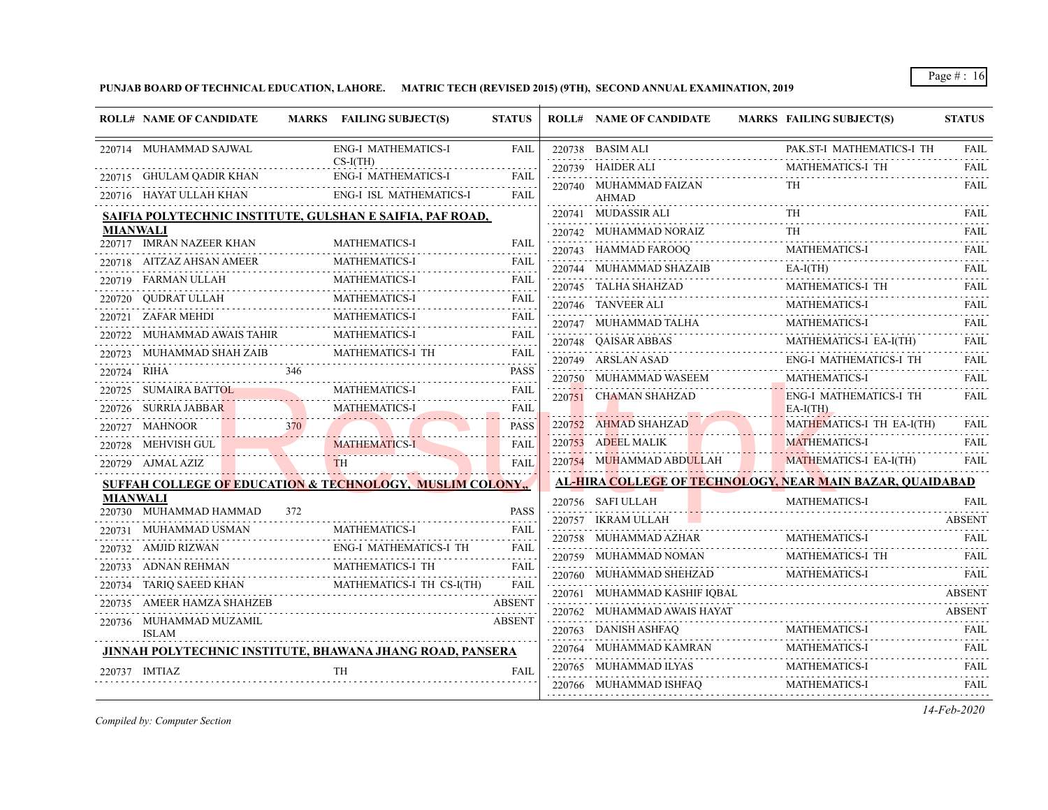**PUNJAB BOARD OF TECHNICAL EDUCATION, LAHORE. MATRIC TECH (REVISED 2015) (9TH), SECOND ANNUAL EXAMINATION, 2019**

| 220714 MUHAMMAD SAJWAL<br><b>ENG-I MATHEMATICS-I</b><br>220738 BASIM ALI<br>PAK ST-I MATHEMATICS-I TH<br><b>FAIL</b><br>$CS-I(TH)$<br>MATHEMATICS-I TH<br>220739 HAIDER ALI<br>220715 GHULAM QADIR KHAN<br><b>ENG-I MATHEMATICS-I</b><br><b>FAIL</b><br>220740 MUHAMMAD FAIZAN<br>TH<br>$\mathcal{L}^{\mathcal{A}}\left( \mathcal{L}^{\mathcal{A}}\left( \mathcal{L}^{\mathcal{A}}\right) \right) =\mathcal{L}^{\mathcal{A}}\left( \mathcal{L}^{\mathcal{A}}\right)$<br><b>ENG-I ISL MATHEMATICS-I</b><br>220716 HAYAT ULLAH KHAN<br><b>FAIL</b><br><b>AHMAD</b><br><b>TH</b><br>220741 MUDASSIR ALI<br>SAIFIA POLYTECHNIC INSTITUTE, GULSHAN E SAIFIA, PAF ROAD,<br>MIANWALI<br>220742 MUHAMMAD NORAIZ<br>TH.<br>220717 IMRAN NAZEER KHAN<br><b>MATHEMATICS-I</b><br><b>FAIL</b><br><b>MATHEMATICS-I</b><br>220743 HAMMAD FAROOQ<br>220718 AITZAZ AHSAN AMEER<br>MATHEMATICS-I<br>FAIL<br>$EA-I(TH)$<br>220744 MUHAMMAD SHAZAIB<br>.<br><b>MATHEMATICS-I</b><br>220719 FARMAN ULLAH<br>FAIL<br>MATHEMATICS-I TH<br>220745 TALHA SHAHZAD<br><b>MATHEMATICS-I</b><br>OUDRAT ULLAH<br>FAIL<br>220720<br><b>MATHEMATICS-I</b><br>220746 TANVEER ALI<br>.<br>MATHEMATICS-I<br><b>ZAFAR MEHDI</b><br>FAIL<br>220721<br><b>MATHEMATICS-I</b><br>220747 MUHAMMAD TALHA<br><b>MATHEMATICS-I</b><br>MUHAMMAD AWAIS TAHIR<br>FAIL<br>MATHEMATICS-I EA-I(TH)<br>220748 QAISAR ABBAS<br>MATHEMATICS-I TH<br>220723 MUHAMMAD SHAH ZAIB<br><b>FAIL</b><br><b>ENG-I MATHEMATICS-I TH</b><br>220749 ARSLAN ASAD<br>.<br>346<br>220724 RIHA<br><b>PASS</b><br>MATHEMATICS-I<br>220750 MUHAMMAD WASEEM<br><b>MATHEMATICS-I</b><br>220725 SUMAIRA BATTOL<br><b>FAIL</b><br>220751 CHAMAN SHAHZAD<br><b>ENG-I MATHEMATICS-I TH</b><br><b>MATHEMATICS-I</b><br>220726 SURRIA JABBAR<br>FAIL<br>$EA-I(TH)$<br>MATHEMATICS-I TH EA-I(TH)<br>220752 AHMAD SHAHZAD<br>370<br>220727 MAHNOOR<br><b>PASS</b><br>220753 ADEEL MALIK<br><b>MATHEMATICS-I</b><br>220728 MEHVISH GUL<br><b>MATHEMATICS-I</b><br><b>FAIL</b><br>220754 MUHAMMAD ABDULLAH<br>MATHEMATICS-I EA-I(TH)<br><b>TH</b><br><b>FAIL</b><br>220729 AJMAL AZIZ<br>AL-HIRA COLLEGE OF TECHNOLOGY, NEAR MAIN BAZAR, QUAIDABAD<br><b>SUFFAH COLLEGE OF EDUCATION &amp; TECHNOLOGY, MUSLIM COLONY.,</b><br><b>MIANWALI</b><br>220756 SAFI ULLAH<br>MATHEMATICS-I<br>220730 MUHAMMAD HAMMAD<br>372<br><b>PASS</b><br>220757 IKRAM ULLAH<br>220731 MUHAMMAD USMAN<br><b>MATHEMATICS-I</b><br><b>FAIL</b><br>220758 MUHAMMAD AZHAR<br><b>MATHEMATICS-I</b><br>220732 AMJID RIZWAN<br><b>ENG-I MATHEMATICS-I TH</b><br><b>FAIL</b><br>MATHEMATICS-I TH<br>220759 MUHAMMAD NOMAN<br><b>MATHEMATICS-I TH</b><br>ADNAN REHMAN<br>FAIL<br>220733<br>MATHEMATICS-I<br>220760 MUHAMMAD SHEHZAD<br>$\frac{1}{2} \left( \frac{1}{2} \right) \left( \frac{1}{2} \right) \left( \frac{1}{2} \right) \left( \frac{1}{2} \right) \left( \frac{1}{2} \right)$<br>TARIQ SAEED KHAN<br>MATHEMATICS-I TH CS-I(TH)<br>FAIL<br>220734<br>220761 MUHAMMAD KASHIF IQBAL<br>220735 AMEER HAMZA SHAHZEB<br><b>ABSENT</b><br>220762 MUHAMMAD AWAIS HAYAT<br>220736 MUHAMMAD MUZAMIL<br><b>ABSENT</b><br>MATHEMATICS-I<br>220763 DANISH ASHFAQ<br><b>ISLAM</b><br><b>MATHEMATICS-I</b><br>220764 MUHAMMAD KAMRAN<br>JINNAH POLYTECHNIC INSTITUTE, BHAWANA JHANG ROAD, PANSERA<br>220765 MUHAMMAD ILYAS<br>220737 IMTIAZ<br><b>TH</b><br><b>FAIL</b><br>MATHEMATICS-I<br>220766 MUHAMMAD ISHFAQ | <b>ROLL# NAME OF CANDIDATE</b> | MARKS FAILING SUBJECT(S) | <b>STATUS</b> | <b>ROLL# NAME OF CANDIDATE</b> | <b>MARKS FAILING SUBJECT(S)</b> | <b>STATUS</b>              |
|-----------------------------------------------------------------------------------------------------------------------------------------------------------------------------------------------------------------------------------------------------------------------------------------------------------------------------------------------------------------------------------------------------------------------------------------------------------------------------------------------------------------------------------------------------------------------------------------------------------------------------------------------------------------------------------------------------------------------------------------------------------------------------------------------------------------------------------------------------------------------------------------------------------------------------------------------------------------------------------------------------------------------------------------------------------------------------------------------------------------------------------------------------------------------------------------------------------------------------------------------------------------------------------------------------------------------------------------------------------------------------------------------------------------------------------------------------------------------------------------------------------------------------------------------------------------------------------------------------------------------------------------------------------------------------------------------------------------------------------------------------------------------------------------------------------------------------------------------------------------------------------------------------------------------------------------------------------------------------------------------------------------------------------------------------------------------------------------------------------------------------------------------------------------------------------------------------------------------------------------------------------------------------------------------------------------------------------------------------------------------------------------------------------------------------------------------------------------------------------------------------------------------------------------------------------------------------------------------------------------------------------------------------------------------------------------------------------------------------------------------------------------------------------------------------------------------------------------------------------------------------------------------------------------------------------------------------------------------------------------------------------------------------------------------------------------------------------------------------------------------------------------------------------------------------------------------------------------------------------------------------------------------------------------------------------------------------------------------------------------------------------------------------|--------------------------------|--------------------------|---------------|--------------------------------|---------------------------------|----------------------------|
|                                                                                                                                                                                                                                                                                                                                                                                                                                                                                                                                                                                                                                                                                                                                                                                                                                                                                                                                                                                                                                                                                                                                                                                                                                                                                                                                                                                                                                                                                                                                                                                                                                                                                                                                                                                                                                                                                                                                                                                                                                                                                                                                                                                                                                                                                                                                                                                                                                                                                                                                                                                                                                                                                                                                                                                                                                                                                                                                                                                                                                                                                                                                                                                                                                                                                                                                                                                                     |                                |                          |               |                                |                                 | <b>FAIL</b>                |
|                                                                                                                                                                                                                                                                                                                                                                                                                                                                                                                                                                                                                                                                                                                                                                                                                                                                                                                                                                                                                                                                                                                                                                                                                                                                                                                                                                                                                                                                                                                                                                                                                                                                                                                                                                                                                                                                                                                                                                                                                                                                                                                                                                                                                                                                                                                                                                                                                                                                                                                                                                                                                                                                                                                                                                                                                                                                                                                                                                                                                                                                                                                                                                                                                                                                                                                                                                                                     |                                |                          |               |                                |                                 | FAIL                       |
|                                                                                                                                                                                                                                                                                                                                                                                                                                                                                                                                                                                                                                                                                                                                                                                                                                                                                                                                                                                                                                                                                                                                                                                                                                                                                                                                                                                                                                                                                                                                                                                                                                                                                                                                                                                                                                                                                                                                                                                                                                                                                                                                                                                                                                                                                                                                                                                                                                                                                                                                                                                                                                                                                                                                                                                                                                                                                                                                                                                                                                                                                                                                                                                                                                                                                                                                                                                                     |                                |                          |               |                                |                                 | FAIL                       |
|                                                                                                                                                                                                                                                                                                                                                                                                                                                                                                                                                                                                                                                                                                                                                                                                                                                                                                                                                                                                                                                                                                                                                                                                                                                                                                                                                                                                                                                                                                                                                                                                                                                                                                                                                                                                                                                                                                                                                                                                                                                                                                                                                                                                                                                                                                                                                                                                                                                                                                                                                                                                                                                                                                                                                                                                                                                                                                                                                                                                                                                                                                                                                                                                                                                                                                                                                                                                     |                                |                          |               |                                |                                 | <b>FAIL</b>                |
|                                                                                                                                                                                                                                                                                                                                                                                                                                                                                                                                                                                                                                                                                                                                                                                                                                                                                                                                                                                                                                                                                                                                                                                                                                                                                                                                                                                                                                                                                                                                                                                                                                                                                                                                                                                                                                                                                                                                                                                                                                                                                                                                                                                                                                                                                                                                                                                                                                                                                                                                                                                                                                                                                                                                                                                                                                                                                                                                                                                                                                                                                                                                                                                                                                                                                                                                                                                                     |                                |                          |               |                                |                                 | .<br><b>FAIL</b>           |
|                                                                                                                                                                                                                                                                                                                                                                                                                                                                                                                                                                                                                                                                                                                                                                                                                                                                                                                                                                                                                                                                                                                                                                                                                                                                                                                                                                                                                                                                                                                                                                                                                                                                                                                                                                                                                                                                                                                                                                                                                                                                                                                                                                                                                                                                                                                                                                                                                                                                                                                                                                                                                                                                                                                                                                                                                                                                                                                                                                                                                                                                                                                                                                                                                                                                                                                                                                                                     |                                |                          |               |                                |                                 | <b>FAIL</b>                |
|                                                                                                                                                                                                                                                                                                                                                                                                                                                                                                                                                                                                                                                                                                                                                                                                                                                                                                                                                                                                                                                                                                                                                                                                                                                                                                                                                                                                                                                                                                                                                                                                                                                                                                                                                                                                                                                                                                                                                                                                                                                                                                                                                                                                                                                                                                                                                                                                                                                                                                                                                                                                                                                                                                                                                                                                                                                                                                                                                                                                                                                                                                                                                                                                                                                                                                                                                                                                     |                                |                          |               |                                |                                 | .<br>FAIL                  |
|                                                                                                                                                                                                                                                                                                                                                                                                                                                                                                                                                                                                                                                                                                                                                                                                                                                                                                                                                                                                                                                                                                                                                                                                                                                                                                                                                                                                                                                                                                                                                                                                                                                                                                                                                                                                                                                                                                                                                                                                                                                                                                                                                                                                                                                                                                                                                                                                                                                                                                                                                                                                                                                                                                                                                                                                                                                                                                                                                                                                                                                                                                                                                                                                                                                                                                                                                                                                     |                                |                          |               |                                |                                 | FAIL                       |
|                                                                                                                                                                                                                                                                                                                                                                                                                                                                                                                                                                                                                                                                                                                                                                                                                                                                                                                                                                                                                                                                                                                                                                                                                                                                                                                                                                                                                                                                                                                                                                                                                                                                                                                                                                                                                                                                                                                                                                                                                                                                                                                                                                                                                                                                                                                                                                                                                                                                                                                                                                                                                                                                                                                                                                                                                                                                                                                                                                                                                                                                                                                                                                                                                                                                                                                                                                                                     |                                |                          |               |                                |                                 | FAIL                       |
|                                                                                                                                                                                                                                                                                                                                                                                                                                                                                                                                                                                                                                                                                                                                                                                                                                                                                                                                                                                                                                                                                                                                                                                                                                                                                                                                                                                                                                                                                                                                                                                                                                                                                                                                                                                                                                                                                                                                                                                                                                                                                                                                                                                                                                                                                                                                                                                                                                                                                                                                                                                                                                                                                                                                                                                                                                                                                                                                                                                                                                                                                                                                                                                                                                                                                                                                                                                                     |                                |                          |               |                                |                                 | .<br><b>FAIL</b>           |
|                                                                                                                                                                                                                                                                                                                                                                                                                                                                                                                                                                                                                                                                                                                                                                                                                                                                                                                                                                                                                                                                                                                                                                                                                                                                                                                                                                                                                                                                                                                                                                                                                                                                                                                                                                                                                                                                                                                                                                                                                                                                                                                                                                                                                                                                                                                                                                                                                                                                                                                                                                                                                                                                                                                                                                                                                                                                                                                                                                                                                                                                                                                                                                                                                                                                                                                                                                                                     |                                |                          |               |                                |                                 | <b>FAIL</b>                |
|                                                                                                                                                                                                                                                                                                                                                                                                                                                                                                                                                                                                                                                                                                                                                                                                                                                                                                                                                                                                                                                                                                                                                                                                                                                                                                                                                                                                                                                                                                                                                                                                                                                                                                                                                                                                                                                                                                                                                                                                                                                                                                                                                                                                                                                                                                                                                                                                                                                                                                                                                                                                                                                                                                                                                                                                                                                                                                                                                                                                                                                                                                                                                                                                                                                                                                                                                                                                     |                                |                          |               |                                |                                 | والمتعاملات<br><b>FAIL</b> |
|                                                                                                                                                                                                                                                                                                                                                                                                                                                                                                                                                                                                                                                                                                                                                                                                                                                                                                                                                                                                                                                                                                                                                                                                                                                                                                                                                                                                                                                                                                                                                                                                                                                                                                                                                                                                                                                                                                                                                                                                                                                                                                                                                                                                                                                                                                                                                                                                                                                                                                                                                                                                                                                                                                                                                                                                                                                                                                                                                                                                                                                                                                                                                                                                                                                                                                                                                                                                     |                                |                          |               |                                |                                 | .<br><b>FAIL</b>           |
|                                                                                                                                                                                                                                                                                                                                                                                                                                                                                                                                                                                                                                                                                                                                                                                                                                                                                                                                                                                                                                                                                                                                                                                                                                                                                                                                                                                                                                                                                                                                                                                                                                                                                                                                                                                                                                                                                                                                                                                                                                                                                                                                                                                                                                                                                                                                                                                                                                                                                                                                                                                                                                                                                                                                                                                                                                                                                                                                                                                                                                                                                                                                                                                                                                                                                                                                                                                                     |                                |                          |               |                                |                                 | <b>FAIL</b>                |
|                                                                                                                                                                                                                                                                                                                                                                                                                                                                                                                                                                                                                                                                                                                                                                                                                                                                                                                                                                                                                                                                                                                                                                                                                                                                                                                                                                                                                                                                                                                                                                                                                                                                                                                                                                                                                                                                                                                                                                                                                                                                                                                                                                                                                                                                                                                                                                                                                                                                                                                                                                                                                                                                                                                                                                                                                                                                                                                                                                                                                                                                                                                                                                                                                                                                                                                                                                                                     |                                |                          |               |                                |                                 |                            |
|                                                                                                                                                                                                                                                                                                                                                                                                                                                                                                                                                                                                                                                                                                                                                                                                                                                                                                                                                                                                                                                                                                                                                                                                                                                                                                                                                                                                                                                                                                                                                                                                                                                                                                                                                                                                                                                                                                                                                                                                                                                                                                                                                                                                                                                                                                                                                                                                                                                                                                                                                                                                                                                                                                                                                                                                                                                                                                                                                                                                                                                                                                                                                                                                                                                                                                                                                                                                     |                                |                          |               |                                |                                 | FAIL                       |
|                                                                                                                                                                                                                                                                                                                                                                                                                                                                                                                                                                                                                                                                                                                                                                                                                                                                                                                                                                                                                                                                                                                                                                                                                                                                                                                                                                                                                                                                                                                                                                                                                                                                                                                                                                                                                                                                                                                                                                                                                                                                                                                                                                                                                                                                                                                                                                                                                                                                                                                                                                                                                                                                                                                                                                                                                                                                                                                                                                                                                                                                                                                                                                                                                                                                                                                                                                                                     |                                |                          |               |                                |                                 | FAIL                       |
|                                                                                                                                                                                                                                                                                                                                                                                                                                                                                                                                                                                                                                                                                                                                                                                                                                                                                                                                                                                                                                                                                                                                                                                                                                                                                                                                                                                                                                                                                                                                                                                                                                                                                                                                                                                                                                                                                                                                                                                                                                                                                                                                                                                                                                                                                                                                                                                                                                                                                                                                                                                                                                                                                                                                                                                                                                                                                                                                                                                                                                                                                                                                                                                                                                                                                                                                                                                                     |                                |                          |               |                                |                                 | <b>FAIL</b>                |
|                                                                                                                                                                                                                                                                                                                                                                                                                                                                                                                                                                                                                                                                                                                                                                                                                                                                                                                                                                                                                                                                                                                                                                                                                                                                                                                                                                                                                                                                                                                                                                                                                                                                                                                                                                                                                                                                                                                                                                                                                                                                                                                                                                                                                                                                                                                                                                                                                                                                                                                                                                                                                                                                                                                                                                                                                                                                                                                                                                                                                                                                                                                                                                                                                                                                                                                                                                                                     |                                |                          |               |                                |                                 |                            |
|                                                                                                                                                                                                                                                                                                                                                                                                                                                                                                                                                                                                                                                                                                                                                                                                                                                                                                                                                                                                                                                                                                                                                                                                                                                                                                                                                                                                                                                                                                                                                                                                                                                                                                                                                                                                                                                                                                                                                                                                                                                                                                                                                                                                                                                                                                                                                                                                                                                                                                                                                                                                                                                                                                                                                                                                                                                                                                                                                                                                                                                                                                                                                                                                                                                                                                                                                                                                     |                                |                          |               |                                |                                 | FAII.                      |
|                                                                                                                                                                                                                                                                                                                                                                                                                                                                                                                                                                                                                                                                                                                                                                                                                                                                                                                                                                                                                                                                                                                                                                                                                                                                                                                                                                                                                                                                                                                                                                                                                                                                                                                                                                                                                                                                                                                                                                                                                                                                                                                                                                                                                                                                                                                                                                                                                                                                                                                                                                                                                                                                                                                                                                                                                                                                                                                                                                                                                                                                                                                                                                                                                                                                                                                                                                                                     |                                |                          |               |                                |                                 | <b>ABSENT</b>              |
|                                                                                                                                                                                                                                                                                                                                                                                                                                                                                                                                                                                                                                                                                                                                                                                                                                                                                                                                                                                                                                                                                                                                                                                                                                                                                                                                                                                                                                                                                                                                                                                                                                                                                                                                                                                                                                                                                                                                                                                                                                                                                                                                                                                                                                                                                                                                                                                                                                                                                                                                                                                                                                                                                                                                                                                                                                                                                                                                                                                                                                                                                                                                                                                                                                                                                                                                                                                                     |                                |                          |               |                                |                                 | <b>FAIL</b>                |
|                                                                                                                                                                                                                                                                                                                                                                                                                                                                                                                                                                                                                                                                                                                                                                                                                                                                                                                                                                                                                                                                                                                                                                                                                                                                                                                                                                                                                                                                                                                                                                                                                                                                                                                                                                                                                                                                                                                                                                                                                                                                                                                                                                                                                                                                                                                                                                                                                                                                                                                                                                                                                                                                                                                                                                                                                                                                                                                                                                                                                                                                                                                                                                                                                                                                                                                                                                                                     |                                |                          |               |                                |                                 | <b>FAIL</b>                |
|                                                                                                                                                                                                                                                                                                                                                                                                                                                                                                                                                                                                                                                                                                                                                                                                                                                                                                                                                                                                                                                                                                                                                                                                                                                                                                                                                                                                                                                                                                                                                                                                                                                                                                                                                                                                                                                                                                                                                                                                                                                                                                                                                                                                                                                                                                                                                                                                                                                                                                                                                                                                                                                                                                                                                                                                                                                                                                                                                                                                                                                                                                                                                                                                                                                                                                                                                                                                     |                                |                          |               |                                |                                 | FAIL                       |
|                                                                                                                                                                                                                                                                                                                                                                                                                                                                                                                                                                                                                                                                                                                                                                                                                                                                                                                                                                                                                                                                                                                                                                                                                                                                                                                                                                                                                                                                                                                                                                                                                                                                                                                                                                                                                                                                                                                                                                                                                                                                                                                                                                                                                                                                                                                                                                                                                                                                                                                                                                                                                                                                                                                                                                                                                                                                                                                                                                                                                                                                                                                                                                                                                                                                                                                                                                                                     |                                |                          |               |                                |                                 | <b>ABSENT</b>              |
|                                                                                                                                                                                                                                                                                                                                                                                                                                                                                                                                                                                                                                                                                                                                                                                                                                                                                                                                                                                                                                                                                                                                                                                                                                                                                                                                                                                                                                                                                                                                                                                                                                                                                                                                                                                                                                                                                                                                                                                                                                                                                                                                                                                                                                                                                                                                                                                                                                                                                                                                                                                                                                                                                                                                                                                                                                                                                                                                                                                                                                                                                                                                                                                                                                                                                                                                                                                                     |                                |                          |               |                                |                                 | <b>ABSENT</b>              |
|                                                                                                                                                                                                                                                                                                                                                                                                                                                                                                                                                                                                                                                                                                                                                                                                                                                                                                                                                                                                                                                                                                                                                                                                                                                                                                                                                                                                                                                                                                                                                                                                                                                                                                                                                                                                                                                                                                                                                                                                                                                                                                                                                                                                                                                                                                                                                                                                                                                                                                                                                                                                                                                                                                                                                                                                                                                                                                                                                                                                                                                                                                                                                                                                                                                                                                                                                                                                     |                                |                          |               |                                |                                 | <b>FAIL</b>                |
|                                                                                                                                                                                                                                                                                                                                                                                                                                                                                                                                                                                                                                                                                                                                                                                                                                                                                                                                                                                                                                                                                                                                                                                                                                                                                                                                                                                                                                                                                                                                                                                                                                                                                                                                                                                                                                                                                                                                                                                                                                                                                                                                                                                                                                                                                                                                                                                                                                                                                                                                                                                                                                                                                                                                                                                                                                                                                                                                                                                                                                                                                                                                                                                                                                                                                                                                                                                                     |                                |                          |               |                                |                                 | .<br><b>FAIL</b>           |
|                                                                                                                                                                                                                                                                                                                                                                                                                                                                                                                                                                                                                                                                                                                                                                                                                                                                                                                                                                                                                                                                                                                                                                                                                                                                                                                                                                                                                                                                                                                                                                                                                                                                                                                                                                                                                                                                                                                                                                                                                                                                                                                                                                                                                                                                                                                                                                                                                                                                                                                                                                                                                                                                                                                                                                                                                                                                                                                                                                                                                                                                                                                                                                                                                                                                                                                                                                                                     |                                |                          |               |                                |                                 | والمتحدث                   |
|                                                                                                                                                                                                                                                                                                                                                                                                                                                                                                                                                                                                                                                                                                                                                                                                                                                                                                                                                                                                                                                                                                                                                                                                                                                                                                                                                                                                                                                                                                                                                                                                                                                                                                                                                                                                                                                                                                                                                                                                                                                                                                                                                                                                                                                                                                                                                                                                                                                                                                                                                                                                                                                                                                                                                                                                                                                                                                                                                                                                                                                                                                                                                                                                                                                                                                                                                                                                     |                                |                          |               |                                |                                 | FAIL                       |

*Compiled by: Computer Section*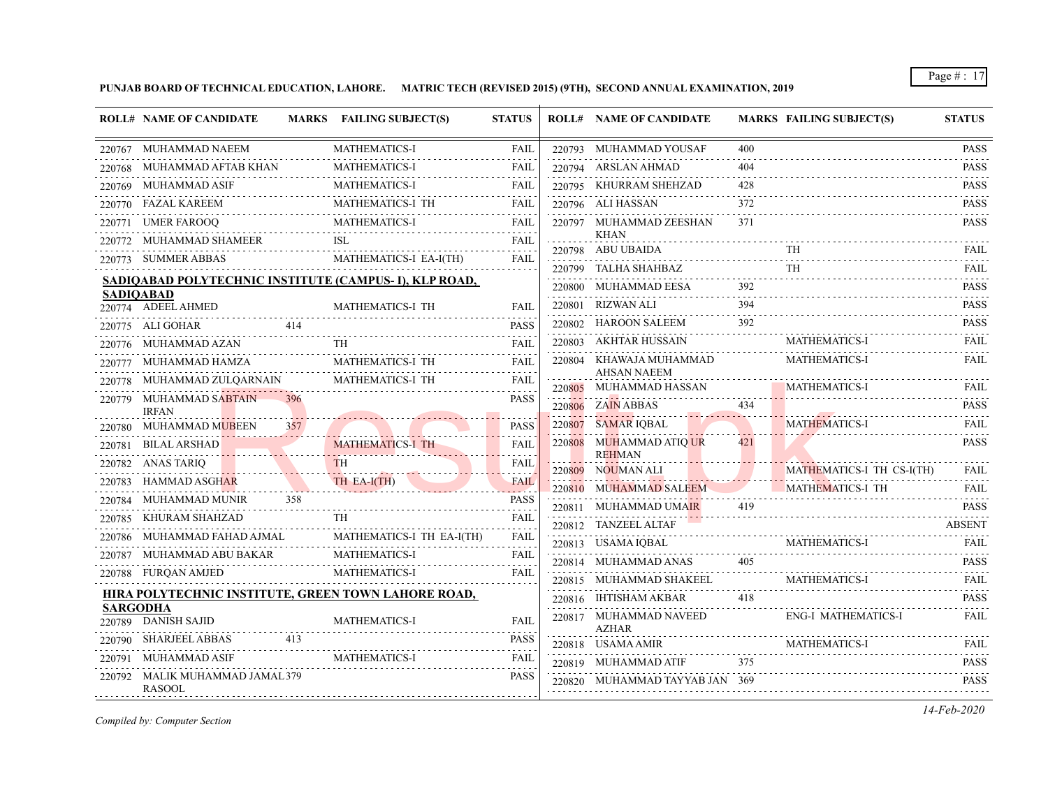**PUNJAB BOARD OF TECHNICAL EDUCATION, LAHORE. MATRIC TECH (REVISED 2015) (9TH), SECOND ANNUAL EXAMINATION, 2019**

|        | <b>ROLL# NAME OF CANDIDATE</b>                   |     | MARKS FAILING SUBJECT(S)                               | <b>STATUS</b>       |        | <b>ROLL# NAME OF CANDIDATE</b>           |          | <b>MARKS FAILING SUBJECT(S)</b>                                                                                                         | <b>STATUS</b>    |
|--------|--------------------------------------------------|-----|--------------------------------------------------------|---------------------|--------|------------------------------------------|----------|-----------------------------------------------------------------------------------------------------------------------------------------|------------------|
|        | 220767 MUHAMMAD NAEEM                            |     | <b>MATHEMATICS-I</b>                                   | <b>FAIL</b>         |        | 220793 MUHAMMAD YOUSAF                   | 400      |                                                                                                                                         | <b>PASS</b>      |
|        | 220768 MUHAMMAD AFTAB KHAN                       |     | <b>MATHEMATICS-I</b>                                   | FAIL                |        | 220794 ARSLAN AHMAD                      | 404      |                                                                                                                                         | <b>PASS</b>      |
|        | 220769 MUHAMMAD ASIF                             |     | <b>MATHEMATICS-I</b>                                   | FAIL                |        | 220795 KHURRAM SHEHZAD                   | 428      |                                                                                                                                         | <b>PASS</b><br>. |
|        | 220770 FAZAL KAREEM                              |     | MATHEMATICS-I TH                                       | <b>FAIL</b>         |        | 220796 ALI HASSAN                        | 372      |                                                                                                                                         | <b>PASS</b>      |
|        | 220771 UMER FAROOQ                               |     | <b>MATHEMATICS-I</b>                                   | FAIL                |        | 220797 MUHAMMAD ZEESHAN                  | 371      |                                                                                                                                         | <b>PASS</b>      |
|        | 220772 MUHAMMAD SHAMEER                          |     | ISL.                                                   | <b>FAIL</b>         |        | <b>KHAN</b><br>220798 ABU UBAIDA         |          |                                                                                                                                         | FAIL             |
|        | 220773 SUMMER ABBAS                              |     | MATHEMATICS-I EA-I(TH)                                 | <b>FAIL</b>         | 220799 | TALHA SHAHBAZ                            |          | <b>TH</b>                                                                                                                               | <b>FAIL</b>      |
|        |                                                  |     | SADIQABAD POLYTECHNIC INSTITUTE (CAMPUS- I), KLP ROAD, |                     |        | 220800 MUHAMMAD EESA                     | 392      |                                                                                                                                         | <b>PASS</b>      |
|        | <b>SADIOABAD</b><br>220774 ADEEL AHMED           |     | MATHEMATICS-I TH                                       | <b>FAIL</b>         |        | 220801 RIZWAN ALI                        | 394      |                                                                                                                                         | <b>PASS</b>      |
|        | 220775 ALI GOHAR                                 | 414 |                                                        | <b>PASS</b>         |        | 220802 HAROON SALEEM                     | .<br>392 |                                                                                                                                         | .<br><b>PASS</b> |
|        | 220776 MUHAMMAD AZAN                             |     | TH.                                                    | <b>FAIL</b>         |        | .<br>220803 AKHTAR HUSSAIN               |          | <b>MATHEMATICS-I</b>                                                                                                                    | FAIL             |
|        | 220777 MUHAMMAD HAMZA                            |     | MATHEMATICS-I TH                                       | <b>FAIL</b>         |        | 220804 KHAWAJA MUHAMMAD                  |          | MATHEMATICS-I                                                                                                                           | <b>FAIL</b>      |
|        | 220778 MUHAMMAD ZULQARNAIN                       |     | MATHEMATICS-I TH                                       | <b>FAIL</b>         |        | <b>AHSAN NAEEM</b>                       |          |                                                                                                                                         |                  |
|        | 220779 MUHAMMAD SABTAIN                          |     |                                                        | <b>PASS</b>         |        | 220805 MUHAMMAD HASSAN                   |          | <b>MATHEMATICS-I</b><br>the contract of the contract of the contract of the contract of the contract of the contract of the contract of | FAIL             |
|        | <b>IRFAN</b>                                     |     |                                                        |                     |        | 220806 ZAIN ABBAS                        | 434      |                                                                                                                                         | <b>PASS</b>      |
|        | 220780 MUHAMMAD MUBEEN                           | 357 |                                                        | <b>PASS</b>         | 220807 | SAMAR IQBAL                              |          | <b>MATHEMATICS-I</b>                                                                                                                    | <b>FAIL</b>      |
|        | 220781 BILAL ARSHAD                              |     | <b>MATHEMATICS-I TH</b>                                | <b>FAIL</b>         |        | 220808 MUHAMMAD ATIQ UR<br><b>REHMAN</b> | 421      |                                                                                                                                         | <b>PASS</b>      |
|        | 220782 ANAS TARIQ                                |     | <b>TH</b>                                              | FAIL                |        | 220809 NOUMAN ALI                        |          | MATHEMATICS-I TH CS-I(TH)                                                                                                               | <b>FAIL</b>      |
|        | 220783 HAMMAD ASGHAR                             |     | TH EA-I(TH)                                            | <b>FAIL</b><br>2020 |        | 220810 MUHAMMAD SALEEM                   |          | MATHEMATICS-I TH                                                                                                                        | <b>FAIL</b>      |
| 220784 | MUHAMMAD MUNIR                                   | 358 |                                                        | <b>PASS</b>         |        | 220811 MUHAMMAD UMAIR                    | 419      |                                                                                                                                         | <b>PASS</b>      |
|        | 220785 KHURAM SHAHZAD                            |     | TH                                                     | FAIL<br>.           |        | 220812 TANZEEL ALTAF                     |          |                                                                                                                                         | <b>ABSENT</b>    |
| 220786 | MUHAMMAD FAHAD AJMAL                             |     | MATHEMATICS-I TH EA-I(TH)                              | <b>FAIL</b>         |        | 220813 USAMA IQBAL                       |          | <b>MATHEMATICS-I</b>                                                                                                                    | <b>FAIL</b>      |
|        | 220787 MUHAMMAD ABU BAKAR                        |     | <b>MATHEMATICS-I</b>                                   | FAIL                |        | 220814 MUHAMMAD ANAS                     | 405      |                                                                                                                                         | .<br><b>PASS</b> |
|        | 220788 FURQAN AMJED                              |     | <b>MATHEMATICS-I</b>                                   | FAIL                |        | 220815 MUHAMMAD SHAKEEL                  |          | <b>MATHEMATICS-I</b>                                                                                                                    | FAIL             |
|        |                                                  |     | HIRA POLYTECHNIC INSTITUTE, GREEN TOWN LAHORE ROAD,    |                     |        | 220816 IHTISHAM AKBAR                    | 418      |                                                                                                                                         | <b>PASS</b>      |
|        | <b>SARGODHA</b><br>220789 DANISH SAJID           |     | <b>MATHEMATICS-I</b>                                   | <b>FAIL</b>         |        | 220817 MUHAMMAD NAVEED<br><b>AZHAR</b>   |          | ENG-I MATHEMATICS-I                                                                                                                     | <b>FAIL</b>      |
|        | 220790 SHARJEEL ABBAS                            | 413 |                                                        | <b>PASS</b>         |        | 220818 USAMA AMIR                        |          | <b>MATHEMATICS-I</b>                                                                                                                    | FAIL             |
|        | 220791 MUHAMMAD ASIF                             |     | <b>MATHEMATICS-I</b>                                   | FAIL                |        | 220819 MUHAMMAD ATIF                     | 375      |                                                                                                                                         | <b>PASS</b>      |
|        | 220792 MALIK MUHAMMAD JAMAL 379<br><b>RASOOL</b> |     |                                                        | <b>PASS</b>         |        | 220820 MUHAMMAD TAYYAB JAN 369           |          |                                                                                                                                         | <b>PASS</b>      |

*Compiled by: Computer Section*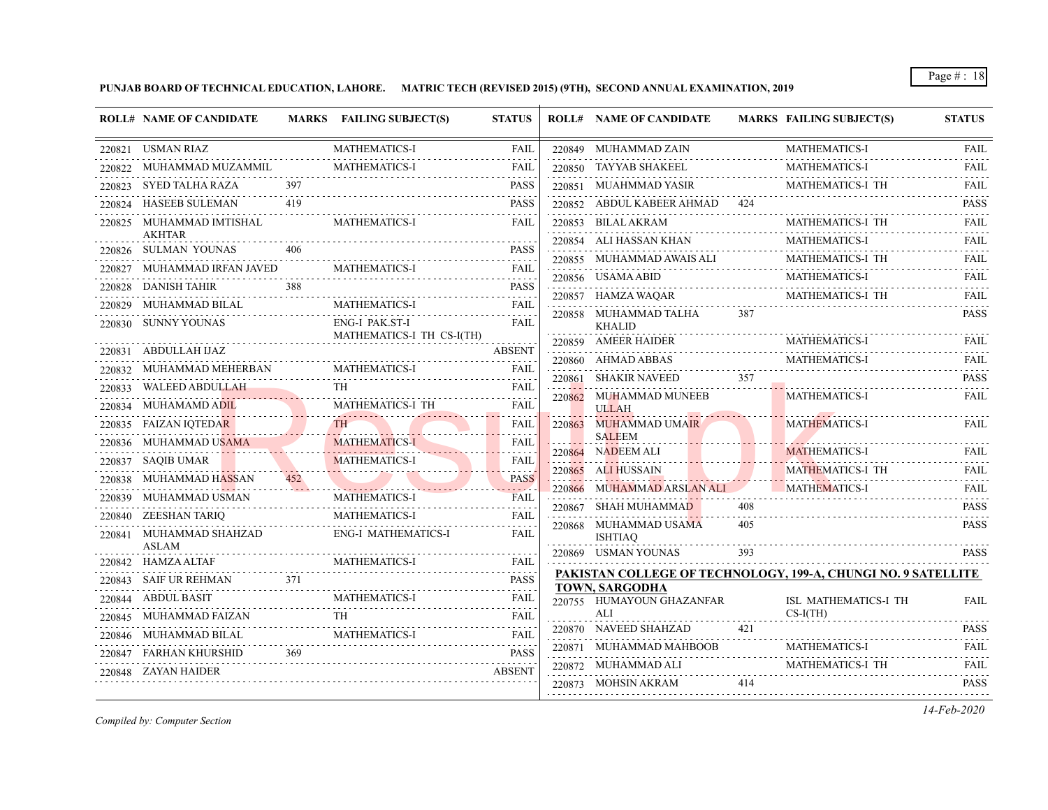**PUNJAB BOARD OF TECHNICAL EDUCATION, LAHORE. MATRIC TECH (REVISED 2015) (9TH), SECOND ANNUAL EXAMINATION, 2019**

| 220821 USMAN RIAZ<br><b>MATHEMATICS-I</b><br>220849 MUHAMMAD ZAIN<br><b>MATHEMATICS-I</b><br><b>FAIL</b><br><b>MATHEMATICS-I</b><br>220850 TAYYAB SHAKEEL<br><b>MATHEMATICS-I</b><br>220822 MUHAMMAD MUZAMMIL<br><b>FAIL</b><br>397<br>MATHEMATICS-I TH<br>220823 SYED TALHA RAZA<br><b>PASS</b><br>220851 MUAHMMAD YASIR<br>419<br>220852 ABDUL KABEER AHMAD 424<br><b>HASEEB SULEMAN</b><br><b>PASS</b><br><b>MATHEMATICS-I</b><br>MATHEMATICS-I TH<br>220825 MUHAMMAD IMTISHAL<br><b>FAIL</b><br>220853 BILAL AKRAM<br><b>AKHTAR</b><br>MATHEMATICS-I<br>220854 ALI HASSAN KHAN<br>220826 SULMAN YOUNAS<br>406<br><b>PASS</b><br>MATHEMATICS-I TH<br>220855 MUHAMMAD AWAIS ALI<br>220827 MUHAMMAD IRFAN JAVED<br><b>MATHEMATICS-I</b><br><b>FAIL</b><br><b>MATHEMATICS-I</b><br>220856 USAMA ABID<br>.<br>220828 DANISH TAHIR<br><b>PASS</b><br>220857 HAMZA WAQAR<br>MATHEMATICS-I TH<br>220829 MUHAMMAD BILAL<br><b>MATHEMATICS-I</b><br><b>FAIL</b><br>220858 MUHAMMAD TALHA<br>387<br>220830 SUNNY YOUNAS<br>ENG-I PAK.ST-I<br><b>FAIL</b><br><b>KHALID</b><br>MATHEMATICS-I TH CS-I(TH)<br>220859 AMEER HAIDER<br><b>MATHEMATICS-I</b><br><b>ABSENT</b><br>220831 ABDULLAH IJAZ<br>MATHEMATICS-I<br>220860 AHMAD ABBAS<br><b>MATHEMATICS-I</b><br>220832 MUHAMMAD MEHERBAN<br>FAIL<br><b>SHAKIR NAVEED</b><br>357<br>220861<br>220833 WALEED ABDULLAH<br>TH.<br><b>FAIL</b><br><b>MATHEMATICS-I</b><br>220862 MUHAMMAD MUNEEB<br>MATHEMATICS-I TH<br>FAIL<br>220834 MUHAMAMD ADIL<br><b>ULLAH</b><br>TH <sub>1</sub><br><b>MATHEMATICS-I</b><br>220835 FAIZAN IQTEDAR<br>220863 MUHAMMAD UMAIR<br>FAIL<br><b>SALEEM</b><br>220836 MUHAMMAD USAMA<br><b>MATHEMATICS-I</b><br><b>FAIL</b><br>220864 NADEEM ALI<br><b>MATHEMATICS-I</b><br>220837 SAQIB UMAR<br><b>MATHEMATICS-I</b><br><b>FAIL</b><br><b>MATHEMATICS-I TH</b><br>220865 ALI HUSSAIN<br>220838 MUHAMMAD HASSAN<br>452<br><b>PASS</b><br>220866 MUHAMMAD ARSLAN ALI<br><b>MATHEMATICS-I</b><br>220839 MUHAMMAD USMAN<br><b>MATHEMATICS-I</b><br><b>FAIL</b><br>408<br>220867 SHAH MUHAMMAD<br>.<br>220840 ZEESHAN TARIQ<br><b>MATHEMATICS-I</b><br>FAIL<br>405<br>220868 MUHAMMAD USAMA<br>220841 MUHAMMAD SHAHZAD<br><b>ENG-I MATHEMATICS-I</b><br><b>FAIL</b><br><b>ISHTIAQ</b><br><b>ASLAM</b><br>220869 USMAN YOUNAS<br>393<br><b>MATHEMATICS-I</b><br>220842 HAMZA ALTAF<br>FAIL<br>PAKISTAN COLLEGE OF TECHNOLOGY, 199-A, CHUNGI NO. 9 SATELLITE<br>371<br><b>PASS</b><br>220843 SAIF UR REHMAN<br><b>TOWN, SARGODHA</b><br><b>MATHEMATICS-I</b><br>220844 ABDUL BASIT<br><b>FAIL</b><br>220755 HUMAYOUN GHAZANFAR<br>ISL MATHEMATICS-I TH<br>ALI<br>$CS-I(TH)$<br>TH<br><b>FAIL</b><br>MUHAMMAD FAIZAN<br>.<br>421<br>220870 NAVEED SHAHZAD<br>220846 MUHAMMAD BILAL<br><b>MATHEMATICS-I</b><br>FAIL<br>220871 MUHAMMAD MAHBOOB<br>$\mathcal{L}^{\mathcal{A}}\left( \mathcal{A}^{\mathcal{A}}\right) =\mathcal{L}^{\mathcal{A}}\left( \mathcal{A}^{\mathcal{A}}\right)$<br><b>MATHEMATICS-I</b><br>220847 FARHAN KHURSHID<br>369<br><b>PASS</b><br>MATHEMATICS-I TH<br>220872 MUHAMMAD ALI<br>220848 ZAYAN HAIDER<br><b>ABSENT</b><br>220873 MOHSIN AKRAM<br>414 |        | <b>ROLL# NAME OF CANDIDATE</b> | MARKS FAILING SUBJECT(S) | <b>STATUS</b> | <b>ROLL# NAME OF CANDIDATE</b> | <b>MARKS FAILING SUBJECT(S)</b> | <b>STATUS</b> |
|---------------------------------------------------------------------------------------------------------------------------------------------------------------------------------------------------------------------------------------------------------------------------------------------------------------------------------------------------------------------------------------------------------------------------------------------------------------------------------------------------------------------------------------------------------------------------------------------------------------------------------------------------------------------------------------------------------------------------------------------------------------------------------------------------------------------------------------------------------------------------------------------------------------------------------------------------------------------------------------------------------------------------------------------------------------------------------------------------------------------------------------------------------------------------------------------------------------------------------------------------------------------------------------------------------------------------------------------------------------------------------------------------------------------------------------------------------------------------------------------------------------------------------------------------------------------------------------------------------------------------------------------------------------------------------------------------------------------------------------------------------------------------------------------------------------------------------------------------------------------------------------------------------------------------------------------------------------------------------------------------------------------------------------------------------------------------------------------------------------------------------------------------------------------------------------------------------------------------------------------------------------------------------------------------------------------------------------------------------------------------------------------------------------------------------------------------------------------------------------------------------------------------------------------------------------------------------------------------------------------------------------------------------------------------------------------------------------------------------------------------------------------------------------------------------------------------------------------------------------------------------------------------------------------------------------------------------------------------------------------------------------------------------------------------------------------------------------------------------------------------------------------|--------|--------------------------------|--------------------------|---------------|--------------------------------|---------------------------------|---------------|
|                                                                                                                                                                                                                                                                                                                                                                                                                                                                                                                                                                                                                                                                                                                                                                                                                                                                                                                                                                                                                                                                                                                                                                                                                                                                                                                                                                                                                                                                                                                                                                                                                                                                                                                                                                                                                                                                                                                                                                                                                                                                                                                                                                                                                                                                                                                                                                                                                                                                                                                                                                                                                                                                                                                                                                                                                                                                                                                                                                                                                                                                                                                                             |        |                                |                          |               |                                |                                 | <b>FAIL</b>   |
|                                                                                                                                                                                                                                                                                                                                                                                                                                                                                                                                                                                                                                                                                                                                                                                                                                                                                                                                                                                                                                                                                                                                                                                                                                                                                                                                                                                                                                                                                                                                                                                                                                                                                                                                                                                                                                                                                                                                                                                                                                                                                                                                                                                                                                                                                                                                                                                                                                                                                                                                                                                                                                                                                                                                                                                                                                                                                                                                                                                                                                                                                                                                             |        |                                |                          |               |                                |                                 | <b>FAIL</b>   |
|                                                                                                                                                                                                                                                                                                                                                                                                                                                                                                                                                                                                                                                                                                                                                                                                                                                                                                                                                                                                                                                                                                                                                                                                                                                                                                                                                                                                                                                                                                                                                                                                                                                                                                                                                                                                                                                                                                                                                                                                                                                                                                                                                                                                                                                                                                                                                                                                                                                                                                                                                                                                                                                                                                                                                                                                                                                                                                                                                                                                                                                                                                                                             |        |                                |                          |               |                                |                                 | <b>FAIL</b>   |
|                                                                                                                                                                                                                                                                                                                                                                                                                                                                                                                                                                                                                                                                                                                                                                                                                                                                                                                                                                                                                                                                                                                                                                                                                                                                                                                                                                                                                                                                                                                                                                                                                                                                                                                                                                                                                                                                                                                                                                                                                                                                                                                                                                                                                                                                                                                                                                                                                                                                                                                                                                                                                                                                                                                                                                                                                                                                                                                                                                                                                                                                                                                                             | 220824 |                                |                          |               |                                |                                 | <b>PASS</b>   |
|                                                                                                                                                                                                                                                                                                                                                                                                                                                                                                                                                                                                                                                                                                                                                                                                                                                                                                                                                                                                                                                                                                                                                                                                                                                                                                                                                                                                                                                                                                                                                                                                                                                                                                                                                                                                                                                                                                                                                                                                                                                                                                                                                                                                                                                                                                                                                                                                                                                                                                                                                                                                                                                                                                                                                                                                                                                                                                                                                                                                                                                                                                                                             |        |                                |                          |               |                                |                                 | <b>FAIL</b>   |
|                                                                                                                                                                                                                                                                                                                                                                                                                                                                                                                                                                                                                                                                                                                                                                                                                                                                                                                                                                                                                                                                                                                                                                                                                                                                                                                                                                                                                                                                                                                                                                                                                                                                                                                                                                                                                                                                                                                                                                                                                                                                                                                                                                                                                                                                                                                                                                                                                                                                                                                                                                                                                                                                                                                                                                                                                                                                                                                                                                                                                                                                                                                                             |        |                                |                          |               |                                |                                 | <b>FAIL</b>   |
|                                                                                                                                                                                                                                                                                                                                                                                                                                                                                                                                                                                                                                                                                                                                                                                                                                                                                                                                                                                                                                                                                                                                                                                                                                                                                                                                                                                                                                                                                                                                                                                                                                                                                                                                                                                                                                                                                                                                                                                                                                                                                                                                                                                                                                                                                                                                                                                                                                                                                                                                                                                                                                                                                                                                                                                                                                                                                                                                                                                                                                                                                                                                             |        |                                |                          |               |                                |                                 | FAIL          |
|                                                                                                                                                                                                                                                                                                                                                                                                                                                                                                                                                                                                                                                                                                                                                                                                                                                                                                                                                                                                                                                                                                                                                                                                                                                                                                                                                                                                                                                                                                                                                                                                                                                                                                                                                                                                                                                                                                                                                                                                                                                                                                                                                                                                                                                                                                                                                                                                                                                                                                                                                                                                                                                                                                                                                                                                                                                                                                                                                                                                                                                                                                                                             |        |                                |                          |               |                                |                                 | FAIL          |
|                                                                                                                                                                                                                                                                                                                                                                                                                                                                                                                                                                                                                                                                                                                                                                                                                                                                                                                                                                                                                                                                                                                                                                                                                                                                                                                                                                                                                                                                                                                                                                                                                                                                                                                                                                                                                                                                                                                                                                                                                                                                                                                                                                                                                                                                                                                                                                                                                                                                                                                                                                                                                                                                                                                                                                                                                                                                                                                                                                                                                                                                                                                                             |        |                                |                          |               |                                |                                 | <b>FAIL</b>   |
|                                                                                                                                                                                                                                                                                                                                                                                                                                                                                                                                                                                                                                                                                                                                                                                                                                                                                                                                                                                                                                                                                                                                                                                                                                                                                                                                                                                                                                                                                                                                                                                                                                                                                                                                                                                                                                                                                                                                                                                                                                                                                                                                                                                                                                                                                                                                                                                                                                                                                                                                                                                                                                                                                                                                                                                                                                                                                                                                                                                                                                                                                                                                             |        |                                |                          |               |                                |                                 | <b>PASS</b>   |
|                                                                                                                                                                                                                                                                                                                                                                                                                                                                                                                                                                                                                                                                                                                                                                                                                                                                                                                                                                                                                                                                                                                                                                                                                                                                                                                                                                                                                                                                                                                                                                                                                                                                                                                                                                                                                                                                                                                                                                                                                                                                                                                                                                                                                                                                                                                                                                                                                                                                                                                                                                                                                                                                                                                                                                                                                                                                                                                                                                                                                                                                                                                                             |        |                                |                          |               |                                |                                 | <b>FAIL</b>   |
|                                                                                                                                                                                                                                                                                                                                                                                                                                                                                                                                                                                                                                                                                                                                                                                                                                                                                                                                                                                                                                                                                                                                                                                                                                                                                                                                                                                                                                                                                                                                                                                                                                                                                                                                                                                                                                                                                                                                                                                                                                                                                                                                                                                                                                                                                                                                                                                                                                                                                                                                                                                                                                                                                                                                                                                                                                                                                                                                                                                                                                                                                                                                             |        |                                |                          |               |                                |                                 | <b>FAIL</b>   |
|                                                                                                                                                                                                                                                                                                                                                                                                                                                                                                                                                                                                                                                                                                                                                                                                                                                                                                                                                                                                                                                                                                                                                                                                                                                                                                                                                                                                                                                                                                                                                                                                                                                                                                                                                                                                                                                                                                                                                                                                                                                                                                                                                                                                                                                                                                                                                                                                                                                                                                                                                                                                                                                                                                                                                                                                                                                                                                                                                                                                                                                                                                                                             |        |                                |                          |               |                                |                                 | <b>PASS</b>   |
|                                                                                                                                                                                                                                                                                                                                                                                                                                                                                                                                                                                                                                                                                                                                                                                                                                                                                                                                                                                                                                                                                                                                                                                                                                                                                                                                                                                                                                                                                                                                                                                                                                                                                                                                                                                                                                                                                                                                                                                                                                                                                                                                                                                                                                                                                                                                                                                                                                                                                                                                                                                                                                                                                                                                                                                                                                                                                                                                                                                                                                                                                                                                             |        |                                |                          |               |                                |                                 | <b>FAIL</b>   |
|                                                                                                                                                                                                                                                                                                                                                                                                                                                                                                                                                                                                                                                                                                                                                                                                                                                                                                                                                                                                                                                                                                                                                                                                                                                                                                                                                                                                                                                                                                                                                                                                                                                                                                                                                                                                                                                                                                                                                                                                                                                                                                                                                                                                                                                                                                                                                                                                                                                                                                                                                                                                                                                                                                                                                                                                                                                                                                                                                                                                                                                                                                                                             |        |                                |                          |               |                                |                                 |               |
|                                                                                                                                                                                                                                                                                                                                                                                                                                                                                                                                                                                                                                                                                                                                                                                                                                                                                                                                                                                                                                                                                                                                                                                                                                                                                                                                                                                                                                                                                                                                                                                                                                                                                                                                                                                                                                                                                                                                                                                                                                                                                                                                                                                                                                                                                                                                                                                                                                                                                                                                                                                                                                                                                                                                                                                                                                                                                                                                                                                                                                                                                                                                             |        |                                |                          |               |                                |                                 | FAIL          |
|                                                                                                                                                                                                                                                                                                                                                                                                                                                                                                                                                                                                                                                                                                                                                                                                                                                                                                                                                                                                                                                                                                                                                                                                                                                                                                                                                                                                                                                                                                                                                                                                                                                                                                                                                                                                                                                                                                                                                                                                                                                                                                                                                                                                                                                                                                                                                                                                                                                                                                                                                                                                                                                                                                                                                                                                                                                                                                                                                                                                                                                                                                                                             |        |                                |                          |               |                                |                                 | FAIL          |
|                                                                                                                                                                                                                                                                                                                                                                                                                                                                                                                                                                                                                                                                                                                                                                                                                                                                                                                                                                                                                                                                                                                                                                                                                                                                                                                                                                                                                                                                                                                                                                                                                                                                                                                                                                                                                                                                                                                                                                                                                                                                                                                                                                                                                                                                                                                                                                                                                                                                                                                                                                                                                                                                                                                                                                                                                                                                                                                                                                                                                                                                                                                                             |        |                                |                          |               |                                |                                 | <b>FAIL</b>   |
|                                                                                                                                                                                                                                                                                                                                                                                                                                                                                                                                                                                                                                                                                                                                                                                                                                                                                                                                                                                                                                                                                                                                                                                                                                                                                                                                                                                                                                                                                                                                                                                                                                                                                                                                                                                                                                                                                                                                                                                                                                                                                                                                                                                                                                                                                                                                                                                                                                                                                                                                                                                                                                                                                                                                                                                                                                                                                                                                                                                                                                                                                                                                             |        |                                |                          |               |                                |                                 | <b>FAIL</b>   |
|                                                                                                                                                                                                                                                                                                                                                                                                                                                                                                                                                                                                                                                                                                                                                                                                                                                                                                                                                                                                                                                                                                                                                                                                                                                                                                                                                                                                                                                                                                                                                                                                                                                                                                                                                                                                                                                                                                                                                                                                                                                                                                                                                                                                                                                                                                                                                                                                                                                                                                                                                                                                                                                                                                                                                                                                                                                                                                                                                                                                                                                                                                                                             |        |                                |                          |               |                                |                                 | <b>PASS</b>   |
|                                                                                                                                                                                                                                                                                                                                                                                                                                                                                                                                                                                                                                                                                                                                                                                                                                                                                                                                                                                                                                                                                                                                                                                                                                                                                                                                                                                                                                                                                                                                                                                                                                                                                                                                                                                                                                                                                                                                                                                                                                                                                                                                                                                                                                                                                                                                                                                                                                                                                                                                                                                                                                                                                                                                                                                                                                                                                                                                                                                                                                                                                                                                             |        |                                |                          |               |                                |                                 | <b>PASS</b>   |
|                                                                                                                                                                                                                                                                                                                                                                                                                                                                                                                                                                                                                                                                                                                                                                                                                                                                                                                                                                                                                                                                                                                                                                                                                                                                                                                                                                                                                                                                                                                                                                                                                                                                                                                                                                                                                                                                                                                                                                                                                                                                                                                                                                                                                                                                                                                                                                                                                                                                                                                                                                                                                                                                                                                                                                                                                                                                                                                                                                                                                                                                                                                                             |        |                                |                          |               |                                |                                 |               |
|                                                                                                                                                                                                                                                                                                                                                                                                                                                                                                                                                                                                                                                                                                                                                                                                                                                                                                                                                                                                                                                                                                                                                                                                                                                                                                                                                                                                                                                                                                                                                                                                                                                                                                                                                                                                                                                                                                                                                                                                                                                                                                                                                                                                                                                                                                                                                                                                                                                                                                                                                                                                                                                                                                                                                                                                                                                                                                                                                                                                                                                                                                                                             |        |                                |                          |               |                                |                                 | <b>PASS</b>   |
|                                                                                                                                                                                                                                                                                                                                                                                                                                                                                                                                                                                                                                                                                                                                                                                                                                                                                                                                                                                                                                                                                                                                                                                                                                                                                                                                                                                                                                                                                                                                                                                                                                                                                                                                                                                                                                                                                                                                                                                                                                                                                                                                                                                                                                                                                                                                                                                                                                                                                                                                                                                                                                                                                                                                                                                                                                                                                                                                                                                                                                                                                                                                             |        |                                |                          |               |                                |                                 |               |
|                                                                                                                                                                                                                                                                                                                                                                                                                                                                                                                                                                                                                                                                                                                                                                                                                                                                                                                                                                                                                                                                                                                                                                                                                                                                                                                                                                                                                                                                                                                                                                                                                                                                                                                                                                                                                                                                                                                                                                                                                                                                                                                                                                                                                                                                                                                                                                                                                                                                                                                                                                                                                                                                                                                                                                                                                                                                                                                                                                                                                                                                                                                                             |        |                                |                          |               |                                |                                 | <b>FAIL</b>   |
|                                                                                                                                                                                                                                                                                                                                                                                                                                                                                                                                                                                                                                                                                                                                                                                                                                                                                                                                                                                                                                                                                                                                                                                                                                                                                                                                                                                                                                                                                                                                                                                                                                                                                                                                                                                                                                                                                                                                                                                                                                                                                                                                                                                                                                                                                                                                                                                                                                                                                                                                                                                                                                                                                                                                                                                                                                                                                                                                                                                                                                                                                                                                             | 220845 |                                |                          |               |                                |                                 |               |
|                                                                                                                                                                                                                                                                                                                                                                                                                                                                                                                                                                                                                                                                                                                                                                                                                                                                                                                                                                                                                                                                                                                                                                                                                                                                                                                                                                                                                                                                                                                                                                                                                                                                                                                                                                                                                                                                                                                                                                                                                                                                                                                                                                                                                                                                                                                                                                                                                                                                                                                                                                                                                                                                                                                                                                                                                                                                                                                                                                                                                                                                                                                                             |        |                                |                          |               |                                |                                 | <b>PASS</b>   |
|                                                                                                                                                                                                                                                                                                                                                                                                                                                                                                                                                                                                                                                                                                                                                                                                                                                                                                                                                                                                                                                                                                                                                                                                                                                                                                                                                                                                                                                                                                                                                                                                                                                                                                                                                                                                                                                                                                                                                                                                                                                                                                                                                                                                                                                                                                                                                                                                                                                                                                                                                                                                                                                                                                                                                                                                                                                                                                                                                                                                                                                                                                                                             |        |                                |                          |               |                                |                                 | <b>FAIL</b>   |
|                                                                                                                                                                                                                                                                                                                                                                                                                                                                                                                                                                                                                                                                                                                                                                                                                                                                                                                                                                                                                                                                                                                                                                                                                                                                                                                                                                                                                                                                                                                                                                                                                                                                                                                                                                                                                                                                                                                                                                                                                                                                                                                                                                                                                                                                                                                                                                                                                                                                                                                                                                                                                                                                                                                                                                                                                                                                                                                                                                                                                                                                                                                                             |        |                                |                          |               |                                |                                 | <b>FAIL</b>   |
|                                                                                                                                                                                                                                                                                                                                                                                                                                                                                                                                                                                                                                                                                                                                                                                                                                                                                                                                                                                                                                                                                                                                                                                                                                                                                                                                                                                                                                                                                                                                                                                                                                                                                                                                                                                                                                                                                                                                                                                                                                                                                                                                                                                                                                                                                                                                                                                                                                                                                                                                                                                                                                                                                                                                                                                                                                                                                                                                                                                                                                                                                                                                             |        |                                |                          |               |                                |                                 | <b>PASS</b>   |

*Compiled by: Computer Section*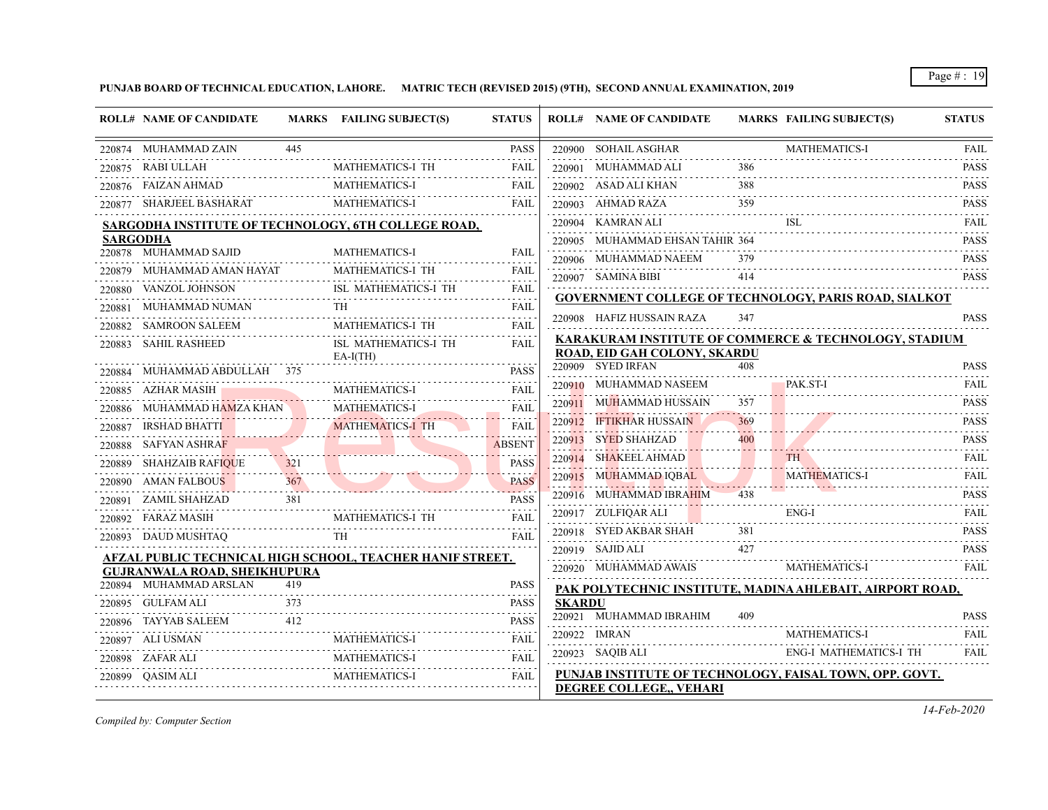**PUNJAB BOARD OF TECHNICAL EDUCATION, LAHORE. MATRIC TECH (REVISED 2015) (9TH), SECOND ANNUAL EXAMINATION, 2019**

|                  |                                                               |                 |                                                           | <b>STATUS</b>           |               | <b>ROLL# NAME OF CANDIDATE</b>                 |     | <b>MARKS FAILING SUBJECT(S)</b>                              | <b>STATUS</b>                                                                                             |
|------------------|---------------------------------------------------------------|-----------------|-----------------------------------------------------------|-------------------------|---------------|------------------------------------------------|-----|--------------------------------------------------------------|-----------------------------------------------------------------------------------------------------------|
|                  | 220874 MUHAMMAD ZAIN                                          | 445             |                                                           | <b>PASS</b>             |               | 220900 SOHAIL ASGHAR                           |     | <b>MATHEMATICS-I</b>                                         | <b>FAIL</b>                                                                                               |
|                  | 220875 RABI ULLAH                                             |                 | MATHEMATICS-I TH                                          | FAIL                    |               | 220901 MUHAMMAD ALI                            | 386 |                                                              | .<br><b>PASS</b>                                                                                          |
| 220876           | FAIZAN AHMAD                                                  |                 | <b>MATHEMATICS-I</b>                                      | FAIL                    |               | 220902 ASAD ALI KHAN                           | 388 |                                                              | <b>PASS</b>                                                                                               |
|                  | 220877 SHARJEEL BASHARAT                                      |                 | <b>MATHEMATICS-I</b>                                      | FAIL                    |               | 220903 AHMAD RAZA                              | 359 |                                                              | <b>PASS</b>                                                                                               |
|                  |                                                               |                 | SARGODHA INSTITUTE OF TECHNOLOGY, 6TH COLLEGE ROAD,       |                         |               | 220904 KAMRAN ALI                              |     | ISL.                                                         | <b>FAIL</b><br>$\begin{array}{cccccccccccccc} \bot & \bot & \bot & \bot & \bot & \bot & \bot \end{array}$ |
|                  | <b>SARGODHA</b>                                               |                 |                                                           |                         |               | 220905 MUHAMMAD EHSAN TAHIR 364                |     |                                                              | <b>PASS</b>                                                                                               |
|                  | 220878 MUHAMMAD SAJID                                         |                 | <b>MATHEMATICS-I</b>                                      | <b>FAIL</b>             |               | 220906 MUHAMMAD NAEEM                          | 379 |                                                              | <b>PASS</b><br>.                                                                                          |
|                  | 220879 MUHAMMAD AMAN HAYAT<br>VANZOL JOHNSON                  |                 | <b>MATHEMATICS-I TH</b><br>ISL MATHEMATICS-I TH           | <b>FAIL</b>             |               | 220907 SAMINA BIBI                             | 414 |                                                              | <b>PASS</b>                                                                                               |
| 220880           |                                                               |                 |                                                           | FAIL<br>.               |               |                                                |     | <b>GOVERNMENT COLLEGE OF TECHNOLOGY, PARIS ROAD, SIALKOT</b> |                                                                                                           |
| 22088            | MUHAMMAD NUMAN<br>SAMROON SALEEM                              |                 | MATHEMATICS-I TH                                          | FAIL<br>FAIL            |               | 220908 HAFIZ HUSSAIN RAZA                      | 347 |                                                              | <b>PASS</b>                                                                                               |
| 220882<br>220883 | SAHIL RASHEED                                                 |                 | ISL MATHEMATICS-I TH                                      | FAIL                    |               |                                                |     | KARAKURAM INSTITUTE OF COMMERCE & TECHNOLOGY, STADIUM        |                                                                                                           |
|                  |                                                               |                 | $EA-I(TH)$                                                |                         |               | ROAD, EID GAH COLONY, SKARDU                   |     |                                                              |                                                                                                           |
| 220884           | MUHAMMAD ABDULLAH 375                                         |                 |                                                           | <b>PASS</b>             |               | 220909 SYED IRFAN                              |     |                                                              | <b>PASS</b>                                                                                               |
|                  | 220885 AZHAR MASIH                                            |                 | <b>MATHEMATICS-I</b>                                      | <b>FAIL</b>             |               | 220910 MUHAMMAD NASEEM                         |     | PAK ST-I                                                     | <b>FAIL</b>                                                                                               |
|                  | 220886 MUHAMMAD HAMZA KHAN                                    |                 | <b>MATHEMATICS-I</b>                                      | FAIL                    |               | 220911 MUHAMMAD HUSSAIN                        | 357 |                                                              | <b>PASS</b>                                                                                               |
| 220887           | IRSHAD BHATTI                                                 |                 | <b>MATHEMATICS-I TH</b>                                   | FAIL                    |               | 220912 IFTIKHAR HUSSAIN                        | 369 |                                                              | <b>PASS</b>                                                                                               |
|                  | 220888     SAFYAN ASHRAF                                      |                 |                                                           | <b>ABSENT</b>           |               | 220913 SYED SHAHZAD                            | 400 |                                                              | <b>PASS</b>                                                                                               |
|                  | 220889 SHAHZAIB RAFIQUE                                       |                 |                                                           | <b>PASS</b>             |               | 220914 SHAKEEL AHMAD                           |     | <b>TH</b>                                                    | <b>FAIL</b>                                                                                               |
|                  | 220890 AMAN FALBOUS                                           | 367<br><u>.</u> |                                                           | <b>PASS</b><br>المستحدث |               | 220915 MUHAMMAD IOBAL                          |     | <b>MATHEMATICS-I</b>                                         | <b>FAIL</b><br>.<br><b>PASS</b>                                                                           |
| 220891           | ZAMIL SHAHZAD                                                 | 381             |                                                           | <b>PASS</b>             |               | 220916 MUHAMMAD IBRAHIM<br>220917 ZULFIQAR ALI |     | ENG-I                                                        | FAIL                                                                                                      |
| 220892           | FARAZ MASIH                                                   |                 | MATHEMATICS-I TH                                          | FAIL                    |               | 220918 SYED AKBAR SHAH                         |     |                                                              | <b>PASS</b>                                                                                               |
|                  | 220893 DAUD MUSHTAQ                                           |                 | <b>TH</b>                                                 | FAIL                    |               | 220919 SAJID ALI                               | 427 |                                                              | <b>PASS</b>                                                                                               |
|                  |                                                               |                 | AFZAL PUBLIC TECHNICAL HIGH SCHOOL, TEACHER HANIF STREET. |                         |               | 220920 MUHAMMAD AWAIS                          |     | <b>MATHEMATICS-I</b>                                         | .<br><b>FAIL</b>                                                                                          |
|                  | <b>GUJRANWALA ROAD, SHEIKHUPURA</b><br>220894 MUHAMMAD ARSLAN | 419             |                                                           | <b>PASS</b>             |               |                                                |     |                                                              |                                                                                                           |
|                  | 220895 GULFAM ALI                                             | 373             |                                                           | PASS                    | <b>SKARDU</b> |                                                |     | PAK POLYTECHNIC INSTITUTE, MADINA AHLEBAIT, AIRPORT ROAD,    |                                                                                                           |
|                  | 220896 TAYYAB SALEEM                                          | 412             |                                                           | <b>PASS</b>             |               | 220921 MUHAMMAD IBRAHIM                        | 409 |                                                              | <b>PASS</b>                                                                                               |
|                  | 220897 ALI USMAN                                              |                 | MATHEMATICS-I                                             | FAIL                    |               | 220922 IMRAN                                   |     | <b>MATHEMATICS-I</b>                                         | <b>FAIL</b>                                                                                               |
|                  | 220898 ZAFAR ALI                                              |                 | MATHEMATICS-I                                             | FAIL                    |               | $220923$ SAQIB ALI                             |     | ENG-I MATHEMATICS-I TH                                       | <b>FAIL</b>                                                                                               |
|                  | 220899 OASIM ALI                                              |                 | <b>MATHEMATICS-I</b>                                      | <b>FAIL</b>             |               |                                                |     | PUNJAB INSTITUTE OF TECHNOLOGY, FAISAL TOWN, OPP. GOVT.      |                                                                                                           |

*Compiled by: Computer Section*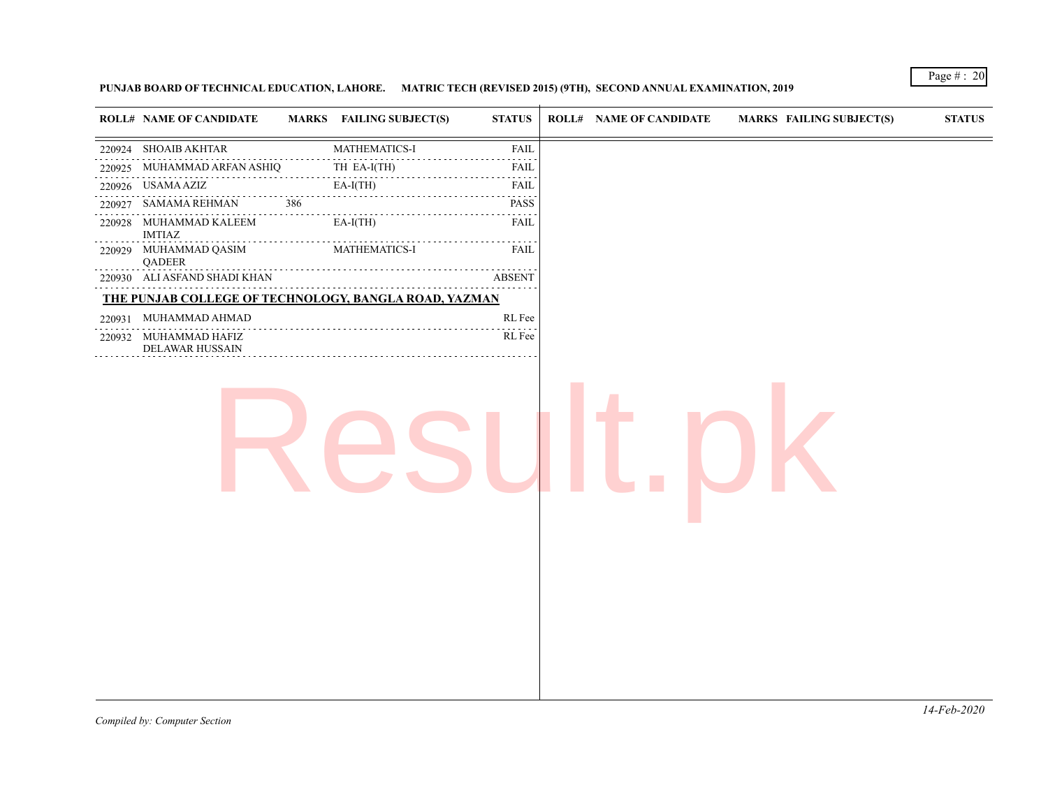# **PUNJAB BOARD OF TECHNICAL EDUCATION, LAHORE. MATRIC TECH (REVISED 2015) (9TH), SECOND ANNUAL EXAMINATION, 2019**

|        | <b>ROLL# NAME OF CANDIDATE</b>           | <b>MARKS</b> FAILING SUBJECT(S)                                                                                                                                                                                                                                                                                                                                                                                                                                                                      | <b>STATUS</b>                                       | <b>ROLL# NAME OF CANDIDATE</b> | <b>MARKS FAILING SUBJECT(S)</b> | $\bold{STATUS}$ |
|--------|------------------------------------------|------------------------------------------------------------------------------------------------------------------------------------------------------------------------------------------------------------------------------------------------------------------------------------------------------------------------------------------------------------------------------------------------------------------------------------------------------------------------------------------------------|-----------------------------------------------------|--------------------------------|---------------------------------|-----------------|
|        | 220924 SHOAIB AKHTAR                     | MATHEMATICS-I                                                                                                                                                                                                                                                                                                                                                                                                                                                                                        | <b>FAIL</b>                                         |                                |                                 |                 |
| 220925 | MUHAMMAD ARFAN ASHIQ                     | TH EA-I(TH)                                                                                                                                                                                                                                                                                                                                                                                                                                                                                          | FAIL                                                |                                |                                 |                 |
|        | 220926 USAMA AZIZ                        | $EA-I(TH)$                                                                                                                                                                                                                                                                                                                                                                                                                                                                                           | .<br>FAIL                                           |                                |                                 |                 |
| 220927 | SAMAMA REHMAN                            | 386                                                                                                                                                                                                                                                                                                                                                                                                                                                                                                  | $\sim$ $\sim$ $\sim$ $\sim$<br>PASS                 |                                |                                 |                 |
|        | 220928 MUHAMMAD KALEEM<br><b>IMTIAZ</b>  | $\begin{array}{cccccccccccccc} \multicolumn{2}{c}{} & \multicolumn{2}{c}{} & \multicolumn{2}{c}{} & \multicolumn{2}{c}{} & \multicolumn{2}{c}{} & \multicolumn{2}{c}{} & \multicolumn{2}{c}{} & \multicolumn{2}{c}{} & \multicolumn{2}{c}{} & \multicolumn{2}{c}{} & \multicolumn{2}{c}{} & \multicolumn{2}{c}{} & \multicolumn{2}{c}{} & \multicolumn{2}{c}{} & \multicolumn{2}{c}{} & \multicolumn{2}{c}{} & \multicolumn{2}{c}{} & \multicolumn{2}{c}{} & \multicolumn{2}{c}{} & \$<br>$EA-I(TH)$ | $\omega_{\rm{eff}}$ and $\omega_{\rm{eff}}$<br>FAIL |                                |                                 |                 |
|        | 220929 MUHAMMAD QASIM<br>QADEER          | MATHEMATICS-I                                                                                                                                                                                                                                                                                                                                                                                                                                                                                        | FAIL                                                |                                |                                 |                 |
|        | 220930 ALI ASFAND SHADI KHAN             |                                                                                                                                                                                                                                                                                                                                                                                                                                                                                                      | <b>ABSENT</b>                                       |                                |                                 |                 |
|        |                                          | THE PUNJAB COLLEGE OF TECHNOLOGY, BANGLA ROAD, YAZMAN                                                                                                                                                                                                                                                                                                                                                                                                                                                |                                                     |                                |                                 |                 |
|        | 220931 MUHAMMAD AHMAD                    |                                                                                                                                                                                                                                                                                                                                                                                                                                                                                                      | RL Fee                                              |                                |                                 |                 |
|        | 220932 MUHAMMAD HAFIZ<br>DELAWAR HUSSAIN |                                                                                                                                                                                                                                                                                                                                                                                                                                                                                                      | RL Fee                                              |                                |                                 |                 |
|        |                                          |                                                                                                                                                                                                                                                                                                                                                                                                                                                                                                      |                                                     |                                |                                 |                 |
|        |                                          |                                                                                                                                                                                                                                                                                                                                                                                                                                                                                                      |                                                     |                                |                                 |                 |
|        |                                          |                                                                                                                                                                                                                                                                                                                                                                                                                                                                                                      |                                                     |                                |                                 |                 |
|        |                                          |                                                                                                                                                                                                                                                                                                                                                                                                                                                                                                      |                                                     |                                |                                 |                 |
|        |                                          |                                                                                                                                                                                                                                                                                                                                                                                                                                                                                                      |                                                     |                                |                                 |                 |
|        |                                          |                                                                                                                                                                                                                                                                                                                                                                                                                                                                                                      |                                                     |                                |                                 |                 |
|        |                                          |                                                                                                                                                                                                                                                                                                                                                                                                                                                                                                      |                                                     |                                |                                 |                 |
|        |                                          |                                                                                                                                                                                                                                                                                                                                                                                                                                                                                                      |                                                     |                                |                                 |                 |
|        |                                          |                                                                                                                                                                                                                                                                                                                                                                                                                                                                                                      |                                                     |                                |                                 |                 |
|        |                                          |                                                                                                                                                                                                                                                                                                                                                                                                                                                                                                      |                                                     |                                |                                 |                 |

Page # : 20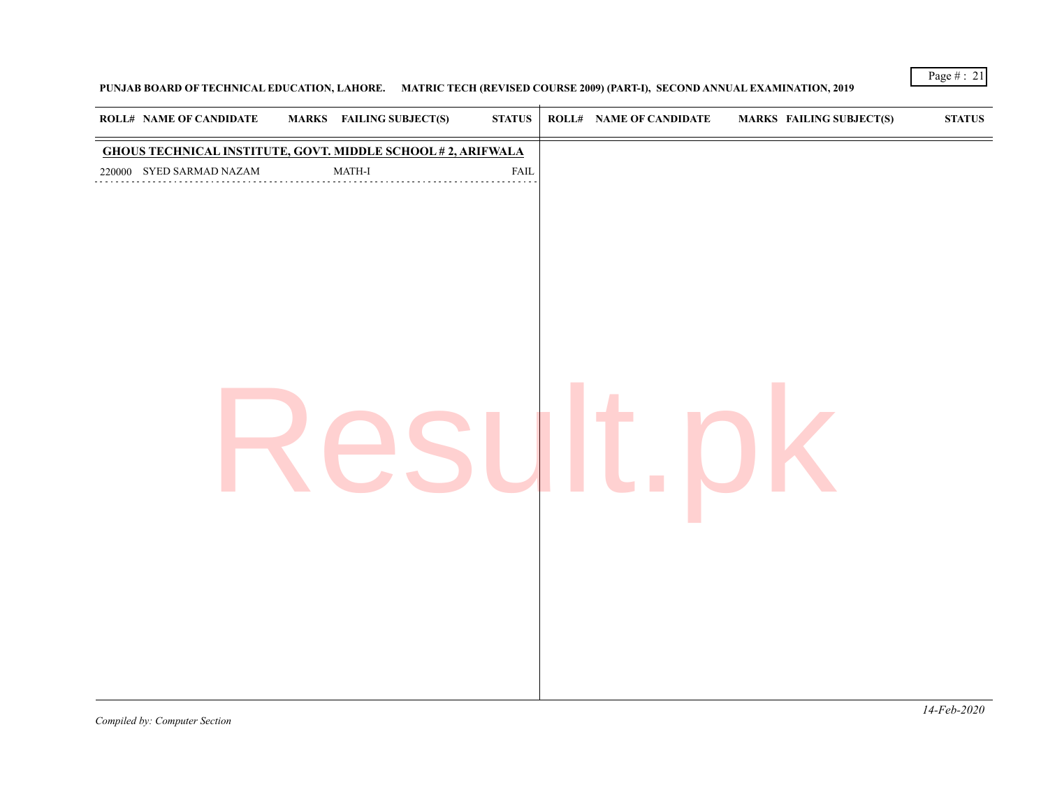# **PUNJAB BOARD OF TECHNICAL EDUCATION, LAHORE. MATRIC TECH (REVISED COURSE 2009) (PART-I), SECOND ANNUAL EXAMINATION, 2019**

Page # : 21

*Compiled by: Computer Section*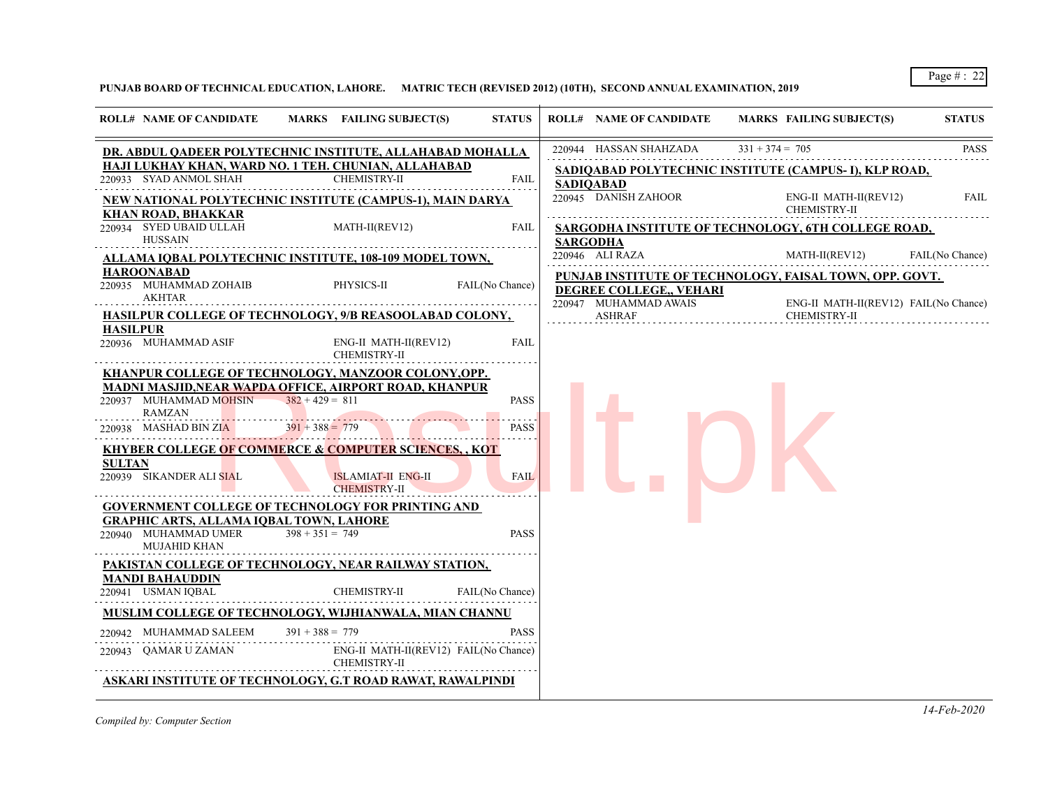**PUNJAB BOARD OF TECHNICAL EDUCATION, LAHORE. MATRIC TECH (REVISED 2012) (10TH), SECOND ANNUAL EXAMINATION, 2019**

| <b>ROLL# NAME OF CANDIDATE</b><br>MARKS FAILING SUBJECT(S)<br><b>ROLL# NAME OF CANDIDATE</b><br><b>STATUS</b><br><b>STATUS</b><br>MARKS FAILING SUBJECT(S)<br>220944 HASSAN SHAHZADA<br>$331 + 374 = 705$<br>DR. ABDUL QADEER POLYTECHNIC INSTITUTE, ALLAHABAD MOHALLA<br>HAJI LUKHAY KHAN, WARD NO. 1 TEH. CHUNIAN, ALLAHABAD<br>SADIQABAD POLYTECHNIC INSTITUTE (CAMPUS- I), KLP ROAD,<br><b>CHEMISTRY-II</b><br>220933 SYAD ANMOL SHAH<br><b>FAIL</b><br>SADIOABAD<br>220945 DANISH ZAHOOR<br>ENG-II MATH-II(REV12)<br>NEW NATIONAL POLYTECHNIC INSTITUTE (CAMPUS-1), MAIN DARYA<br>CHEMISTRY-II<br>KHAN ROAD, BHAKKAR<br>220934 SYED UBAID ULLAH<br>MATH-II(REV12)<br>FAIL<br>SARGODHA INSTITUTE OF TECHNOLOGY, 6TH COLLEGE ROAD,<br><b>HUSSAIN</b><br>SARGODHA<br>MATH-II(REV12)<br>220946 ALI RAZA<br>ALLAMA IQBAL POLYTECHNIC INSTITUTE, 108-109 MODEL TOWN,<br><b>HAROONABAD</b><br>PUNJAB INSTITUTE OF TECHNOLOGY, FAISAL TOWN, OPP. GOVT.<br>220935 MUHAMMAD ZOHAIB<br>PHYSICS-II<br>FAIL(No Chance)<br>DEGREE COLLEGE., VEHARI<br><b>AKHTAR</b><br>220947 MUHAMMAD AWAIS<br>HASILPUR COLLEGE OF TECHNOLOGY, 9/B REASOOLABAD COLONY,<br><b>ASHRAF</b><br>CHEMISTRY-II<br><b>HASILPUR</b><br>220936 MUHAMMAD ASIF<br>ENG-II MATH-II(REV12)<br>FAIL<br><b>CHEMISTRY-II</b><br>KHANPUR COLLEGE OF TECHNOLOGY, MANZOOR COLONY,OPP.<br><u>MADNI MASJID,NEAR WAPDA OFFICE, AIRPORT ROAD, KHANPUR</u><br>$382 + 429 = 811$<br><b>PASS</b><br>220937 MUHAMMAD MOHSIN<br><b>RAMZAN</b><br>$391 + 388 = 779$<br>220938 MASHAD BIN ZIA<br><b>PASS</b><br><b>KHYBER COLLEGE OF COMMERCE &amp; COMPUTER SCIENCES, , KOT</b><br><b>SULTAN</b><br>220939 SIKANDER ALI SIAL<br><b>ISLAMIAT-II ENG-II</b><br><b>FAIL</b><br><b>CHEMISTRY-II</b><br><b>GOVERNMENT COLLEGE OF TECHNOLOGY FOR PRINTING AND</b><br><b>GRAPHIC ARTS, ALLAMA IOBAL TOWN, LAHORE</b><br>220940 MUHAMMAD UMER<br>$398 + 351 = 749$<br><b>PASS</b><br><b>MUJAHID KHAN</b><br>PAKISTAN COLLEGE OF TECHNOLOGY, NEAR RAILWAY STATION,<br><b>MANDI BAHAUDDIN</b><br>220941 USMAN IQBAL<br><b>CHEMISTRY-II</b><br>FAIL(No Chance)<br>MUSLIM COLLEGE OF TECHNOLOGY, WIJHIANWALA, MIAN CHANNU<br>220942 MUHAMMAD SALEEM<br>$391 + 388 = 779$<br><b>PASS</b><br>ENG-II MATH-II(REV12) FAIL(No Chance)<br>220943 OAMAR U ZAMAN<br><b>CHEMISTRY-II</b><br>ASKARI INSTITUTE OF TECHNOLOGY, G.T ROAD RAWAT, RAWALPINDI |  |  |  |             |
|----------------------------------------------------------------------------------------------------------------------------------------------------------------------------------------------------------------------------------------------------------------------------------------------------------------------------------------------------------------------------------------------------------------------------------------------------------------------------------------------------------------------------------------------------------------------------------------------------------------------------------------------------------------------------------------------------------------------------------------------------------------------------------------------------------------------------------------------------------------------------------------------------------------------------------------------------------------------------------------------------------------------------------------------------------------------------------------------------------------------------------------------------------------------------------------------------------------------------------------------------------------------------------------------------------------------------------------------------------------------------------------------------------------------------------------------------------------------------------------------------------------------------------------------------------------------------------------------------------------------------------------------------------------------------------------------------------------------------------------------------------------------------------------------------------------------------------------------------------------------------------------------------------------------------------------------------------------------------------------------------------------------------------------------------------------------------------------------------------------------------------------------------------------------------------------------------------------------------------------------------------------------------------------------------------------------------------------------------------------------------|--|--|--|-------------|
|                                                                                                                                                                                                                                                                                                                                                                                                                                                                                                                                                                                                                                                                                                                                                                                                                                                                                                                                                                                                                                                                                                                                                                                                                                                                                                                                                                                                                                                                                                                                                                                                                                                                                                                                                                                                                                                                                                                                                                                                                                                                                                                                                                                                                                                                                                                                                                            |  |  |  |             |
|                                                                                                                                                                                                                                                                                                                                                                                                                                                                                                                                                                                                                                                                                                                                                                                                                                                                                                                                                                                                                                                                                                                                                                                                                                                                                                                                                                                                                                                                                                                                                                                                                                                                                                                                                                                                                                                                                                                                                                                                                                                                                                                                                                                                                                                                                                                                                                            |  |  |  | <b>PASS</b> |
| FAIL<br>FAIL(No Chance)<br>ENG-II MATH-II(REV12) FAIL(No Chance)                                                                                                                                                                                                                                                                                                                                                                                                                                                                                                                                                                                                                                                                                                                                                                                                                                                                                                                                                                                                                                                                                                                                                                                                                                                                                                                                                                                                                                                                                                                                                                                                                                                                                                                                                                                                                                                                                                                                                                                                                                                                                                                                                                                                                                                                                                           |  |  |  |             |
|                                                                                                                                                                                                                                                                                                                                                                                                                                                                                                                                                                                                                                                                                                                                                                                                                                                                                                                                                                                                                                                                                                                                                                                                                                                                                                                                                                                                                                                                                                                                                                                                                                                                                                                                                                                                                                                                                                                                                                                                                                                                                                                                                                                                                                                                                                                                                                            |  |  |  |             |
|                                                                                                                                                                                                                                                                                                                                                                                                                                                                                                                                                                                                                                                                                                                                                                                                                                                                                                                                                                                                                                                                                                                                                                                                                                                                                                                                                                                                                                                                                                                                                                                                                                                                                                                                                                                                                                                                                                                                                                                                                                                                                                                                                                                                                                                                                                                                                                            |  |  |  |             |
|                                                                                                                                                                                                                                                                                                                                                                                                                                                                                                                                                                                                                                                                                                                                                                                                                                                                                                                                                                                                                                                                                                                                                                                                                                                                                                                                                                                                                                                                                                                                                                                                                                                                                                                                                                                                                                                                                                                                                                                                                                                                                                                                                                                                                                                                                                                                                                            |  |  |  |             |
|                                                                                                                                                                                                                                                                                                                                                                                                                                                                                                                                                                                                                                                                                                                                                                                                                                                                                                                                                                                                                                                                                                                                                                                                                                                                                                                                                                                                                                                                                                                                                                                                                                                                                                                                                                                                                                                                                                                                                                                                                                                                                                                                                                                                                                                                                                                                                                            |  |  |  |             |
|                                                                                                                                                                                                                                                                                                                                                                                                                                                                                                                                                                                                                                                                                                                                                                                                                                                                                                                                                                                                                                                                                                                                                                                                                                                                                                                                                                                                                                                                                                                                                                                                                                                                                                                                                                                                                                                                                                                                                                                                                                                                                                                                                                                                                                                                                                                                                                            |  |  |  |             |
|                                                                                                                                                                                                                                                                                                                                                                                                                                                                                                                                                                                                                                                                                                                                                                                                                                                                                                                                                                                                                                                                                                                                                                                                                                                                                                                                                                                                                                                                                                                                                                                                                                                                                                                                                                                                                                                                                                                                                                                                                                                                                                                                                                                                                                                                                                                                                                            |  |  |  |             |
|                                                                                                                                                                                                                                                                                                                                                                                                                                                                                                                                                                                                                                                                                                                                                                                                                                                                                                                                                                                                                                                                                                                                                                                                                                                                                                                                                                                                                                                                                                                                                                                                                                                                                                                                                                                                                                                                                                                                                                                                                                                                                                                                                                                                                                                                                                                                                                            |  |  |  |             |
|                                                                                                                                                                                                                                                                                                                                                                                                                                                                                                                                                                                                                                                                                                                                                                                                                                                                                                                                                                                                                                                                                                                                                                                                                                                                                                                                                                                                                                                                                                                                                                                                                                                                                                                                                                                                                                                                                                                                                                                                                                                                                                                                                                                                                                                                                                                                                                            |  |  |  |             |
|                                                                                                                                                                                                                                                                                                                                                                                                                                                                                                                                                                                                                                                                                                                                                                                                                                                                                                                                                                                                                                                                                                                                                                                                                                                                                                                                                                                                                                                                                                                                                                                                                                                                                                                                                                                                                                                                                                                                                                                                                                                                                                                                                                                                                                                                                                                                                                            |  |  |  |             |
|                                                                                                                                                                                                                                                                                                                                                                                                                                                                                                                                                                                                                                                                                                                                                                                                                                                                                                                                                                                                                                                                                                                                                                                                                                                                                                                                                                                                                                                                                                                                                                                                                                                                                                                                                                                                                                                                                                                                                                                                                                                                                                                                                                                                                                                                                                                                                                            |  |  |  |             |
|                                                                                                                                                                                                                                                                                                                                                                                                                                                                                                                                                                                                                                                                                                                                                                                                                                                                                                                                                                                                                                                                                                                                                                                                                                                                                                                                                                                                                                                                                                                                                                                                                                                                                                                                                                                                                                                                                                                                                                                                                                                                                                                                                                                                                                                                                                                                                                            |  |  |  |             |
|                                                                                                                                                                                                                                                                                                                                                                                                                                                                                                                                                                                                                                                                                                                                                                                                                                                                                                                                                                                                                                                                                                                                                                                                                                                                                                                                                                                                                                                                                                                                                                                                                                                                                                                                                                                                                                                                                                                                                                                                                                                                                                                                                                                                                                                                                                                                                                            |  |  |  |             |
|                                                                                                                                                                                                                                                                                                                                                                                                                                                                                                                                                                                                                                                                                                                                                                                                                                                                                                                                                                                                                                                                                                                                                                                                                                                                                                                                                                                                                                                                                                                                                                                                                                                                                                                                                                                                                                                                                                                                                                                                                                                                                                                                                                                                                                                                                                                                                                            |  |  |  |             |
|                                                                                                                                                                                                                                                                                                                                                                                                                                                                                                                                                                                                                                                                                                                                                                                                                                                                                                                                                                                                                                                                                                                                                                                                                                                                                                                                                                                                                                                                                                                                                                                                                                                                                                                                                                                                                                                                                                                                                                                                                                                                                                                                                                                                                                                                                                                                                                            |  |  |  |             |
|                                                                                                                                                                                                                                                                                                                                                                                                                                                                                                                                                                                                                                                                                                                                                                                                                                                                                                                                                                                                                                                                                                                                                                                                                                                                                                                                                                                                                                                                                                                                                                                                                                                                                                                                                                                                                                                                                                                                                                                                                                                                                                                                                                                                                                                                                                                                                                            |  |  |  |             |
|                                                                                                                                                                                                                                                                                                                                                                                                                                                                                                                                                                                                                                                                                                                                                                                                                                                                                                                                                                                                                                                                                                                                                                                                                                                                                                                                                                                                                                                                                                                                                                                                                                                                                                                                                                                                                                                                                                                                                                                                                                                                                                                                                                                                                                                                                                                                                                            |  |  |  |             |

*Compiled by: Computer Section*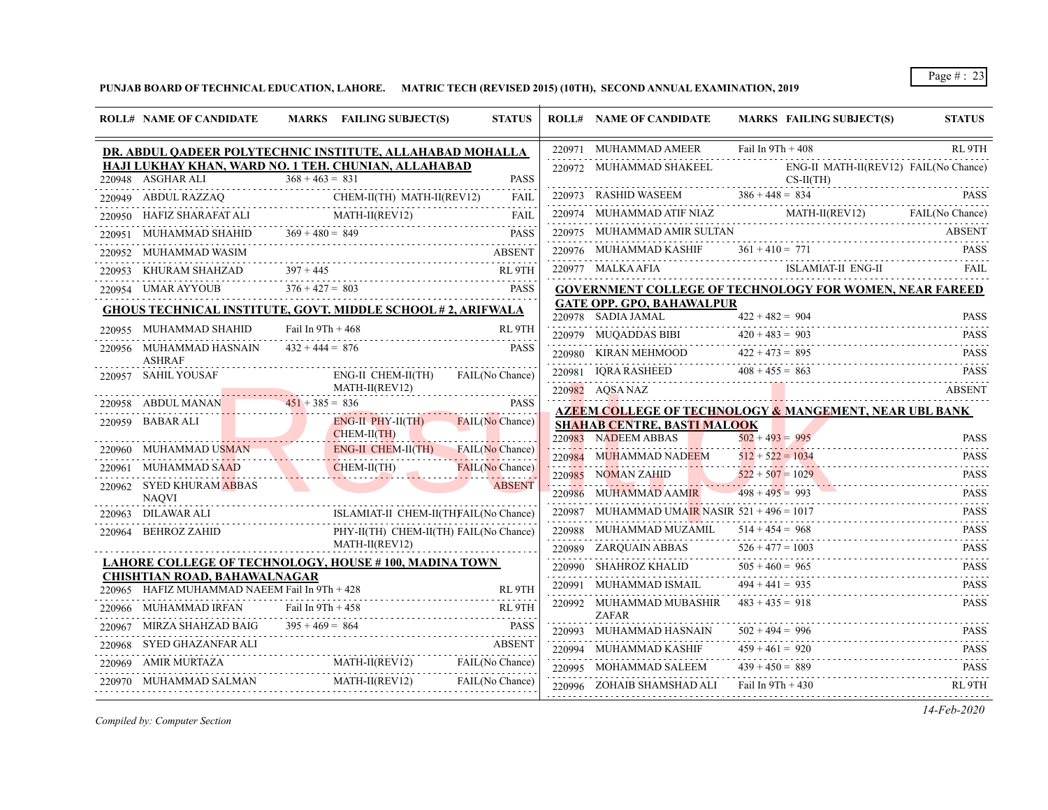**PUNJAB BOARD OF TECHNICAL EDUCATION, LAHORE. MATRIC TECH (REVISED 2015) (10TH), SECOND ANNUAL EXAMINATION, 2019**

|        | <b>ROLL# NAME OF CANDIDATE</b>                           | MARKS FAILING SUBJECT(S)                                                                        | <b>STATUS</b>     | <b>ROLL# NAME OF CANDIDATE</b>                               | MARKS FAILING SUBJECT(S)                                             | <b>STATUS</b>              |
|--------|----------------------------------------------------------|-------------------------------------------------------------------------------------------------|-------------------|--------------------------------------------------------------|----------------------------------------------------------------------|----------------------------|
|        |                                                          | DR. ABDUL QADEER POLYTECHNIC INSTITUTE, ALLAHABAD MOHALLA                                       |                   | 220971 MUHAMMAD AMEER                                        | Fail In $9Th + 408$                                                  | RL 9TH                     |
|        | 220948 ASGHAR ALI                                        | HAJI LUKHAY KHAN, WARD NO. 1 TEH. CHUNIAN, ALLAHABAD<br>$368 + 463 = 831$                       | <b>PASS</b>       | 220972 MUHAMMAD SHAKEEL                                      | ENG-II MATH-II(REV12) FAIL(No Chance)<br>$CS-II(TH)$                 |                            |
|        |                                                          | 220949 ABDUL RAZZAQ CHEM-II(TH) MATH-II(REV12)                                                  | <b>FAIL</b>       | 220973 RASHID WASEEM $386 + 448 = 834$                       |                                                                      | <b>PASS</b>                |
|        |                                                          | 220950 HAFIZ SHARAFAT ALI MATH-II(REV12)                                                        | <b>FAIL</b>       |                                                              | 220974 MUHAMMAD ATIF NIAZ MATH-II(REVI2) FAIL(No Chance)             |                            |
| 220951 |                                                          | MUHAMMAD SHAHID $369 + 480 = 849$ PASS                                                          |                   |                                                              |                                                                      |                            |
| 220952 | MUHAMMAD WASIM                                           |                                                                                                 | <b>ABSENT</b>     |                                                              |                                                                      |                            |
|        |                                                          |                                                                                                 |                   | 220977 MALKA AFIA                                            | ISLAMIAT-II ENG-II                                                   | <b>FAIL</b>                |
|        |                                                          | 220953 KHURAM SHAHZAD 397 + 445 RL 9TH<br>220954 UMAR AYYOUB 376 + 427 = 803 PASS               |                   |                                                              | <b>GOVERNMENT COLLEGE OF TECHNOLOGY FOR WOMEN, NEAR FAREED</b>       |                            |
|        |                                                          | <b>GHOUS TECHNICAL INSTITUTE, GOVT. MIDDLE SCHOOL #2, ARIFWALA</b>                              |                   | <b>GATE OPP. GPO, BAHAWALPUR</b><br>220978 SADIA JAMAL       |                                                                      | <b>PASS</b>                |
|        | 220955 MUHAMMAD SHAHID                                   | Fail In $9Th + 468$                                                                             | RL <sub>9TH</sub> |                                                              | $422 + 482 = 904$                                                    | <b>PASS</b>                |
|        | 220956 MUHAMMAD HASNAIN<br><b>ASHRAF</b>                 | $432 + 444 = 876$                                                                               | <b>PASS</b>       | 220979 MUQADDAS BIBI $420 + 483 = 903$                       | 220980 KIRAN MEHMOOD $422 + 473 = 895$ PASS                          |                            |
|        | 220957 SAHIL YOUSAF                                      | ENG-II CHEM-II(TH)                                                                              | FAIL(No Chance)   |                                                              | 220981 IQRA RASHEED $408 + 455 = 863$ PASS                           |                            |
|        |                                                          | MATH-II(REV12)                                                                                  |                   | 220982 AQSA NAZ                                              |                                                                      | <b>ABSENT</b>              |
|        | 220958 ABDUL MANAN                                       | $451 + 385 = 836$                                                                               | <b>PASS</b>       |                                                              | AZEEM COLLEGE OF TECHNOLOGY & MANGEMENT, NEAR UBL BANK               |                            |
|        | 220959 BABAR ALI                                         | $ENG-II$ $PHY-II(TH)$<br>$CHEM-II(TH)$                                                          | FAIL(No Chance)   | <b>SHAHAB CENTRE, BASTI MALOOK</b>                           |                                                                      |                            |
|        | 220960 MUHAMMAD USMAN                                    | ENG-II CHEM-II(TH)                                                                              | FAIL(No Chance)   | 220983 NADEEM ABBAS                                          | $502 + 493 = 995$                                                    | <b>PASS</b>                |
|        | 220961 MUHAMMAD SAAD                                     | $CHEM-II(TH)$                                                                                   | FAIL(No Chance)   | 220984 MUHAMMAD NADEEM $512 + 522 = 1034$                    |                                                                      | <b>PASS</b><br><b>PASS</b> |
|        | 220962 SYED KHURAM ABBAS                                 |                                                                                                 | <b>ABSENT</b>     | 220985 NOMAN ZAHID 522 + 507 = 1029<br>220986 MUHAMMAD AAMIR | $498 + 495 = 993$                                                    |                            |
|        | <b>NAOVI</b>                                             |                                                                                                 |                   | 220987 MUHAMMAD UMAIR NASIR $521 + 496 = 1017$               | $120986$ MUHAMMAD AAMIR $498 + 495 = 993$ PASS PASS                  | <b>PASS</b>                |
|        | 220963 DILAWAR ALI<br>01<br> --------------------------- | ISLAMIAT-II CHEM-II(THFAIL(No Chance)                                                           |                   |                                                              |                                                                      |                            |
|        | 220964 BEHROZ ZAHID                                      | PHY-II(TH) CHEM-II(TH) FAIL(No Chance)<br>$\frac{\text{MATH-II(REV12)}}{\text{MATH-II(REV12)}}$ |                   | 220989 ZAROUAIN ABBAS                                        | 220988 MUHAMMAD MUZAMIL $514 + 454 = 968$ PASS<br>$526 + 477 = 1003$ | <b>PASS</b>                |
|        |                                                          | LAHORE COLLEGE OF TECHNOLOGY, HOUSE # 100, MADINA TOWN                                          |                   | 220990 SHAHROZ KHALID                                        | AS $526 + 477 = 1003$ PASS<br>$505 + 460 = 965$                      | <b>PASS</b>                |
|        | <b>CHISHTIAN ROAD, BAHAWALNAGAR</b>                      |                                                                                                 |                   | 220991 MUHAMMAD ISMAIL                                       | $494 + 441 = 935$                                                    | .<br><b>PASS</b>           |
|        | 220965 HAFIZ MUHAMMAD NAEEM Fail In 9Th + 428            | D NAEEM Fail In 9Th + 428 RL 9TH                                                                | RL 9TH            | 220992 MUHAMMAD MUBASHIR                                     | $483 + 435 = 918$                                                    | .<br><b>PASS</b>           |
|        | 220966 MUHAMMAD IRFAN Fail In 9Th + 458                  |                                                                                                 | RL 9TH            | <b>ZAFAR</b>                                                 |                                                                      |                            |
|        | 220967 MIRZA SHAHZAD BAIG                                | $395 + 469 = 864$<br>$\text{IAD B AIG}$ $395 + 469 = 864$ PASS                                  | <b>PASS</b>       | 220993 MUHAMMAD HASNAIN                                      | $502 + 494 = 996$<br>$502 + 494 = 996$ PASS                          | <b>PASS</b>                |
|        | 220968 SYED GHAZANFAR ALI                                |                                                                                                 | ABSENT            | 220994 MUHAMMAD KASHIF                                       | $459 + 461 = 920$                                                    | <b>PASS</b>                |
|        |                                                          | 220969 AMIR MURTAZA MATH-II(REV12) FAIL(No Chance)                                              |                   | 220995 MOHAMMAD SALEEM                                       | $439 + 450 = 889$<br>889 PASS                                        |                            |
|        |                                                          | ,我们也不会有什么。""我们的人,我们也不会有什么?""我们的人,我们也不会有什么?""我们的人,我们也不会有什么?""我们的人,我们也不会有什么?""我们的人                | FAIL(No Chance)   | $220996$ ZOHAIB SHAMSHAD ALI Fail In $9Th + 430$             |                                                                      | RL 9TH                     |

*Compiled by: Computer Section*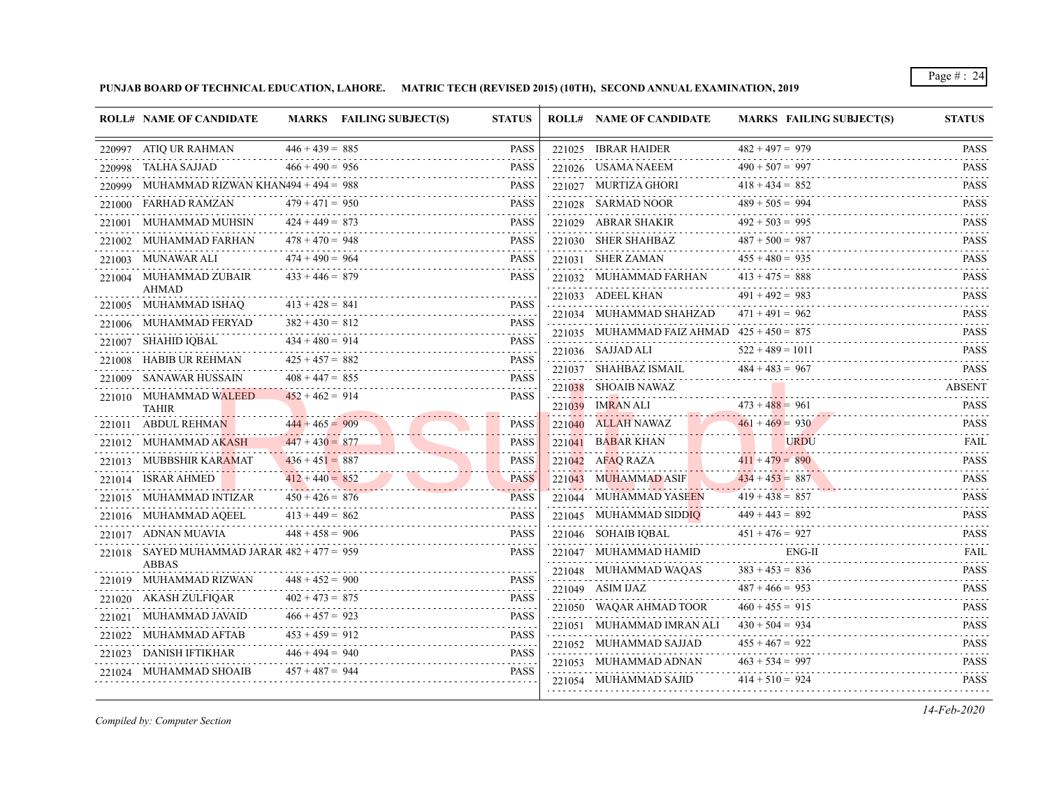**PUNJAB BOARD OF TECHNICAL EDUCATION, LAHORE. MATRIC TECH (REVISED 2015) (10TH), SECOND ANNUAL EXAMINATION, 2019**

|        | <b>ROLL# NAME OF CANDIDATE</b>                |                   | MARKS FAILING SUBJECT(S) | <b>STATUS</b>                                                                                                                                                                | <b>ROLL# NAME OF CANDIDATE</b>               | <b>MARKS FAILING SUBJECT(S)</b> | <b>STATUS</b>                                                                                                                             |
|--------|-----------------------------------------------|-------------------|--------------------------|------------------------------------------------------------------------------------------------------------------------------------------------------------------------------|----------------------------------------------|---------------------------------|-------------------------------------------------------------------------------------------------------------------------------------------|
|        | 220997 ATIO UR RAHMAN                         | $446 + 439 = 885$ |                          | <b>PASS</b>                                                                                                                                                                  | 221025 IBRAR HAIDER                          | $482 + 497 = 979$               | <b>PASS</b>                                                                                                                               |
|        | 220998 TALHA SAJJAD                           | $466 + 490 = 956$ |                          | <b>PASS</b>                                                                                                                                                                  | 221026 USAMA NAEEM                           | $490 + 507 = 997$               | $\alpha$ , $\alpha$ , $\alpha$ , $\alpha$ , $\alpha$<br><b>PASS</b>                                                                       |
|        | 220999 MUHAMMAD RIZWAN KHAN494 + 494 = 988    |                   |                          | <b>PASS</b>                                                                                                                                                                  | 221027 MURTIZA GHORI                         | $418 + 434 = 852$               | <b>PASS</b>                                                                                                                               |
| 221000 | FARHAD RAMZAN                                 | $479 + 471 = 950$ |                          | <b>PASS</b>                                                                                                                                                                  | 221028 SARMAD NOOR                           | $489 + 505 = 994$               | <b>PASS</b>                                                                                                                               |
|        | 221001 MUHAMMAD MUHSIN                        | $424 + 449 = 873$ |                          | <b>PASS</b>                                                                                                                                                                  | 221029 ABRAR SHAKIR                          | $492 + 503 = 995$               | $\mathcal{L}^{\mathcal{A}}(\mathcal{A}^{\mathcal{A}}(\mathcal{A}^{\mathcal{A}}(\mathcal{A}^{\mathcal{A}})^{\mathcal{A}}))$<br><b>PASS</b> |
|        | 221002 MUHAMMAD FARHAN                        | $478 + 470 = 948$ |                          | <b>PASS</b>                                                                                                                                                                  | 221030 SHER SHAHBAZ                          | $487 + 500 = 987$               | .<br><b>PASS</b><br>.                                                                                                                     |
|        | 221003 MUNAWAR ALI                            | $474 + 490 = 964$ |                          | <b>PASS</b>                                                                                                                                                                  | 221031 SHER ZAMAN                            | $455 + 480 = 935$               | <b>PASS</b><br>.                                                                                                                          |
|        | 221004 MUHAMMAD ZUBAIR                        | $433 + 446 = 879$ |                          | <b>PASS</b>                                                                                                                                                                  | 221032 MUHAMMAD FARHAN                       | $413 + 475 = 888$               | <b>PASS</b>                                                                                                                               |
|        | <b>AHMAD</b><br>221005 MUHAMMAD ISHAQ         | $413 + 428 = 841$ |                          | PASS                                                                                                                                                                         | 221033 ADEEL KHAN                            | $491 + 492 = 983$               | <b>PASS</b><br>$-1 - 1 - 1$                                                                                                               |
|        | 221006 MUHAMMAD FERYAD                        | $382 + 430 = 812$ |                          | <b>PASS</b>                                                                                                                                                                  | 221034 MUHAMMAD SHAHZAD                      | $471 + 491 = 962$               | <b>PASS</b>                                                                                                                               |
|        | SHAHID IQBAL                                  | $434 + 480 = 914$ |                          | <b>PASS</b>                                                                                                                                                                  | 221035 MUHAMMAD FAIZ AHMAD $425 + 450 = 875$ |                                 | <b>PASS</b><br>$- - - - - - -$                                                                                                            |
| 221007 | 221008 HABIB UR REHMAN                        | $425 + 457 = 882$ |                          | <b>PASS</b>                                                                                                                                                                  | 221036 SAJJAD ALI                            | $522 + 489 = 1011$              | <b>PASS</b>                                                                                                                               |
| 221009 | SANAWAR HUSSAIN                               | $408 + 447 = 855$ |                          | .<br>PASS                                                                                                                                                                    | 221037 SHAHBAZ ISMAIL                        | $484 + 483 = 967$               | <b>PASS</b>                                                                                                                               |
|        | 221010 MUHAMMAD WALEED                        | $452 + 462 = 914$ |                          | PASS                                                                                                                                                                         | 221038 SHOAIB NAWAZ                          |                                 | <b>ABSENT</b>                                                                                                                             |
|        | <b>TAHIR</b>                                  |                   |                          |                                                                                                                                                                              | 221039 IMRAN ALI                             | $473 + 488 = 961$               | <b>PASS</b>                                                                                                                               |
|        | 221011 ABDUL REHMAN                           | $444 + 465 = 909$ |                          | <b>PASS</b>                                                                                                                                                                  | 221040 ALLAH NAWAZ                           | $461 + 469 = 930$               | <b>PASS</b>                                                                                                                               |
|        | 221012 MUHAMMAD AKASH                         | $447 + 430 = 877$ |                          | <b>PASS</b>                                                                                                                                                                  | 221041 BABAR KHAN                            | <b>URDU</b>                     | <b>FAIL</b><br>.                                                                                                                          |
|        | 221013 MUBBSHIR KARAMAT                       | $436 + 451 = 887$ |                          | <b>PASS</b>                                                                                                                                                                  | $221042$ AFAO RAZA                           | $411 + 479 = 890$               | <b>PASS</b>                                                                                                                               |
|        | 221014 ISRAR AHMED                            | $412 + 440 = 852$ |                          | <b>PASS</b>                                                                                                                                                                  | 221043 MUHAMMAD ASIF                         | $434 + 453 = 887$               | <b>PASS</b><br>2.2.2.2.2.1                                                                                                                |
|        | 221015 MUHAMMAD INTIZAR                       | $450 + 426 = 876$ |                          | <b>PASS</b>                                                                                                                                                                  | 221044 MUHAMMAD YASEEN                       | $419 + 438 = 857$               | <b>PASS</b><br>.                                                                                                                          |
|        | 221016 MUHAMMAD AQEEL                         | $413 + 449 = 862$ |                          | <b>PASS</b>                                                                                                                                                                  | 221045 MUHAMMAD SIDDIQ                       | $449 + 443 = 892$               | <b>PASS</b>                                                                                                                               |
|        | 221017 ADNAN MUAVIA                           | $448 + 458 = 906$ |                          | <b>PASS</b>                                                                                                                                                                  | 221046 SOHAIB IQBAL                          | $451 + 476 = 927$               | <b>PASS</b><br>والأعام والمالي                                                                                                            |
|        | 221018 SAYED MUHAMMAD JARAR $482 + 477 = 959$ |                   |                          | <b>PASS</b>                                                                                                                                                                  | 221047 MUHAMMAD HAMID                        | ENG-II                          | FAIL<br>.                                                                                                                                 |
|        | <b>ABBAS</b><br>221019 MUHAMMAD RIZWAN        | $448 + 452 = 900$ |                          | <b>PASS</b>                                                                                                                                                                  | 221048 MUHAMMAD WAQAS                        | $383 + 453 = 836$               | <b>PASS</b>                                                                                                                               |
|        | 221020 AKASH ZULFIQAR                         | $402 + 473 = 875$ |                          | <b>PASS</b>                                                                                                                                                                  | 221049 ASIM IJAZ                             | $487 + 466 = 953$               | <b>PASS</b><br>.                                                                                                                          |
|        | 221021 MUHAMMAD JAVAID                        | $466 + 457 = 923$ |                          | <b>PASS</b>                                                                                                                                                                  | 221050 WAQAR AHMAD TOOR                      | $460 + 455 = 915$               | <b>PASS</b><br>.                                                                                                                          |
|        | 221022 MUHAMMAD AFTAB                         | $453 + 459 = 912$ |                          | $\mathcal{L}^{\mathcal{A}}\left( \mathcal{A}^{\mathcal{A}}\right) \mathcal{A}^{\mathcal{A}}\left( \mathcal{A}^{\mathcal{A}}\right) \mathcal{A}^{\mathcal{A}}$<br><b>PASS</b> | 221051 MUHAMMAD IMRAN ALI                    | $430 + 504 = 934$               | <b>PASS</b><br>$\sim$ $\sim$ $\sim$ $\sim$ $\sim$ $\sim$                                                                                  |
|        | 221023 DANISH IFTIKHAR                        | $446 + 494 = 940$ |                          | <b>PASS</b>                                                                                                                                                                  | 221052 MUHAMMAD SAJJAD                       | $455 + 467 = 922$               | <b>PASS</b>                                                                                                                               |
|        | 221024 MUHAMMAD SHOAIB                        | $457 + 487 = 944$ |                          | <b>PASS</b>                                                                                                                                                                  | 221053 MUHAMMAD ADNAN                        | $463 + 534 = 997$               | <b>PASS</b>                                                                                                                               |
|        |                                               |                   |                          |                                                                                                                                                                              | 221054 MUHAMMAD SAJID                        | $414 + 510 = 924$               | <b>PASS</b>                                                                                                                               |

*Compiled by: Computer Section*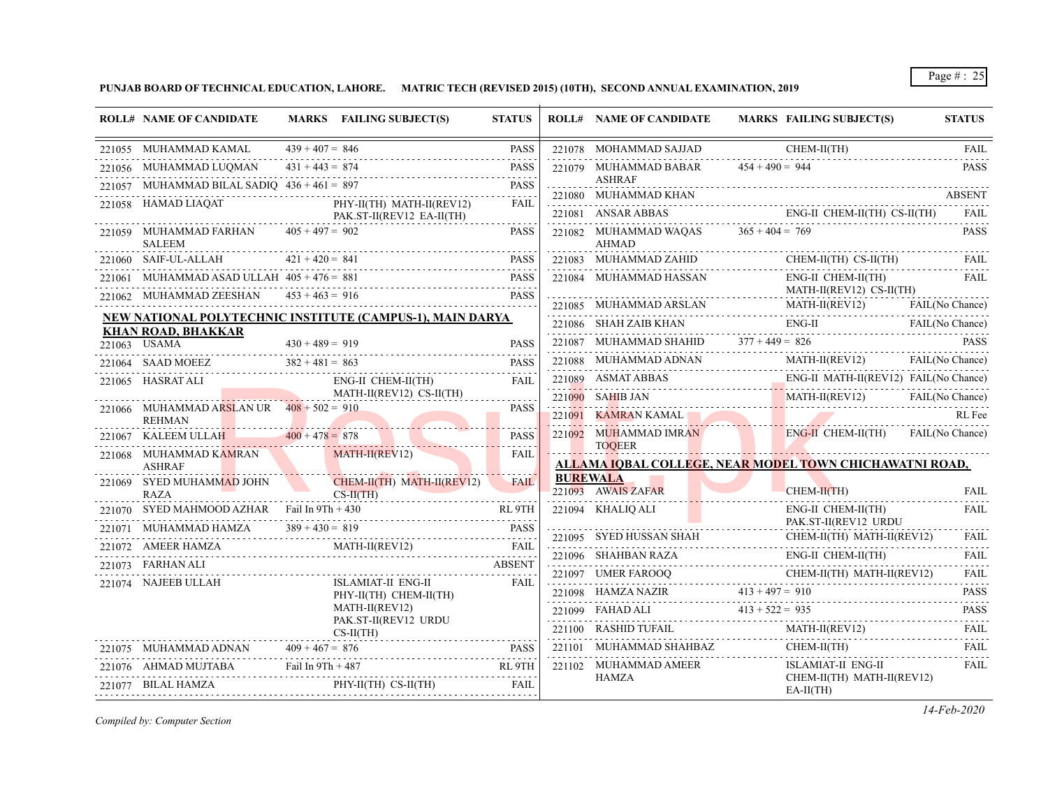**PUNJAB BOARD OF TECHNICAL EDUCATION, LAHORE. MATRIC TECH (REVISED 2015) (10TH), SECOND ANNUAL EXAMINATION, 2019**

| <b>ROLL# NAME OF CANDIDATE</b>                                                                                                                                                                                                                         |                   | MARKS FAILING SUBJECT(S)                                                             | <b>STATUS</b>    | <b>ROLL# NAME OF CANDIDATE</b>                                                                                                                                                                                                                                                                                                                                                                                                                                                                             |                   | MARKS FAILING SUBJECT(S)                           |                 | <b>STATUS</b>              |
|--------------------------------------------------------------------------------------------------------------------------------------------------------------------------------------------------------------------------------------------------------|-------------------|--------------------------------------------------------------------------------------|------------------|------------------------------------------------------------------------------------------------------------------------------------------------------------------------------------------------------------------------------------------------------------------------------------------------------------------------------------------------------------------------------------------------------------------------------------------------------------------------------------------------------------|-------------------|----------------------------------------------------|-----------------|----------------------------|
| 221055 MUHAMMAD KAMAL                                                                                                                                                                                                                                  | $439 + 407 = 846$ |                                                                                      | <b>PASS</b>      | 221078 MOHAMMAD SAJJAD                                                                                                                                                                                                                                                                                                                                                                                                                                                                                     |                   | CHEM-II(TH)                                        |                 | <b>FAIL</b>                |
| 221056 MUHAMMAD LUQMAN                                                                                                                                                                                                                                 | $431 + 443 = 874$ |                                                                                      | <b>PASS</b>      | 221079 MUHAMMAD BABAR                                                                                                                                                                                                                                                                                                                                                                                                                                                                                      | $454 + 490 = 944$ |                                                    |                 | <b>PASS</b>                |
|                                                                                                                                                                                                                                                        |                   | 221057 MUHAMMAD BILAL SADIQ $436 + 461 = 897$ PASS                                   | <b>PASS</b>      | <b>ASHRAF</b><br>221080 MUHAMMAD KHAN                                                                                                                                                                                                                                                                                                                                                                                                                                                                      |                   |                                                    |                 | <b>ABSENT</b>              |
|                                                                                                                                                                                                                                                        |                   | 221058 HAMAD LIAQAT PHY-II(TH) MATH-II(REV12)                                        | FAIL             | 221081 ANSAR ABBAS                                                                                                                                                                                                                                                                                                                                                                                                                                                                                         |                   | ENG-II CHEM-II(TH) CS-II(TH) FAIL                  |                 |                            |
| 221059 MUHAMMAD FARHAN $405 + 497 = 902$                                                                                                                                                                                                               |                   | PAK.ST-II(REV12 EA-II(TH)                                                            | <b>PASS</b>      | 221082 MUHAMMAD WAQAS $365 + 404 = 769$                                                                                                                                                                                                                                                                                                                                                                                                                                                                    |                   |                                                    |                 | <b>PASS</b>                |
| <b>SALEEM</b>                                                                                                                                                                                                                                          |                   |                                                                                      |                  | <b>AHMAD</b>                                                                                                                                                                                                                                                                                                                                                                                                                                                                                               |                   |                                                    |                 |                            |
| 221060 SAIF-UL-ALLAH $421 + 420 = 841$                                                                                                                                                                                                                 |                   |                                                                                      | <b>PASS</b>      | $221083 \quad \text{MUHAMMAD ZAHID} \quad \text{CHEM-II(TH) CS-II(TH)} \quad \text{FAIL}$                                                                                                                                                                                                                                                                                                                                                                                                                  |                   |                                                    |                 |                            |
| 221061 MUHAMMAD ASAD ULLAH $405 + 476 = 881$                                                                                                                                                                                                           |                   |                                                                                      | <b>PASS</b>      | ${\tt 221084}\quad {\tt MUHAMMAD\; HASSAN}\qquad \qquad {\tt ENG-II\; CHEM-II(TH)\qquad\qquad FAIL}\qquad \qquad {\tt PAIL}$                                                                                                                                                                                                                                                                                                                                                                               |                   |                                                    | <b>EAIL</b>     |                            |
|                                                                                                                                                                                                                                                        |                   | $221062$ MUHAMMAD ZEESHAN $453 + 463 = 916$                                          | <b>PASS</b>      |                                                                                                                                                                                                                                                                                                                                                                                                                                                                                                            |                   |                                                    | FAIL(No Chance) |                            |
|                                                                                                                                                                                                                                                        |                   | NEW NATIONAL POLYTECHNIC INSTITUTE (CAMPUS-1), MAIN DARYA                            |                  | 221085 MUHAMMAD ARSLAN MATH-II(REV12) FAIL(No Chance)<br>221086 SHAH ZAIB KHAN ENG-II FAIL (No Chance)                                                                                                                                                                                                                                                                                                                                                                                                     |                   |                                                    |                 |                            |
| <b>KHAN ROAD, BHAKKAR</b><br>221063 USAMA                                                                                                                                                                                                              |                   |                                                                                      | <b>PASS</b>      | 221087 MUHAMMAD SHAHID $377 + 449 = 826$                                                                                                                                                                                                                                                                                                                                                                                                                                                                   |                   |                                                    |                 | <b>PASS</b>                |
| $430 + 489 = 919$                                                                                                                                                                                                                                      |                   |                                                                                      |                  | 221088 MUHAMMAD ADNAN MATH-II(REV12) FAIL(No Chance)                                                                                                                                                                                                                                                                                                                                                                                                                                                       |                   |                                                    |                 |                            |
| 221065 HASRAT ALI                                                                                                                                                                                                                                      |                   | 221064 SAAD MOEEZ $382 + 481 = 863$ PASS<br>ENG-II CHEM-II(TH)                       | <b>FAIL</b>      | 221089 ASMAT ABBAS ENG-II MATH-II(REV12) FAIL(No Chance)                                                                                                                                                                                                                                                                                                                                                                                                                                                   |                   |                                                    |                 |                            |
|                                                                                                                                                                                                                                                        |                   | MATH-II(REV12) CS-II(TH)                                                             | .                | 221090 SAHIB JAN MATH-II(REV12) FAIL(No Chance)                                                                                                                                                                                                                                                                                                                                                                                                                                                            |                   |                                                    |                 |                            |
| 221066 MUHAMMAD ARSLAN UR $408 + 502 = 910$<br><b>REHMAN</b>                                                                                                                                                                                           |                   |                                                                                      | <b>PASS</b>      | 221091 KAMRAN KAMAL                                                                                                                                                                                                                                                                                                                                                                                                                                                                                        |                   |                                                    |                 | RL Fee                     |
| 221067 KALEEM ULLAH $400 + 478 = 878$                                                                                                                                                                                                                  |                   |                                                                                      | <b>PASS</b>      | 221092 MUHAMMAD IMRAN ENG-II CHEM-II(TH) FAIL(No Chance)                                                                                                                                                                                                                                                                                                                                                                                                                                                   |                   |                                                    |                 |                            |
| 221068 MUHAMMAD KAMRAN MATH-II(REV12)                                                                                                                                                                                                                  |                   |                                                                                      | .<br><b>FAIL</b> | <b>TOOEER</b>                                                                                                                                                                                                                                                                                                                                                                                                                                                                                              |                   |                                                    |                 |                            |
| <b>ASHRAF</b>                                                                                                                                                                                                                                          |                   |                                                                                      |                  | ALLAMA IQBAL COLLEGE, NEAR MODEL TOWN CHICHAWATNI ROAD,                                                                                                                                                                                                                                                                                                                                                                                                                                                    |                   |                                                    |                 |                            |
| 221069 SYED MUHAMMAD JOHN<br><b>RAZA</b>                                                                                                                                                                                                               |                   | $CHEM-H(TH)$ MATH-II(REV12)<br>$CS-H(TH)$                                            | <b>FAIL</b>      | <b>BUREWALA</b><br>221093 AWAIS ZAFAR                                                                                                                                                                                                                                                                                                                                                                                                                                                                      |                   | $CHEM-II(TH)$                                      |                 | FAII.                      |
| 221070 SYED MAHMOOD AZHAR Fail In 9Th + 430                                                                                                                                                                                                            |                   |                                                                                      | RL 9TH           | 221094 KHALIQ ALI                                                                                                                                                                                                                                                                                                                                                                                                                                                                                          |                   | ENG-II CHEM-II(TH)                                 |                 | <b>FAIL</b>                |
|                                                                                                                                                                                                                                                        |                   | 221071 MUHAMMAD HAMZA $389 + 430 = 819$ PASS                                         | <b>PASS</b>      |                                                                                                                                                                                                                                                                                                                                                                                                                                                                                                            |                   | PAK.ST-II(REV12 URDU<br>CHEM-II(TH) MATH-II(REV12) |                 | <b>FAIL</b>                |
| 221072 AMEER HAMZA                                                                                                                                                                                                                                     |                   | V.A MATH-II(REV12) FAIL                                                              | FAIL             | $221095 \quad \text{SYED HUSSAN SHAH} \quad \text{CHEM-II}$                                                                                                                                                                                                                                                                                                                                                                                                                                                |                   | ENG-II CHEM-II(TH)                                 |                 | FAII.                      |
| 221073 FARHAN ALI                                                                                                                                                                                                                                      |                   |                                                                                      | ABSENT           | 221096 SHAHBAN RAZA E                                                                                                                                                                                                                                                                                                                                                                                                                                                                                      |                   |                                                    |                 |                            |
| 221074 NAJEEB ULLAH                                                                                                                                                                                                                                    |                   | ISLAMIAT-II ENG-II<br>PHY-II(TH) CHEM-II(TH)                                         | <b>FAIL</b>      | $\begin{tabular}{c} 221097 & UMER FAROOQ \\ \hline \end{tabular} \begin{tabular}{c} \multicolumn{2}{c}{{\bf CHEM-II(TH) MATH-II(REV12)}}\\ \multicolumn{2}{c}{{\bf CHEM-II(TH) MATH-II(REV12)}}\\ \multicolumn{2}{c}{{\bf CHEM-II(TH) MATH-II(REV12)}}\\ \multicolumn{2}{c}{{\bf CHEM-II(TH) MATH-II(REV12)}}\\ \multicolumn{2}{c}{{\bf CHEM-II(TH) MATH-II(REV12)}}\\ \multicolumn{2}{c}{{\bf CHEM-II(TH) MATH-II(REV12)}}\\ \multicolumn{2}{c}{{\bf CHEM-II(TH)$<br>221098 HAMZA NAZIR $413 + 497 = 910$ |                   |                                                    |                 | <b>PASS</b>                |
|                                                                                                                                                                                                                                                        |                   | MATH-II(REV12)                                                                       |                  | 221099 FAHAD ALI $413 + 522 = 935$                                                                                                                                                                                                                                                                                                                                                                                                                                                                         |                   |                                                    |                 | <b>PASS</b>                |
|                                                                                                                                                                                                                                                        |                   | PAK.ST-II(REV12 URDU<br>REV12 URDU<br>-------------------------------<br>$CS-II(TH)$ |                  | $\underbrace{221100}\quad \text{RASHID TUFAIL} \qquad \qquad \text{MATH-II(REV12)} \qquad \qquad \text{FAIL}$                                                                                                                                                                                                                                                                                                                                                                                              |                   |                                                    |                 | .                          |
| 221075 MUHAMMAD ADNAN $409 + 467 = 876$                                                                                                                                                                                                                |                   | 21075 MUHAMMAD ADNAN $409 + 467 = 876$ PASS                                          |                  | $221101 \quad \text{MUHAMMAD SHAHBAZ} \quad \text{CHEM-II(TH)}$                                                                                                                                                                                                                                                                                                                                                                                                                                            |                   |                                                    |                 | FAII.                      |
|                                                                                                                                                                                                                                                        |                   | 221076 AHMAD MUJTABA Fail In 9Th + 487 RL 9TH                                        | RL 9TH           | 221102 MUHAMMAD AMEER                                                                                                                                                                                                                                                                                                                                                                                                                                                                                      |                   | ISLAMIAT-II ENG-II                                 |                 | a a a a a a<br><b>FAIL</b> |
| en de la provincia de la provincia del provincia del provincia del provincia del provincia del provincia del p<br>En la provincia del provincia del provincia del provincia del provincia del provincia del provincia del provin<br>221077 BILAL HAMZA |                   | $PHY-II(TH)$ $CS-II(TH)$                                                             | <b>FAIL</b>      | <b>HAMZA</b>                                                                                                                                                                                                                                                                                                                                                                                                                                                                                               |                   | CHEM-II(TH) MATH-II(REV12)<br>$EA-II(TH)$          |                 |                            |
|                                                                                                                                                                                                                                                        |                   |                                                                                      |                  |                                                                                                                                                                                                                                                                                                                                                                                                                                                                                                            |                   |                                                    |                 |                            |

*Compiled by: Computer Section*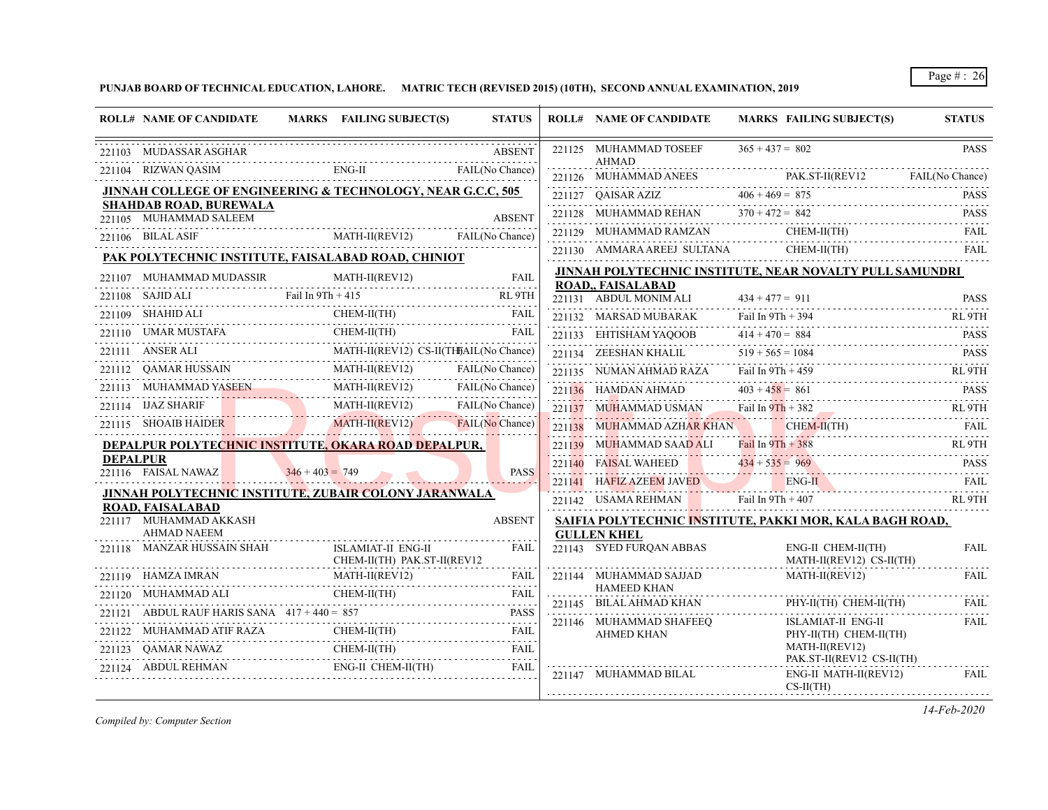**PUNJAB BOARD OF TECHNICAL EDUCATION, LAHORE. MATRIC TECH (REVISED 2015) (10TH), SECOND ANNUAL EXAMINATION, 2019**

|                 | <b>ROLL# NAME OF CANDIDATE</b>                          | MARKS FAILING SUBJECT(S)                                                                  | <b>STATUS</b> | <b>ROLL# NAME OF CANDIDATE</b>                 | MARKS FAILING SUBJECT(S)                                                                                                                                     | <b>STATUS</b>              |
|-----------------|---------------------------------------------------------|-------------------------------------------------------------------------------------------|---------------|------------------------------------------------|--------------------------------------------------------------------------------------------------------------------------------------------------------------|----------------------------|
|                 | 221103 MUDASSAR ASGHAR                                  |                                                                                           | <b>ABSENT</b> | 221125 MUHAMMAD TOSEEF<br><b>AHMAD</b>         | $365 + 437 = 802$                                                                                                                                            | <b>PASS</b>                |
|                 |                                                         | 221104 RIZWAN QASIM ENG-II FAIL(No Chance)                                                |               |                                                | 221126 MUHAMMAD ANEES PAK.ST-II(REV12 FAIL(No Chance)                                                                                                        |                            |
|                 |                                                         | JINNAH COLLEGE OF ENGINEERING & TECHNOLOGY, NEAR G.C.C, 505                               |               |                                                |                                                                                                                                                              |                            |
|                 | <b>SHAHDAB ROAD, BUREWALA</b><br>221105 MUHAMMAD SALEEM |                                                                                           | <b>ABSENT</b> |                                                | 221127 QAISAR AZIZ $406 + 469 = 875$ PASS<br>221128 MUHAMMAD REHAN $370 + 472 = 842$ PASS                                                                    |                            |
|                 |                                                         | 221105 MOTAMMAD SALELM MATH-II(REV12) FAIL(No Chance)                                     |               |                                                | 221129 MUHAMMAD RAMZAN CHEM-II(TH) FAIL                                                                                                                      |                            |
|                 |                                                         |                                                                                           |               |                                                | 221130 AMMARA AREEJ SULTANA CHEM-II(TH)                                                                                                                      | FAIL                       |
|                 |                                                         | PAK POLYTECHNIC INSTITUTE, FAISALABAD ROAD, CHINIOT                                       |               |                                                | JINNAH POLYTECHNIC INSTITUTE, NEAR NOVALTY PULL SAMUNDRI                                                                                                     |                            |
|                 |                                                         | 221107 MUHAMMAD MUDASSIR MATH-II(REV12) FAIL                                              |               | <b>ROAD,, FAISALABAD</b>                       |                                                                                                                                                              |                            |
|                 |                                                         | 221108 SAJID ALI Fail In 9Th + 415 RL 9TH                                                 |               | 221131 ABDUL MONIM ALI $434 + 477 = 911$       |                                                                                                                                                              | <b>PASS</b>                |
|                 |                                                         | 221109 SHAHID ALI CHEM-II(TH) FAIL FAIL                                                   |               | 221132 MARSAD MUBARAK                          | Fail In $9Th + 394$<br>21132 MARSAD MUBARAK Fail In 9Th + 394 RL 9TH                                                                                         |                            |
| 221110          |                                                         | 1110 UMAR MUSTAFA CHEM-II(TH)                                                             | FAIL          | 221133 EHTISHAM YAQOOB                         | $414 + 470 = 884$ PASS                                                                                                                                       |                            |
|                 | 221111 ANSER ALI                                        | LI MATH-II(REV12) CS-II(THJAIL(No Chance)                                                 |               | 221134 ZEESHAN KHALIL                          | SHAN KHALIL $519 + 565 = 1084$ PASS                                                                                                                          |                            |
|                 |                                                         | 221112 QAMAR HUSSAIN MATH-II(REV12) FAIL(No Chance)                                       |               |                                                | 221135 NUMAN AHMAD RAZA Fail In 9Th + 459 RL 9TH                                                                                                             |                            |
|                 | 221114 IJAZ SHARIF                                      | 221113 MUHAMMAD YASEEN MATH-II(REV12) FAIL(No Chance)                                     |               |                                                | 221136 HAMDAN AHMAD $403 + 458 = 861$ PASS                                                                                                                   |                            |
|                 |                                                         | SHARIF MATH-II(REV12) FAIL(No Chance)                                                     |               |                                                | 221137 MUHAMMAD USMAN Fail In 9Th + 382 RL 9TH                                                                                                               |                            |
|                 |                                                         | 221115 SHOAIB HAIDER MATH-II(REV12) FAIL(No Chance)                                       |               |                                                | 221138 MUHAMMAD AZHAR KHAN CHEM-II(TH) FAIL                                                                                                                  |                            |
| <b>DEPALPUR</b> |                                                         | DEPALPUR POLYTECHNIC INSTITUTE, OKARA ROAD DEPALPUR.                                      |               |                                                | 221139 MUHAMMAD SAAD ALI Fail In 9Th + 388 RL 9TH                                                                                                            |                            |
|                 | 221116 FAISAL NAWAZ                                     | $346 + 403 = 749$                                                                         | <b>PASS</b>   |                                                | 221140 FAISAL WAHEED $434 + 535 = 969$ PASS                                                                                                                  |                            |
|                 |                                                         | <b>JINNAH POLYTECHNIC INSTITUTE, ZUBAIR COLONY JARANWALA</b>                              | 2.2222222     |                                                | 221141 HAFIZ AZEEM JAVED ENG-II FAIL FAIL                                                                                                                    |                            |
|                 | <b>ROAD, FAISALABAD</b>                                 |                                                                                           |               |                                                | 221142 USAMA REHMAN Fail In $9Th + 407$                                                                                                                      | RL 9TH                     |
|                 | 221117 MUHAMMAD AKKASH<br><b>AHMAD NAEEM</b>            |                                                                                           | <b>ABSENT</b> |                                                | SAIFIA POLYTECHNIC INSTITUTE, PAKKI MOR, KALA BAGH ROAD,                                                                                                     |                            |
|                 |                                                         | 221118 MANZAR HUSSAIN SHAH ISLAMIAT-II ENG-II<br>CHEM-II(TH) PAK.ST-II(REV12              | <b>FAIL</b>   | <b>GULLEN KHEL</b><br>221143 SYED FURQAN ABBAS | ENG-II CHEM-II(TH)<br>MATH-II(REV12) CS-II(TH)                                                                                                               | <b>FAIL</b><br>and a state |
|                 |                                                         | 221119 HAMZA IMRAN MATH-II(REV12) FAIL                                                    |               |                                                | MATH-II(REV12)<br>$\begin{tabular}{c} 221144 & \text{MUHAMMAD SAJJAD} \qquad \qquad \text{MATH-II(REV12)} \\ \qquad \qquad \text{HAMEED KHAN} \end{tabular}$ | FAII.                      |
|                 |                                                         | ${\bf 221120} \quad {\bf MUHAMMAD}\ {\bf ALL} \qquad {\bf CHEM-II(TH)} \qquad {\bf FAIL}$ |               |                                                |                                                                                                                                                              |                            |
|                 | 221121 ABDUL RAUF HARIS SANA $417 + 440 = 857$          |                                                                                           |               | 221146 MUHAMMAD SHAFEEQ                        | 221145 BILALAHMAD KHAN PHY-II(TH) CHEM-II(TH) FAIL<br>ISLAMIAT-II ENG-II                                                                                     | <b>FAIL</b>                |
|                 |                                                         |                                                                                           |               | <b>AHMED KHAN</b>                              | PHY-II(TH) CHEM-II(TH)                                                                                                                                       |                            |
|                 |                                                         | $\begin{tabular}{cc} 221123 & QAMAR NAWAZ & CHEM-II(TH) & FAIL \\ \hline \end{tabular}$   |               |                                                | MATH-II(REV12)<br>PAK.ST-II(REV12 CS-II(TH)                                                                                                                  |                            |
|                 | 221124 ABDUL REHMAN                                     | $ENG-II CHEM-II(TH)$                                                                      | FAII          | 221147 MUHAMMAD BILAL                          | ENG-II MATH-II(REV12)<br>$CS-II(TH)$                                                                                                                         | FAIL                       |

*Compiled by: Computer Section*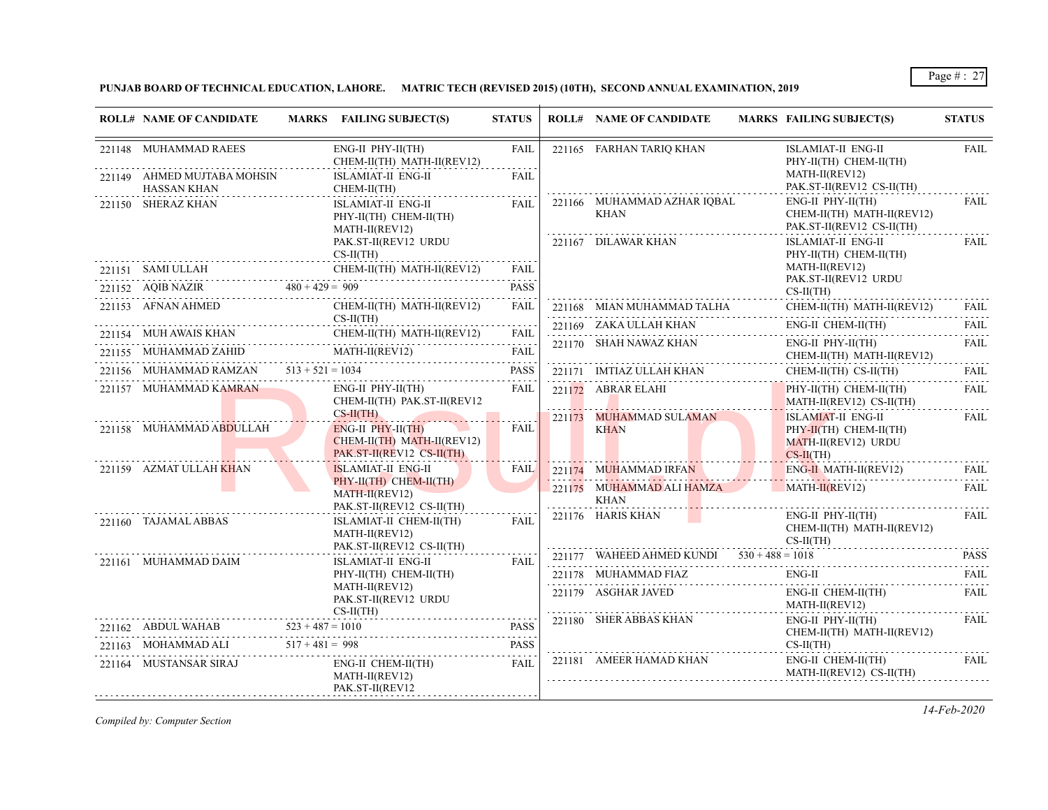# **PUNJAB BOARD OF TECHNICAL EDUCATION, LAHORE. MATRIC TECH (REVISED 2015) (10TH), SECOND ANNUAL EXAMINATION, 2019**

| <b>ROLL# NAME OF CANDIDATE</b>                         | MARKS FAILING SUBJECT(S)                                                                                                               | <b>STATUS</b>                                     | <b>ROLL# NAME OF CANDIDATE</b>                         | <b>MARKS FAILING SUBJECT(S)</b>                                                    | <b>STATUS</b>        |
|--------------------------------------------------------|----------------------------------------------------------------------------------------------------------------------------------------|---------------------------------------------------|--------------------------------------------------------|------------------------------------------------------------------------------------|----------------------|
| 221148 MUHAMMAD RAEES                                  | $ENG-II$ $PHY-II(TH)$<br>CHEM-II(TH) MATH-II(REV12)                                                                                    | FAIL                                              | 221165 FARHAN TARIO KHAN                               | <b>ISLAMIAT-II ENG-II</b><br>PHY-II(TH) CHEM-II(TH)                                | <b>FAIL</b>          |
| 221149 AHMED MUJTABA MOHSIN<br><b>HASSAN KHAN</b><br>. | ISLAMIAT-II ENG-II<br>CHEM-II(TH)                                                                                                      | <b>FAIL</b>                                       |                                                        | MATH-II(REV12)<br>PAK.ST-II(REV12 CS-II(TH)                                        |                      |
| 221150 SHERAZ KHAN                                     | ISLAMIAT-II ENG-II<br>PHY-II(TH) CHEM-II(TH)<br>MATH-II(REV12)                                                                         | FAII.                                             | 221166 MUHAMMAD AZHAR IQBAL<br>KHAN                    | $ENG-II$ $PHY-II(TH)$<br>CHEM-II(TH) MATH-II(REV12)<br>PAK.ST-II(REV12 CS-II(TH)   | FAIL                 |
|                                                        | PAK.ST-II(REV12 URDU<br>$CS-II(TH)$                                                                                                    |                                                   | 221167 DILAWAR KHAN                                    | ISLAMIAT-II ENG-II<br>PHY-II(TH) CHEM-II(TH)                                       | FAIL                 |
|                                                        | $\begin{tabular}{ll} \bf 221151 & SAMUULAH & CHEM-II(TH) MATH-II(REV12) \\ \hline \end{tabular}$                                       | FAIL                                              |                                                        | MATH-II(REV12)<br>PAK.ST-II(REV12 URDU                                             |                      |
|                                                        | 221152 AQIB NAZIR $480 + 429 = 909$                                                                                                    | <b>PASS</b>                                       |                                                        | $CS-II(TH)$                                                                        |                      |
| 221153 AFNAN AHMED                                     | CHEM-II(TH) MATH-II(REV12)<br>$CS-II(TH)$                                                                                              | FAIL                                              | 221168 MIAN MUHAMMAD TALHA<br>-- <del>---</del> --<br> | CHEM-II(TH) MATH-II(REV12)                                                         | FAII.                |
|                                                        |                                                                                                                                        |                                                   | 221169 ZAKA ULLAH KHAN                                 | ENG-II CHEM-II(TH)                                                                 | FAIL                 |
|                                                        | 221154 MUH AWAIS KHAN CHEM-II(TH) MATH-II(REV12) FAIL<br>${\underbrace{221155}} \quad {\text{MUHAMMAD ZAHID}} {\text{MATH-II(REV12)}}$ | FAIL<br>$\sim$ $\sim$ $\sim$ $\sim$ $\sim$ $\sim$ | 221170 SHAH NAWAZ KHAN                                 | ENG-II PHY-II(TH)<br>CHEM-II(TH) MATH-II(REV12)                                    | FAIL                 |
| 221156 MUHAMMAD RAMZAN $513 + 521 = 1034$              |                                                                                                                                        | <b>PASS</b>                                       | 221171 IMTIAZ ULLAH KHAN                               | $CHEM-II(TH)$ $CS-II(TH)$                                                          | FAIL<br>$-1 - 1 - 1$ |
| 221157 MUHAMMAD KAMRAN                                 | $ENG-II$ $PHY-II(TH)$<br>CHEM-II(TH) PAK.ST-II(REV12                                                                                   | FAIL                                              | 221172 ABRAR ELAHI                                     | $PHY-II(TH)$ CHEM-II(TH)<br>$MATH-II(REV12) CS-II(TH)$                             | <b>FAIL</b>          |
| 221158 MUHAMMAD ABDULLAH                               | $CS-H(TH)$<br>ENG-II PHY-II(TH)<br>$CHEM-II(TH)$ MATH-II(REV12)<br>PAK.ST-II(REV12 CS-II(TH)                                           | FAIL                                              | 221173 MUHAMMAD SULAMAN<br><b>KHAN</b>                 | ISLAMIAT-II ENG-II<br>PHY-II(TH) CHEM-II(TH)<br>MATH-II(REV12) URDU<br>$CS-II(TH)$ | <b>FAIL</b>          |
| 221159 AZMAT ULLAH KHAN                                | <b>ISLAMIAT-II ENG-II</b>                                                                                                              | <b>FAIL</b>                                       | 221174 MUHAMMAD IRFAN                                  | $ENG-H$ MATH-II(REV12)                                                             | FAIL                 |
|                                                        | PHY-II(TH) CHEM-II(TH)<br>$MATH-II(REV12)$<br>PAK.ST-II(REV12 CS-II(TH)                                                                |                                                   | 221175 MUHAMMAD ALI HAMZA<br><b>KHAN</b>               | $MATH-II(REV12)$                                                                   | FAIL                 |
| 221160 TAJAMAL ABBAS                                   | ISLAMIAT-II CHEM-II(TH)<br>MATH-II(REV12)<br>PAK.ST-II(REV12 CS-II(TH)                                                                 | FAIL                                              | 221176 HARIS KHAN                                      | $ENG-II$ $PHY-II(TH)$<br>CHEM-II(TH) MATH-II(REV12)<br>$CS-II(TH)$                 | FAIL                 |
| .<br>221161 MUHAMMAD DAIM                              | ISLAMIAT-II ENG-II                                                                                                                     | FAIL                                              | 221177 WAHEED AHMED KUNDI $530 + 488 = 1018$           |                                                                                    | <b>PASS</b><br>.     |
|                                                        | PHY-II(TH) CHEM-II(TH)                                                                                                                 |                                                   | 221178 MUHAMMAD FIAZ                                   | ENG-II                                                                             | FAIL                 |
|                                                        | MATH-II(REV12)<br>PAK.ST-II(REV12 URDU<br>$CS-II(TH)$                                                                                  |                                                   | 221179 ASGHAR JAVED                                    | ENG-II CHEM-II(TH)<br>MATH-II(REV12)                                               | FAIL                 |
| $523 + 487 = 1010$<br>221162 ABDUL WAHAB               |                                                                                                                                        | <b>PASS</b>                                       | 221180 SHER ABBAS KHAN                                 | $ENG-II$ $PHY-II(TH)$<br>CHEM-II(TH) MATH-II(REV12)                                | <b>FAIL</b>          |
| 221163 MOHAMMAD ALI $517 + 481 = 998$                  |                                                                                                                                        | <b>PASS</b>                                       | 221181 AMEER HAMAD KHAN                                | $CS-II(TH)$<br>ENG-II CHEM-II(TH)                                                  | FAIL                 |
| 221164 MUSTANSAR SIRAJ                                 | ENG-II CHEM-II(TH)<br>MATH-II(REV12)<br>PAK.ST-II(REV12                                                                                | FAIL                                              |                                                        | MATH-II(REV12) CS-II(TH)                                                           |                      |

*Compiled by: Computer Section*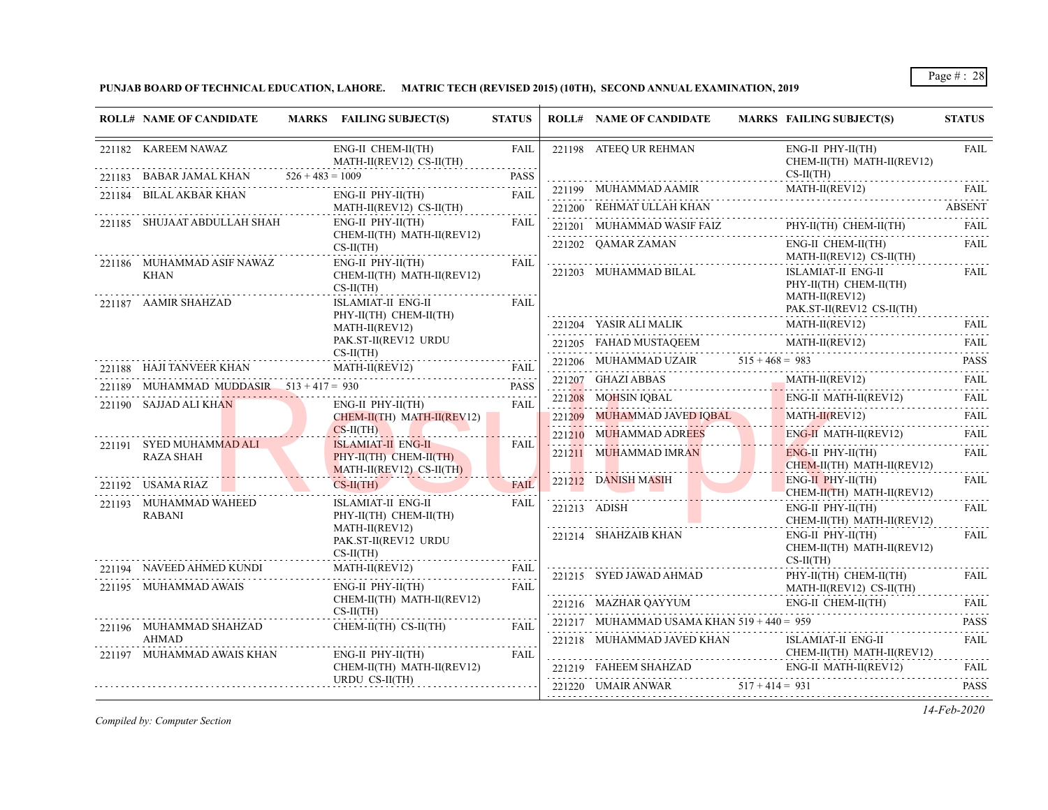**PUNJAB BOARD OF TECHNICAL EDUCATION, LAHORE. MATRIC TECH (REVISED 2015) (10TH), SECOND ANNUAL EXAMINATION, 2019**

| <b>ROLL# NAME OF CANDIDATE</b>                                    |                           | MARKS FAILING SUBJECT(S)                                                                 | <b>STATUS</b>       | <b>ROLL# NAME OF CANDIDATE</b>                         |                   | MARKS FAILING SUBJECT(S)                                                                | <b>STATUS</b>           |
|-------------------------------------------------------------------|---------------------------|------------------------------------------------------------------------------------------|---------------------|--------------------------------------------------------|-------------------|-----------------------------------------------------------------------------------------|-------------------------|
| 221182 KAREEM NAWAZ                                               |                           | ENG-II CHEM-II(TH)<br>MATH-II(REV12) CS-II(TH)                                           | <b>FAIL</b>         | 221198 ATEEQ UR REHMAN                                 |                   | $ENG-II$ $PHY-II(TH)$<br>CHEM-II(TH) MATH-II(REV12)                                     | <b>FAIL</b>             |
|                                                                   |                           | 221183 BABAR JAMAL KHAN $526 + 483 = 1009$                                               | <b>PASS</b>         |                                                        |                   | $CS-II(TH)$                                                                             |                         |
| 221184 BILAL AKBAR KHAN                                           |                           | $ENG-II$ $PHY-II(TH)$                                                                    | <b>FAIL</b>         | 221199 MUHAMMAD AAMIR                                  |                   | MATH-II(REV12)                                                                          | - FAIL                  |
| 221185 SHUJAAT ABDULLAH SHAH                                      |                           | MATH-II(REV12) CS-II(TH)<br>$ENG-II$ $PHY-II(TH)$                                        | FAIL                | 221200 REHMAT ULLAH KHAN                               |                   |                                                                                         | ABSENT                  |
|                                                                   |                           | CHEM-II(TH) MATH-II(REV12)                                                               |                     | 221201 MUHAMMAD WASIF FAIZ                             |                   | PHY-II(TH) CHEM-II(TH)                                                                  | <b>FAIL</b><br><u>.</u> |
|                                                                   |                           | $CS-II(TH)$                                                                              |                     | 221202 OAMAR ZAMAN                                     |                   | ENG-II CHEM-II(TH)<br>MATH-II(REV12) CS-II(TH)                                          | FAIL                    |
| 221186 MUHAMMAD ASIF NAWAZ<br><b>KHAN</b><br>221187 AAMIR SHAHZAD |                           | $ENG-II$ $PHY-II(TH)$<br>CHEM-II(TH) MATH-II(REV12)<br>$CS-II(TH)$<br>ISLAMIAT-II ENG-II | FAIL<br><b>FAIL</b> | 221203 MUHAMMAD BILAL                                  |                   | ISLAMIAT-II ENG-II<br>PHY-II(TH) CHEM-II(TH)<br>MATH-II(REV12)                          | FAIL                    |
|                                                                   |                           | PHY-II(TH) CHEM-II(TH)                                                                   |                     |                                                        |                   | PAK.ST-II(REV12 CS-II(TH)                                                               |                         |
|                                                                   |                           | MATH-II(REV12)                                                                           |                     |                                                        |                   | $\underbrace{221204~~{\text{YASIR ALI MALIK}}~~{\text{MATH-I(REV12)}}~~{\text{FAIL}}~~$ |                         |
|                                                                   |                           | PAK.ST-II(REV12 URDU<br>$CS-II(TH)$                                                      |                     |                                                        |                   | 221205 FAHAD MUSTAQEEM MATH-II(REV12) FAIL                                              |                         |
|                                                                   |                           | 221188 HAJI TANVEER KHAN MATH-II(REV12) FAIL                                             | FAII.               |                                                        |                   | 221206 MUHAMMAD UZAIR $515 + 468 = 983$ PASS                                            |                         |
| 221189 MUHAMMAD MUDDASIR $513 + 417 = 930$                        |                           | HAMMAD MUDDASIR 513+417=930 PASS                                                         | <b>PASS</b>         | 221207 GHAZI ABBAS                                     |                   | MATH-II(REV12)                                                                          | FAIL                    |
| 221190 SAJJAD ALI KHAN                                            |                           | ENG-II PHY-II(TH)                                                                        | FAIL                | $221208$ MOHSIN IQBAL                                  |                   | $\overline{\text{ENG-II MATH-II(REV12)}}$                                               | FAIL                    |
|                                                                   |                           | $CHEM-II(TH)$ MATH-II(REV12)                                                             |                     | 221209 MUHAMMAD JAVED IQBAL                            |                   | MATH-II(REV12) FAIL                                                                     |                         |
|                                                                   |                           | $CS-H(TH)$                                                                               |                     | $221210$ MUHAMMAD ADREES                               |                   | $ENG-II$ MATH-II(REV12)                                                                 | <b>FAIL</b><br>.        |
| 221191 SYED MUHAMMAD ALI<br><b>RAZA SHAH</b>                      |                           | <b>ISLAMIAT-II ENG-II</b><br>$PHY-II(TH)$ CHEM-II(TH)<br>MATH-II(REV12) CS-II(TH)        | FAIL                | 221211 MUHAMMAD IMRAN                                  |                   | $ENG-II$ PHY-II(TH)<br>$CHEM-II(TH)$ MATH-II(REV12)                                     | FAIL                    |
| 221192 USAMA RIAZ                                                 |                           | $CS-II(TH)$                                                                              | <b>FAIL</b>         | 221212 DANISH MASIH<br>the contract of the contract of |                   | $ENG-II$ PHY-II(TH)<br>CHEM-II(TH) MATH-II(REV12)                                       | FAII.                   |
| 221193 MUHAMMAD WAHEED<br><b>RABANI</b>                           |                           | ISLAMIAT-II ENG-II<br>PHY-II(TH) CHEM-II(TH)                                             | <b>FAIL</b>         | 221213 ADISH                                           |                   | $ENG-II$ $PHY-II(TH)$<br>CHEM-II(TH) MATH-II(REV12)                                     | <b>FAIL</b>             |
|                                                                   |                           | MATH-II(REV12)<br>PAK.ST-II(REV12 URDU<br>$CS-II(TH)$                                    |                     | 221214 SHAHZAIB KHAN                                   |                   | $ENG-II$ $PHY-II(TH)$<br>CHEM-II(TH) MATH-II(REV12)<br>$CS-II(TH)$                      | <b>FAIL</b>             |
| 221194 NAVEED AHMED KUNDI<br>221195 MUHAMMAD AWAIS                | JNDI<br>----------------- | $\text{MATH-II}(\text{REV12}) \qquad \qquad \text{FAIL}$<br>ENG-II PHY-II(TH)            | FAIL<br><b>FAIL</b> | 221215 SYED JAWAD AHMAD                                |                   | PHY-II(TH) CHEM-II(TH)<br>MATH-II(REV12) CS-II(TH)                                      | FAIL                    |
|                                                                   |                           | CHEM-II(TH) MATH-II(REV12)                                                               |                     | 221216 MAZHAR QAYYUM                                   |                   | ENG-II CHEM-II(TH)                                                                      | FAIL                    |
| 221196 MUHAMMAD SHAHZAD                                           |                           | $CS-II(TH)$<br>$CHEM-II(TH)$ $CS-II(TH)$                                                 | FAIL                | 221217 MUHAMMAD USAMA KHAN $519 + 440 = 959$           |                   |                                                                                         | <b>PASS</b>             |
| <b>AHMAD</b><br>221197 MUHAMMAD AWAIS KHAN                        |                           | $ENG-II$ $PHY-II(TH)$                                                                    | FAIL                | 221218 MUHAMMAD JAVED KHAN                             |                   | ISLAMIAT-II ENG-II<br>CHEM-II(TH) MATH-II(REV12)                                        | <b>FAIL</b>             |
|                                                                   |                           | CHEM-II(TH) MATH-II(REV12)                                                               |                     | 221219 FAHEEM SHAHZAD                                  |                   | ENG-II MATH-II(REV12)                                                                   | FAIL                    |
|                                                                   |                           | URDU CS-II(TH)                                                                           |                     | 221220 UMAIR ANWAR                                     | $517 + 414 = 931$ |                                                                                         | <b>PASS</b>             |

*Compiled by: Computer Section*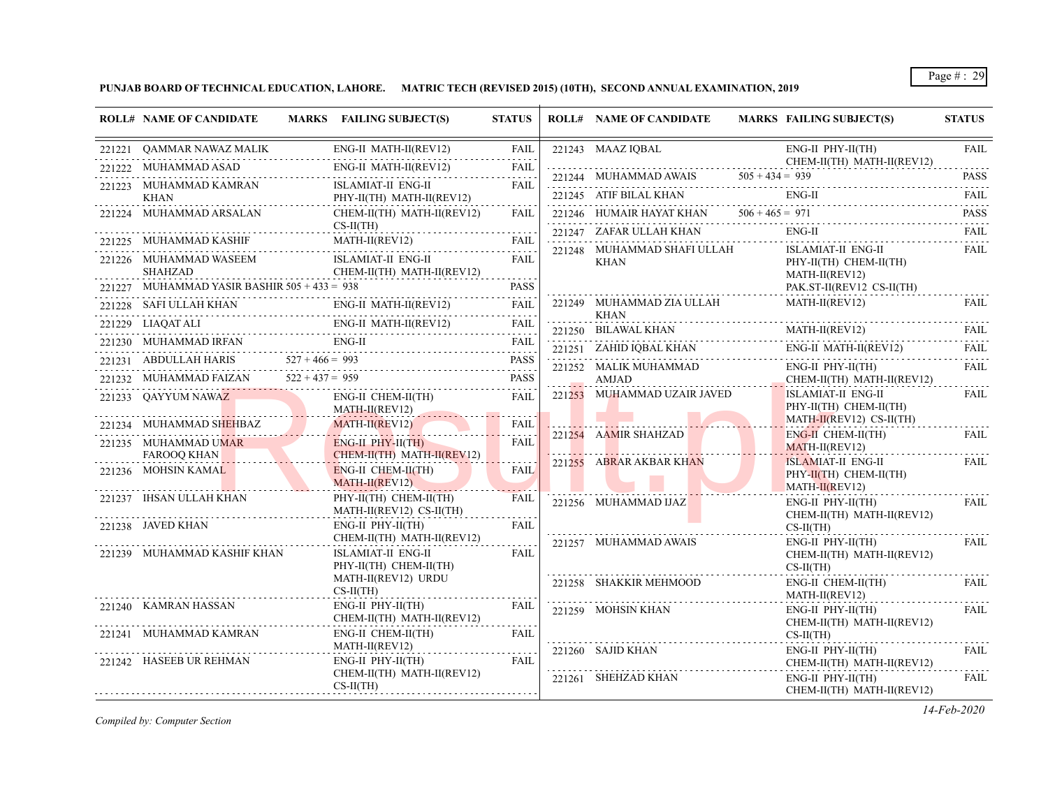**PUNJAB BOARD OF TECHNICAL EDUCATION, LAHORE. MATRIC TECH (REVISED 2015) (10TH), SECOND ANNUAL EXAMINATION, 2019**

|        | <b>ROLL# NAME OF CANDIDATE</b>                 | MARKS FAILING SUBJECT(S)                                                                                                                                                                 | <b>STATUS</b> | <b>ROLL# NAME OF CANDIDATE</b>             | MARKS FAILING SUBJECT(S)                                                                                 | <b>STATUS</b>                             |
|--------|------------------------------------------------|------------------------------------------------------------------------------------------------------------------------------------------------------------------------------------------|---------------|--------------------------------------------|----------------------------------------------------------------------------------------------------------|-------------------------------------------|
|        | 221221 QAMMAR NAWAZ MALIK                      | ENG-II MATH-II(REV12)<br>.                                                                                                                                                               | FAIL          | 221243 MAAZ IQBAL                          | $ENG-II$ $PHY-II(TH)$                                                                                    | <b>FAIL</b>                               |
| 221222 | MUHAMMAD ASAD                                  | ENG-II MATH-II(REV12)<br>a se a construída de la calendaria de la calendaria de la calendaria de la calendaria de la calendaria de la c                                                  | <b>FAIL</b>   |                                            | CHEM-II(TH) MATH-II(REV12)                                                                               | <b>PASS</b>                               |
|        | 221223 MUHAMMAD KAMRAN                         | ISLAMIAT-II ENG-II                                                                                                                                                                       | FAIL          | 221245 ATIF BILAL KHAN                     | 221244 MUHAMMAD AWAIS $505 + 434 = 939$<br>ENG-II                                                        | .<br>FAIL                                 |
|        | KHAN<br>221224 MUHAMMAD ARSALAN                | PHY-II(TH) MATH-II(REV12)<br>CHEM-II(TH) MATH-II(REV12)                                                                                                                                  | FAII.         | 221246 HUMAIR HAYAT KHAN $506 + 465 = 971$ |                                                                                                          | <b>PASS</b>                               |
|        |                                                | $CS-II(TH)$                                                                                                                                                                              |               | . <b>.</b> .<br>221247 ZAFAR ULLAH KHAN    | $\frac{1}{2}$<br>$ENG-II$                                                                                | .<br><b>FAIL</b>                          |
|        | 221225 MUHAMMAD KASHIF                         | MATH-II(REV12) FAIL FAIL                                                                                                                                                                 |               | 221248 MUHAMMAD SHAFI ULLAH                | <b>ISLAMIAT-II ENG-II</b>                                                                                | <b>FAIL</b>                               |
|        | 221226 MUHAMMAD WASEEM<br>SHAHZAD              | ISLAMIAT-II ENG-II<br>CHEM-II(TH) MATH-II(REV12)                                                                                                                                         | FAIL          | KHAN                                       | PHY-II(TH) CHEM-II(TH)<br>MATH-II(REV12)                                                                 |                                           |
|        | 221227 MUHAMMAD YASIR BASHIR $505 + 433 = 938$ |                                                                                                                                                                                          | <b>PASS</b>   |                                            | PAK.ST-II(REV12 CS-II(TH)                                                                                |                                           |
|        | 221228     SAFI ULLAH KHAN                     | ENG-II MATH-II(REV12) FAIL                                                                                                                                                               | FAIL          | 221249 MUHAMMAD ZIA ULLAH<br>KHAN          | MATH-II(REV12)                                                                                           | FAIL                                      |
|        | 221229 LIAQAT ALI                              | I ENG-II MATH-II(REV12) FAIL                                                                                                                                                             | FAIL          | 221250 BILAWAL KHAN                        | $\begin{tabular}{ll} \bf 221250 & \bf BILAWAL KHAN & \bf MATH-II(REV12) & \bf FAIL \\ \bf \end{tabular}$ |                                           |
|        |                                                | $\begin{tabular}{llllll} \bf 221230 & \text{MUHAMMAD IRFAN} & \text{ENG-II} & \text{FAIL} \\ \bf 221231 & \text{ABDULLAH HARIS} & \text{527 + 466 = 993} & \text{PASS} \\ \end{tabular}$ |               | 221251 ZAHID IQBAL KHAN<br>N<br>.          | ENG-II MATH-II(REV12)                                                                                    | FAIL                                      |
|        |                                                | PASS PASS                                                                                                                                                                                |               | 221252 MALIK MUHAMMAD                      | $ENG-II$ $PHY-II(TH)$                                                                                    | <b>FAIL</b>                               |
|        | 221232 MUHAMMAD FAIZAN                         | $522 + 437 = 959$                                                                                                                                                                        | <b>PASS</b>   | AMJAD                                      | CHEM-II(TH) MATH-II(REV12)                                                                               | $\mathbb{Z}^2$ is a set of $\mathbb{Z}^2$ |
|        | 221233 QAYYUM NAWAZ                            | ENG-II CHEM-II(TH)<br>$MATH-II (REV12)$                                                                                                                                                  | <b>FAIL</b>   | 221253 MUHAMMAD UZAIR JAVED                | <b>ISLAMIAT-II ENG-II</b><br>PHY-II(TH) CHEM-II(TH)                                                      | FAIL                                      |
|        | 221234 MUHAMMAD SHEHBAZ                        | MATH-II(REV12)                                                                                                                                                                           | <b>FAIL</b>   | 221254 AAMIR SHAHZAD                       | $MATH-II(REV12) CS-II(TH)$<br>$ENG-H CHEM-II(TH)$                                                        | FAIL                                      |
|        | 221235 MUHAMMAD UMAR<br><b>FAROOQ KHAN</b>     | $ENG-II$ $PHY-II(TH)$<br>CHEM-II(TH) MATH-II(REV12)                                                                                                                                      | <b>FAIL</b>   |                                            | $MATH-II(REV12)$                                                                                         |                                           |
|        | 221236 MOHSIN KAMAL                            | $ENG-II CHEM-II(TH)$<br>$MATH-II(REV12)$                                                                                                                                                 | <b>FAIL</b>   | 221255 ABRAR AKBAR KHAN                    | <b>ISLAMIAT-II ENG-II</b><br>$PHY-II(TH)$ CHEM-II(TH)<br>$MATH-II(REV12)$                                | FAIL                                      |
|        | 221237 IHSAN ULLAH KHAN                        | PHY-II(TH) CHEM-II(TH)<br>MATH-II(REV12) CS-II(TH)                                                                                                                                       | FAIL          | 221256 MUHAMMAD IJAZ                       | $ENG-II$ $PHY-II(TH)$<br>CHEM-II(TH) MATH-II(REV12)                                                      | FAIL                                      |
|        | 221238 JAVED KHAN                              | ENG-II PHY-II(TH)<br>CHEM-II(TH) MATH-II(REV12)                                                                                                                                          | FAIL          |                                            | $CS-II(TH)$                                                                                              |                                           |
|        | 221239 MUHAMMAD KASHIF KHAN                    | <b>ISLAMIAT-II ENG-II</b><br>PHY-II(TH) CHEM-II(TH)                                                                                                                                      | <b>FAIL</b>   | 221257 MUHAMMAD AWAIS                      | $ENG-II$ $PHY-II(TH)$<br>CHEM-II(TH) MATH-II(REV12)<br>$CS-II(TH)$                                       | <b>FAIL</b>                               |
|        |                                                | MATH-II(REV12) URDU<br>$CS-II(TH)$                                                                                                                                                       |               | 221258 SHAKKIR MEHMOOD                     | ENG-II CHEM-II(TH)<br>MATH-II(REV12)                                                                     | <b>FAIL</b>                               |
|        | 221240 KAMRAN HASSAN                           | ENG-II PHY-II(TH)<br>CHEM-II(TH) MATH-II(REV12)                                                                                                                                          | FAIL          | 221259 MOHSIN KHAN                         | $ENG-II$ $PHY-II(TH)$<br>CHEM-II(TH) MATH-II(REV12)                                                      | FAIL                                      |
|        | 221241 MUHAMMAD KAMRAN                         | ENG-II CHEM-II(TH)<br>MATH-II(REV12)                                                                                                                                                     | FAIL          | 221260 SAJID KHAN                          | $CS-II(TH)$<br>$ENG-II$ $PHY-II(TH)$                                                                     | <b>FAIL</b>                               |
|        | 221242 HASEEB UR REHMAN                        | $ENG-II$ $PHY-II(TH)$                                                                                                                                                                    | FAIL          |                                            | CHEM-II(TH) MATH-II(REV12)                                                                               |                                           |
|        |                                                | CHEM-II(TH) MATH-II(REV12)<br>$CS-II(TH)$                                                                                                                                                |               | 221261 SHEHZAD KHAN                        | $ENG-II$ $PHY-II(TH)$<br>CHEM-II(TH) MATH-II(REV12)                                                      | <b>FAIL</b>                               |

*Compiled by: Computer Section*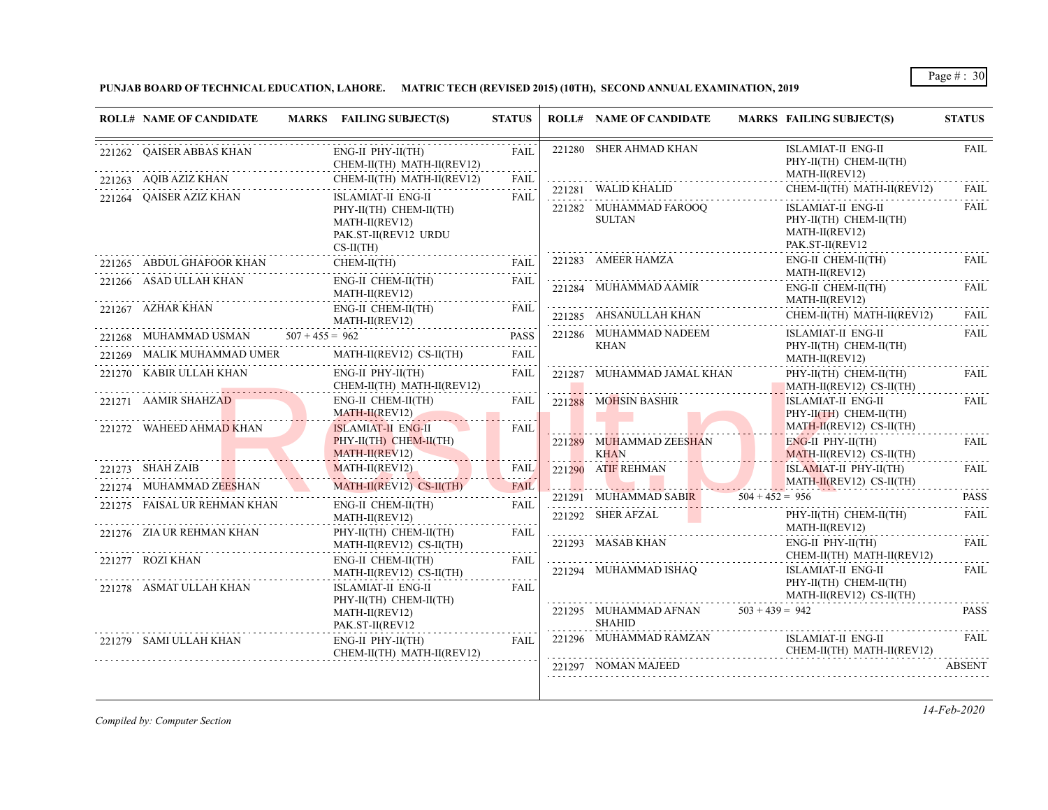# **PUNJAB BOARD OF TECHNICAL EDUCATION, LAHORE. MATRIC TECH (REVISED 2015) (10TH), SECOND ANNUAL EXAMINATION, 2019**

| <b>ROLL# NAME OF CANDIDATE</b>              | MARKS FAILING SUBJECT(S)                                                                             | <b>STATUS</b>         | <b>ROLL# NAME OF CANDIDATE</b>                                                                                                              | <b>MARKS FAILING SUBJECT(S)</b>                                                                                               | <b>STATUS</b>                                            |
|---------------------------------------------|------------------------------------------------------------------------------------------------------|-----------------------|---------------------------------------------------------------------------------------------------------------------------------------------|-------------------------------------------------------------------------------------------------------------------------------|----------------------------------------------------------|
| 221262 OAISER ABBAS KHAN                    | ENG-II PHY-II(TH)<br>CHEM-II(TH) MATH-II(REV12)                                                      | <b>FAIL</b><br>.      | 221280 SHER AHMAD KHAN                                                                                                                      | <b>ISLAMIAT-II ENG-II</b><br>PHY-II(TH) CHEM-II(TH)<br>MATH-II(REV12)                                                         | <b>FAIL</b>                                              |
| 221263 AQIB AZIZ KHAN                       | CHEM-II(TH) MATH-II(REV12)                                                                           | FAIL                  |                                                                                                                                             | CHEM-II(TH) MATH-II(REV12)                                                                                                    | <b>FAIL</b>                                              |
| 221264 QAISER AZIZ KHAN                     | ISLAMIAT-II ENG-II<br>PHY-II(TH) CHEM-II(TH)<br>MATH-II(REV12)<br>PAK.ST-II(REV12 URDU<br>$CS-H(TH)$ | FAIL                  | 221282 MUHAMMAD FAROOQ<br><b>SULTAN</b>                                                                                                     | ISLAMIAT-II ENG-II<br>PHY-II(TH) CHEM-II(TH)<br>MATH-II(REV12)<br>PAK.ST-II(REV12                                             | <b>FAIL</b>                                              |
| 221265 ABDUL GHAFOOR KHAN                   | CHEM-II(TH)                                                                                          | FAIL                  | 221283 AMEER HAMZA                                                                                                                          | ENG-II CHEM-II(TH)                                                                                                            | <b>FAIL</b>                                              |
| 221266 ASAD ULLAH KHAN                      | ENG-II CHEM-II(TH)<br>MATH-II(REV12)<br>.                                                            | FAIL                  | 221284 MUHAMMAD AAMIR                                                                                                                       | MATH-II(REV12)<br>ENG-II CHEM-II(TH)<br>MATH-II(REV12)                                                                        | FAIL                                                     |
| 221267 AZHAR KHAN                           | ENG-II CHEM-II(TH)<br>MATH-II(REV12)                                                                 | <b>FAIL</b>           | 221285 AHSANULLAH KHAN                                                                                                                      | CHEM-II(TH) MATH-II(REV12)<br>the contract of the contract of the contract of the contract of the contract of the contract of | FAII.                                                    |
| 221268 MUHAMMAD USMAN $507 + 455 = 962$     |                                                                                                      | <b>PASS</b><br>.      | 221286 MUHAMMAD NADEEM<br>KHAN                                                                                                              | ISLAMIAT-II ENG-II<br>PHY-II(TH) CHEM-II(TH)                                                                                  | <b>FAIL</b>                                              |
|                                             | 221269 MALIK MUHAMMAD UMER MATH-II(REV12) CS-II(TH)                                                  | <b>FAIL</b>           |                                                                                                                                             | MATH-II(REV12)                                                                                                                | .                                                        |
| 221270 KABIR ULLAH KHAN                     | $ENG-II$ $PHY-II(TH)$<br>CHEM-II(TH) MATH-II(REV12)                                                  | FAIL<br>$- - - - - -$ | 221287 MUHAMMAD JAMAL KHAN                                                                                                                  | PHY-II(TH) CHEM-II(TH)<br>MATH-II(REV12) CS-II(TH)                                                                            | <b>FAIL</b><br>.                                         |
| 221271 AAMIR SHAHZAD                        | ENG-II CHEM-II(TH)<br>$MATH-H(REV12)$                                                                | FAIL                  | 221288 MOHSIN BASHIR                                                                                                                        | <b>ISLAMIAT-II ENG-II</b><br>PHY-II(TH) CHEM-II(TH)                                                                           | <b>FAIL</b>                                              |
| 221272 WAHEED AHMAD KHAN                    | ISLAMIAT-II ENG-II<br>$PHY-II(TH)$ CHEM-II(TH)<br>$MATH-II(REV12)$                                   | <b>FAIL</b>           | 221289 MUHAMMAD ZEESHAN<br><b>KHAN</b>                                                                                                      | $MATH-II(REV12) CS-II(TH)$<br>$ENG-II$ PHY-II(TH)<br>$MATH-II(REV12) CS-II(TH)$                                               | FAIL                                                     |
| 221273 SHAH ZAIB<br>221274 MUHAMMAD ZEESHAN | $MATH-II(REV12)$<br>MATH-II(REV12) CS-II(TH)                                                         | FAIL<br><b>FAIL</b>   | 221290 ATIF REHMAN<br><u> Alban Martin Martin Alban Martin Martin Alban Martin Martin Alban Martin Martin Martin Martin Martin Martin M</u> | $ISLAMIAT-II PHY-II(TH)$<br>MATH-II(REV12) CS-II(TH)                                                                          | FAIL                                                     |
|                                             |                                                                                                      |                       | 221291 MUHAMMAD SABIR $504 + 452 = 956$                                                                                                     |                                                                                                                               | $\sim$ $\sim$ $\sim$ $\sim$ $\sim$ $\sim$<br><b>PASS</b> |
| 221275 FAISAL UR REHMAN KHAN                | ENG-II CHEM-II(TH)<br>MATH-II(REV12)                                                                 | FAII.                 | 221292 SHER AFZAL                                                                                                                           | PHY-II(TH) CHEM-II(TH)<br>MATH-II(REV12)                                                                                      | FAII.                                                    |
| 221276 ZIA UR REHMAN KHAN                   | PHY-II(TH) CHEM-II(TH)<br>MATH-II(REV12) CS-II(TH)                                                   | FAIL                  | 221293 MASAB KHAN                                                                                                                           | ENG-II PHY-II(TH)<br>CHEM-II(TH) MATH-II(REV12)                                                                               | <b>FAIL</b>                                              |
| 221277 ROZI KHAN                            | ENG-II CHEM-II(TH)<br>MATH-II(REV12) CS-II(TH)                                                       | FAIL                  | 221294 MUHAMMAD ISHAQ                                                                                                                       | ISLAMIAT-II ENG-II<br>PHY-II(TH) CHEM-II(TH)                                                                                  | <b>FAIL</b>                                              |
| 221278 ASMAT ULLAH KHAN                     | ISLAMIAT-II ENG-II<br>PHY-II(TH) CHEM-II(TH)                                                         | FAIL                  |                                                                                                                                             | MATH-II(REV12) CS-II(TH)                                                                                                      |                                                          |
|                                             | MATH-II(REV12)<br>PAK.ST-II(REV12                                                                    |                       | 221295 MUHAMMAD AFNAN $503 + 439 = 942$<br><b>SHAHID</b>                                                                                    |                                                                                                                               | <b>PASS</b>                                              |
| 221279 SAMI ULLAH KHAN                      | ENG-II PHY-II(TH)<br>CHEM-II(TH) MATH-II(REV12)                                                      | FAIL                  | 221296 MUHAMMAD RAMZAN<br>CHEM-II(TH) MATH-II(REV12)                                                                                        | ISLAMIAT-II ENG-II                                                                                                            | FAIL                                                     |
|                                             |                                                                                                      |                       | 221297 NOMAN MAJEED                                                                                                                         |                                                                                                                               | <b>ABSENT</b>                                            |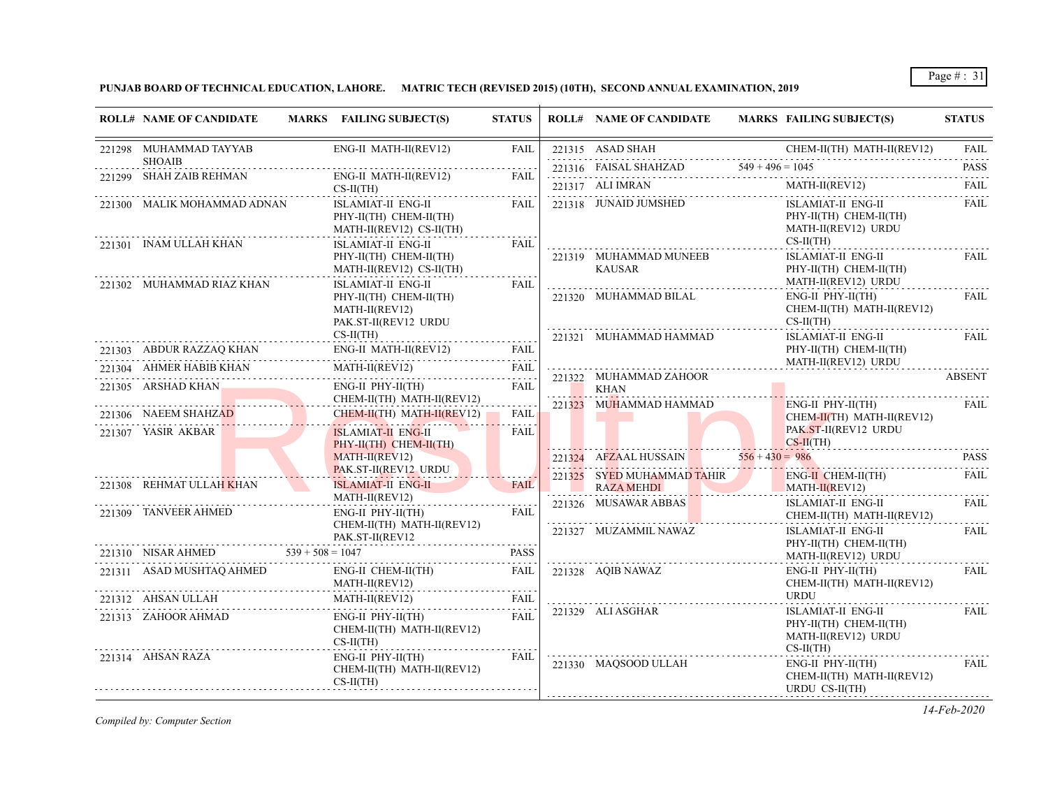**PUNJAB BOARD OF TECHNICAL EDUCATION, LAHORE. MATRIC TECH (REVISED 2015) (10TH), SECOND ANNUAL EXAMINATION, 2019**

| <b>ROLL# NAME OF CANDIDATE</b>                        | MARKS FAILING SUBJECT(S)                                                                       | <b>STATUS</b>       | <b>ROLL# NAME OF CANDIDATE</b>           | MARKS FAILING SUBJECT(S)                                                                       | <b>STATUS</b> |
|-------------------------------------------------------|------------------------------------------------------------------------------------------------|---------------------|------------------------------------------|------------------------------------------------------------------------------------------------|---------------|
| 221298 MUHAMMAD TAYYAB                                | ENG-II MATH-II(REV12)                                                                          | <b>FAIL</b>         | 221315 ASAD SHAH                         | CHEM-II(TH) MATH-II(REV12)                                                                     | <b>FAIL</b>   |
| <b>SHOAIB</b>                                         |                                                                                                |                     |                                          | $221315$ ASAD SHAHZAD $549 + 496 = 1045$ PASS PASS                                             |               |
| 221299 SHAH ZAIB REHMAN                               | ENG-II MATH-II(REV12)<br>$CS-II(TH)$                                                           | FAIL                |                                          | 221317 ALI IMRAN MATH-II(REV12) FAIL                                                           |               |
| 221300 MALIK MOHAMMAD ADNAN<br>221301 INAM ULLAH KHAN | ISLAMIAT-II ENG-II<br>PHY-II(TH) CHEM-II(TH)<br>MATH-II(REV12) CS-II(TH)<br>ISLAMIAT-II ENG-II | FAIL<br><b>FAIL</b> | 221318 JUNAID JUMSHED                    | ISLAMIAT-II ENG-II<br>PHY-II(TH) CHEM-II(TH)<br>MATH-II(REV12) URDU<br>$CS-II(TH)$             | FAIL          |
|                                                       | PHY-II(TH) CHEM-II(TH)<br>$MATH-II(REV12) CS-II(TH)$                                           |                     | 221319 MUHAMMAD MUNEEB<br><b>KAUSAR</b>  | .<br>ISLAMIAT-II ENG-II<br>PHY-II(TH) CHEM-II(TH)                                              | FAIL          |
| 221302 MUHAMMAD RIAZ KHAN                             | ISLAMIAT-II ENG-II<br>PHY-II(TH) CHEM-II(TH)<br>MATH-II(REV12)<br>PAK.ST-II(REV12 URDU         | FAIL                | 221320 MUHAMMAD BILAL                    | MATH-II(REV12) URDU<br>$ENG-II$ $PHY-II(TH)$<br>CHEM-II(TH) MATH-II(REV12)<br>$CS-II(TH)$<br>. | .<br>FAIL     |
| 221303 ABDUR RAZZAQ KHAN                              | $CS-II(TH)$<br>ENG-II MATH-II(REV12)<br>.                                                      | FAIL                | 221321 MUHAMMAD HAMMAD                   | ISLAMIAT-II ENG-II<br>PHY-II(TH) CHEM-II(TH)                                                   | FAIL          |
| 221304 AHMER HABIB KHAN                               | MATH-II(REV12) FAIL                                                                            | FAIL                |                                          | MATH-II(REV12) URDU                                                                            | .             |
| 221305 ARSHAD KHAN                                    | $ENG-II$ $PHY-II(TH)$                                                                          | FAIL                | 221322 MUHAMMAD ZAHOOR<br>KHAN           |                                                                                                | <b>ABSENT</b> |
| 221306 NAEEM SHAHZAD                                  | CHEM-II(TH) MATH-II(REV12)<br>CHEM-II(TH) MATH-II(REV12)                                       | FAIL                | 221323 MUHAMMAD HAMMAD<br><u>a Ba</u>    | $ENG-II$ $PHY-II(TH)$<br>$CHEM-II(TH)$ MATH-II(REV12)<br>PAK.ST-II(REV12 URDU                  | FAIL          |
| 221307 YASIR AKBAR                                    | <b>ISLAMIAT-II ENG-II</b><br>PHY-II(TH) CHEM-II(TH)                                            | <b>FAIL</b>         |                                          | $\overline{\text{CS-II(TH)}}$                                                                  |               |
|                                                       | $MATH-II(REV12)$                                                                               |                     |                                          | 221324 AFZAAL HUSSAIN $556 + 430 = 986$                                                        | <b>PASS</b>   |
| 221308 REHMAT ULLAH KHAN                              | <b>PAK.ST-II(REV12 URDU</b><br><b>ISLAMIAT-II ENG-II</b>                                       | <b>FAIL</b>         | 221325 SYED MUHAMMAD TAHIR<br>RAZA MEHDI | ENG-II CHEM-II(TH)<br>MATH-II(REV12)                                                           | FAIL          |
| 221309 TANVEER AHMED                                  | MATH-II(REV12)<br>$ENG-II$ $PHY-II(TH)$<br>CHEM-II(TH) MATH-II(REV12)                          | <b>FAIL</b>         | 221326 MUSAWAR ABBAS                     | ISLAMIAT-II ENG-II<br>CHEM-II(TH) MATH-II(REV12)                                               | FAIL          |
| 221310 NISAR AHMED $539 + 508 = 1047$                 | PAK.ST-II(REV12                                                                                | <b>PASS</b>         | 221327 MUZAMMIL NAWAZ                    | ISLAMIAT-II ENG-II<br>PHY-II(TH) CHEM-II(TH)                                                   | FAIL          |
| 221311 ASAD MUSHTAQ AHMED                             | ENG-II CHEM-II(TH)<br>MATH-II(REV12)                                                           | FAIL                | 221328 AQIB NAWAZ                        | MATH-II(REV12) URDU<br>ENG-II PHY-II(TH)<br>CHEM-II(TH) MATH-II(REV12)                         | .<br>FAIL     |
| 221312 AHSAN ULLAH                                    | MATH-II(REV12) FAIL                                                                            | FAIL                |                                          | URDU                                                                                           |               |
| 221313 ZAHOOR AHMAD                                   | ENG-II PHY-II(TH)<br>CHEM-II(TH) MATH-II(REV12)<br>$CS-II(TH)$                                 | FAIL                | 221329 ALI ASGHAR                        | ISLAMIAT-II ENG-II<br>PHY-II(TH) CHEM-II(TH)<br>MATH-II(REV12) URDU<br>$CS-II(TH)$             | FAIL          |
| 221314 AHSAN RAZA                                     | ENG-II PHY-II(TH)<br>CHEM-II(TH) MATH-II(REV12)<br>$CS-II(TH)$                                 | FAIL                | 221330 MAOSOOD ULLAH                     | $ENG-II$ $PHY-II(TH)$<br>CHEM-II(TH) MATH-II(REV12)<br>URDU CS-II(TH)                          | FAIL          |

*Compiled by: Computer Section*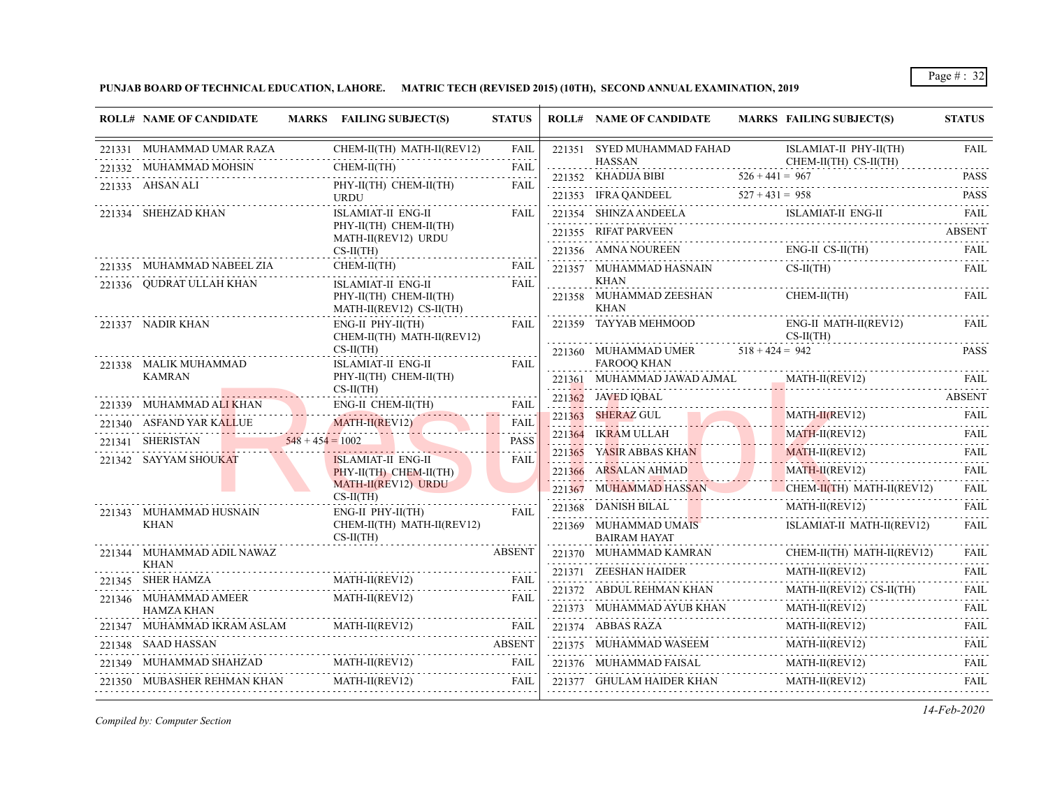**PUNJAB BOARD OF TECHNICAL EDUCATION, LAHORE. MATRIC TECH (REVISED 2015) (10TH), SECOND ANNUAL EXAMINATION, 2019**

| <b>ROLL# NAME OF CANDIDATE</b>         | MARKS FAILING SUBJECT(S)                                                 | <b>STATUS</b>    | <b>ROLL# NAME OF CANDIDATE</b>                                                                                                             |        | <b>MARKS FAILING SUBJECT(S)</b>                                                                                                                                | <b>STATUS</b>          |
|----------------------------------------|--------------------------------------------------------------------------|------------------|--------------------------------------------------------------------------------------------------------------------------------------------|--------|----------------------------------------------------------------------------------------------------------------------------------------------------------------|------------------------|
| 221331 MUHAMMAD UMAR RAZA              | CHEM-II(TH) MATH-II(REV12)                                               | <b>FAIL</b>      | 221351 SYED MUHAMMAD FAHAD<br><b>HASSAN</b>                                                                                                |        | ISLAMIAT-II PHY-II(TH)<br>CHEM-II(TH) CS-II(TH)                                                                                                                | <b>FAIL</b>            |
| 221332 MUHAMMAD MOHSIN                 | CHEM-II(TH)                                                              | <b>FAIL</b>      |                                                                                                                                            |        | 221352 KHADIJA BIBI $526 + 441 = 967$ PASS                                                                                                                     |                        |
| 221333 AHSAN ALI                       | PHY-II(TH) CHEM-II(TH)<br><b>URDU</b>                                    | <b>FAIL</b>      |                                                                                                                                            |        | 221353 IFRA QANDEEL 527 + 431 = 958 PASS                                                                                                                       |                        |
| 221334 SHEHZAD KHAN                    | <b>ISLAMIAT-II ENG-II</b>                                                | <b>FAIL</b>      |                                                                                                                                            |        | 221354 SHINZA ANDEELA ISLAMIAT-II ENG-II                                                                                                                       | FAII.                  |
|                                        | PHY-II(TH) CHEM-II(TH)<br>MATH-II(REV12) URDU                            |                  | 221355 RIFAT PARVEEN                                                                                                                       |        |                                                                                                                                                                | <b>ABSENT</b>          |
|                                        | $CS-II(TH)$                                                              |                  | 221356 AMNA NOUREEN                                                                                                                        |        | $ENG-II CS-II(TH)$                                                                                                                                             | FAIL                   |
| 221335 MUHAMMAD NABEEL ZIA             | CHEM-II(TH)                                                              | <b>FAIL</b>      | 221357 MUHAMMAD HASNAIN                                                                                                                    |        | $CS-H(TH)$                                                                                                                                                     | <b>FAIL</b>            |
| 221336 OUDRAT ULLAH KHAN               | ISLAMIAT-II ENG-II<br>PHY-II(TH) CHEM-II(TH)<br>MATH-II(REV12) CS-II(TH) | <b>FAIL</b>      | KHAN<br>221358 MUHAMMAD ZEESHAN<br><b>KHAN</b>                                                                                             | .<br>. | CHEM-II(TH)                                                                                                                                                    | <b>FAIL</b>            |
| 221337 NADIR KHAN                      | ENG-II PHY-II(TH)<br>CHEM-II(TH) MATH-II(REV12)                          | <b>FAIL</b>      | 221359 TAYYAB MEHMOOD                                                                                                                      |        | ENG-II MATH-II(REV12)<br>$CS-II(TH)$                                                                                                                           | FAIL                   |
| 221338 MALIK MUHAMMAD                  | $CS-II(TH)$<br>.<br><b>ISLAMIAT-II ENG-II</b>                            | .<br><b>FAIL</b> | 221360 MUHAMMAD UMER $518 + 424 = 942$<br><b>FAROOQ KHAN</b>                                                                               |        |                                                                                                                                                                | <b>PASS</b>            |
| <b>KAMRAN</b>                          | PHY-II(TH) CHEM-II(TH)                                                   |                  | 221361 MUHAMMAD JAWAD AJMAL                                                                                                                |        |                                                                                                                                                                |                        |
| . <b>.</b><br>221339 MUHAMMAD ALI KHAN | $CS-II(TH)$<br>.<br>ENG-II CHEM-II(TH)                                   | FAIL             | 221362 JAVED IOBAL                                                                                                                         |        |                                                                                                                                                                | <b>ABSENT</b>          |
| 221340 ASFAND YAR KALLUE               | MATH-II(REV12)                                                           | FAIL             | 221363 SHERAZ GUL<br><u> London a Barbara a Barbara a Barbara a Barbara a Barbara a Barbara a Barbara a Barbara a Barbara a Barbara a </u> |        | $MATH-II(REV12)$<br>AI H-II(REV12) FAIL                                                                                                                        | <b>FAIL</b>            |
| YAR KALLUE<br>221341 SHERISTAN         | $548 + 454 = 1002$                                                       | <b>PASS</b>      | 221364 IKRAM ULLAH                                                                                                                         |        | MATH-II(REV12)                                                                                                                                                 | FAIL<br>.              |
| 221342 SAYYAM SHOUKAT                  | <b>ISLAMIAT-II ENG-II</b>                                                | <b>FAIL</b>      | 221365 YASIR ABBAS KHAN                                                                                                                    |        | $MATH-II(REV12)$                                                                                                                                               | FAII.                  |
|                                        | PHY-II(TH) CHEM-II(TH)                                                   |                  | 221366 ARSALAN AHMAD<br>AHMAD                                                                                                              |        | $MATH-II(REV12)$                                                                                                                                               | FAIL                   |
|                                        | MATH-II(REV12) URDU<br>$CS-II(TH)$                                       |                  |                                                                                                                                            |        | 221367 MUHAMMAD HASSAN CHEM-II(TH) MATH-II(REV12)                                                                                                              | <b>FAIL</b>            |
| 221343 MUHAMMAD HUSNAIN                | $ENG-II$ $PHY-II(TH)$                                                    | <b>FAIL</b>      | 221368 DANISH BILAL<br><u>.</u>                                                                                                            |        | MATH-II(REV12)                                                                                                                                                 | FAII.                  |
| <b>KHAN</b>                            | CHEM-II(TH) MATH-II(REV12)<br>$CS-II(TH)$                                |                  | 221369 MUHAMMAD UMAIS<br><b>BAIRAM HAYAT</b>                                                                                               |        | ISLAMIAT-II MATH-II(REV12)                                                                                                                                     | FAIL                   |
| 221344 MUHAMMAD ADIL NAWAZ<br>KHAN     |                                                                          | <b>ABSENT</b>    | 221370 MUHAMMAD KAMRAN                                                                                                                     |        | CHEM-II(TH) MATH-II(REV12)<br>.                                                                                                                                | FAIL.<br>$- - - - - -$ |
| 221345 SHER HAMZA                      | MATH-II(REV12)                                                           | FAIL             | 221371 ZEESHAN HAIDER                                                                                                                      |        | MATH-II(REV12)                                                                                                                                                 | <b>FAIL</b>            |
| 221346 MUHAMMAD AMEER                  | MATH-II(REV12)                                                           | FAIL             | 221372 ABDUL REHMAN KHAN                                                                                                                   |        | MATH-II(REV12) CS-II(TH)                                                                                                                                       | <b>FAIL</b><br>.       |
| HAMZA KHAN                             |                                                                          |                  |                                                                                                                                            |        | $\begin{tabular}{lllllll} $221373$ & {\small \textbf{MUHAMMAD} AYUB KHAM} & {\small \textbf{MATH-II} (REV12)} & {\small \textbf{FAIL}}\\ \hline \end{tabular}$ |                        |
| 221347 MUHAMMAD IKRAM ASLAM            | MATH-II(REV12)<br>IKRAM ASLAM MATH-II(REV12)                             | FAIL             | 221374 ABBAS RAZA                                                                                                                          | .      | MATH-II(REV12)                                                                                                                                                 | FAIL                   |
| 221348 SAAD HASSAN                     |                                                                          | ABSENT           | 221375 MUHAMMAD WASEEM 1                                                                                                                   |        | MATH-II(REV12)                                                                                                                                                 | FAIL                   |
| 221349 MUHAMMAD SHAHZAD                | $\text{MATH-II}(\text{REV12}) \qquad \qquad \text{FAIL}$                 | FAIL             | 221376 MUHAMMAD FAISAL                                                                                                                     |        | MATH-II(REV12)                                                                                                                                                 |                        |
| 221350 MUBASHER REHMAN KHAN            | MATH-II(REV12)                                                           | FAIL             |                                                                                                                                            |        | $\frac{\text{MATH-II(REV12)}}{2}$                                                                                                                              | <b>FAIL</b>            |

*Compiled by: Computer Section*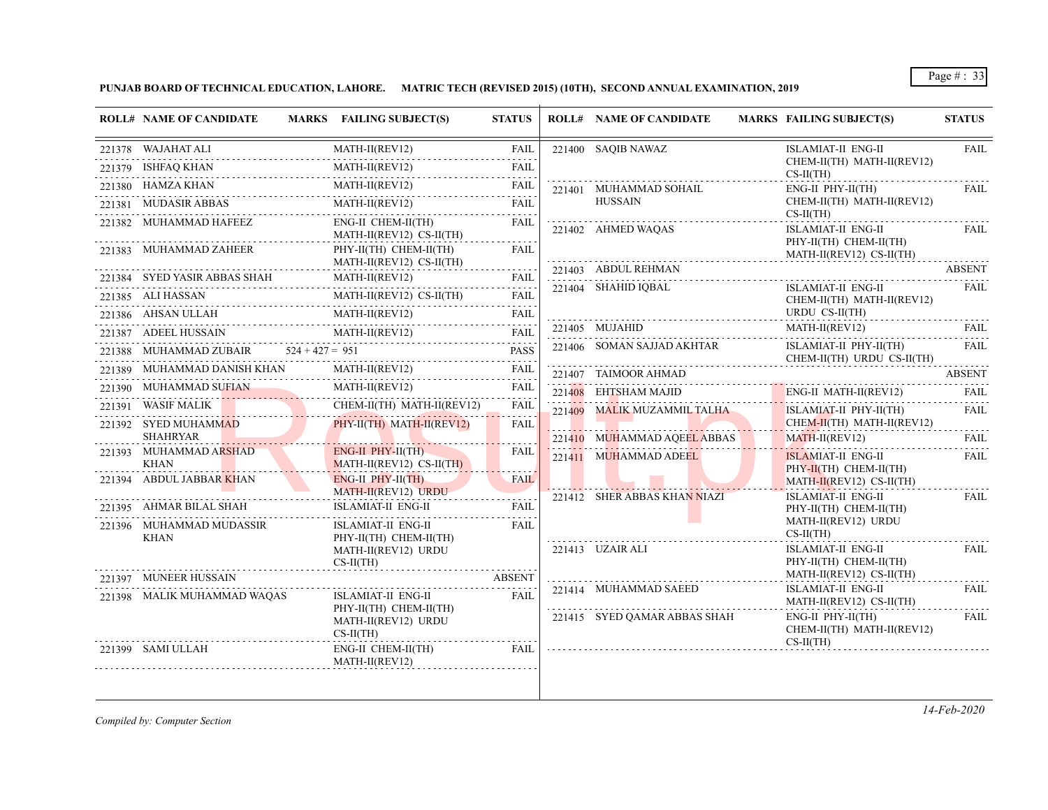**PUNJAB BOARD OF TECHNICAL EDUCATION, LAHORE. MATRIC TECH (REVISED 2015) (10TH), SECOND ANNUAL EXAMINATION, 2019**

| <b>ROLL# NAME OF CANDIDATE</b>                        | MARKS FAILING SUBJECT(S)                                     | <b>STATUS</b> | <b>ROLL# NAME OF CANDIDATE</b> | <b>MARKS FAILING SUBJECT(S)</b>                      | <b>STATUS</b>                        |
|-------------------------------------------------------|--------------------------------------------------------------|---------------|--------------------------------|------------------------------------------------------|--------------------------------------|
| 221378 WAJAHAT ALI                                    | $MATH-II(REV12)$<br>.                                        | <b>FAIL</b>   | 221400 SAQIB NAWAZ             | <b>ISLAMIAT-II ENG-II</b>                            | <b>FAIL</b>                          |
| 221379 ISHFAQ KHAN<br>1<br>-------------------------- | MATH-II(REV12)                                               | <b>FAIL</b>   |                                | CHEM-II(TH) MATH-II(REV12)<br>$CS-II(TH)$            |                                      |
| 221380 HAMZA KHAN                                     | $MATH-II(REV12)$<br>N<br>MATH-II(REV12)                      | FAIL          | 221401 MUHAMMAD SOHAIL         | $ENG-II$ $PHY-II(TH)$                                | FAIL                                 |
| 221381 MUDASIR ABBAS                                  | MATH-II(REV12)                                               | <b>FAIL</b>   | <b>HUSSAIN</b>                 | CHEM-II(TH) MATH-II(REV12)<br>$CS-II(TH)$            |                                      |
| 221382 MUHAMMAD HAFEEZ                                | ENG-II CHEM-II(TH)<br>MATH-II(REV12) CS-II(TH)               | <b>FAIL</b>   | 221402 AHMED WAOAS             | <b>ISLAMIAT-II ENG-II</b><br>PHY-II(TH) CHEM-II(TH)  | FAIL                                 |
| 221383 MUHAMMAD ZAHEER                                | PHY-II(TH) CHEM-II(TH)<br>MATH-II(REV12) CS-II(TH)           | <b>FAIL</b>   | 221403 ABDUL REHMAN            | MATH-II(REV12) CS-II(TH)                             | <b>ABSENT</b>                        |
| 221384 SYED YASIR ABBAS SHAH                          | MATH-II(REV12)                                               | FAIL          | .<br>221404 SHAHID IQBAL       | ISLAMIAT-II ENG-II                                   | FAIL                                 |
| 221385 ALI HASSAN                                     | MATH-II(REV12) CS-II(TH)                                     | FAIL          |                                | CHEM-II(TH) MATH-II(REV12)                           |                                      |
| 221386 AHSAN ULLAH                                    | MATH-II(REV12)                                               | <b>FAIL</b>   |                                | URDU CS-II(TH)                                       |                                      |
| 221387 ADEEL HUSSAIN                                  | MATH-II(REV12)                                               | <b>FAIL</b>   | 221405 MUJAHID                 | MATH-II(REV12)                                       | FAII.<br>.                           |
| 221388 MUHAMMAD ZUBAIR $524 + 427 = 951$              |                                                              | <b>PASS</b>   | 221406 SOMAN SAJJAD AKHTAR     | ISLAMIAT-II PHY-II(TH)<br>CHEM-II(TH) URDU CS-II(TH) | FAIL                                 |
| 221389 MUHAMMAD DANISH KHAN                           | $MATH-II(REV12)$                                             | FAIL          | 221407 TAIMOOR AHMAD           |                                                      | <b>ABSENT</b>                        |
| 221390 MUHAMMAD SUFIAN<br>AD SUFIAN                   | MATH-II(REV12)                                               | FAIL          | 221408 EHTSHAM MAJID           | ENG-II MATH-II(REV12)                                | <b>FAIL</b>                          |
| 221391 WASIF MALIK                                    | CHEM-II(TH) MATH-II(REV12)                                   | <b>FAIL</b>   | 221409 MALIK MUZAMMIL TALHA    | ISLAMIAT-II PHY-II(TH)                               | <b>FAIL</b>                          |
| 221392 SYED MUHAMMAD                                  | PHY-II(TH) MATH-II(REV12)                                    | <b>FAIL</b>   |                                | CHEM-II(TH) MATH-II(REV12)                           |                                      |
| <b>SHAHRYAR</b><br>221393 MUHAMMAD ARSHAD             | $ENG-II$ $PHY-II(TH)$                                        | <b>FAIL</b>   | 221410 MUHAMMAD AQEEL ABBAS    | $MATH-II(REV12)$                                     | <b>FAIL</b>                          |
| <b>KHAN</b>                                           | MATH-II(REV12) CS-II(TH)                                     |               | 221411 MUHAMMAD ADEEL          | <b>ISLAMIAT-II ENG-II</b><br>PHY-II(TH) CHEM-II(TH)  | FAIL                                 |
| 221394 ABDUL JABBAR KHAN                              | $ENG-II$ $PHY-II(TH)$                                        | <b>FAIL</b>   |                                | MATH-II(REV12) CS-II(TH)                             | 2.2.2.2.2.1                          |
| 221395 AHMAR BILAL SHAH                               | MATH-II(REV12) URDU<br><b>ISLAMIAT-II ENG-II</b>             | <b>FAIL</b>   | 221412 SHER ABBAS KHAN NIAZI   | ISLAMIAT-II ENG-II<br>PHY-II(TH) CHEM-II(TH)         | FAIL                                 |
| 221396 MUHAMMAD MUDASSIR<br><b>KHAN</b>               | <b>ISLAMIAT-II ENG-II</b><br>PHY-II(TH) CHEM-II(TH)          | <b>FAIL</b>   |                                | MATH-II(REV12) URDU<br>$CS-II(TH)$                   |                                      |
|                                                       | MATH-II(REV12) URDU<br>$CS-II(TH)$                           |               | 221413 UZAIR ALI               | <b>ISLAMIAT-II ENG-II</b><br>PHY-II(TH) CHEM-II(TH)  | <b>FAIL</b>                          |
| 221397 MUNEER HUSSAIN                                 |                                                              | <b>ABSENT</b> |                                | MATH-II(REV12) CS-II(TH)                             | .                                    |
| 221398 MALIK MUHAMMAD WAQAS                           | ISLAMIAT-II ENG-II                                           | <b>FAIL</b>   | 221414 MUHAMMAD SAEED          | ISLAMIAT-II ENG-II<br>MATH-II(REV12) CS-II(TH)       | FAIL                                 |
|                                                       | PHY-II(TH) CHEM-II(TH)<br>MATH-II(REV12) URDU<br>$CS-II(TH)$ |               | 221415 SYED QAMAR ABBAS SHAH   | $ENG-II$ $PHY-II(TH)$<br>CHEM-II(TH) MATH-II(REV12)  | ولايتنا والمتعاونة والمنافذة<br>FAIL |
| 221399 SAMI ULLAH                                     | ENG-II CHEM-II(TH)<br>MATH-II(REV12)                         | FAIL          |                                | $CS-II(TH)$                                          |                                      |

*Compiled by: Computer Section*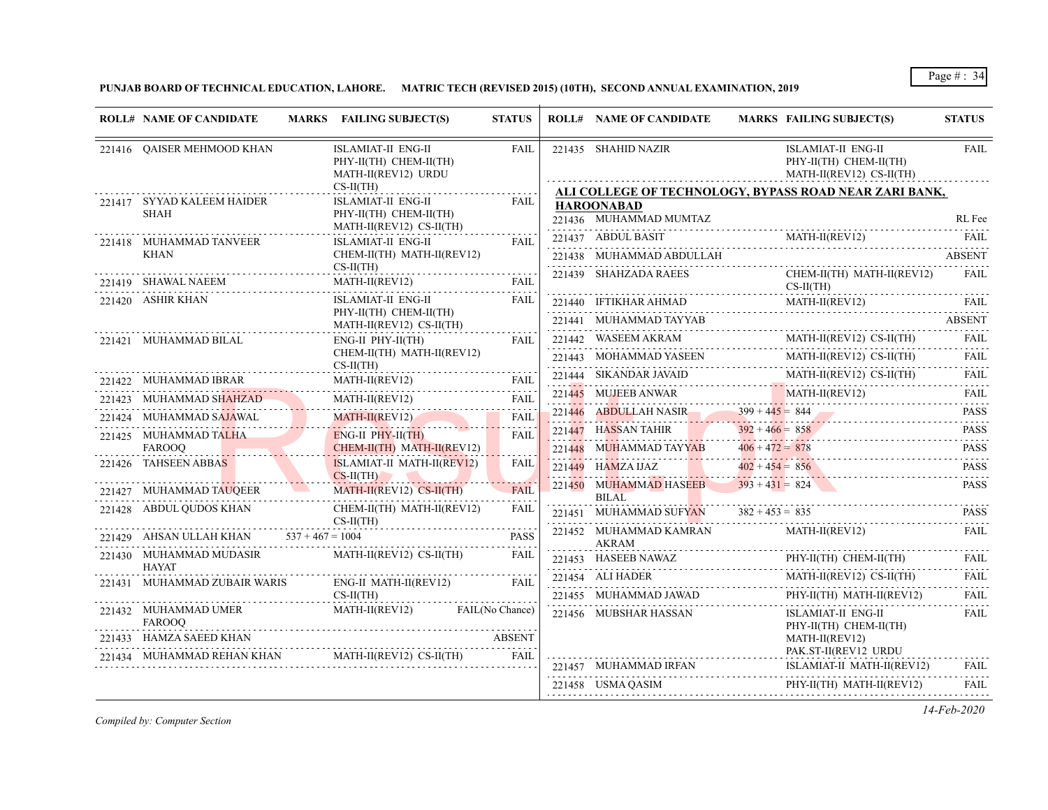**PUNJAB BOARD OF TECHNICAL EDUCATION, LAHORE. MATRIC TECH (REVISED 2015) (10TH), SECOND ANNUAL EXAMINATION, 2019**

|        | <b>ROLL# NAME OF CANDIDATE</b>             | MARKS FAILING SUBJECT(S)                                                 | <b>STATUS</b> | <b>ROLL# NAME OF CANDIDATE</b>                                                  | MARKS FAILING SUBJECT(S)                                                                            | <b>STATUS</b>    |
|--------|--------------------------------------------|--------------------------------------------------------------------------|---------------|---------------------------------------------------------------------------------|-----------------------------------------------------------------------------------------------------|------------------|
|        | 221416 OAISER MEHMOOD KHAN                 | ISLAMIAT-II ENG-II<br>PHY-II(TH) CHEM-II(TH)<br>MATH-II(REV12) URDU      | FAIL          | 221435 SHAHID NAZIR                                                             | ISLAMIAT-II ENG-II<br>PHY-II(TH) CHEM-II(TH)<br>MATH-II(REV12) CS-II(TH)                            | <b>FAIL</b>      |
|        |                                            | $CS-II(TH)$                                                              |               |                                                                                 | ALI COLLEGE OF TECHNOLOGY, BYPASS ROAD NEAR ZARI BANK,                                              |                  |
|        | 221417 SYYAD KALEEM HAIDER                 | ISLAMIAT-II ENG-II                                                       | FAIL          | <b>HAROONABAD</b>                                                               |                                                                                                     |                  |
|        | SHAH                                       | PHY-II(TH) CHEM-II(TH)<br>$MATH-II(REV12) CS-II(TH)$                     |               | 221436 MUHAMMAD MUMTAZ                                                          |                                                                                                     | RL Fee           |
|        | 221418 MUHAMMAD TANVEER                    | ISLAMIAT-II ENG-II                                                       | FAIL          |                                                                                 | 221437 ABDUL BASIT MATH-II(REV12) FAIL                                                              |                  |
|        | <b>KHAN</b>                                | CHEM-II(TH) MATH-II(REV12)                                               |               |                                                                                 | 221438 MUHAMMAD ABDULLAH ABSENT                                                                     |                  |
|        | 221419 SHAWAL NAEEM                        | $CS-II(TH)$<br>$\frac{\text{MATH-II}(REV12)}{P(1,0)}$                    | FAIL          | 221439 SHAHZADA RAEES                                                           | CHEM-II(TH) MATH-II(REV12)<br>$CS-II(TH)$                                                           | FAIL             |
|        | 221420 ASHIR KHAN                          | ISLAMIAT-II ENG-II                                                       | FAIL          |                                                                                 | $221440 \quad \text{IFTIKHAR AHMAD} \qquad \qquad \text{MATH-II (REV12)} \qquad \qquad \text{FAIL}$ |                  |
|        |                                            | PHY-II(TH) CHEM-II(TH)                                                   |               |                                                                                 | 221441 MUHAMMAD TAYYAB ABSENT                                                                       |                  |
|        | 221421 MUHAMMAD BILAL                      | MATH-II(REV12) CS-II(TH)<br>$ENG-II$ $PHY-II(TH)$                        | <b>FAIL</b>   |                                                                                 | $221442 \quad \text{WASEEM AKRAM} \qquad \qquad \text{MATH-II(REV12) CS-II(TH)}$                    | FAII.            |
|        |                                            | CHEM-II(TH) MATH-II(REV12)                                               |               | 221443 MOHAMMAD YASEEN MARI                                                     | MATH-II(REV12) CS-II(TH)                                                                            | .<br>FAIL        |
|        |                                            | $CS-II(TH)$                                                              |               | 221444 SIKANDAR JAVAID                                                          | MATH-II(REV12) CS-II(TH)                                                                            | FAII.            |
| 221422 | MUHAMMAD IBRAR                             | MATH-II(REV12)                                                           | FAIL          | .<br>NDAR JAVAID<br>NDAR JAVAID<br>221445 MUJEEB ANWAR                          | $\begin{array}{c} \text{MATH-II(REV12)} \\ \text{NATH-II(REV12)} \end{array}$                       | <b>FAIL</b>      |
|        | 221423 MUHAMMAD SHAHZAD                    | $MATH-II (REV12)$                                                        | <b>FAIL</b>   |                                                                                 |                                                                                                     | .<br><b>PASS</b> |
|        | 221424 MUHAMMAD SAJAWAL                    | $MATH-II(REV12)$                                                         | FAIL          | 221446 ABDULLAH NASIR 399 + 445 = 844<br>221447 HASSAN TAHIR<br><b>Contract</b> | $392 + 466 = 858$                                                                                   | <b>PASS</b>      |
|        | 221425 MUHAMMAD TALHA<br><b>FAROOO</b>     | ENG-II PHY-II(TH)<br>CHEM-II(TH) MATH-II(REV12)                          | <b>FAIL</b>   | 221448 MUHAMMAD TAYYAB                                                          | $406 + 472 = 878$                                                                                   | .<br><b>PASS</b> |
|        | 221426 TAHSEEN ABBAS                       | <u>didaktan di didaktan di seba</u><br><b>ISLAMIAT-II MATH-II(REV12)</b> | <b>FAIL</b>   | $221449$ HAMZA IJAZ                                                             | 448 MUHAMMAD TAYYAB 406 + 472 = 878 PASS<br>$\frac{402+454}{2} = 856$                               | <b>PASS</b>      |
|        |                                            | $CS-II(TH)$                                                              |               | 221450 MUHAMMAD HASEEB                                                          | $393 + 431 = 824$                                                                                   | .<br><b>PASS</b> |
|        | 221427 MUHAMMAD TAUQEER                    | <u>and the second second second</u><br>MATH-II(REV12) CS-II(TH)          | FAII          | <b>BILAL</b>                                                                    |                                                                                                     |                  |
|        | 221428 ABDUL QUDOS KHAN                    | CHEM-II(TH) MATH-II(REV12)<br>$CS-H(TH)$                                 | FAIL          | 221451 MUHAMMAD SUFYAN $382 + 453 = 835$                                        |                                                                                                     | <b>PASS</b>      |
|        | 221429 AHSAN ULLAH KHAN $537 + 467 = 1004$ |                                                                          | <b>PASS</b>   | 221452 MUHAMMAD KAMRAN                                                          | $MATH-II(REV12)$                                                                                    | <b>FAIL</b>      |
|        | 221430 MUHAMMAD MUDASIR                    | MATH-II(REV12) CS-II(TH)                                                 | FAIL          | <b>AKRAM</b><br>221453 HASEEB NAWAZ                                             | PHY-II(TH) CHEM-II(TH)                                                                              | FAIL             |
|        | <b>HAYAT</b>                               |                                                                          |               | 221454 ALI HADER                                                                |                                                                                                     | <b>FAIL</b>      |
|        | 221431 MUHAMMAD ZUBAIR WARIS               | ENG-II MATH-II(REV12)                                                    | <b>FAIL</b>   | HADER<br>---------------------------------                                      | MATH-II(REV12) CS-II(TH)                                                                            | .                |
|        | 221432 MUHAMMAD UMER                       | $CS-II(TH)$<br>MATH-II(REV12) FAIL(No Chance)                            |               | $221455 \quad \text{MUHAMMAD JAWAD}$                                            | PHY-II(TH) MATH-II(REV12)                                                                           | <b>FAIL</b><br>. |
|        | <b>FAROOQ</b>                              |                                                                          |               | 221456 MUBSHAR HASSAN                                                           | ISLAMIAT-II ENG-II<br>PHY-II(TH) CHEM-II(TH)                                                        | <b>FAIL</b>      |
|        | 221433 HAMZA SAEED KHAN                    |                                                                          | <b>ABSENT</b> |                                                                                 | MATH-II(REV12)                                                                                      |                  |
|        |                                            | 221434 MUHAMMAD REHAN KHAN MATH-II(REV12) CS-II(TH)                      | FAII.         | 221457 MUHAMMAD IRFAN                                                           | PAK.ST-II(REV12 URDU<br>ISLAMIAT-II MATH-II(REV12)                                                  | <b>FAIL</b>      |
|        |                                            |                                                                          |               |                                                                                 |                                                                                                     |                  |
|        |                                            |                                                                          |               | 221458 USMA QASIM                                                               | PHY-II(TH) MATH-II(REV12)                                                                           | <b>FAIL</b>      |

*Compiled by: Computer Section*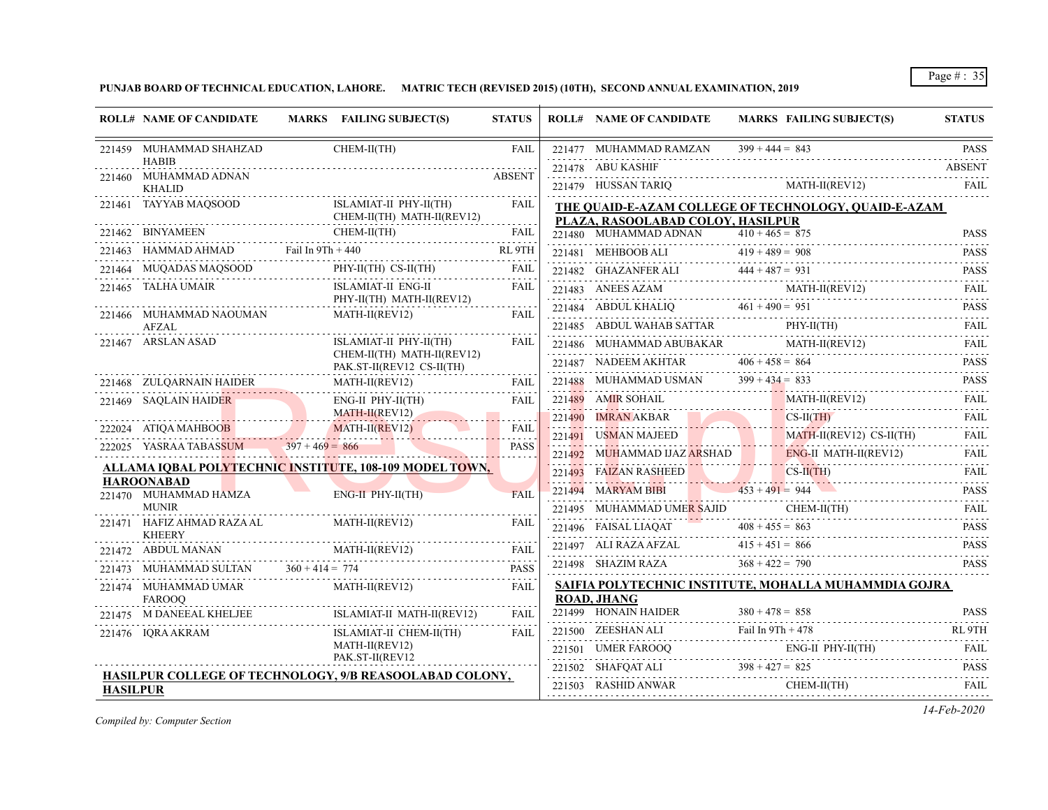**PUNJAB BOARD OF TECHNICAL EDUCATION, LAHORE. MATRIC TECH (REVISED 2015) (10TH), SECOND ANNUAL EXAMINATION, 2019**

|          | <b>ROLL# NAME OF CANDIDATE</b>                                             | MARKS FAILING SUBJECT(S)                                                                                                                                                                                                                                                                                                                                                                                                                | <b>STATUS</b>              | <b>ROLL# NAME OF CANDIDATE</b>            | MARKS FAILING SUBJECT(S)                                                                                                                                                                                                                                                                                                                                                                                                                                                  | <b>STATUS</b>                |
|----------|----------------------------------------------------------------------------|-----------------------------------------------------------------------------------------------------------------------------------------------------------------------------------------------------------------------------------------------------------------------------------------------------------------------------------------------------------------------------------------------------------------------------------------|----------------------------|-------------------------------------------|---------------------------------------------------------------------------------------------------------------------------------------------------------------------------------------------------------------------------------------------------------------------------------------------------------------------------------------------------------------------------------------------------------------------------------------------------------------------------|------------------------------|
|          | 221459 MUHAMMAD SHAHZAD<br><b>HABIB</b>                                    | CHEM-II(TH)                                                                                                                                                                                                                                                                                                                                                                                                                             | <b>FAIL</b>                | 221477 MUHAMMAD RAMZAN                    | $399 + 444 = 843$<br>1477 MUHAMMAD RAMZAN 399 + 444 = 843 PASS                                                                                                                                                                                                                                                                                                                                                                                                            | <b>PASS</b>                  |
|          | 221460 MUHAMMAD ADNAN<br><b>KHALID</b>                                     |                                                                                                                                                                                                                                                                                                                                                                                                                                         | <b>ABSENT</b>              | 221478 ABU KASHIF<br>221479 HUSSAN TARIQ  | $MATH-II(REV12)$                                                                                                                                                                                                                                                                                                                                                                                                                                                          | <b>ABSENT</b><br><b>FAIL</b> |
|          |                                                                            | 221461 TAYYAB MAQSOOD ISLAMIAT-II PHY-II(TH)<br>CHEM-II(TH) MATH-II(REV12)                                                                                                                                                                                                                                                                                                                                                              | FAIL                       | PLAZA, RASOOLABAD COLOY, HASILPUR         | THE QUAID-E-AZAM COLLEGE OF TECHNOLOGY, QUAID-E-AZAM                                                                                                                                                                                                                                                                                                                                                                                                                      |                              |
|          |                                                                            |                                                                                                                                                                                                                                                                                                                                                                                                                                         |                            | $221480$ MUHAMMAD ADNAN $410 + 465 = 875$ |                                                                                                                                                                                                                                                                                                                                                                                                                                                                           | <b>PASS</b>                  |
|          |                                                                            | $\begin{tabular}{c c c c} \multicolumn{2}{c }{\textbf{221462}} & \multicolumn{2}{c }{BNYAMEEN} & \multicolumn{2}{c }{CHEM-II(TH)} & \multicolumn{2}{c }{FAIL} \\ \multicolumn{2}{c }{\textbf{221463}} & \multicolumn{2}{c }{HAMMAD} & \multicolumn{2}{c }{Fail} \text{ In 9Th + 440} & \multicolumn{2}{c }{RL} \end{tabular} \vspace{5mm}\begin{tabular}{c} \multicolumn{2}{c }{\textbf{221463}} & \multicolumn{2}{c }{HAMMAD} & \mult$ |                            |                                           | 221481 MEHBOOB ALI $419 + 489 = 908$ PASS                                                                                                                                                                                                                                                                                                                                                                                                                                 | .                            |
| 221464   |                                                                            | MUQADAS MAQSOOD PHY-II(TH) CS-II(TH)                                                                                                                                                                                                                                                                                                                                                                                                    | FAIL                       |                                           | 221482 GHAZANFER ALI $444 + 487 = 931$ PASS                                                                                                                                                                                                                                                                                                                                                                                                                               |                              |
|          | 221465 TALHA UMAIR                                                         | ISLAMIAT-II ENG-II                                                                                                                                                                                                                                                                                                                                                                                                                      | FAIL                       |                                           | $\underbrace{221483}_{\text{221483}} \quad \text{ANEES AZAM} \qquad \qquad \text{MATH-II}(\text{REV12}) \qquad \qquad \text{FAIL}$                                                                                                                                                                                                                                                                                                                                        |                              |
|          | 221466 MUHAMMAD NAOUMAN                                                    | PHY-II(TH) MATH-II(REV12)<br>MATH-II(REV12)                                                                                                                                                                                                                                                                                                                                                                                             | FAIL                       |                                           | 221484 ABDUL KHALIQ 461 + 490 = 951 PASS                                                                                                                                                                                                                                                                                                                                                                                                                                  |                              |
|          | AFZAL                                                                      |                                                                                                                                                                                                                                                                                                                                                                                                                                         |                            |                                           | $221485 ABDUL WAHAB SATTAR PHY-II(TH) FAIL PHY-II(TH) FAIL$                                                                                                                                                                                                                                                                                                                                                                                                               |                              |
|          | 221467 ARSLAN ASAD                                                         | ISLAMIAT-II PHY-II(TH)                                                                                                                                                                                                                                                                                                                                                                                                                  | <b>FAIL</b>                |                                           | $221486 \quad \text{MUHAMMAD ABUBAKAR} \qquad \qquad \text{MATH-II}(\text{REV12}) \qquad \qquad \text{FAIL}$                                                                                                                                                                                                                                                                                                                                                              |                              |
|          |                                                                            | CHEM-II(TH) MATH-II(REV12)<br>PAK.ST-II(REV12 CS-II(TH)                                                                                                                                                                                                                                                                                                                                                                                 |                            |                                           | 221487 NADEEM AKHTAR $406 + 458 = 864$                                                                                                                                                                                                                                                                                                                                                                                                                                    | <b>PASS</b><br>2.2.2.2.2.2   |
|          |                                                                            | 221468 ZULQARNAIN HAIDER MATH-II(REVI2)                                                                                                                                                                                                                                                                                                                                                                                                 | FAIL                       |                                           | 221488 MUHAMMAD USMAN $399 + 434 = 833$ PASS                                                                                                                                                                                                                                                                                                                                                                                                                              |                              |
|          | 221469 SAQLAIN HAIDER                                                      |                                                                                                                                                                                                                                                                                                                                                                                                                                         | FAII.                      | 221489 AMIR SOHAIL                        | MATH-II(REV12) FAIL                                                                                                                                                                                                                                                                                                                                                                                                                                                       |                              |
|          |                                                                            | LAIN HAIDER<br>ENG-II PHY-II(TH)<br>MATH-II(REV12)<br>MATH-II(REV12)<br>222024 ATIQA MAHBOOB MATH-II(REV12)                                                                                                                                                                                                                                                                                                                             |                            |                                           | 221490 IMRAN AKBAR CS-II(TH) FAIL PARTH-II(REV12) CS-II(TH) FAIL PARTH-II(REV12) CS-II(TH) FAIL                                                                                                                                                                                                                                                                                                                                                                           |                              |
|          |                                                                            |                                                                                                                                                                                                                                                                                                                                                                                                                                         | <b>FAIL</b><br><b>PASS</b> |                                           |                                                                                                                                                                                                                                                                                                                                                                                                                                                                           |                              |
|          |                                                                            | 222025 YASRAA TABASSUM 397 + 469 = 866                                                                                                                                                                                                                                                                                                                                                                                                  |                            |                                           | 221492 MUHAMMAD IJAZ ARSHAD ENG-II MATH-II(REV12) FAIL                                                                                                                                                                                                                                                                                                                                                                                                                    |                              |
|          | <b>HAROONABAD</b>                                                          | <u>ALLAMA IQBAL POLYTECHNIC INSTITUTE, 108-109 MODEL TOWN,</u>                                                                                                                                                                                                                                                                                                                                                                          |                            |                                           | 221493 FAIZAN RASHEED CS-II(TH) FAIL                                                                                                                                                                                                                                                                                                                                                                                                                                      |                              |
|          | 221470 MUHAMMAD HAMZA                                                      | ENG-II PHY-II(TH)                                                                                                                                                                                                                                                                                                                                                                                                                       | FAIL                       |                                           | 221494 MARYAM BIBI 453 + 491 = 944 PASS                                                                                                                                                                                                                                                                                                                                                                                                                                   |                              |
|          | <b>MUNIR</b>                                                               | .<br>.                                                                                                                                                                                                                                                                                                                                                                                                                                  |                            | 221495 MUHAMMAD UMER SAJID                | MUHAMMAD UME <mark>R SAJID</mark> CHEM-II(TH) FAIL FAIL                                                                                                                                                                                                                                                                                                                                                                                                                   |                              |
|          | 221471 HAFIZ AHMAD RAZA AL<br><b>KHEERY</b>                                | MATH-II(REV12)                                                                                                                                                                                                                                                                                                                                                                                                                          | <b>FAIL</b>                |                                           | 221496 FAISAL LIAQAT $408 + 455 = 863$ PASS                                                                                                                                                                                                                                                                                                                                                                                                                               |                              |
|          |                                                                            | 221472 ABDUL MANAN MATH-II(REV12) FAIL                                                                                                                                                                                                                                                                                                                                                                                                  |                            |                                           | 221497 ALI RAZA AFZAL $415 + 451 = 866$ PASS                                                                                                                                                                                                                                                                                                                                                                                                                              |                              |
|          |                                                                            | 221473 MUHAMMAD SULTAN $360 + 414 = 774$ PASS                                                                                                                                                                                                                                                                                                                                                                                           | <b>PASS</b>                | 221498 SHAZIM RAZA $368 + 422 = 790$      |                                                                                                                                                                                                                                                                                                                                                                                                                                                                           | <b>PASS</b>                  |
|          | 221474 MUHAMMAD UMAR<br><b>FAROOO</b>                                      | MATH-II(REV12)                                                                                                                                                                                                                                                                                                                                                                                                                          | FAIL                       | <b>ROAD, JHANG</b>                        | SAIFIA POLYTECHNIC INSTITUTE, MOHALLA MUHAMMDIA GOJRA                                                                                                                                                                                                                                                                                                                                                                                                                     |                              |
|          |                                                                            | $221475 \quad \text{M }\text{DANEEAL }\text{KHELIEE} \qquad \qquad \text{ISLAMIAT-II } \text{MATH-II}(\text{REV12})$                                                                                                                                                                                                                                                                                                                    | <b>FAIL</b>                |                                           | $221499$ HONAIN HAIDER $380 + 478 = 858$ PASS                                                                                                                                                                                                                                                                                                                                                                                                                             |                              |
|          | 221476 IQRA AKRAM                                                          | ISLAMIAT-II CHEM-II(TH)                                                                                                                                                                                                                                                                                                                                                                                                                 | FAIL                       |                                           | 221500 ZEESHAN ALI Fail In $9Th + 478$ RL $9TH$                                                                                                                                                                                                                                                                                                                                                                                                                           |                              |
|          |                                                                            | MATH-II(REV12)                                                                                                                                                                                                                                                                                                                                                                                                                          |                            |                                           | 221501 UMER FAROOQ ENG-II PHY-II(TH) FAIL                                                                                                                                                                                                                                                                                                                                                                                                                                 |                              |
|          | PAK.ST-II(REV12<br>HASILPUR COLLEGE OF TECHNOLOGY, 9/B REASOOLABAD COLONY, |                                                                                                                                                                                                                                                                                                                                                                                                                                         |                            |                                           | 221502 SHAFQAT ALI $398 + 427 = 825$ PASS                                                                                                                                                                                                                                                                                                                                                                                                                                 |                              |
| HASILPUR |                                                                            |                                                                                                                                                                                                                                                                                                                                                                                                                                         |                            |                                           | $\begin{tabular}{cc} 221503 & RASHID ANWAR & CHEM-II(TH) & FAIL \\ \hline \end{tabular} \begin{tabular}{c} \multicolumn{2}{c} \textbf{15.01} \end{tabular} \begin{tabular}{c} \multicolumn{2}{c} \textbf{15.02} \end{tabular} \begin{tabular}{c} \multicolumn{2}{c} \textbf{15.03} \end{tabular} \begin{tabular}{c} \multicolumn{2}{c} \textbf{15.04} \end{tabular} \begin{tabular}{c} \multicolumn{2}{c} \textbf{15.05} \end{tabular} \begin{tabular}{c} \multicolumn{2$ |                              |

*Compiled by: Computer Section*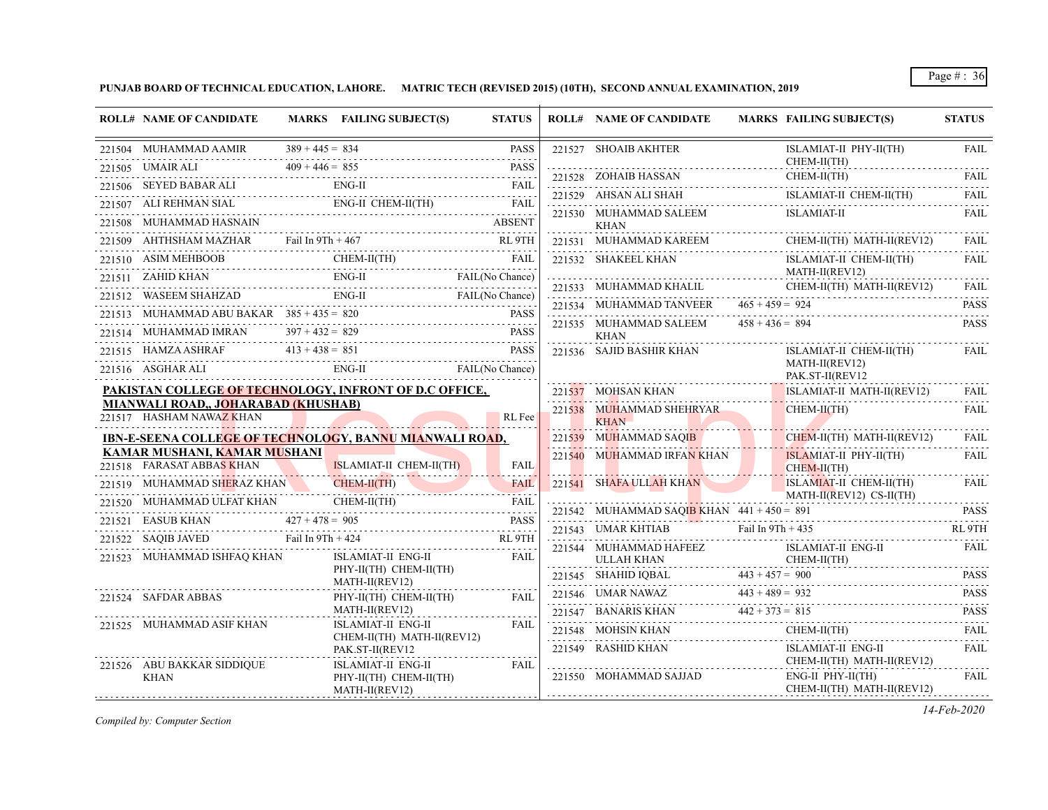**PUNJAB BOARD OF TECHNICAL EDUCATION, LAHORE. MATRIC TECH (REVISED 2015) (10TH), SECOND ANNUAL EXAMINATION, 2019**

| <b>ROLL# NAME OF CANDIDATE</b>                                                                                                                                                                                                                                                                                                                                                                                                                                |   | MARKS FAILING SUBJECT(S)                                       | <b>STATUS</b> |   | <b>ROLL# NAME OF CANDIDATE</b>           | MARKS FAILING SUBJECT(S)                                                                                                                                                                                                                                                                                                                                                                                                                        | <b>STATUS</b> |
|---------------------------------------------------------------------------------------------------------------------------------------------------------------------------------------------------------------------------------------------------------------------------------------------------------------------------------------------------------------------------------------------------------------------------------------------------------------|---|----------------------------------------------------------------|---------------|---|------------------------------------------|-------------------------------------------------------------------------------------------------------------------------------------------------------------------------------------------------------------------------------------------------------------------------------------------------------------------------------------------------------------------------------------------------------------------------------------------------|---------------|
| 221504 MUHAMMAD AAMIR $389 + 445 = 834$ PASS<br>221505 UMAIR ALI $409 + 446 = 855$ PASS<br>221505 UMAIR ALI $409 + 446 = 855$                                                                                                                                                                                                                                                                                                                                 |   |                                                                |               |   | 221527 SHOAIB AKHTER                     | ISLAMIAT-II PHY-II(TH)<br>CHEM-II(TH)                                                                                                                                                                                                                                                                                                                                                                                                           | <b>FAIL</b>   |
|                                                                                                                                                                                                                                                                                                                                                                                                                                                               |   |                                                                |               |   |                                          |                                                                                                                                                                                                                                                                                                                                                                                                                                                 |               |
| $\begin{tabular}{ll} \multicolumn{2}{c}{\textbf{221506}} & \multicolumn{2}{c}{SEVED BABAR ALI} & \multicolumn{2}{c}{ENG-II} & \multicolumn{2}{c}{FAIL} \\ \multicolumn{2}{c}{\textbf{221507}} & \multicolumn{2}{c}{ALI} & \multicolumn{2}{c}{FAIL} \\ \multicolumn{2}{c}{\textbf{221507}} & \multicolumn{2}{c}{ALI} & \multicolumn{2}{c}{FAIL} \\ \multicolumn{2}{c}{\textbf{221507}} & \multicolumn{2}{c}{ALI} & \multicolumn{2}{c}{FAIL} \\ \multicolumn{2$ |   |                                                                |               |   |                                          | $\begin{tabular}{lllllllll} \multicolumn{2}{l}{{\bf 221528}}&{\bf 2014AB HASAN} & {\bf CHEM-II(TH)} & {\bf FAIL} \\ \multicolumn{2}{l}{\bf 221529}&{\bf AHSAN ALI SHAH} & {\bf ISLAMIAT-II CHEM-II(TH)} & {\bf FAIL} \\ \multicolumn{2}{l}{\bf 221529}&{\bf AHSAN ALI SHAH} & {\bf ISLAMIAT-II CHEM-II(TH)} & {\bf FAIL} \\ \multicolumn{2}{l}{\bf 221529}&{\bf AHSAN ALI SHAH} & {\bf ISLAMIAT-II CHEM-II(TH)} & {\bf FALI} \\ \multicolumn{2$ |               |
|                                                                                                                                                                                                                                                                                                                                                                                                                                                               |   |                                                                |               |   | 221530 MUHAMMAD SALEEM ISLAMIAT-II       |                                                                                                                                                                                                                                                                                                                                                                                                                                                 | FAIL          |
|                                                                                                                                                                                                                                                                                                                                                                                                                                                               |   |                                                                |               |   | KHAN                                     |                                                                                                                                                                                                                                                                                                                                                                                                                                                 |               |
| $\begin{tabular}{llllll} \bf 221508 & \textbf{MUHAMMAD HASNAIN} & \textbf{ABSENT} \\ \bf 221509 & \textbf{AHTHSHAM MAZHAR} & \textbf{fail In 9Th + 467} & \textbf{RL 9TH} \\ \bf \end{tabular}$                                                                                                                                                                                                                                                               |   |                                                                |               |   | $221531 \quad \text{MUHAMMAD KAREEM}$    | CHEM-II(TH) MATH-II(REV12)                                                                                                                                                                                                                                                                                                                                                                                                                      | FAIL          |
|                                                                                                                                                                                                                                                                                                                                                                                                                                                               |   |                                                                |               |   | 221532 SHAKEEL KHAN                      | ISLAMIAT-II CHEM-II(TH)                                                                                                                                                                                                                                                                                                                                                                                                                         | FAIL          |
| 221510 ASIM MEHBOOB CHEM-II(TH) FAIL<br>221511 ZAHID KHAN ENG-II FAIL(No Chance)                                                                                                                                                                                                                                                                                                                                                                              |   |                                                                |               |   | MATH-II(REV12)                           |                                                                                                                                                                                                                                                                                                                                                                                                                                                 |               |
| 221512 WASEEM SHAHZAD ENG-II FAIL (No Chance)                                                                                                                                                                                                                                                                                                                                                                                                                 |   |                                                                |               |   |                                          | 221533 MUHAMMAD KHALIL CHEM-II(TH) MATH-II(REV12) FAIL 221533 MUHAMMAD TANVEER 465+459 = 924 PASS                                                                                                                                                                                                                                                                                                                                               |               |
| 221513 MUHAMMAD ABU BAKAR $385 + 435 = 820$ PASS                                                                                                                                                                                                                                                                                                                                                                                                              |   |                                                                |               |   | 221535 MUHAMMAD SALEEM $458 + 436 = 894$ |                                                                                                                                                                                                                                                                                                                                                                                                                                                 | <b>PASS</b>   |
| 221514 MUHAMMAD IMRAN $397 + 432 = 829$                                                                                                                                                                                                                                                                                                                                                                                                                       |   | DIMRAN 397+432=829 PASS                                        |               |   | <b>KHAN</b>                              |                                                                                                                                                                                                                                                                                                                                                                                                                                                 |               |
| 221515 HAMZA ASHRAF $413 + 438 = 851$ PASS<br>221516 ASGHAR ALI ENG-II FAIL (No Chance)                                                                                                                                                                                                                                                                                                                                                                       |   |                                                                | <b>PASS</b>   |   | 221536 SAJID BASHIR KHAN                 | ISLAMIAT-II CHEM-II(TH)<br>MATH-II(REV12)<br>PAK.ST-II(REV12                                                                                                                                                                                                                                                                                                                                                                                    | FAIL          |
| PAKISTAN COLLEGE OF TECHNOLOGY, INFRONT OF D.C OFFICE,                                                                                                                                                                                                                                                                                                                                                                                                        |   |                                                                |               |   |                                          | 221537 MOHSAN KHAN ISLAMIAT-II MATH-II(REV12)                                                                                                                                                                                                                                                                                                                                                                                                   | FAIL          |
| MIANWALI ROAD,, JOHARABAD (KHUSHAB)<br>221517 HASHAM NAWAZ KHAN                                                                                                                                                                                                                                                                                                                                                                                               |   |                                                                | RL Fee        |   | 221538 MUHAMMAD SHEHRYAR<br>ALL RHAN     | $CHEM-II(TH)$                                                                                                                                                                                                                                                                                                                                                                                                                                   | FAIL          |
| IBN-E-SEENA COLLEGE OF TECHNOLOGY, BANNU MIANWALI ROAD,                                                                                                                                                                                                                                                                                                                                                                                                       |   |                                                                |               |   | 221539 MUHAMMAD SAQIB                    | CHEM-II(TH) MATH-II(REV12)                                                                                                                                                                                                                                                                                                                                                                                                                      | FAIL          |
| KAMAR MUSHANI, KAMAR MUSHANI<br>221518 FARASAT ABBAS KHAN ISLAMIAT-II CHEM-II(TH) FAIL                                                                                                                                                                                                                                                                                                                                                                        |   |                                                                |               |   | 221540 MUHAMMAD IRFAN KHAN               | ISLAMIAT-II PHY-II(TH) FAIL<br>CHEM-II(TH)                                                                                                                                                                                                                                                                                                                                                                                                      |               |
| 221519 MUHAMMAD SHERAZ KHAN CHEM-II(TH)                                                                                                                                                                                                                                                                                                                                                                                                                       |   | N CHEM-II(TH) FAIL                                             | FAIL          |   | 221541 SHAFA ULLAH KHAN                  | ISLAMIAT-II CHEM-II(TH)                                                                                                                                                                                                                                                                                                                                                                                                                         | FAIL          |
|                                                                                                                                                                                                                                                                                                                                                                                                                                                               |   |                                                                |               |   |                                          | MATH-II(REV12) CS-II(TH)                                                                                                                                                                                                                                                                                                                                                                                                                        |               |
|                                                                                                                                                                                                                                                                                                                                                                                                                                                               |   |                                                                |               |   |                                          | 221542 MUHAMMAD SAQIB KHAN $441 + 450 = 891$ PASS                                                                                                                                                                                                                                                                                                                                                                                               |               |
|                                                                                                                                                                                                                                                                                                                                                                                                                                                               |   |                                                                |               |   |                                          | 221543 UMAR KHTIAB Fail In $9Th + 435$ RL $9TH$                                                                                                                                                                                                                                                                                                                                                                                                 | FAIL          |
| 221523 MUHAMMAD ISHFAQ KHAN                                                                                                                                                                                                                                                                                                                                                                                                                                   |   | ISLAMIAT-II ENG-II FAIL                                        |               | . |                                          | ${\small \begin{tabular}{ll} \bf 221544 & \bf 10UHAMMAD HAFEEZ & \bf 1SLAMIAT-II ENG-II \\ \bf 10LLAH KHAN & \bf 11(TH) & \bf 11THTN & \bf 12THTN & \bf 13THTN & \bf 14THTN & \bf 15THTN & \bf 16THTN & \bf 17THTN & \bf 17THTN & \bf 17THTN & \bf 17THTN & \bf 17THTN & \bf 17THTN & \bf 17THTN & \bf 17THTN & \bf 17THTN & \bf 17TTTN & \bf 17TTTN & \$                                                                                       |               |
|                                                                                                                                                                                                                                                                                                                                                                                                                                                               |   | PHY-II(TH) CHEM-II(TH)                                         |               |   |                                          | $\begin{tabular}{c c c c c} \hline 221545 & SHAHID IQBAL & 443 + 457 = 900 & \textbf{PASS} \\ \hline 221546 & UMAR NAWAZ & 443 + 489 = 932 & \textbf{PASS} \\ \hline \end{tabular}$                                                                                                                                                                                                                                                             |               |
| MATH-II(REV12)<br>221524 SAFDAR ABBAS                                                                                                                                                                                                                                                                                                                                                                                                                         |   | PHY-II(TH) CHEM-II(TH) FAIL                                    |               |   |                                          |                                                                                                                                                                                                                                                                                                                                                                                                                                                 |               |
|                                                                                                                                                                                                                                                                                                                                                                                                                                                               | . | MATH-II(REV12)                                                 |               |   |                                          | 221547 BANARIS KHAN $442 + 373 = 815$ PASS PASS                                                                                                                                                                                                                                                                                                                                                                                                 |               |
| 221525 MUHAMMAD ASIF KHAN                                                                                                                                                                                                                                                                                                                                                                                                                                     |   | ISLAMIAT-II ENG-II<br>CHEM-II(TH) MATH-II(REV12)               | <b>FAIL</b>   |   | 221548 MOHSIN KHAN C                     | CHEM-II(TH) FAIL                                                                                                                                                                                                                                                                                                                                                                                                                                |               |
|                                                                                                                                                                                                                                                                                                                                                                                                                                                               |   | PAK.ST-II(REV12                                                |               |   |                                          | ${\small \begin{tabular}{ll} \bf 221549 & RASHID KHAN & \bf ISLAMIAT-II ENG-II \\ \bf .& \bf CHEM-II(TH) MATH-II(REV12) \\ \end{tabular}}$<br>ISLAMIAT-II ENG-II                                                                                                                                                                                                                                                                                | FAIL          |
| 221526 ABU BAKKAR SIDDIQUE<br>KHAN                                                                                                                                                                                                                                                                                                                                                                                                                            |   | ISLAMIAT-II ENG-II<br>PHY-II(TH) CHEM-II(TH)<br>MATH-II(REV12) | FAIL          |   | 221550 MOHAMMAD SAJJAD ENG-II PHY-II(TH) | CHEM-II(TH) MATH-II(REV12)                                                                                                                                                                                                                                                                                                                                                                                                                      | FAIL          |

*Compiled by: Computer Section*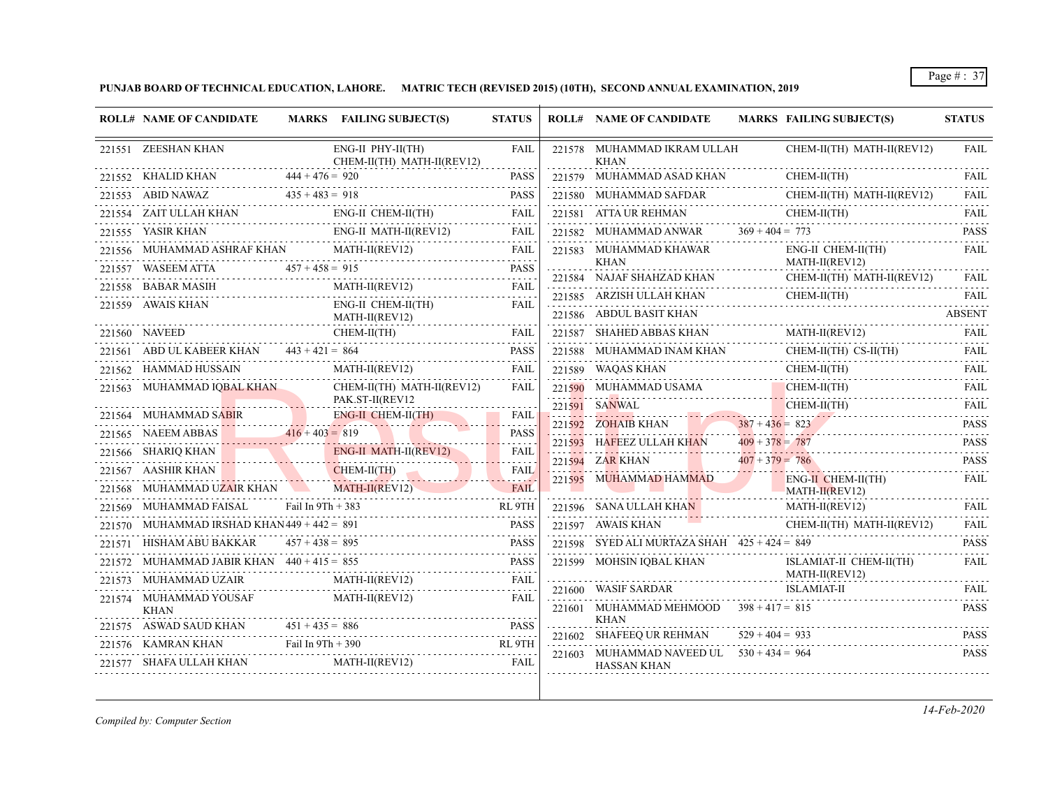**PUNJAB BOARD OF TECHNICAL EDUCATION, LAHORE. MATRIC TECH (REVISED 2015) (10TH), SECOND ANNUAL EXAMINATION, 2019**

| 221551 ZEESHAN KHAN<br>221552 KHALID KHAN<br>221553 ABID NAWAZ<br>WAZ $435 + 483 =$<br>221554 ZAIT ULLAH KHAN<br>221555 YASIR KHAN<br>221557 WASEEM ATTA<br>221558 BABAR MASIH<br>H<br>------------------------- | $444 + 476 = 920$<br>$435 + 483 = 918$<br>$457 + 458 = 915$ | ENG-II PHY-II(TH)<br>CHEM-II(TH) MATH-II(REV12)<br>ENG-II CHEM-II(TH)<br>ENG-II MATH-II(REV12)<br>221556 MUHAMMAD ASHRAF KHAN MATH-II(REV12) | <b>FAIL</b><br><b>PASS</b><br><b>PASS</b><br>FAIL<br>FAIL |             | 221578 MUHAMMAD IKRAM ULLAH<br><b>KHAN</b><br>221579 MUHAMMAD ASAD KHAN<br>221580 MUHAMMAD SAFDAR<br>221581 ATTA UR REHMAN |                                                 | CHEM-II(TH) MATH-II(REV12)<br>CHEM-II(TH)<br>CHEM-II(TH) MATH-II(REV12)<br>CHEM-II(TH) | <b>FAIL</b><br><b>FAIL</b><br>FAIL                                                                                                                                                  |
|------------------------------------------------------------------------------------------------------------------------------------------------------------------------------------------------------------------|-------------------------------------------------------------|----------------------------------------------------------------------------------------------------------------------------------------------|-----------------------------------------------------------|-------------|----------------------------------------------------------------------------------------------------------------------------|-------------------------------------------------|----------------------------------------------------------------------------------------|-------------------------------------------------------------------------------------------------------------------------------------------------------------------------------------|
|                                                                                                                                                                                                                  |                                                             |                                                                                                                                              |                                                           |             |                                                                                                                            |                                                 |                                                                                        |                                                                                                                                                                                     |
|                                                                                                                                                                                                                  |                                                             |                                                                                                                                              |                                                           |             |                                                                                                                            |                                                 |                                                                                        |                                                                                                                                                                                     |
|                                                                                                                                                                                                                  |                                                             |                                                                                                                                              |                                                           |             |                                                                                                                            |                                                 |                                                                                        |                                                                                                                                                                                     |
|                                                                                                                                                                                                                  |                                                             |                                                                                                                                              |                                                           |             |                                                                                                                            |                                                 |                                                                                        | <b>FAIL</b><br>.                                                                                                                                                                    |
|                                                                                                                                                                                                                  |                                                             |                                                                                                                                              |                                                           |             | 221582 MUHAMMAD ANWAR                                                                                                      | $369 + 404 = 773$                               |                                                                                        | <b>PASS</b>                                                                                                                                                                         |
|                                                                                                                                                                                                                  |                                                             |                                                                                                                                              | FAIL                                                      |             | 221583 MUHAMMAD KHAWAR                                                                                                     |                                                 | ENG-II CHEM-II(TH)                                                                     | <b>FAIL</b>                                                                                                                                                                         |
|                                                                                                                                                                                                                  |                                                             |                                                                                                                                              | <b>PASS</b>                                               |             | KHAN<br>221584 NAJAF SHAHZAD KHAN                                                                                          | .                                               | MATH-II(REV12)<br>CHEM-II(TH) MATH-II(REV12)                                           | FAII.                                                                                                                                                                               |
|                                                                                                                                                                                                                  |                                                             | MATH-II(REV12)                                                                                                                               | FAIL                                                      |             |                                                                                                                            |                                                 | CHEM-II(TH)                                                                            | <b>FAIL</b>                                                                                                                                                                         |
| 221559 AWAIS KHAN                                                                                                                                                                                                |                                                             | ENG-II CHEM-II(TH)<br>MATH-II(REV12)                                                                                                         | FAIL                                                      |             | 221585 ARZISH ULLAH KHAN<br>221586 ABDUL BASIT KHAN                                                                        |                                                 |                                                                                        | .<br><b>ABSENT</b>                                                                                                                                                                  |
|                                                                                                                                                                                                                  |                                                             | .<br>CHEM-II(TH)<br>CHEM-II(TH)                                                                                                              | <b>FAIL</b>                                               |             | $221587 \quad \text{SHAHED ABBAS KHAM} \tag{21587}$                                                                        |                                                 | MATH-II(REV12)                                                                         | <b>FAIL</b>                                                                                                                                                                         |
| 221561 ABD UL KABEER KHAN $443 + 421 = 864$                                                                                                                                                                      |                                                             |                                                                                                                                              | <b>PASS</b>                                               |             |                                                                                                                            |                                                 | ${\bf 221588} \quad {\bf MUHAMMAD INAM KHAN} \quad {\bf CHEM-II(TH) CS-II(TH)}$        | <b>FAIL</b>                                                                                                                                                                         |
| 221562 HAMMAD HUSSAIN                                                                                                                                                                                            |                                                             | MATH-II(REV12)                                                                                                                               | FAIL                                                      |             | 221589 WAQAS KHAN                                                                                                          |                                                 | CHEM-II(TH)                                                                            | <b>FAIL</b>                                                                                                                                                                         |
| 221563 MUHAMMAD IQBAL KHAN                                                                                                                                                                                       |                                                             | CHEM-II(TH) MATH-II(REV12)                                                                                                                   | FAIL                                                      |             | 221590 MUHAMMAD USAMA                                                                                                      |                                                 | $CHEM-II(TH)$                                                                          | FAIL                                                                                                                                                                                |
|                                                                                                                                                                                                                  |                                                             | PAK.ST-II(REV12                                                                                                                              |                                                           |             | 221591 SANWAL                                                                                                              |                                                 | $CHEM-II(TH)$<br>$CHEM-II(TH)$                                                         | 2.2.2.2.2<br><b>FAIL</b>                                                                                                                                                            |
| 221564 MUHAMMAD SABIR                                                                                                                                                                                            | $416 + 403 = 819$                                           | <b>ENG-II CHEM-II(TH)</b>                                                                                                                    | FAIL                                                      |             | 221592 ZOHAIB KHAN                                                                                                         | $387 + 436 = 823$                               |                                                                                        | .<br><b>PASS</b>                                                                                                                                                                    |
| 221565 NAEEM ABBAS                                                                                                                                                                                               |                                                             |                                                                                                                                              | <b>PASS</b>                                               |             | 221593 HAFEEZ ULLAH KHAN                                                                                                   | $409 + 378 = 787$                               |                                                                                        | <b>PASS</b><br>2.2.2.2.2                                                                                                                                                            |
| 221566 SHARIQ KHAN<br>221567 AASHIR KHAN                                                                                                                                                                         |                                                             | ENG-II MATH-II(REV12)<br>$CHEM-II(TH)$                                                                                                       | <b>FAIL</b>                                               |             | 221594 ZAR KHAN                                                                                                            | $407 + 379 = 786$                               |                                                                                        | <b>PASS</b><br>والداعات عامات                                                                                                                                                       |
| 221568 MUHAMMAD UZAIR KHAN                                                                                                                                                                                       |                                                             | N<br>EXPLORATION CHEM-II(IH)                                                                                                                 | FAIL<br><b>FAIL</b>                                       |             | 221595 MUHAMMAD HAMMAD                                                                                                     |                                                 | $ENG-II$ CHEM-II(TH)<br>$MATH-II(REV12)$                                               | FAIL                                                                                                                                                                                |
| 221569 MUHAMMAD FAISAL                                                                                                                                                                                           | Fail In 9Th + 383                                           | THE KHAN MATH-II(REV12)                                                                                                                      | RL 9TH                                                    |             | 221596 SANA ULLAH KHAN                                                                                                     |                                                 | $MATH-II(REV12)$                                                                       | <b>FAIL</b>                                                                                                                                                                         |
| 221570 MUHAMMAD IRSHAD KHAN449 + 442 = 891                                                                                                                                                                       |                                                             |                                                                                                                                              | <b>PASS</b>                                               |             | 221597 AWAIS KHAN                                                                                                          |                                                 | CHEM-II(TH) MATH-II(REV12)                                                             | <b>FAIL</b>                                                                                                                                                                         |
|                                                                                                                                                                                                                  | $457 + 438 = 895$                                           |                                                                                                                                              | <b>PASS</b>                                               |             | 221598 SYED ALI MURTAZA SHAH $425 + 424 = 849$                                                                             |                                                 |                                                                                        | $-1 - 1 - 1 - 1$<br><b>PASS</b>                                                                                                                                                     |
| HISHAM ABU BAKKAR                                                                                                                                                                                                |                                                             |                                                                                                                                              | <b>PASS</b>                                               |             | 221599 MOHSIN IQBAL KHAN                                                                                                   |                                                 | ISLAMIAT-II CHEM-II(TH)                                                                | <b>FAIL</b>                                                                                                                                                                         |
| 221572 MUHAMMAD JABIR KHAN $440 + 415 = 855$                                                                                                                                                                     |                                                             | MATH-II(REV12)                                                                                                                               | FAIL                                                      |             |                                                                                                                            |                                                 | MATH-II(REV12)                                                                         |                                                                                                                                                                                     |
|                                                                                                                                                                                                                  |                                                             | MATH-II(REV12)                                                                                                                               | FAIL                                                      |             |                                                                                                                            |                                                 |                                                                                        | <b>FAIL</b><br>$\frac{1}{2} \left( \frac{1}{2} \right) \left( \frac{1}{2} \right) \left( \frac{1}{2} \right) \left( \frac{1}{2} \right) \left( \frac{1}{2} \right)$<br><b>PASS</b>  |
|                                                                                                                                                                                                                  |                                                             |                                                                                                                                              |                                                           |             | <b>KHAN</b>                                                                                                                |                                                 |                                                                                        |                                                                                                                                                                                     |
|                                                                                                                                                                                                                  |                                                             |                                                                                                                                              |                                                           |             |                                                                                                                            |                                                 |                                                                                        | <b>PASS</b>                                                                                                                                                                         |
|                                                                                                                                                                                                                  |                                                             |                                                                                                                                              |                                                           |             |                                                                                                                            |                                                 |                                                                                        | <b>PASS</b>                                                                                                                                                                         |
|                                                                                                                                                                                                                  | 221573 MUHAMMAD UZAIR                                       | 221574 MUHAMMAD YOUSAF                                                                                                                       | $451 + 435 = 886$<br>221575 ASWAD SAUD KHAN               | <b>PASS</b> |                                                                                                                            | 221600 WASIF SARDAR<br>221602 SHAFEEQ UR REHMAN |                                                                                        | ISLAMIAT-II<br>221601 MUHAMMAD MEHMOOD $398 + 417 = 815$<br>$529 + 404 = 933$<br>Fail In $9Th + 390$<br>221576 KAMRAN KHAN<br>RL 9TH<br>221603 MUHAMMAD NAVEED UL $530 + 434 = 964$ |

*Compiled by: Computer Section*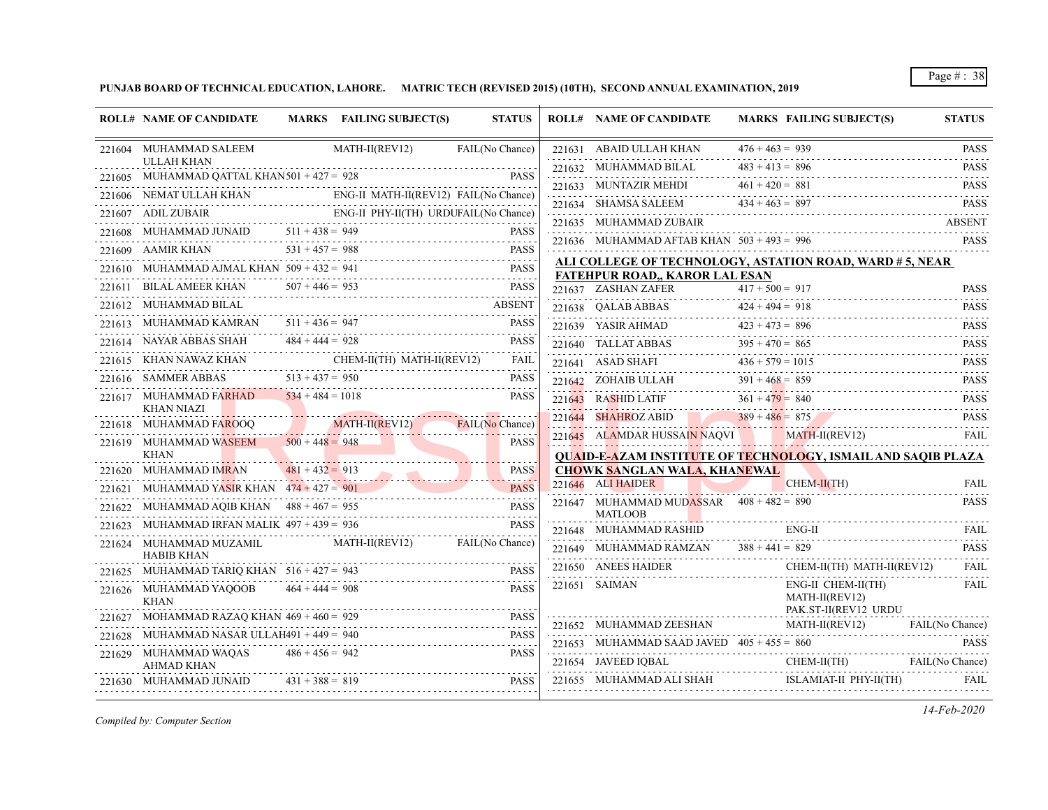**PUNJAB BOARD OF TECHNICAL EDUCATION, LAHORE. MATRIC TECH (REVISED 2015) (10TH), SECOND ANNUAL EXAMINATION, 2019**

|        | <b>ROLL# NAME OF CANDIDATE</b>                                                                     |                   | MARKS FAILING SUBJECT(S)                     | <b>STATUS</b>       | <b>ROLL# NAME OF CANDIDATE</b>                                                                   |                   | MARKS FAILING SUBJECT(S)                                     | <b>STATUS</b>                                                       |
|--------|----------------------------------------------------------------------------------------------------|-------------------|----------------------------------------------|---------------------|--------------------------------------------------------------------------------------------------|-------------------|--------------------------------------------------------------|---------------------------------------------------------------------|
|        | 221604 MUHAMMAD SALEEM                                                                             |                   | MATH-II(REV12) FAIL(No Chance)               |                     | 221631 ABAID ULLAH KHAN                                                                          | $476 + 463 = 939$ |                                                              | <b>PASS</b>                                                         |
|        | <b>ULLAH KHAN</b>                                                                                  |                   |                                              |                     | 221632 MUHAMMAD BILAL                                                                            | $483 + 413 = 896$ |                                                              | <b>PASS</b>                                                         |
|        | 221605 MUHAMMAD QATTAL KHAN 501 + 427 = 928 PASS                                                   |                   | ENG-II MATH-II(REV12) FAIL(No Chance)        | <b>PASS</b>         | 221633 MUNTAZIR MEHDI $461 + 420 = 881$ PASS                                                     |                   |                                                              | .                                                                   |
|        | 221606 NEMAT ULLAH KHAN ENG-II MATH-I                                                              |                   |                                              |                     | 221634 SHAMSA SALEEM<br>221634 SHAMSA SALEEM $434 + 463 = 897$ PASS                              |                   |                                                              |                                                                     |
|        | 221607 ADIL ZUBAIR                                                                                 |                   | AIR<br>ENG-II PHY-II(TH) URDUFAIL(No Chance) |                     | 221635 MUHAMMAD ZUBAIR                                                                           |                   |                                                              | <b>ABSENT</b>                                                       |
|        | 221608 MUHAMMAD JUNAID $511 + 438 = 949$ PASS                                                      |                   |                                              |                     | 221636 MUHAMMAD AFTAB KHAN $503 + 493 = 996$                                                     |                   |                                                              | <b>PASS</b>                                                         |
|        | 221609 AAMIR KHAN $531 + 457 = 988$                                                                |                   |                                              | <b>PASS</b>         | ALI COLLEGE OF TECHNOLOGY, ASTATION ROAD, WARD # 5, NEAR                                         |                   |                                                              |                                                                     |
|        | MUHAMMAD AJMAL KHAN $509 + 432 = 941$                                                              |                   |                                              | <b>PASS</b>         | <b>FATEHPUR ROAD,, KAROR LAL ESAN</b>                                                            |                   |                                                              |                                                                     |
|        | BILAL AMEER KHAN $507 + 446 = 953$                                                                 |                   |                                              | <b>PASS</b>         | 221637 ZASHAN ZAFER $417 + 500 = 917$                                                            |                   |                                                              | <b>PASS</b><br>$-1 - 1 - 1 - 1$                                     |
|        | 221612 MUHAMMAD BILAL                                                                              |                   |                                              | <b>ABSENT</b>       | 221638 QALAB ABBAS $424 + 494 = 918$                                                             |                   |                                                              | <b>PASS</b><br>$\alpha$ , $\alpha$ , $\alpha$ , $\alpha$ , $\alpha$ |
| 221613 | MUHAMMAD KAMRAN $511 + 436 = 947$                                                                  |                   |                                              | <b>PASS</b>         |                                                                                                  |                   |                                                              | <b>PASS</b>                                                         |
|        | NAYAR ABBAS SHAH $484 + 444 = 928$                                                                 |                   |                                              | <b>PASS</b>         | 221639 YASIR AHMAD<br>221640 TALLAT ABBAS<br>221640 TALLAT ABBAS<br>395 + 470 = 865              |                   |                                                              | <b>PASS</b>                                                         |
| 221615 | $\begin{tabular}{ll} \bf KHAN NAWAZ KHAN & \bf CHEM-II(TH) MATH-II(REV12) \\ \hline \end{tabular}$ |                   |                                              | FAIL<br>2.2.2.2.2.1 | 221641 ASAD SHAFI $436 + 579 = 1015$<br>221641 ASAD SHAFI $436 + 579 = 1015$ PASS                |                   |                                                              | .                                                                   |
|        | 221616 SAMMER ABBAS                                                                                | $513 + 437 = 950$ |                                              | <b>PASS</b>         | 221642 ZOHAIB ULLAH $391 + 468 = 859$                                                            |                   |                                                              | <b>PASS</b>                                                         |
|        | 221617 MUHAMMAD FARHAD $534 + 484 = 1018$                                                          |                   |                                              | <b>PASS</b>         | 221643 RASHID LATIF                                                                              |                   | $361 + 479 = 840$ PASS                                       | a di dia dia 1                                                      |
|        | <b>KHAN NIAZI</b><br>221618 MUHAMMAD FAROOQ MATH-II(REV12)                                         |                   |                                              | FAIL(No Chance)     | 221644 SHAHROZ ABID                                                                              |                   | $389 + 486 = 875$                                            | <b>PASS</b>                                                         |
|        | 221619 MUHAMMAD WASEEM                                                                             | $500 + 448 = 948$ |                                              | <b>PASS</b>         | 221645 ALAMDAR HUSSAIN NAQVI MATH-II(REV12)                                                      |                   |                                                              | FAIL                                                                |
|        | KHAN                                                                                               |                   |                                              |                     | <b>OUAID-E-AZAM INSTITUTE OF TECHNOLOGY, ISMAIL AND SAOIB PLAZA</b>                              |                   |                                                              |                                                                     |
|        | 221620 MUHAMMAD IMRAN                                                                              | $481 + 432 = 913$ | $481 + 432 = 913$ PASS                       |                     | <b>CHOWK SANGLAN WALA, KHANEWAL</b>                                                              |                   |                                                              |                                                                     |
|        | MUHAMMAD YASIR KHAN $474 + 427 = 901$                                                              |                   | $\frac{1}{1}$                                | <b>PASS</b>         | 221646 ALI HAIDER                                                                                |                   | CHEM-II(TH)                                                  | <b>FAIL</b><br>.                                                    |
| 221622 | MUHAMMAD AQIB KHAN $488 + 467 = 955$                                                               |                   | 955 PASS                                     | <b>PASS</b>         | 221647 MUHAMMAD MUDASSAR $408 + 482 = 890$<br><b>MATLOOB</b>                                     |                   |                                                              | <b>PASS</b>                                                         |
|        | MUHAMMAD IRFAN MALIK $497 + 439 = 936$                                                             |                   |                                              | <b>PASS</b>         | 221648 MUHAMMAD RASHID                                                                           | ENG-II            |                                                              | <b>FAIL</b>                                                         |
|        | 221624 MUHAMMAD MUZAMIL<br><b>HABIB KHAN</b>                                                       |                   | MATH-II(REV12) FAIL(No Chance)               |                     | 221649 MUHAMMAD RAMZAN $388 + 441 = 829$                                                         |                   |                                                              | <b>PASS</b>                                                         |
|        | 221625 MUHAMMAD TARIQ KHAN $516 + 427 = 943$                                                       |                   |                                              | <b>PASS</b>         | 221650 ANEES HAIDER                                                                              |                   | CHEM-II(TH) MATH-II(REV12)                                   | <b>FAIL</b>                                                         |
|        | 221626 MUHAMMAD YAQOOB<br><b>KHAN</b>                                                              | $464 + 444 = 908$ |                                              | <b>PASS</b>         | 221651 SAIMAN                                                                                    |                   | ENG-II CHEM-II(TH)<br>MATH-II(REV12)<br>PAK.ST-II(REV12 URDU | FAIL                                                                |
| 221627 | MOHAMMAD RAZAQ KHAN $469 + 460 = 929$                                                              |                   | 29 PASS                                      |                     | 221652 MUHAMMAD ZEESHAN MATH-II(REV12)                                                           |                   |                                                              | FAIL(No Chance)                                                     |
| 221628 | MUHAMMAD NASAR ULLAH491 + 449 = $940$                                                              |                   | 0<br>------------------------------          | <b>PASS</b>         |                                                                                                  |                   |                                                              | <b>PASS</b>                                                         |
|        | 221629 MUHAMMAD WAOAS<br><b>AHMAD KHAN</b>                                                         | $486 + 456 = 942$ |                                              | <b>PASS</b>         | 221653 MUHAMMAD SAAD JAVED $405 + 455 = 860$<br>221654 JAVEED IQBAL CHEM-II(TH) FAIL (No Chance) |                   |                                                              |                                                                     |
|        | 221630 MUHAMMAD JUNAID                                                                             | $431 + 388 = 819$ |                                              | <b>PASS</b>         | 221655 MUHAMMAD ALI SHAH                                                                         |                   | ISLAMIAT-II PHY-II(TH)                                       | FAII.                                                               |

*Compiled by: Computer Section*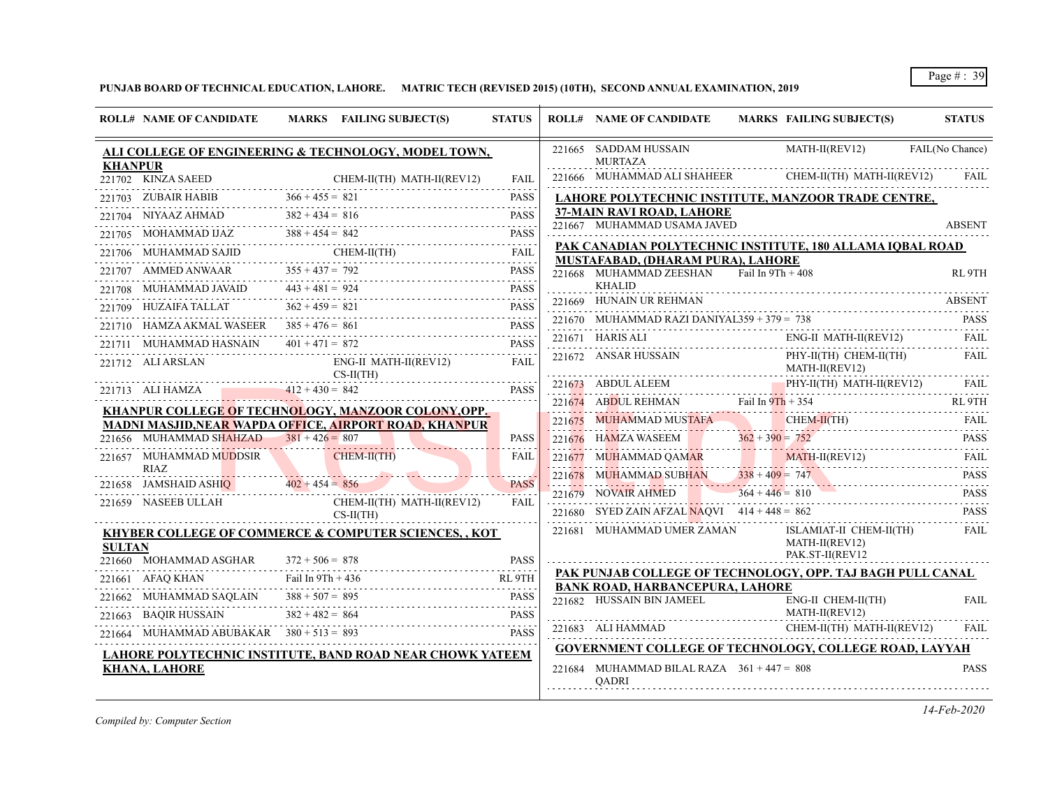# **PUNJAB BOARD OF TECHNICAL EDUCATION, LAHORE. MATRIC TECH (REVISED 2015) (10TH), SECOND ANNUAL EXAMINATION, 2019**

|                | <b>ROLL# NAME OF CANDIDATE</b>            | MARKS FAILING SUBJECT(S)                                                                                                                                                                                                             | <b>STATUS</b>                  | <b>ROLL# NAME OF CANDIDATE</b>                               | <b>MARKS FAILING SUBJECT(S)</b>                                                                                                                                                                                                                                                                                                              | <b>STATUS</b>   |
|----------------|-------------------------------------------|--------------------------------------------------------------------------------------------------------------------------------------------------------------------------------------------------------------------------------------|--------------------------------|--------------------------------------------------------------|----------------------------------------------------------------------------------------------------------------------------------------------------------------------------------------------------------------------------------------------------------------------------------------------------------------------------------------------|-----------------|
| <b>KHANPUR</b> |                                           | ALI COLLEGE OF ENGINEERING & TECHNOLOGY, MODEL TOWN,                                                                                                                                                                                 |                                | 221665 SADDAM HUSSAIN<br><b>MURTAZA</b>                      | $MATH-II(REV12)$                                                                                                                                                                                                                                                                                                                             | FAIL(No Chance) |
|                |                                           | 221702 KINZA SAEED CHEM-II(TH) MATH-II(REV12)                                                                                                                                                                                        | <b>FAIL</b>                    |                                                              | 221666 MUHAMMAD ALI SHAHEER CHEM-II(TH) MATH-II(REV12) FAIL                                                                                                                                                                                                                                                                                  |                 |
|                |                                           | 221703 ZUBAIR HABIB $366 + 455 = 821$ PASS                                                                                                                                                                                           | $- - - - -$                    |                                                              | LAHORE POLYTECHNIC INSTITUTE, MANZOOR TRADE CENTRE,                                                                                                                                                                                                                                                                                          |                 |
|                |                                           | $221704$ NIYAAZ AHMAD $382 + 434 = 816$ PASS                                                                                                                                                                                         | <b>PASS</b>                    | 37-MAIN RAVI ROAD, LAHORE                                    |                                                                                                                                                                                                                                                                                                                                              |                 |
|                |                                           | 221705 MOHAMMAD IJAZ 388 + 454 = 842 PASS                                                                                                                                                                                            |                                | 221667 MUHAMMAD USAMA JAVED                                  |                                                                                                                                                                                                                                                                                                                                              | ABSENT          |
|                |                                           | 221706 MUHAMMAD SAJID CHEM-II(TH) FAIL                                                                                                                                                                                               |                                |                                                              | PAK CANADIAN POLYTECHNIC INSTITUTE, 180 ALLAMA IQBAL ROAD                                                                                                                                                                                                                                                                                    |                 |
|                |                                           | 221707 AMMED ANWAAR $355 + 437 = 792$ PASS                                                                                                                                                                                           | <b>PASS</b>                    | MUSTAFABAD, (DHARAM PURA), LAHORE<br>221668 MUHAMMAD ZEESHAN | Fail In $9Th + 408$                                                                                                                                                                                                                                                                                                                          | RL 9TH          |
|                |                                           | $221708$ MUHAMMAD JAVAID $443 + 481 = 924$ PASS PASS                                                                                                                                                                                 |                                | <b>KHALID</b>                                                |                                                                                                                                                                                                                                                                                                                                              |                 |
|                | 221709 HUZAIFA TALLAT                     | $362 + 459 = 821$<br>AT $362 + 459 = 821$ PASS                                                                                                                                                                                       | <b>PASS</b>                    | 221669 HUNAIN UR REHMAN                                      |                                                                                                                                                                                                                                                                                                                                              | ABSENT          |
|                |                                           | 221710 HAMZA AKMAL WASEER 385 + 476 = 861 PASS                                                                                                                                                                                       |                                | 221670 MUHAMMAD RAZI DANIYAL359 + 379 = $738$                | 1MAD RAZI DANIYAL359 + 379 = 738 PASS                                                                                                                                                                                                                                                                                                        |                 |
|                |                                           | 221711 MUHAMMAD HASNAIN $401 + 471 = 872$ PASS                                                                                                                                                                                       | <b>PASS</b>                    |                                                              | $\fbox{221671} \begin{tabular}{l} HARIS ALI \end{tabular} \begin{tabular}{p{2.5cm}p{2.5cm}p{2.5cm}p{2.5cm}p{2.5cm}p{2.5cm}p{2.5cm}p{2.5cm}p{2.5cm}} \end{tabular} \begin{tabular}{l} \hline \textbf{ENG-II} \end{tabular} \begin{tabular}{p{2.5cm}p{2.5cm}p{2.5cm}p{2.5cm}p{2.5cm}p{2.5cm}p{2.5cm}p{2.5cm}p{2.5cm}p{2.5cm}p{2.5cm}p{2.5cm}p$ |                 |
|                | 221712 ALI ARSLAN                         | ENG-II MATH-II(REV12)                                                                                                                                                                                                                | FAIL                           | 221672 ANSAR HUSSAIN<br>MATH-II(REV12)                       | PHY-II(TH) CHEM-II(TH)                                                                                                                                                                                                                                                                                                                       | FAIL            |
|                |                                           | $CS-II(TH)$<br>221713 ALI HAMZA $412 + 430 = 842$                                                                                                                                                                                    | <b>PASS</b>                    |                                                              | 221673 ABDULALEEM PHY-II(TH) MATH-II(REV12) FAIL                                                                                                                                                                                                                                                                                             |                 |
|                |                                           | KHANPUR COLLEGE OF TECHNOLOGY, MANZOOR COLONY,OPP.                                                                                                                                                                                   |                                | 221674 ABDUL REHMAN Fail In $9Th + 354$                      |                                                                                                                                                                                                                                                                                                                                              | RL 9TH          |
|                |                                           | MADNI MASJID, NEAR WAPDA OFFICE, AIRPORT ROAD, KHANPUR                                                                                                                                                                               |                                |                                                              | 221675 MUHAMMAD MUSTAFA CHEM-II(TH) FAIL                                                                                                                                                                                                                                                                                                     |                 |
|                | 221656 MUHAMMAD SHAHZAD $381 + 426 = 807$ |                                                                                                                                                                                                                                      | <b>PASS</b>                    |                                                              | 221676 HAMZA WASEEM $362 + 390 = 752$ PASS                                                                                                                                                                                                                                                                                                   |                 |
|                | 221657 MUHAMMAD MUDDSIR                   | CHEM-II(TH)                                                                                                                                                                                                                          | FAIL                           |                                                              | 221677 MUHAMMAD QAMAR MATH-II(REV12) FAIL                                                                                                                                                                                                                                                                                                    |                 |
|                | RIAZ                                      | <u> 1. januar - Johann Johann Johann Johann Johann Johann Johann Johann Johann Johann Johann Johann Johann Johann Johann Johann Johann Johann Johann Johann Johann Johann Johann Johann Johann Johann Johann Johann Johann Johan</u> |                                |                                                              | 221678 MUHAMMAD SUBHAN $338 + 409 = 747$ PASS                                                                                                                                                                                                                                                                                                |                 |
|                | 221658 JAMSHAID ASHIQ $402 + 454 = 856$   |                                                                                                                                                                                                                                      | <b>PASS</b><br>and a bronzelon | 221679 NOVAIR AHMED                                          | $364 + 446 = 810$ PASS                                                                                                                                                                                                                                                                                                                       |                 |
|                |                                           | 221659 NASEEB ULLAH CHEM-II(TH) MATH-II(REV12)<br>$CS-H(TH)$                                                                                                                                                                         | <b>FAIL</b>                    |                                                              | 221680 SYED ZAIN AFZAL NAQVI $414 + 448 = 862$                                                                                                                                                                                                                                                                                               | <b>PASS</b>     |
| <b>SULTAN</b>  |                                           | <b>KHYBER COLLEGE OF COMMERCE &amp; COMPUTER SCIENCES,, KOT</b>                                                                                                                                                                      |                                | 221681 MUHAMMAD UMER ZAMAN                                   | ISLAMIAT-II CHEM-II(TH)<br>MATH-II(REV12)<br>PAK.ST-II(REV12                                                                                                                                                                                                                                                                                 | <b>FAIL</b>     |
|                | 221660 MOHAMMAD ASGHAR                    | $372 + 506 = 878$                                                                                                                                                                                                                    | <b>PASS</b>                    |                                                              | PAK PUNJAB COLLEGE OF TECHNOLOGY, OPP. TAJ BAGH PULL CANAL                                                                                                                                                                                                                                                                                   |                 |
|                | 221661 AFAQ KHAN                          | V Fail In 9Th + 436 RL 9TH                                                                                                                                                                                                           | RL 9TH                         | <b>BANK ROAD, HARBANCEPURA, LAHORE</b>                       |                                                                                                                                                                                                                                                                                                                                              |                 |
|                | 221662 MUHAMMAD SAQLAIN                   | $388 + 507 = 895$<br>HAMMAD SAQLAIN 388 + 507 = 895 PASS                                                                                                                                                                             |                                | 221682 HUSSAIN BIN JAMEEL                                    | ENG-II CHEM-II(TH)                                                                                                                                                                                                                                                                                                                           | FAIL            |
|                |                                           | 221663 BAQIR HUSSAIN $382 + 482 = 864$ PASS                                                                                                                                                                                          | <b>PASS</b>                    | MATH-II(REV12)                                               |                                                                                                                                                                                                                                                                                                                                              |                 |
|                |                                           | 221664 MUHAMMAD ABUBAKAR $380 + 513 = 893$                                                                                                                                                                                           | <b>PASS</b>                    |                                                              | 221683 ALI HAMMAD CHEM-II(TH) MATH-II(REV12)                                                                                                                                                                                                                                                                                                 | FAIL            |
|                |                                           | LAHORE POLYTECHNIC INSTITUTE, BAND ROAD NEAR CHOWK YATEEM                                                                                                                                                                            |                                |                                                              | <b>GOVERNMENT COLLEGE OF TECHNOLOGY, COLLEGE ROAD, LAYYAH</b>                                                                                                                                                                                                                                                                                |                 |
|                | <b>KHANA, LAHORE</b>                      |                                                                                                                                                                                                                                      |                                | 221684 MUHAMMAD BILAL RAZA $361 + 447 = 808$<br><b>OADRI</b> |                                                                                                                                                                                                                                                                                                                                              | <b>PASS</b>     |

*Compiled by: Computer Section*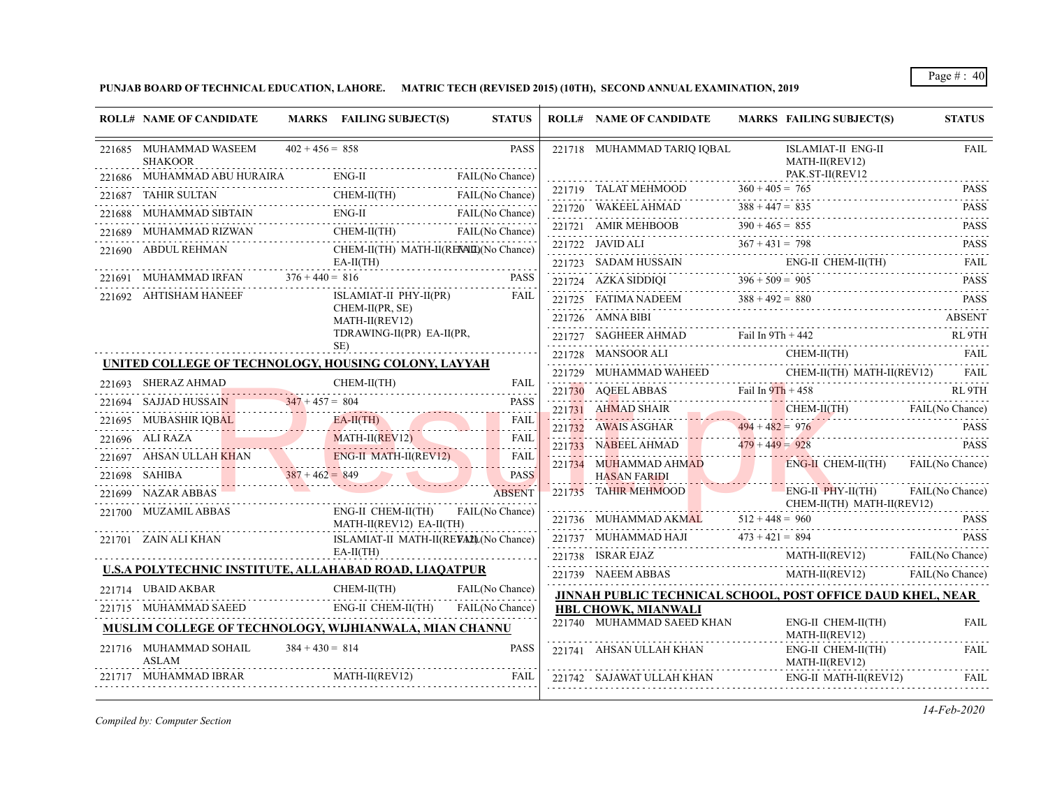**PUNJAB BOARD OF TECHNICAL EDUCATION, LAHORE. MATRIC TECH (REVISED 2015) (10TH), SECOND ANNUAL EXAMINATION, 2019**

| <b>ROLL# NAME OF CANDIDATE</b>                                                                        |                   | MARKS FAILING SUBJECT(S)                             | <b>STATUS</b>                        |                            |  | <b>ROLL# NAME OF CANDIDATE</b>                                                                                                                             | <b>MARKS FAILING SUBJECT(S)</b>                         | <b>STATUS</b>    |
|-------------------------------------------------------------------------------------------------------|-------------------|------------------------------------------------------|--------------------------------------|----------------------------|--|------------------------------------------------------------------------------------------------------------------------------------------------------------|---------------------------------------------------------|------------------|
| 221685 MUHAMMAD WASEEM<br><b>SHAKOOR</b>                                                              | $402 + 456 = 858$ |                                                      |                                      | <b>PASS</b>                |  | 221718 MUHAMMAD TARIO IOBAL                                                                                                                                | ISLAMIAT-II ENG-II<br>MATH-II(REV12)<br>PAK.ST-II(REV12 | <b>FAIL</b>      |
|                                                                                                       |                   |                                                      |                                      |                            |  |                                                                                                                                                            |                                                         | .<br><b>PASS</b> |
| 221686 MUHAMMAD ABU HURAIRA ENG-II FAIL(No Chance)<br>221687 TAHIR SULTAN CHEM-II(TH) FAIL(No Chance) |                   |                                                      |                                      |                            |  | 221719 TALAT MEHMOOD $360 + 405 = 765$                                                                                                                     |                                                         |                  |
| 221688 MUHAMMAD SIBTAIN ENG-II FAIL (No Chance)                                                       |                   |                                                      |                                      |                            |  | 221720 WAKEEL AHMAD $388 + 447 = 835$ PASS PASS                                                                                                            |                                                         |                  |
| 221689 MUHAMMAD RIZWAN CHEM-II(TH) FAIL(No Chance)                                                    |                   |                                                      |                                      |                            |  | 221721 AMIR MEHBOOB $390 + 465 = 855$ PASS                                                                                                                 |                                                         |                  |
| 221690 ABDUL REHMAN                                                                                   |                   | CHEM-II(TH) MATH-II(RENMI)(No Chance)<br>$EA-II(TH)$ |                                      |                            |  | 221722 JAVID ALI $367 + 431 = 798$ PASS                                                                                                                    |                                                         |                  |
| 221691 MUHAMMAD IRFAN $376 + 440 = 816$ PASS                                                          |                   |                                                      |                                      | <b>PASS</b>                |  | $\begin{tabular}{lllllllll} \bf 221723 & SADAM HUSSAIN & \multicolumn{3}{l} \bf{ENG-II CHEM-II(TH)} & \multicolumn{3}{l} \bf FAIL \\ \hline \end{tabular}$ |                                                         |                  |
| 221692 AHTISHAM HANEEF                                                                                |                   | ISLAMIAT-II PHY-II(PR)                               |                                      | FAIL                       |  | 221724 AZKA SIDDIQI $396 + 509 = 905$ PASS                                                                                                                 |                                                         |                  |
|                                                                                                       |                   | CHEM-II(PR, SE)                                      |                                      |                            |  | 221725 FATIMA NADEEM $388 + 492 = 880$ PASS<br>221726 AMNA BIBI                                                                                            |                                                         | <b>ABSENT</b>    |
|                                                                                                       |                   | MATH-II(REV12)                                       | TDRAWING-II(PR) EA-II(PR,            |                            |  |                                                                                                                                                            |                                                         |                  |
|                                                                                                       |                   | SE)                                                  |                                      |                            |  | 221727 SAGHEER AHMAD Fail In $9Th + 442$ RL $9TH$                                                                                                          |                                                         |                  |
| UNITED COLLEGE OF TECHNOLOGY, HOUSING COLONY, LAYYAH                                                  |                   |                                                      |                                      |                            |  | $\begin{tabular}{cc} 221728 & MANSOOR ALL & CHEM-II(TH) & FAIL \\ \hline \end{tabular}$                                                                    |                                                         |                  |
| 221693 SHERAZ AHMAD<br>SHERAZ AHMAD CHEM-II(TH) FAIL                                                  |                   | CHEM-II(TH)                                          |                                      |                            |  | $221729 \quad \text{MUHAMMAD WAHEED} \quad \text{CHEM-II(TH) MATH-II(REV12)} \quad \text{FAIL}$                                                            |                                                         |                  |
| 221694 SAJJAD HUSSAIN 347 + 457 = 804 PASS                                                            |                   |                                                      |                                      | <b>PASS</b>                |  | 221730 AQEELABBAS Fail In 9Th + 458 RL 9TH                                                                                                                 |                                                         |                  |
| 221695 MUBASHIR IQBAL EA-II(TH)                                                                       |                   |                                                      | $\omega$ is a second set of $\omega$ | <b>FAIL</b>                |  | 221731 AHMAD SHAIR CHEM-II(TH) FAIL(No Chance)                                                                                                             |                                                         |                  |
| $221696$ ALI RAZA MATH-II(REV12)                                                                      |                   |                                                      |                                      | <b>FAIL</b><br>1.1.1.1.1.1 |  | 221732 AWAIS ASGHAR 494 + 482 = 976 PASS                                                                                                                   |                                                         |                  |
| 221697 AHSAN ULLAH KHAN ENG-II MATH-II(REV12) FAIL                                                    |                   |                                                      |                                      |                            |  | 221733 NABEEL AHMAD $479 + 449 = 928$ PASS PASS<br>$221734$ MUHAMMAD AHMAD                                                                                 | ENG-II CHEM-II(TH) FAIL(No Chance)                      |                  |
| 221698 SAHIBA $387 + 462 = 849$ PASS                                                                  |                   |                                                      |                                      | PASS                       |  | <b>HASAN FARIDI</b>                                                                                                                                        | EAH (No Chance)                                         |                  |
| 221699 NAZAR ABBAS                                                                                    |                   |                                                      | <b>ABSENT</b>                        |                            |  | 221735 TAHIR MEHMOOD ENG-II PHY-II(TH) FAIL(No Chance)<br>CHEM-II(TH) MATH-II(REV12)                                                                       |                                                         |                  |
| 221700 MUZAMIL ABBAS                                                                                  |                   | ENG-II CHEM-II(TH) FAIL(No Chance)                   |                                      |                            |  | 221736 MUHAMMAD AKMAL $512 + 448 = 960$                                                                                                                    | $.960$ PASS                                             |                  |
| MATH-II(REV12) EA-II(TH)<br>221701 – ZAIN ALI KHAN                                                    |                   | ISLAMIAT-II MATH-II(REVALL(No Chance)                |                                      |                            |  | 221737 MUHAMMAD HAJI $473 + 421 = 894$ PASS                                                                                                                |                                                         |                  |
|                                                                                                       |                   | $EA-II(TH)$                                          |                                      |                            |  | 221738 ISRAR EJAZ MATH-II(REV12) FAIL(No Chance)                                                                                                           |                                                         |                  |
| U.S.A POLYTECHNIC INSTITUTE, ALLAHABAD ROAD, LIAQATPUR                                                |                   |                                                      |                                      |                            |  | 221739 NAEEM ABBAS MATH-II(REV12)                                                                                                                          |                                                         | FAIL(No Chance)  |
| 221714 UBAID AKBAR                                                                                    |                   | KBAR CHEM-II(TH) FAIL(No Chance)                     | FAIL(No Chance)                      |                            |  | JINNAH PUBLIC TECHNICAL SCHOOL, POST OFFICE DAUD KHEL, NEAR                                                                                                |                                                         |                  |
| 221715 MUHAMMAD SAEED ENG-II CHEM-II(TH) FAIL(No Chance)                                              |                   |                                                      |                                      |                            |  | HBL CHOWK, MIANWALI                                                                                                                                        |                                                         |                  |
| MUSLIM COLLEGE OF TECHNOLOGY, WIJHIANWALA, MIAN CHANNU                                                |                   |                                                      |                                      |                            |  | 221740 MUHAMMAD SAEED KHAN<br>.                                                                                                                            | ENG-II CHEM-II(TH)<br>MATH-II(REV12)                    | <b>FAIL</b>      |
| 221716 MUHAMMAD SOHAIL<br><b>ASLAM</b>                                                                | $384 + 430 = 814$ |                                                      |                                      | <b>PASS</b>                |  | 221741 AHSAN ULLAH KHAN<br>.                                                                                                                               | ENG-II CHEM-II(TH)<br>MATH-II(REV12)                    | FAIL             |
| 221717 MUHAMMAD IBRAR MATH-II(REV12)                                                                  |                   | $MATH-II (REV12)$                                    |                                      | <b>FAIL</b>                |  | 221742 SAJAWAT ULLAH KHAN                                                                                                                                  | ENG-II MATH-II(REV12)                                   | FAIL             |

*Compiled by: Computer Section*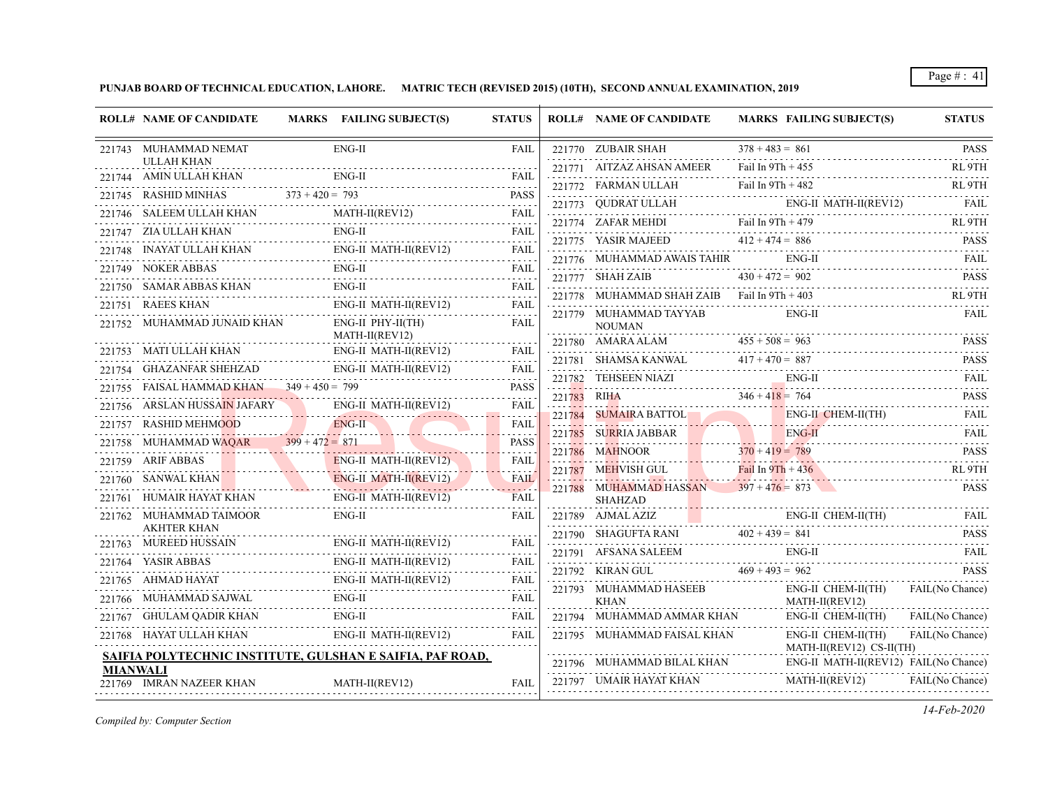**PUNJAB BOARD OF TECHNICAL EDUCATION, LAHORE. MATRIC TECH (REVISED 2015) (10TH), SECOND ANNUAL EXAMINATION, 2019**

| <b>ROLL# NAME OF CANDIDATE</b>                                                                              | MARKS FAILING SUBJECT(S)                                                                    | <b>STATUS</b>                                                                                                                                                                                  |        | <b>ROLL# NAME OF CANDIDATE</b>                                                                                                             | <b>MARKS FAILING SUBJECT(S)</b>                                                                                                                                                                                                                                                                                                                                                                                                                                                                     | <b>STATUS</b>      |
|-------------------------------------------------------------------------------------------------------------|---------------------------------------------------------------------------------------------|------------------------------------------------------------------------------------------------------------------------------------------------------------------------------------------------|--------|--------------------------------------------------------------------------------------------------------------------------------------------|-----------------------------------------------------------------------------------------------------------------------------------------------------------------------------------------------------------------------------------------------------------------------------------------------------------------------------------------------------------------------------------------------------------------------------------------------------------------------------------------------------|--------------------|
| 221743 MUHAMMAD NEMAT                                                                                       | $ENG-II$                                                                                    | <b>FAIL</b>                                                                                                                                                                                    |        | 221770 ZUBAIR SHAH                                                                                                                         | $378 + 483 = 861$                                                                                                                                                                                                                                                                                                                                                                                                                                                                                   | <b>PASS</b>        |
| <b>ULLAH KHAN</b><br>221744 AMIN ULLAH KHAN                                                                 | ENG-II                                                                                      | FAII.                                                                                                                                                                                          |        | 221771 AITZAZ AHSAN AMEER                                                                                                                  | Fail In $9Th + 455$                                                                                                                                                                                                                                                                                                                                                                                                                                                                                 | RL <sub>9</sub> TH |
|                                                                                                             |                                                                                             | <b>PASS</b>                                                                                                                                                                                    |        |                                                                                                                                            | Fail In 9Th + 482<br>221772 FARMAN ULLAH Fail In 9Th + 482                                                                                                                                                                                                                                                                                                                                                                                                                                          | RL <sub>9TH</sub>  |
| 221745 RASHID MINHAS $373 + 420 = 793$                                                                      | $[AS$ $373 + 420 = 793$ PASS                                                                |                                                                                                                                                                                                |        |                                                                                                                                            |                                                                                                                                                                                                                                                                                                                                                                                                                                                                                                     |                    |
|                                                                                                             | 221746 SALEEM ULLAH KHAN MATH-II(REV12) FAIL                                                |                                                                                                                                                                                                |        |                                                                                                                                            | $\begin{tabular}{c c c c} \multicolumn{2}{c }{\textbf{221773}} & \multicolumn{2}{c }{\textbf{QUDRAT ULLAH}} & \multicolumn{2}{c }{\textbf{ENG-II MATH-II(REV12)}} & \multicolumn{2}{c }{\textbf{FAIL}} \\ \multicolumn{2}{c }{\textbf{221774}} & \multicolumn{2}{c }{\textbf{ZAFAR MEHDI}} & \multicolumn{2}{c }{\textbf{Fail}} \\ \multicolumn{2}{c }{\textbf{221774}} & \multicolumn{2}{c }{\textbf{ZAFAR MEHDI}} & \multicolumn{2}{c }{\text$<br>221774 ZAFAR MEHDI Fail In $9Th + 479$ RL $9TH$ |                    |
| 221747 ZIA ULLAH KHAN                                                                                       | $ENG-II$                                                                                    | FAIL                                                                                                                                                                                           |        | 221775 YASIR MAJEED $412 + 474 = 886$                                                                                                      |                                                                                                                                                                                                                                                                                                                                                                                                                                                                                                     | <b>PASS</b>        |
|                                                                                                             | 221748 INAYAT ULLAH KHAN ENG-II MATH-II(REV12) FAIL                                         |                                                                                                                                                                                                |        | 221776 MUHAMMAD AWAIS TAHIR                                                                                                                | $ENG-II$<br>221776 MUHAMMAD AWAIS TAHIR ENG-II FAIL FAIL                                                                                                                                                                                                                                                                                                                                                                                                                                            | <b>FAIL</b>        |
| 221749 NOKER ABBAS                                                                                          | ENG-II                                                                                      |                                                                                                                                                                                                |        | 221777 SHAH ZAIB                                                                                                                           | $430 + 472 = 902$<br>221777 SHAH ZAIB $430 + 472 = 902$ PASS                                                                                                                                                                                                                                                                                                                                                                                                                                        |                    |
| 221750 SAMAR ABBAS KHAN                                                                                     | $ENG-II$                                                                                    | FAIL                                                                                                                                                                                           |        | $221778$ MUHAMMAD SHAH ZAIB Fail In $9Th + 403$                                                                                            |                                                                                                                                                                                                                                                                                                                                                                                                                                                                                                     | RL <sub>9</sub> TH |
| 221751 RAEES KHAN                                                                                           | .<br>ENG-II MATH-II(REV12)                                                                  | <b>FAIL</b>                                                                                                                                                                                    |        | 221779 MUHAMMAD TAYYAB                                                                                                                     | $ENG-II$                                                                                                                                                                                                                                                                                                                                                                                                                                                                                            | <b>FAIL</b>        |
| 221752 MUHAMMAD JUNAID KHAN                                                                                 | $ENG-II$ $PHY-II(TH)$<br>MATH-II(REV12)                                                     | FAIL                                                                                                                                                                                           |        | <b>NOUMAN</b>                                                                                                                              |                                                                                                                                                                                                                                                                                                                                                                                                                                                                                                     |                    |
| 221753 MATI ULLAH KHAN                                                                                      |                                                                                             | FAIL                                                                                                                                                                                           |        |                                                                                                                                            | 221780 AMARA ALAM $455 + 508 = 963$ PASS                                                                                                                                                                                                                                                                                                                                                                                                                                                            |                    |
| 221754 GHAZANFAR SHEHZAD                                                                                    | ENG-II MATH-II(REV12)                                                                       |                                                                                                                                                                                                |        |                                                                                                                                            | 221781 SHAMSA KANWAL $417 + 470 = 887$ PASS                                                                                                                                                                                                                                                                                                                                                                                                                                                         |                    |
| 221755 FAISAL HAMMAD KHAN 349 + 450 = 799                                                                   | ENG-II MATH-II(REV12) FAIL                                                                  |                                                                                                                                                                                                |        |                                                                                                                                            | 221782 TEHSEEN NIAZI ENG-II FAIL FAIL FAIL                                                                                                                                                                                                                                                                                                                                                                                                                                                          |                    |
| 221756 ARSLAN HUSSA <mark>IN J</mark> AFARY                                                                 | FAISAL HAMMAD KHAN 349 + 450 = 799 PASS<br>ARSLAN HUSSAIN JAFARY ENG-II MATH-II(REV12) FAIL |                                                                                                                                                                                                |        |                                                                                                                                            | 221783 RIHA<br>346 + 418 = 764 PASS                                                                                                                                                                                                                                                                                                                                                                                                                                                                 |                    |
| 221757 RASHID MEHMOOD                                                                                       |                                                                                             | <b>FAIL</b>                                                                                                                                                                                    | 221784 | SUMAIRA BATTOL                                                                                                                             | ENG-II CHEM-II(TH) FAIL                                                                                                                                                                                                                                                                                                                                                                                                                                                                             |                    |
|                                                                                                             | D MEHMOOD ENG-II<br>$\blacksquare$                                                          | $\frac{1}{2} \left( \frac{1}{2} \right) \left( \frac{1}{2} \right) \left( \frac{1}{2} \right) \left( \frac{1}{2} \right) \left( \frac{1}{2} \right) \left( \frac{1}{2} \right)$<br><b>PASS</b> |        |                                                                                                                                            | 221785 SURRIA JABBAR ENG-II FAIL                                                                                                                                                                                                                                                                                                                                                                                                                                                                    |                    |
| 221758 MUHAMMAD WAQAR 399 + 472 = 871<br>221759 ARIF ABBAS                                                  |                                                                                             | <b>FAIL</b>                                                                                                                                                                                    |        | 221786 MAHNOOR                                                                                                                             | $370 + 419 = 789$<br>221786 MAHNOOR $370 + 419 = 789$ PASS                                                                                                                                                                                                                                                                                                                                                                                                                                          |                    |
| $\overline{AS}$                                                                                             | ENG-II MATH-II(REV12)                                                                       | .                                                                                                                                                                                              |        | 221787 MEHVISH GUL Fail In $9Th + 436$                                                                                                     |                                                                                                                                                                                                                                                                                                                                                                                                                                                                                                     | RL <sub>9</sub> TH |
|                                                                                                             | 221760 SANWAL KHAN ENG-II MATH-II(REVI2) FAIL                                               |                                                                                                                                                                                                |        | 221788 MUHAMMAD HASSAN $397 + 476 = 873$                                                                                                   |                                                                                                                                                                                                                                                                                                                                                                                                                                                                                                     | <b>PASS</b>        |
| 221761 HUMAIR HAYAT KHAN                                                                                    | ENG-II MATH-II(REV12)                                                                       | <b>FAIL</b>                                                                                                                                                                                    |        | <b>SHAHZAD</b>                                                                                                                             |                                                                                                                                                                                                                                                                                                                                                                                                                                                                                                     |                    |
| 221762 MUHAMMAD TAIMOOR<br><b>AKHTER KHAN</b><br>.                                                          | ENG-II                                                                                      | <b>FAIL</b>                                                                                                                                                                                    |        |                                                                                                                                            | ENG-II CHEM-II(TH)<br>$\begin{tabular}{c c c c c} \hline 221789 & AJMAL AZIZ & ENG-II CHEM-II(TH) \\ \hline 221790 & SHAGUFTA RANI & 402 + 439 = 841 \\ \hline \end{tabular}$<br>ENG-II CHEM-II(TH) FAIL                                                                                                                                                                                                                                                                                            |                    |
| $\begin{tabular}{ll} \bf 221763 & \textbf{MUREED HUSSAN} & \textbf{ENG-II MATH-II} \\ \hline \end{tabular}$ | ENG-II MATH-II(REV12)                                                                       | FAIL                                                                                                                                                                                           |        |                                                                                                                                            |                                                                                                                                                                                                                                                                                                                                                                                                                                                                                                     | <b>PASS</b>        |
| 221764 YASIR ABBAS                                                                                          | ENG-II MATH-II(REV12)                                                                       | FAIL                                                                                                                                                                                           |        | $\begin{tabular}{c c c c} {\footnotesize 221791} & AFSANA SALEEM & ENG-II \\ \hline 221792 & KIRAN GUL & 469 + 493 = 962 \\ \end{tabular}$ | $ENG-II$<br>PAIL PAIL                                                                                                                                                                                                                                                                                                                                                                                                                                                                               | <b>FAIL</b>        |
| 221765 AHMAD HAYAT                                                                                          | ENG-II MATH-II(REV12)                                                                       | FAIL                                                                                                                                                                                           |        |                                                                                                                                            |                                                                                                                                                                                                                                                                                                                                                                                                                                                                                                     | <b>PASS</b>        |
|                                                                                                             | 221766 MUHAMMAD SAJWAL ENG-II FAIL FAIL                                                     | .                                                                                                                                                                                              |        | 221793 MUHAMMAD HASEEB                                                                                                                     | $ENG-II CHEM-II(TH)$<br>MATH-II(REV12)                                                                                                                                                                                                                                                                                                                                                                                                                                                              | FAIL(No Chance)    |
| 221767 GHULAM QADIR KHAN                                                                                    | ENG-II                                                                                      | FAIL                                                                                                                                                                                           |        | 221794 MUHAMMAD AMMAR KHAN                                                                                                                 | ENG-II CHEM-II(TH)                                                                                                                                                                                                                                                                                                                                                                                                                                                                                  | FAIL(No Chance)    |
| 221768 HAYAT ULLAH KHAN                                                                                     | ENG-II MATH-II(REV12)                                                                       | <b>FAIL</b>                                                                                                                                                                                    |        | 221795 MUHAMMAD FAISAL KHAN                                                                                                                | ENG-II CHEM-II(TH)                                                                                                                                                                                                                                                                                                                                                                                                                                                                                  | FAIL(No Chance)    |
|                                                                                                             | SAIFIA POLYTECHNIC INSTITUTE, GULSHAN E SAIFIA, PAF ROAD,                                   |                                                                                                                                                                                                |        |                                                                                                                                            | MATH-II(REV12) CS-II(TH)<br>ENG-II MATH-II(REV12) FAIL(No Chance)                                                                                                                                                                                                                                                                                                                                                                                                                                   |                    |
| <b>MIANWALI</b><br>221769 IMRAN NAZEER KHAN                                                                 | $MATH-II(REV12)$                                                                            | <b>FAIL</b>                                                                                                                                                                                    |        | 221796 MUHAMMAD BILAL KHAN<br>221797 UMAIR HAYAT KHAN                                                                                      | MATH-II(REV12)                                                                                                                                                                                                                                                                                                                                                                                                                                                                                      | FAIL(No Chance)    |

*Compiled by: Computer Section*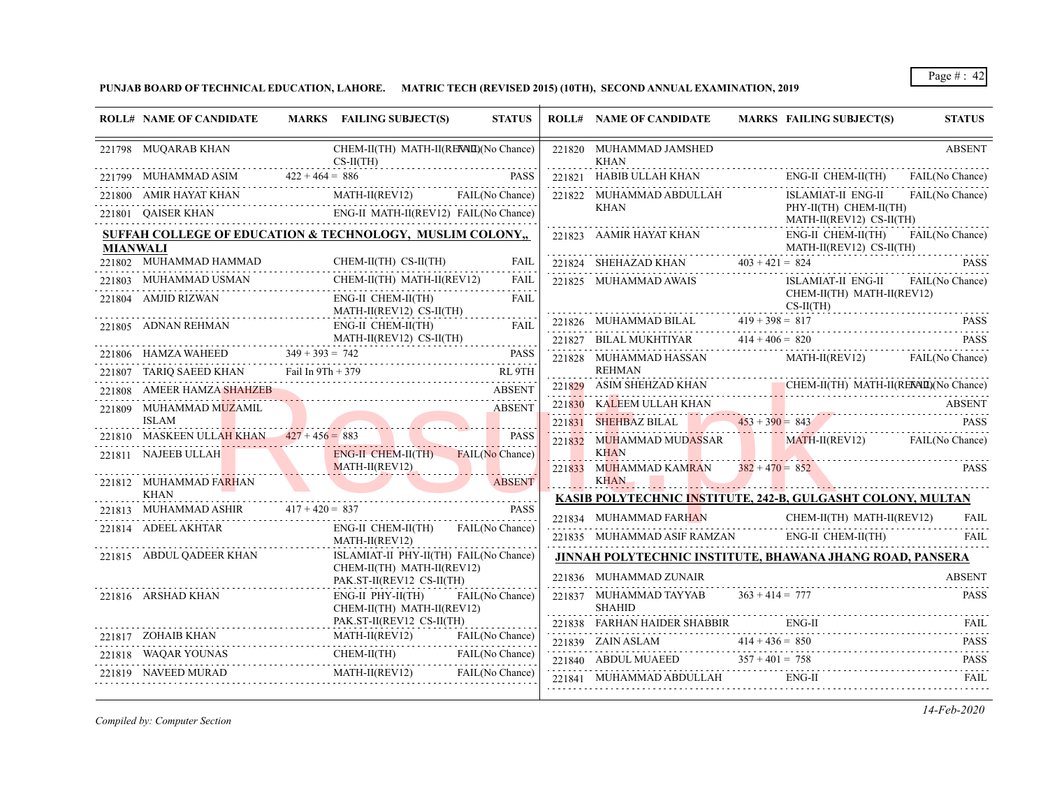**PUNJAB BOARD OF TECHNICAL EDUCATION, LAHORE. MATRIC TECH (REVISED 2015) (10TH), SECOND ANNUAL EXAMINATION, 2019**

|                 | <b>ROLL# NAME OF CANDIDATE</b>                                                                                                                                                                                                                                                                                                                                                                                                                                                       | MARKS FAILING SUBJECT(S)                                             | <b>STATUS</b>   |               | <b>ROLL# NAME OF CANDIDATE</b>                                                                                                                                                                                                  | MARKS FAILING SUBJECT(S)                           | <b>STATUS</b>   |
|-----------------|--------------------------------------------------------------------------------------------------------------------------------------------------------------------------------------------------------------------------------------------------------------------------------------------------------------------------------------------------------------------------------------------------------------------------------------------------------------------------------------|----------------------------------------------------------------------|-----------------|---------------|---------------------------------------------------------------------------------------------------------------------------------------------------------------------------------------------------------------------------------|----------------------------------------------------|-----------------|
|                 | 221798 MUQARAB KHAN                                                                                                                                                                                                                                                                                                                                                                                                                                                                  | CHEM-II(TH) MATH-II(RENALD)(No Chance)<br>$CS-II(TH)$                |                 |               | 221820 MUHAMMAD JAMSHED<br><b>KHAN</b>                                                                                                                                                                                          |                                                    | <b>ABSENT</b>   |
|                 | 221799 MUHAMMAD ASIM 422 + 464 = 886                                                                                                                                                                                                                                                                                                                                                                                                                                                 |                                                                      |                 | <b>PASS</b>   | 221821 HABIB ULLAH KHAN                                                                                                                                                                                                         | ENG-II CHEM-II(TH)                                 | FAIL(No Chance) |
|                 | 221800 AMIR HAYAT KHAN MAT                                                                                                                                                                                                                                                                                                                                                                                                                                                           | MATH-II(REV12) FAIL(No Chance)                                       |                 |               | 221822 MUHAMMAD ABDULLAH                                                                                                                                                                                                        | ISLAMIAT-II ENG-II                                 | FAIL(No Chance) |
|                 | 221801 QAISER KHAN ENG-II MATH-II(REV12) FAIL(No Chance)                                                                                                                                                                                                                                                                                                                                                                                                                             |                                                                      |                 |               | <b>KHAN</b>                                                                                                                                                                                                                     | PHY-II(TH) CHEM-II(TH)<br>MATH-II(REV12) CS-II(TH) |                 |
| <b>MIANWALI</b> | SUFFAH COLLEGE OF EDUCATION & TECHNOLOGY, MUSLIM COLONY,                                                                                                                                                                                                                                                                                                                                                                                                                             |                                                                      |                 |               | $\begin{tabular}{ll} \bf 221823 & \textbf{AAMIR HAYAT KHAM} & \textbf{ENG-II} \\ \bf \textcolor{red}{MATH} & \textbf{MATH} \\ \bf \color{red}{\bf 221824} & \textbf{SHEHAZAD KHAN} & \textbf{403 + 421 = 824} \\ \end{tabular}$ | ENG-II CHEM-II(TH)<br>MATH-II(REV12) CS-II(TH)     | FAIL(No Chance) |
|                 | $\begin{tabular}{c} 221802 \quad \text{MUHAMMAD} \quad \text{HAM-II} \\ \hline \end{tabular} \begin{tabular}{c} 221802 \quad \text{MUHAMMAD} \quad \text{CHEM-II} \\ \end{tabular} \begin{tabular}{c} \text{CHEM-II} \\ \text{CHEM-II} \\ \end{tabular} \begin{tabular}{c} \text{CHEM-II} \\ \text{CHEM-II} \\ \end{tabular} \begin{tabular}{c} \text{CHEM-II} \\ \text{CHEM-II} \\ \end{tabular} \end{tabular} \begin{tabular}{c} \text{CHEM-II} \\ \text{CHEM-II} \\ \end{tabular$ |                                                                      |                 | FAIL          |                                                                                                                                                                                                                                 |                                                    | PASS            |
|                 | ${\bf 221803}\quad {\rm MUHAMMAD\;USMAN}\qquad {\rm CHEM-II(TH)\; MATH-II(REV12)}$                                                                                                                                                                                                                                                                                                                                                                                                   |                                                                      |                 | FAIL          | 221825 MUHAMMAD AWAIS                                                                                                                                                                                                           | ISLAMIAT-II ENG-II                                 | FAIL(No Chance) |
|                 | 221804 AMJID RIZWAN<br>MATH-II(REV12) CS-II(TH)                                                                                                                                                                                                                                                                                                                                                                                                                                      | ENG-II CHEM-II(TH)                                                   |                 | FAIL          | $CS-II(TH)$<br>221826 MUHAMMAD BILAL 419 + 398 = 817 PASS                                                                                                                                                                       | CHEM-II(TH) MATH-II(REV12)                         |                 |
|                 |                                                                                                                                                                                                                                                                                                                                                                                                                                                                                      |                                                                      |                 |               |                                                                                                                                                                                                                                 |                                                    |                 |
|                 | ${\begin{minipage}{0.9\linewidth} \begin{tabular}{c} \bf 221805 & \text{ADNAN REHMAN} \end{tabular} & \begin{tabular}{c} \bf 221805 & \text{ADNAN REHMAN} \end{tabular} & \begin{tabular}{c} \bf 221806 & \text{ADNAN REHMAN} \end{tabular} & \begin{tabular}{c} \bf 221807 & \text{DAMATH-II(REV12) CS-II(TH)} \end{tabular} & \begin{tabular}{c} \bf 221808 & \text{FAL} \end{tabular} & \begin{tabular}{c} \bf 221809 & \text{DAMATH-II(REV$                                      |                                                                      |                 |               | 221827 BILAL MUKHTIYAR $414 + 406 = 820$                                                                                                                                                                                        |                                                    | PASS            |
|                 | 221806 HAMZA WAHEED 349 + 393 = 742 PASS                                                                                                                                                                                                                                                                                                                                                                                                                                             |                                                                      |                 |               | 221828 MUHAMMAD HASSAN MATH-II(REV12) FAIL(No Chance)                                                                                                                                                                           |                                                    |                 |
|                 | 221807 TARIQ SAEED KHAN Fail In 9Th + 379 RL 9TH                                                                                                                                                                                                                                                                                                                                                                                                                                     |                                                                      |                 |               | <b>REHMAN</b>                                                                                                                                                                                                                   |                                                    |                 |
|                 | 221808 AMEER HAMZA SHAHZEB                                                                                                                                                                                                                                                                                                                                                                                                                                                           |                                                                      | <b>ABSENT</b>   |               | 221829 ASIM SHEHZAD KHAN CHEM-II(TH) MATH-II(RENALD)(No Chance)                                                                                                                                                                 |                                                    |                 |
|                 | 221809 MUHAMMAD MUZAMIL<br>ISLAM                                                                                                                                                                                                                                                                                                                                                                                                                                                     |                                                                      | ABSENT          |               | 221830 KALEEM ULLAH KHAN ABSENT<br>221831 SHEHBAZ BILAL 453 + 390 = 843 PASS                                                                                                                                                    |                                                    |                 |
|                 | 221810 MASKEEN ULLAH KHAN $427 + 456 = 883$ PASS                                                                                                                                                                                                                                                                                                                                                                                                                                     |                                                                      |                 |               | 221832 MUHAMMAD MUDASSAR MATH-II(REV12) FAIL(No Chance)                                                                                                                                                                         |                                                    |                 |
|                 | 221811 NAJEEB ULLAH                                                                                                                                                                                                                                                                                                                                                                                                                                                                  | <b>ENG-II CHEM-II(TH) FAIL(No Chance)</b>                            |                 |               | KHAN                                                                                                                                                                                                                            |                                                    |                 |
|                 |                                                                                                                                                                                                                                                                                                                                                                                                                                                                                      | MATH-II(REV12)                                                       |                 |               | 221833 MUHAMMAD KAMRAN $382 + 470 = 852$                                                                                                                                                                                        |                                                    | <b>PASS</b>     |
|                 | 221812 MUHAMMAD FARHAN<br>KHAN                                                                                                                                                                                                                                                                                                                                                                                                                                                       |                                                                      |                 | <b>ABSENT</b> | <b>KHAN</b>                                                                                                                                                                                                                     | <u> Albert Albert III. (m. 1958)</u>               |                 |
|                 |                                                                                                                                                                                                                                                                                                                                                                                                                                                                                      |                                                                      |                 | <b>PASS</b>   | KASIB POLYTECHNIC INSTITUTE, 242-B, GULGASHT COLONY, MULTAN                                                                                                                                                                     |                                                    |                 |
|                 | 221814 ADEEL AKHTAR                                                                                                                                                                                                                                                                                                                                                                                                                                                                  | ENG-II CHEM-II(TH) FAIL(No Chance)                                   |                 |               | 221834 MUHAMMAD FARHAN CHEM-II(TH) MATH-II(REV12)                                                                                                                                                                               |                                                    | FAIL            |
|                 |                                                                                                                                                                                                                                                                                                                                                                                                                                                                                      | MATH-II(REV12)                                                       |                 |               | $221835 \quad \text{MUHAMMAD ASIF RAMZAN} \qquad \qquad \text{ENG-II CHEM-II(TH)}$                                                                                                                                              |                                                    | FAIL            |
|                 | 221815 ABDUL QADEER KHAN                                                                                                                                                                                                                                                                                                                                                                                                                                                             | ISLAMIAT-II PHY-II(TH) FAIL(No Chance)<br>CHEM-II(TH) MATH-II(REV12) |                 |               | JINNAH POLYTECHNIC INSTITUTE, BHAWANA JHANG ROAD, PANSERA                                                                                                                                                                       |                                                    |                 |
|                 |                                                                                                                                                                                                                                                                                                                                                                                                                                                                                      | PAK.ST-II(REV12 CS-II(TH)                                            |                 |               | 221836 MUHAMMAD ZUNAIR                                                                                                                                                                                                          |                                                    | ABSENT          |
|                 | 221816 ARSHAD KHAN                                                                                                                                                                                                                                                                                                                                                                                                                                                                   | $ENG-II$ $PHY-II(TH)$<br>CHEM-II(TH) MATH-II(REV12)                  | FAIL(No Chance) |               | 221837 MUHAMMAD TAYYAB $363 + 414 = 777$<br><b>SHAHID</b>                                                                                                                                                                       |                                                    | <b>PASS</b>     |
|                 |                                                                                                                                                                                                                                                                                                                                                                                                                                                                                      | PAK.ST-II(REV12 CS-II(TH)                                            |                 |               | 221838 FARHAN HAIDER SHABBIR                                                                                                                                                                                                    | $ENG-II$                                           | FAIL            |
|                 | 221817 ZOHAIB KHAN M                                                                                                                                                                                                                                                                                                                                                                                                                                                                 | MATH-II(REV12) FAIL(No Chance)                                       |                 |               | 221839 ZAIN ASLAM $414 + 436 = 850$ PASS                                                                                                                                                                                        |                                                    |                 |
|                 | 21818 WAQAR YOUNAS CHEM-II(TH) FAIL(No Chance)<br>221818 WAQAR YOUNAS                                                                                                                                                                                                                                                                                                                                                                                                                |                                                                      |                 |               | $221840$ ABDUL MUAEED $357 + 401 = 758$ PASS PASS                                                                                                                                                                               |                                                    |                 |
|                 | 221819 NAVEED MURAD                                                                                                                                                                                                                                                                                                                                                                                                                                                                  | MATH-II(REV12) FAIL(No Chance)                                       |                 |               | 221841 MUHAMMAD ABDULLAH<br>221841 MUHAMMAD ABDULLAH ENG-II FAIL FAIL                                                                                                                                                           | $ENG-II$                                           |                 |
|                 |                                                                                                                                                                                                                                                                                                                                                                                                                                                                                      |                                                                      |                 |               |                                                                                                                                                                                                                                 |                                                    |                 |

*Compiled by: Computer Section*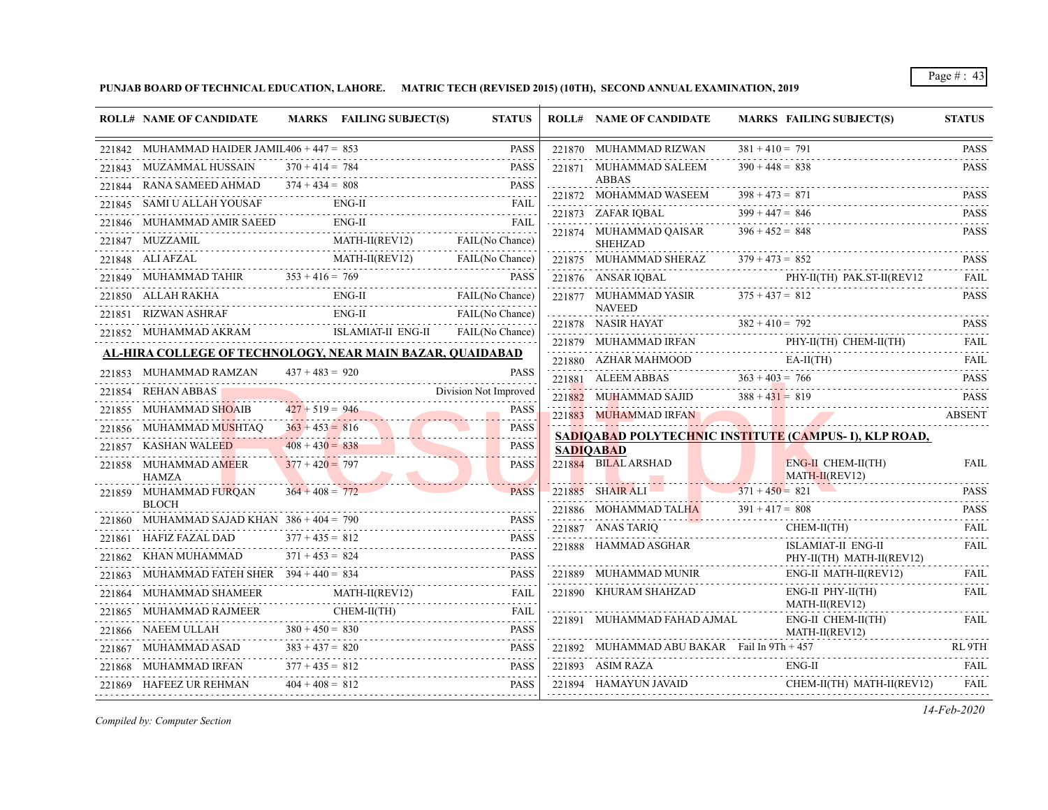**PUNJAB BOARD OF TECHNICAL EDUCATION, LAHORE. MATRIC TECH (REVISED 2015) (10TH), SECOND ANNUAL EXAMINATION, 2019**

| 221842 MUHAMMAD HAIDER JAMIL $406 + 447 = 853$<br><b>PASS</b><br>$381 + 410 = 791$<br>221870 MUHAMMAD RIZWAN<br>221843 MUZAMMAL HUSSAIN $370 + 414 = 784$<br><b>PASS</b><br>$390 + 448 = 838$<br>221871 MUHAMMAD SALEEM<br><b>ABBAS</b><br>221844 RANA SAMEED AHMAD $374 + 434 = 808$<br><b>PASS</b><br>ED AHMAD 374 + 434 = 808 PASS<br>$398 + 473 = 871$<br>221872 MOHAMMAD WASEEM<br>21845 SAMI U ALLAH YOUSAF ENG-II FAIL<br>221845 SAMI U ALLAH YOUSAF<br>FAIL<br>$399 + 447 = 846$<br>221873 ZAFAR IQBAL<br>221846 MUHAMMAD AMIR SAEED ENG-II FAIL FAIL<br>FAIL<br>221874 MUHAMMAD QAISAR $396 + 452 = 848$<br>1847 MUZZAMIL MATH-II(REV12) FAIL(No Chance)<br>221847 MUZZAMIL<br><b>SHEHZAD</b><br>221875 MUHAMMAD SHERAZ $379 + 473 = 852$<br>PHY-II(TH) PAK.ST-II(REV12<br>221876 ANSAR IQBAL PHY-II(TH) PAK.ST-II(REV12 FAIL<br>221850 ALLAH RAKHA ENG-II FAIL (No Chance)<br>221877 MUHAMMAD YASIR $375 + 437 = 812$<br><b>NAVEED</b><br>% 221851 RIZWAN ASHRAF ENG-II FAIL(No Chance) 221852 MUHAMMAD AKRAM ISLAMIAT-II ENG-II FAIL(No Chance)<br>221878 NASIR HAYAT $382 + 410 = 792$ PASS<br>$\begin{tabular}{lllllll} \bf 221879 & \text{MUHAMMAD IRFAN} & \text{PHY-II(TH) } \text{CHEM-II(TH)} & \text{FAIL} \end{tabular}$<br>AL-HIRA COLLEGE OF TECHNOLOGY, NEAR MAIN BAZAR, OUAIDABAD<br>${\bf 221880} \quad {\bf AZHAR MAHMOOD} \qquad {\bf EA-II(TH)} \qquad {\bf FAIL}$<br>$437 + 483 = 920$<br>221853 MUHAMMAD RAMZAN<br><b>PASS</b><br>221881 ALEEM ABBAS $363 + 403 = 766$<br>221881 ALEEM ABBAS $363 + 403 = 766$ PASS<br>1854 REHAN ABBAS Division Not Improved<br>221854 REHAN ABBAS<br>221882 MUHAMMAD SAJID $388 + 431 = 819$ PASS<br>$427 + 519 = 946$<br>221855 MUHAMMAD SHOAIB<br><b>PASS</b><br>221883 MUHAMMAD IRFAN ABSENT<br>221856 MUHAMMAD MUSHTAQ $363 + 453 = 816$<br><b>PASS</b><br>SADIQABAD POLYTECHNIC INSTITUTE (CAMPUS-I), KLP ROAD,<br>.<br>$408 + 430 = 838$<br><b>PASS</b><br>221857 KASHAN WALEED<br><b>SADIOABAD</b><br>221884 BILAL ARSHAD<br><b>BILAL ARSHAD</b><br>ENG-II CHEM-II(TH)<br>$377 + 420 = 797$<br><b>PASS</b><br>221858 MUHAMMAD AMEER<br>$MATH-II(REV12)$<br><b>HAMZA</b><br>221885 SHAIR ALI 2371 + 450 = 821 PASS<br>$364 + 408 = 772$<br>221859 MUHAMMAD FURQAN<br><b>PASS</b><br><b>BLOCH</b><br>221886 MOHAMMAD TALHA $391 + 417 = 808$ PASS<br>221860 MUHAMMAD SAJAD KHAN $386 + 404 = 790$<br>$221887$ ANAS TARIQ<br>CHEM-II(TH)<br>221861 HAFIZ FAZAL DAD $377 + 435 = 812$<br>1861 HAFIZ FAZAL DAD 377 + 435 = 812 PASS<br>221888 HAMMAD ASGHAR<br>ISLAMIAT-II ENG-II<br><b>PASS</b><br>$371 + 453 = 824$<br>221862     KHAN MUHAMMAD<br>$AD$ $371 + 453 = 824$<br>PHY-II(TH) MATH-II(REV12)<br>$221889 \quad \text{MUHAMMAD MUNIR}$<br>ENG-II MATH-II(REV12) FAIL<br>221863 MUHAMMAD FATEH SHER 394 + 440 = 834 PASS<br>221864 MUHAMMAD SHAMEER MATH-II(REV12) FAIL<br>221890 KHURAM SHAHZAD<br>ENG-II PHY-II(TH)<br>FAIL<br>MATH-II(REV12)<br>221865 MUHAMMAD RAJMEER CHEM-II(TH) FAIL<br>$ENG-II$ CHEM-II(TH)<br>221891 MUHAMMAD FAHAD AJMAL<br>221866 NAEEM ULLAH $380 + 450 = 830$ PASS<br>MATH-II(REV12)<br>221892 MUHAMMAD ABU BAKAR Fail In 9Th + 457 RL 9TH<br>221867 MUHAMMAD ASAD $383 + 437 = 820$<br>PASS<br>$377 + 435 = 812$<br>221893 ASIM RAZA<br>221893 ASIM RAZA ENG-II FAIL FAIL<br>221868 MUHAMMAD IRFAN<br><b>PASS</b><br>FAN $377 + 435 = 812$ PASS<br>221894 HAMAYUN JAVAID CHEM-II(TH) MATH-II(REV12)<br>$404 + 408 = 812$<br><b>PASS</b><br>221869 HAFEEZ UR REHMAN | <b>ROLL# NAME OF CANDIDATE</b> | MARKS FAILING SUBJECT(S) | <b>STATUS</b> | <b>ROLL# NAME OF CANDIDATE</b> | MARKS FAILING SUBJECT(S) | <b>STATUS</b>    |
|-----------------------------------------------------------------------------------------------------------------------------------------------------------------------------------------------------------------------------------------------------------------------------------------------------------------------------------------------------------------------------------------------------------------------------------------------------------------------------------------------------------------------------------------------------------------------------------------------------------------------------------------------------------------------------------------------------------------------------------------------------------------------------------------------------------------------------------------------------------------------------------------------------------------------------------------------------------------------------------------------------------------------------------------------------------------------------------------------------------------------------------------------------------------------------------------------------------------------------------------------------------------------------------------------------------------------------------------------------------------------------------------------------------------------------------------------------------------------------------------------------------------------------------------------------------------------------------------------------------------------------------------------------------------------------------------------------------------------------------------------------------------------------------------------------------------------------------------------------------------------------------------------------------------------------------------------------------------------------------------------------------------------------------------------------------------------------------------------------------------------------------------------------------------------------------------------------------------------------------------------------------------------------------------------------------------------------------------------------------------------------------------------------------------------------------------------------------------------------------------------------------------------------------------------------------------------------------------------------------------------------------------------------------------------------------------------------------------------------------------------------------------------------------------------------------------------------------------------------------------------------------------------------------------------------------------------------------------------------------------------------------------------------------------------------------------------------------------------------------------------------------------------------------------------------------------------------------------------------------------------------------------------------------------------------------------------------------------------------------------------------------------------------------------------------------------------------------------------------|--------------------------------|--------------------------|---------------|--------------------------------|--------------------------|------------------|
|                                                                                                                                                                                                                                                                                                                                                                                                                                                                                                                                                                                                                                                                                                                                                                                                                                                                                                                                                                                                                                                                                                                                                                                                                                                                                                                                                                                                                                                                                                                                                                                                                                                                                                                                                                                                                                                                                                                                                                                                                                                                                                                                                                                                                                                                                                                                                                                                                                                                                                                                                                                                                                                                                                                                                                                                                                                                                                                                                                                                                                                                                                                                                                                                                                                                                                                                                                                                                                                                             |                                |                          |               |                                |                          | <b>PASS</b>      |
|                                                                                                                                                                                                                                                                                                                                                                                                                                                                                                                                                                                                                                                                                                                                                                                                                                                                                                                                                                                                                                                                                                                                                                                                                                                                                                                                                                                                                                                                                                                                                                                                                                                                                                                                                                                                                                                                                                                                                                                                                                                                                                                                                                                                                                                                                                                                                                                                                                                                                                                                                                                                                                                                                                                                                                                                                                                                                                                                                                                                                                                                                                                                                                                                                                                                                                                                                                                                                                                                             |                                |                          |               |                                |                          | <b>PASS</b>      |
|                                                                                                                                                                                                                                                                                                                                                                                                                                                                                                                                                                                                                                                                                                                                                                                                                                                                                                                                                                                                                                                                                                                                                                                                                                                                                                                                                                                                                                                                                                                                                                                                                                                                                                                                                                                                                                                                                                                                                                                                                                                                                                                                                                                                                                                                                                                                                                                                                                                                                                                                                                                                                                                                                                                                                                                                                                                                                                                                                                                                                                                                                                                                                                                                                                                                                                                                                                                                                                                                             |                                |                          |               |                                |                          | <b>PASS</b>      |
|                                                                                                                                                                                                                                                                                                                                                                                                                                                                                                                                                                                                                                                                                                                                                                                                                                                                                                                                                                                                                                                                                                                                                                                                                                                                                                                                                                                                                                                                                                                                                                                                                                                                                                                                                                                                                                                                                                                                                                                                                                                                                                                                                                                                                                                                                                                                                                                                                                                                                                                                                                                                                                                                                                                                                                                                                                                                                                                                                                                                                                                                                                                                                                                                                                                                                                                                                                                                                                                                             |                                |                          |               |                                |                          | <b>PASS</b>      |
|                                                                                                                                                                                                                                                                                                                                                                                                                                                                                                                                                                                                                                                                                                                                                                                                                                                                                                                                                                                                                                                                                                                                                                                                                                                                                                                                                                                                                                                                                                                                                                                                                                                                                                                                                                                                                                                                                                                                                                                                                                                                                                                                                                                                                                                                                                                                                                                                                                                                                                                                                                                                                                                                                                                                                                                                                                                                                                                                                                                                                                                                                                                                                                                                                                                                                                                                                                                                                                                                             |                                |                          |               |                                |                          | <b>PASS</b>      |
|                                                                                                                                                                                                                                                                                                                                                                                                                                                                                                                                                                                                                                                                                                                                                                                                                                                                                                                                                                                                                                                                                                                                                                                                                                                                                                                                                                                                                                                                                                                                                                                                                                                                                                                                                                                                                                                                                                                                                                                                                                                                                                                                                                                                                                                                                                                                                                                                                                                                                                                                                                                                                                                                                                                                                                                                                                                                                                                                                                                                                                                                                                                                                                                                                                                                                                                                                                                                                                                                             |                                |                          |               |                                |                          |                  |
|                                                                                                                                                                                                                                                                                                                                                                                                                                                                                                                                                                                                                                                                                                                                                                                                                                                                                                                                                                                                                                                                                                                                                                                                                                                                                                                                                                                                                                                                                                                                                                                                                                                                                                                                                                                                                                                                                                                                                                                                                                                                                                                                                                                                                                                                                                                                                                                                                                                                                                                                                                                                                                                                                                                                                                                                                                                                                                                                                                                                                                                                                                                                                                                                                                                                                                                                                                                                                                                                             |                                |                          |               |                                |                          | <b>PASS</b>      |
|                                                                                                                                                                                                                                                                                                                                                                                                                                                                                                                                                                                                                                                                                                                                                                                                                                                                                                                                                                                                                                                                                                                                                                                                                                                                                                                                                                                                                                                                                                                                                                                                                                                                                                                                                                                                                                                                                                                                                                                                                                                                                                                                                                                                                                                                                                                                                                                                                                                                                                                                                                                                                                                                                                                                                                                                                                                                                                                                                                                                                                                                                                                                                                                                                                                                                                                                                                                                                                                                             |                                |                          |               |                                |                          |                  |
|                                                                                                                                                                                                                                                                                                                                                                                                                                                                                                                                                                                                                                                                                                                                                                                                                                                                                                                                                                                                                                                                                                                                                                                                                                                                                                                                                                                                                                                                                                                                                                                                                                                                                                                                                                                                                                                                                                                                                                                                                                                                                                                                                                                                                                                                                                                                                                                                                                                                                                                                                                                                                                                                                                                                                                                                                                                                                                                                                                                                                                                                                                                                                                                                                                                                                                                                                                                                                                                                             |                                |                          |               |                                |                          | <b>PASS</b>      |
|                                                                                                                                                                                                                                                                                                                                                                                                                                                                                                                                                                                                                                                                                                                                                                                                                                                                                                                                                                                                                                                                                                                                                                                                                                                                                                                                                                                                                                                                                                                                                                                                                                                                                                                                                                                                                                                                                                                                                                                                                                                                                                                                                                                                                                                                                                                                                                                                                                                                                                                                                                                                                                                                                                                                                                                                                                                                                                                                                                                                                                                                                                                                                                                                                                                                                                                                                                                                                                                                             |                                |                          |               |                                |                          |                  |
|                                                                                                                                                                                                                                                                                                                                                                                                                                                                                                                                                                                                                                                                                                                                                                                                                                                                                                                                                                                                                                                                                                                                                                                                                                                                                                                                                                                                                                                                                                                                                                                                                                                                                                                                                                                                                                                                                                                                                                                                                                                                                                                                                                                                                                                                                                                                                                                                                                                                                                                                                                                                                                                                                                                                                                                                                                                                                                                                                                                                                                                                                                                                                                                                                                                                                                                                                                                                                                                                             |                                |                          |               |                                |                          |                  |
|                                                                                                                                                                                                                                                                                                                                                                                                                                                                                                                                                                                                                                                                                                                                                                                                                                                                                                                                                                                                                                                                                                                                                                                                                                                                                                                                                                                                                                                                                                                                                                                                                                                                                                                                                                                                                                                                                                                                                                                                                                                                                                                                                                                                                                                                                                                                                                                                                                                                                                                                                                                                                                                                                                                                                                                                                                                                                                                                                                                                                                                                                                                                                                                                                                                                                                                                                                                                                                                                             |                                |                          |               |                                |                          |                  |
|                                                                                                                                                                                                                                                                                                                                                                                                                                                                                                                                                                                                                                                                                                                                                                                                                                                                                                                                                                                                                                                                                                                                                                                                                                                                                                                                                                                                                                                                                                                                                                                                                                                                                                                                                                                                                                                                                                                                                                                                                                                                                                                                                                                                                                                                                                                                                                                                                                                                                                                                                                                                                                                                                                                                                                                                                                                                                                                                                                                                                                                                                                                                                                                                                                                                                                                                                                                                                                                                             |                                |                          |               |                                |                          |                  |
|                                                                                                                                                                                                                                                                                                                                                                                                                                                                                                                                                                                                                                                                                                                                                                                                                                                                                                                                                                                                                                                                                                                                                                                                                                                                                                                                                                                                                                                                                                                                                                                                                                                                                                                                                                                                                                                                                                                                                                                                                                                                                                                                                                                                                                                                                                                                                                                                                                                                                                                                                                                                                                                                                                                                                                                                                                                                                                                                                                                                                                                                                                                                                                                                                                                                                                                                                                                                                                                                             |                                |                          |               |                                |                          |                  |
|                                                                                                                                                                                                                                                                                                                                                                                                                                                                                                                                                                                                                                                                                                                                                                                                                                                                                                                                                                                                                                                                                                                                                                                                                                                                                                                                                                                                                                                                                                                                                                                                                                                                                                                                                                                                                                                                                                                                                                                                                                                                                                                                                                                                                                                                                                                                                                                                                                                                                                                                                                                                                                                                                                                                                                                                                                                                                                                                                                                                                                                                                                                                                                                                                                                                                                                                                                                                                                                                             |                                |                          |               |                                |                          |                  |
|                                                                                                                                                                                                                                                                                                                                                                                                                                                                                                                                                                                                                                                                                                                                                                                                                                                                                                                                                                                                                                                                                                                                                                                                                                                                                                                                                                                                                                                                                                                                                                                                                                                                                                                                                                                                                                                                                                                                                                                                                                                                                                                                                                                                                                                                                                                                                                                                                                                                                                                                                                                                                                                                                                                                                                                                                                                                                                                                                                                                                                                                                                                                                                                                                                                                                                                                                                                                                                                                             |                                |                          |               |                                |                          |                  |
|                                                                                                                                                                                                                                                                                                                                                                                                                                                                                                                                                                                                                                                                                                                                                                                                                                                                                                                                                                                                                                                                                                                                                                                                                                                                                                                                                                                                                                                                                                                                                                                                                                                                                                                                                                                                                                                                                                                                                                                                                                                                                                                                                                                                                                                                                                                                                                                                                                                                                                                                                                                                                                                                                                                                                                                                                                                                                                                                                                                                                                                                                                                                                                                                                                                                                                                                                                                                                                                                             |                                |                          |               |                                |                          |                  |
|                                                                                                                                                                                                                                                                                                                                                                                                                                                                                                                                                                                                                                                                                                                                                                                                                                                                                                                                                                                                                                                                                                                                                                                                                                                                                                                                                                                                                                                                                                                                                                                                                                                                                                                                                                                                                                                                                                                                                                                                                                                                                                                                                                                                                                                                                                                                                                                                                                                                                                                                                                                                                                                                                                                                                                                                                                                                                                                                                                                                                                                                                                                                                                                                                                                                                                                                                                                                                                                                             |                                |                          |               |                                |                          | <b>FAIL</b>      |
|                                                                                                                                                                                                                                                                                                                                                                                                                                                                                                                                                                                                                                                                                                                                                                                                                                                                                                                                                                                                                                                                                                                                                                                                                                                                                                                                                                                                                                                                                                                                                                                                                                                                                                                                                                                                                                                                                                                                                                                                                                                                                                                                                                                                                                                                                                                                                                                                                                                                                                                                                                                                                                                                                                                                                                                                                                                                                                                                                                                                                                                                                                                                                                                                                                                                                                                                                                                                                                                                             |                                |                          |               |                                |                          |                  |
|                                                                                                                                                                                                                                                                                                                                                                                                                                                                                                                                                                                                                                                                                                                                                                                                                                                                                                                                                                                                                                                                                                                                                                                                                                                                                                                                                                                                                                                                                                                                                                                                                                                                                                                                                                                                                                                                                                                                                                                                                                                                                                                                                                                                                                                                                                                                                                                                                                                                                                                                                                                                                                                                                                                                                                                                                                                                                                                                                                                                                                                                                                                                                                                                                                                                                                                                                                                                                                                                             |                                |                          |               |                                |                          |                  |
|                                                                                                                                                                                                                                                                                                                                                                                                                                                                                                                                                                                                                                                                                                                                                                                                                                                                                                                                                                                                                                                                                                                                                                                                                                                                                                                                                                                                                                                                                                                                                                                                                                                                                                                                                                                                                                                                                                                                                                                                                                                                                                                                                                                                                                                                                                                                                                                                                                                                                                                                                                                                                                                                                                                                                                                                                                                                                                                                                                                                                                                                                                                                                                                                                                                                                                                                                                                                                                                                             |                                |                          |               |                                |                          | FAIL<br><u>.</u> |
|                                                                                                                                                                                                                                                                                                                                                                                                                                                                                                                                                                                                                                                                                                                                                                                                                                                                                                                                                                                                                                                                                                                                                                                                                                                                                                                                                                                                                                                                                                                                                                                                                                                                                                                                                                                                                                                                                                                                                                                                                                                                                                                                                                                                                                                                                                                                                                                                                                                                                                                                                                                                                                                                                                                                                                                                                                                                                                                                                                                                                                                                                                                                                                                                                                                                                                                                                                                                                                                                             |                                |                          |               |                                |                          | FAIL             |
|                                                                                                                                                                                                                                                                                                                                                                                                                                                                                                                                                                                                                                                                                                                                                                                                                                                                                                                                                                                                                                                                                                                                                                                                                                                                                                                                                                                                                                                                                                                                                                                                                                                                                                                                                                                                                                                                                                                                                                                                                                                                                                                                                                                                                                                                                                                                                                                                                                                                                                                                                                                                                                                                                                                                                                                                                                                                                                                                                                                                                                                                                                                                                                                                                                                                                                                                                                                                                                                                             |                                |                          |               |                                |                          |                  |
|                                                                                                                                                                                                                                                                                                                                                                                                                                                                                                                                                                                                                                                                                                                                                                                                                                                                                                                                                                                                                                                                                                                                                                                                                                                                                                                                                                                                                                                                                                                                                                                                                                                                                                                                                                                                                                                                                                                                                                                                                                                                                                                                                                                                                                                                                                                                                                                                                                                                                                                                                                                                                                                                                                                                                                                                                                                                                                                                                                                                                                                                                                                                                                                                                                                                                                                                                                                                                                                                             |                                |                          |               |                                |                          | FAIL             |
|                                                                                                                                                                                                                                                                                                                                                                                                                                                                                                                                                                                                                                                                                                                                                                                                                                                                                                                                                                                                                                                                                                                                                                                                                                                                                                                                                                                                                                                                                                                                                                                                                                                                                                                                                                                                                                                                                                                                                                                                                                                                                                                                                                                                                                                                                                                                                                                                                                                                                                                                                                                                                                                                                                                                                                                                                                                                                                                                                                                                                                                                                                                                                                                                                                                                                                                                                                                                                                                                             |                                |                          |               |                                |                          |                  |
|                                                                                                                                                                                                                                                                                                                                                                                                                                                                                                                                                                                                                                                                                                                                                                                                                                                                                                                                                                                                                                                                                                                                                                                                                                                                                                                                                                                                                                                                                                                                                                                                                                                                                                                                                                                                                                                                                                                                                                                                                                                                                                                                                                                                                                                                                                                                                                                                                                                                                                                                                                                                                                                                                                                                                                                                                                                                                                                                                                                                                                                                                                                                                                                                                                                                                                                                                                                                                                                                             |                                |                          |               |                                |                          | - FAIL           |
|                                                                                                                                                                                                                                                                                                                                                                                                                                                                                                                                                                                                                                                                                                                                                                                                                                                                                                                                                                                                                                                                                                                                                                                                                                                                                                                                                                                                                                                                                                                                                                                                                                                                                                                                                                                                                                                                                                                                                                                                                                                                                                                                                                                                                                                                                                                                                                                                                                                                                                                                                                                                                                                                                                                                                                                                                                                                                                                                                                                                                                                                                                                                                                                                                                                                                                                                                                                                                                                                             |                                |                          |               |                                |                          |                  |
|                                                                                                                                                                                                                                                                                                                                                                                                                                                                                                                                                                                                                                                                                                                                                                                                                                                                                                                                                                                                                                                                                                                                                                                                                                                                                                                                                                                                                                                                                                                                                                                                                                                                                                                                                                                                                                                                                                                                                                                                                                                                                                                                                                                                                                                                                                                                                                                                                                                                                                                                                                                                                                                                                                                                                                                                                                                                                                                                                                                                                                                                                                                                                                                                                                                                                                                                                                                                                                                                             |                                |                          |               |                                |                          |                  |
|                                                                                                                                                                                                                                                                                                                                                                                                                                                                                                                                                                                                                                                                                                                                                                                                                                                                                                                                                                                                                                                                                                                                                                                                                                                                                                                                                                                                                                                                                                                                                                                                                                                                                                                                                                                                                                                                                                                                                                                                                                                                                                                                                                                                                                                                                                                                                                                                                                                                                                                                                                                                                                                                                                                                                                                                                                                                                                                                                                                                                                                                                                                                                                                                                                                                                                                                                                                                                                                                             |                                |                          |               |                                |                          | FAIL             |

*Compiled by: Computer Section*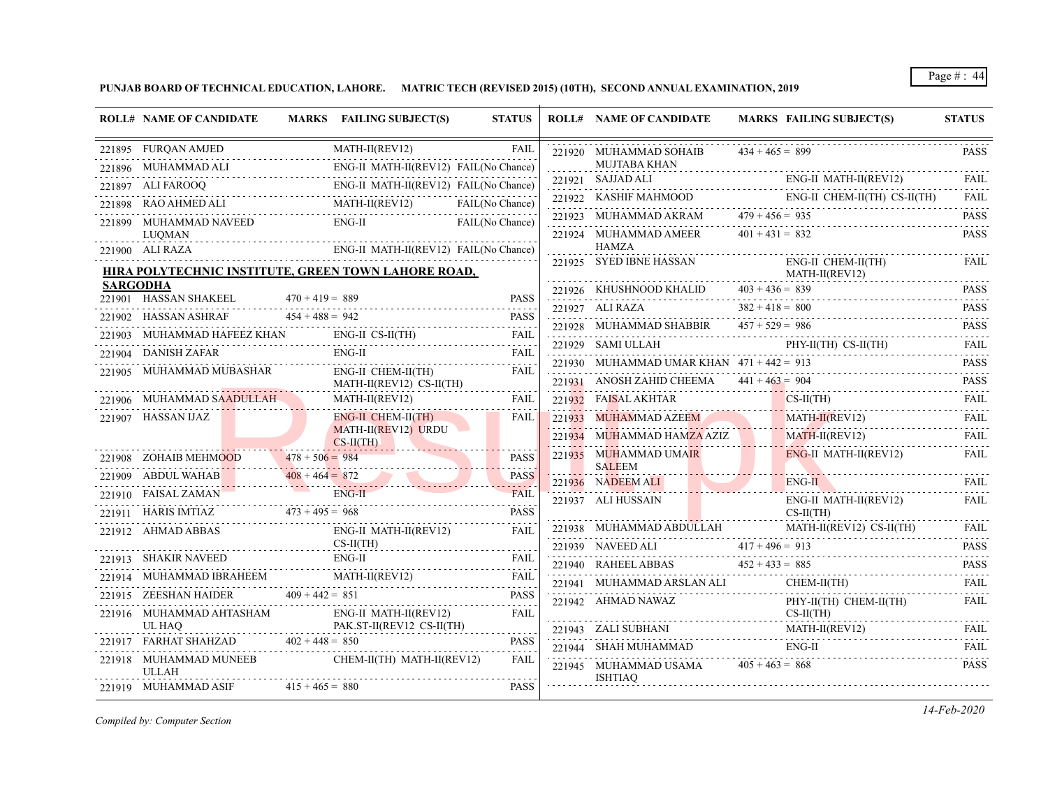**PUNJAB BOARD OF TECHNICAL EDUCATION, LAHORE. MATRIC TECH (REVISED 2015) (10TH), SECOND ANNUAL EXAMINATION, 2019**

|                 | <b>ROLL# NAME OF CANDIDATE</b>                                                                                                       |                   | MARKS FAILING SUBJECT(S)                                             | <b>STATUS</b> | <b>ROLL# NAME OF CANDIDATE</b>              |                   | <b>MARKS FAILING SUBJECT(S)</b>                                        | <b>STATUS</b>    |
|-----------------|--------------------------------------------------------------------------------------------------------------------------------------|-------------------|----------------------------------------------------------------------|---------------|---------------------------------------------|-------------------|------------------------------------------------------------------------|------------------|
|                 | 221895 FURQAN AMJED                                                                                                                  |                   | MATH-II(REV12)                                                       | <b>FAIL</b>   | 221920 MUHAMMAD SOHAIB                      | $434 + 465 = 899$ |                                                                        | <b>PASS</b>      |
|                 | 221896 MUHAMMAD ALI                                                                                                                  |                   | ENG-II MATH-II(REV12) FAIL(No Chance)                                |               | MUJTABA KHAN                                |                   |                                                                        |                  |
|                 | ALI FAROOQ ENG-II MATH-II(REV12) FAIL(No Chance)<br>221897 ALI FAROOQ                                                                |                   |                                                                      |               | 221921 SAJJAD ALI                           |                   | ENG-II MATH-II(REV12)<br>221921 SAJJAD ALI ENG-II MATH-II(REV12)       |                  |
|                 | 221898 RAO AHMED ALI                                                                                                                 |                   | MED ALI MATH-II(REV12) FAIL(No Cha<br>MATH-II(REV12) FAIL(No Chance) |               | 221922 KASHIF MAHMOOD                       |                   | ENG-II CHEM-II(TH) CS-II(TH)                                           | FAII.<br>.       |
|                 | 221899 MUHAMMAD NAVEED                                                                                                               |                   | ENG-II FAIL(No Chance)                                               |               | 221923 MUHAMMAD AKRAM $479 + 456 = 935$     |                   |                                                                        | <b>PASS</b><br>. |
|                 | LUOMAN                                                                                                                               |                   |                                                                      |               | 221924 MUHAMMAD AMEER<br><b>HAMZA</b>       | $401 + 431 = 832$ |                                                                        | <b>PASS</b>      |
|                 | 221900 ALI RAZA                                                                                                                      |                   | ENG-II MATH-II(REV12) FAIL(No Chance)                                |               | 221925 SYED IBNE HASSAN                     |                   | ENG-II CHEM-II(TH)                                                     | <b>FAIL</b>      |
|                 | HIRA POLYTECHNIC INSTITUTE, GREEN TOWN LAHORE ROAD,                                                                                  |                   |                                                                      |               | $MATH-II (REV12)$                           |                   |                                                                        |                  |
| <b>SARGODHA</b> | 221901 HASSAN SHAKEEL                                                                                                                | $470 + 419 = 889$ |                                                                      | <b>PASS</b>   |                                             |                   | 221926 KHUSHNOOD KHALID $403 + 436 = 839$                              | <b>PASS</b>      |
|                 |                                                                                                                                      |                   |                                                                      | <b>PASS</b>   |                                             |                   | 221927 ALI RAZA $382 + 418 = 800$                                      | <b>PASS</b><br>. |
|                 | 221902 HASSAN ASHRAF $454 + 488 = 942$<br>221903 MUHAMMAD HAFEEZ KHAN                                                                |                   |                                                                      |               | 221928 MUHAMMAD SHABBIR $457 + 529 = 986$   |                   |                                                                        | <b>PASS</b>      |
|                 | 221904 DANISH ZAFAR                                                                                                                  |                   | $ENG-II$                                                             | FAIL          |                                             |                   | 221929 SAMI ULLAH PHY-II(TH) CS-II(TH)                                 | <b>FAIL</b>      |
|                 | 221905 MUHAMMAD MUBASHAR                                                                                                             |                   | ENG-II CHEM-II(TH)                                                   | FAIL          | 221930 MUHAMMAD UMAR KHAN $471 + 442 = 913$ |                   |                                                                        | <b>PASS</b>      |
|                 |                                                                                                                                      |                   | MATH-II(REV12) CS-II(TH)                                             |               | 221931 ANOSH ZAHID CHEEMA $441 + 463 = 904$ |                   |                                                                        | <b>PASS</b>      |
|                 | 221906 MUHAMMAD SAADULLAH                                                                                                            |                   | $MATH-II(REV12)$                                                     | <b>FAIL</b>   |                                             |                   | 221932 FAISAL AKHTAR CS-II(TH)<br>221933 MUHAMMAD AZEEM MATH-II(REV12) | <b>FAIL</b>      |
|                 | 221907 HASSAN IJAZ                                                                                                                   |                   | ENG-II CHEM-II(TH)                                                   | FAIL          |                                             |                   |                                                                        | .<br><b>FAIL</b> |
|                 |                                                                                                                                      |                   | MATH-II(REV12) URDU<br>$CS-H(TH)$                                    |               | 221934 MUHAMMAD HAMZA AZIZ                  |                   | $MATH-II(REV12)$                                                       | .<br><b>FAIL</b> |
|                 | 221908 ZOHAIB MEHMOOD                                                                                                                | $478 + 506 = 984$ |                                                                      | <b>PASS</b>   | 221935 MUHAMMAD UMAIR                       |                   | ENG-II MATH-II(REV12)                                                  | <b>FAIL</b>      |
|                 | 221909 ABDUL WAHAB 408 + 464 = 872                                                                                                   | $408 + 464 = 872$ |                                                                      | <b>PASS</b>   | <b>SALEEM</b><br>221936 NADEEM ALI          |                   | $ENG-II$                                                               | <b>FAIL</b>      |
|                 | 221910 FAISAL ZAMAN                                                                                                                  |                   | ENG-II                                                               | <b>FAIL</b>   | 221937 ALI HUSSAIN                          |                   | ENG-II MATH-II(REV12)                                                  | <b>FAIL</b>      |
|                 | $221910$ FAISAL ZAMAN<br>221911 HARIS IMTIAZ 473 + 495 = 968 PASS<br>221911 HARIS IMTIAZ 473 + 495 = 968 PASS<br>221911 HARIS IMTIAZ |                   |                                                                      |               |                                             |                   | $CS-II(TH)$                                                            |                  |
|                 | 221912 AHMAD ABBAS                                                                                                                   |                   | ENG-II MATH-II(REV12)                                                | FAIL          | 221938 MUHAMMAD ABDULLAH                    |                   | MATH-II(REV12) CS-II(TH)                                               | FAIL             |
|                 |                                                                                                                                      |                   | $CS-II(TH)$                                                          |               |                                             |                   | 221939 NAVEED ALI $417 + 496 = 913$                                    | <b>PASS</b><br>. |
|                 | 221913 SHAKIR NAVEED                                                                                                                 |                   | ENG-II                                                               |               |                                             |                   | 221940 RAHEELABBAS $452 + 433 = 885$ PASS PASS                         |                  |
|                 | 221914 MUHAMMAD IBRAHEEM MATH-II(REV12)<br>MUHAMMAD IBRAHEEM MATH-II(REV12) FAIL FAIL                                                |                   |                                                                      | FAIL          | 221941 MUHAMMAD ARSLAN ALI                  |                   | CHEM-II(TH)                                                            | <b>FAIL</b>      |
|                 | 221915 ZEESHAN HAIDER $409 + 442 = 851$                                                                                              |                   |                                                                      | <b>PASS</b>   | 221942 AHMAD NAWAZ                          |                   | PHY-II(TH) CHEM-II(TH)                                                 | <b>FAIL</b>      |
|                 | 221916 MUHAMMAD AHTASHAM<br>UL HAO                                                                                                   |                   | ENG-II MATH-II(REV12)<br>PAK.ST-II(REV12 CS-II(TH)                   | <b>FAIL</b>   |                                             |                   | $CS-II(TH)$<br>.                                                       |                  |
|                 | 221917 FARHAT SHAHZAD                                                                                                                | $402 + 448 = 850$ |                                                                      | <b>PASS</b>   |                                             |                   | 221943 ZALI SUBHANI MATH-II(REV12) FAIL                                |                  |
|                 | 221918 MUHAMMAD MUNEEB                                                                                                               |                   | CHEM-II(TH) MATH-II(REV12)                                           | FAIL          | 221944 SHAH MUHAMMAD                        |                   | $ENG-II$                                                               | FAIL             |
|                 | <b>ULLAH</b>                                                                                                                         |                   |                                                                      |               | 221945 MUHAMMAD USAMA<br>ISHTIAO            | $405 + 463 = 868$ |                                                                        | <b>PASS</b>      |
|                 | 221919 MUHAMMAD ASIF                                                                                                                 | $415 + 465 = 880$ |                                                                      | <b>PASS</b>   |                                             |                   |                                                                        |                  |

*Compiled by: Computer Section*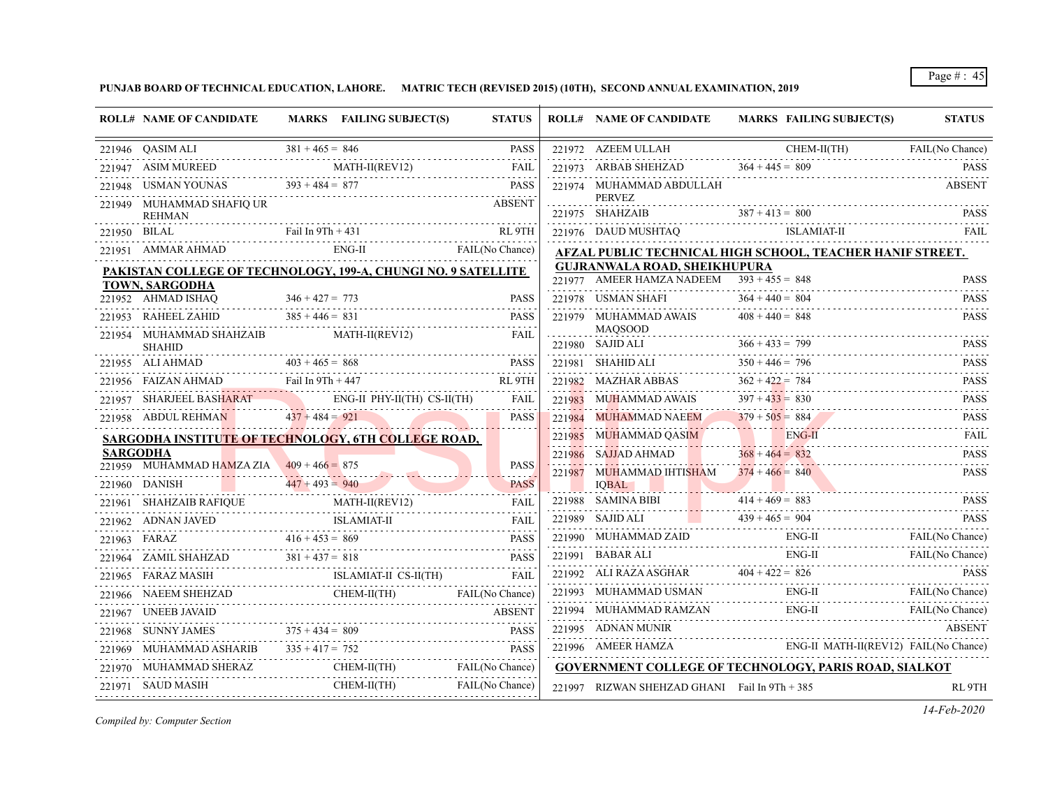**PUNJAB BOARD OF TECHNICAL EDUCATION, LAHORE. MATRIC TECH (REVISED 2015) (10TH), SECOND ANNUAL EXAMINATION, 2019**

| <b>ROLL# NAME OF CANDIDATE</b>            | MARKS FAILING SUBJECT(S)                                                                                                                                                                     | <b>STATUS</b> | <b>ROLL# NAME OF CANDIDATE</b>                | MARKS FAILING SUBJECT(S)                                                                                                                                                                                                       | <b>STATUS</b> |
|-------------------------------------------|----------------------------------------------------------------------------------------------------------------------------------------------------------------------------------------------|---------------|-----------------------------------------------|--------------------------------------------------------------------------------------------------------------------------------------------------------------------------------------------------------------------------------|---------------|
| 221946 QASIM ALI                          | 21946 QASIM ALI $381 + 465 = 846$ PASS                                                                                                                                                       | <b>PASS</b>   |                                               | $\begin{tabular}{c c c} {\bf 221972} & \text{AZEEM ULLAH} & \text{CHEM-II(TH)} & \text{FAIL(No Chance)} \\ \hline \textbf{221973} & \text{ARBAB SHEHZAD} & \textbf{364 + 445 = 809} \\ \end{tabular}$                          |               |
|                                           | 221947 ASIM MUREED MATH-II(REV12) FAIL                                                                                                                                                       |               |                                               |                                                                                                                                                                                                                                |               |
|                                           | 221948 USMAN YOUNAS 393 + 484 = 877 PASS PASS                                                                                                                                                |               | 221974 MUHAMMAD ABDULLAH                      |                                                                                                                                                                                                                                | <b>ABSENT</b> |
| 221949 MUHAMMAD SHAFIO UR<br>REHMAN       |                                                                                                                                                                                              | <b>ABSENT</b> |                                               | PERVEZ<br>PARK PARK PARK PARK PARK PARK PARK<br>221975 SHAHZAIB $387 + 413 = 800$ PASS                                                                                                                                         |               |
| 221950 BILAL                              | 21950 BILAL Fail In 9Th + 431 RL 9TH                                                                                                                                                         |               |                                               | 221976 DAUD MUSHTAQ ISLAMIAT-II                                                                                                                                                                                                | FAIL          |
|                                           | 221951 AMMAR AHMAD ENG-II FAIL(No Chance)                                                                                                                                                    |               |                                               | AFZAL PUBLIC TECHNICAL HIGH SCHOOL, TEACHER HANIF STREET.                                                                                                                                                                      |               |
|                                           | <b>PAKISTAN COLLEGE OF TECHNOLOGY, 199-A, CHUNGI NO. 9 SATELLITE</b>                                                                                                                         |               | <b>GUJRANWALA ROAD, SHEIKHUPURA</b>           |                                                                                                                                                                                                                                |               |
| TOWN, SARGODHA                            |                                                                                                                                                                                              |               | 221977 AMEER HAMZA NADEEM $393 + 455 = 848$   |                                                                                                                                                                                                                                | <b>PASS</b>   |
| 221952 AHMAD ISHAQ                        | MAD ISHAQ $346 + 427 = 773$ PASS                                                                                                                                                             |               |                                               | 221978 USMAN SHAFI $364 + 440 = 804$ PASS                                                                                                                                                                                      |               |
|                                           | 221953 RAHEEL ZAHID $385 + 446 = 831$ PASS                                                                                                                                                   | PASS          | 221979 MUHAMMAD AWAIS $408 + 440 = 848$       |                                                                                                                                                                                                                                | <b>PASS</b>   |
| SHAHID                                    | 221954 MUHAMMAD SHAHZAIB MATH-II(REV12)                                                                                                                                                      | FAIL          | MAQSOOD                                       | MAQSOOD<br>221980 SAJID ALI 366 + 433 = 799<br>221980 SAJID ALI 366 + 433 = 799                                                                                                                                                |               |
|                                           | 221955 ALI AHMAD $403 + 465 = 868$ PASS PASS                                                                                                                                                 |               |                                               | 221981 SHAHID ALI $350 + 446 = 796$ PASS                                                                                                                                                                                       |               |
|                                           | 221956 FAIZAN AHMAD Fail In 9Th + 447 RL 9TH                                                                                                                                                 | RL 9TH        |                                               | 221982 MAZHAR ABBAS $362 + 422 = 784$ PASS                                                                                                                                                                                     |               |
|                                           | 221957 SHARJEEL BASHARAT ENG-II PHY-II(TH) CS-II(TH) FAIL                                                                                                                                    |               |                                               | 221983 MUHAMMAD AWAIS $397 + 433 = 830$ PASS PASS                                                                                                                                                                              |               |
|                                           | 221958 ABDUL REHMAN $437 + 484 = 921$                                                                                                                                                        | <b>PASS</b>   |                                               | 221984 MUHAMMAD NAEEM $379 + 505 = 884$ PASS                                                                                                                                                                                   |               |
|                                           | SARGODHA INSTITUTE OF TECHNOLOGY, 6TH COLLEGE ROAD,                                                                                                                                          |               |                                               | 221985 MUHAMMAD QASIM ENG-II FAIL FAIL                                                                                                                                                                                         |               |
| <b>SARGODHA</b>                           |                                                                                                                                                                                              |               | 221986 SAJJAD AHMAD 368 + 464 = 832           |                                                                                                                                                                                                                                | <b>PASS</b>   |
| 221959 MUHAMMAD HAMZA ZIA 409 + 466 = 875 |                                                                                                                                                                                              | PASS<br>.     | 221987 MUHAMMAD IHTISHAM $374 + 466 = 840$    |                                                                                                                                                                                                                                | <b>PASS</b>   |
|                                           | 221960 DANISH $447 + 493 = 940$ PASS                                                                                                                                                         |               |                                               | IQBAL REPORT OF THE RESIDENCE OF THE RESIDENCE OF THE RESIDENCE OF THE RESIDENCE OF THE RESIDENCE OF THE RESIDENCE OF THE RESIDENCE OF THE RESIDENCE OF THE RESIDENCE OF THE RESIDENCE OF THE RESIDENCE OF THE RESIDENCE OF TH |               |
|                                           | 221961 SHAHZAIB RAFIQUE MATH-II(REV12) FAIL                                                                                                                                                  |               | 221988 SAMINA BIBI $414 + 469 = 883$          | 221988 SAMINA BIBI $414 + 469 = 883$ PASS                                                                                                                                                                                      |               |
|                                           | $\begin{array}{ l c c c c }\n\hline\n221962 & \text{ADNAN JAVED} & \text{ISLAMIAT-II} & \text{FAIL} \\ \hline\n221963 & \text{FARAZ} & 416 + 453 = 869 & \text{PASS} \\ \hline\n\end{array}$ |               |                                               | 221989 SAJID ALI $439 + 465 = 904$                                                                                                                                                                                             | PASS          |
|                                           |                                                                                                                                                                                              |               |                                               | 221990 MUHAMMAD ZAID ENG-II FAIL (No Chance)                                                                                                                                                                                   |               |
|                                           | 221964 ZAMIL SHAHZAD $381 + 437 = 818$ PASS                                                                                                                                                  |               |                                               | 1991 BABAR ALI ENG-II FAIL (No Chance)                                                                                                                                                                                         |               |
|                                           | 221965 FARAZ MASIH ISLAMIAT-II CS-II(TH) FAIL                                                                                                                                                |               |                                               | 221992 ALI RAZA ASGHAR $404 + 422 = 826$ PASS                                                                                                                                                                                  |               |
|                                           | 221966 NAEEM SHEHZAD CHEM-II(TH) FAIL(No Chance)                                                                                                                                             |               |                                               | 221993 MUHAMMAD USMAN ENG-II FAIL (No Chance)                                                                                                                                                                                  |               |
| 221967 UNEEB JAVAID                       |                                                                                                                                                                                              | ABSENT        |                                               | 221994 MUHAMMAD RAMZAN ENG-II FAIL (No Chance)                                                                                                                                                                                 |               |
|                                           |                                                                                                                                                                                              |               | 221995 ADNAN MUNIR                            |                                                                                                                                                                                                                                | <b>ABSENT</b> |
|                                           | 22196/ UNEEB JAVAID<br>221968 SUNNY JAMES<br>221969 MUHAMMAD ASHARIB<br>221969 MUHAMMAD ASHARIB<br>221969 MUHAMMAD ASHARIB<br>2315 + 417 = 752<br>23169 MUHAMMAD ASHARIB<br>2316 - 232       |               |                                               | 221996 AMEER HAMZA ENG-II MATH-II(REV12) FAIL(No Chance)                                                                                                                                                                       |               |
|                                           | 221970 MUHAMMAD SHERAZ CHEM-II(TH) FAIL(No Chance)                                                                                                                                           |               |                                               | GOVERNMENT COLLEGE OF TECHNOLOGY, PARIS ROAD, SIALKOT                                                                                                                                                                          |               |
| 221971 SAUD MASIH                         | CHEM-II(TH) FAIL(No Chance)                                                                                                                                                                  |               | 221997 RIZWAN SHEHZAD GHANI Fail In 9Th + 385 |                                                                                                                                                                                                                                | RL 9TH        |

*Compiled by: Computer Section*